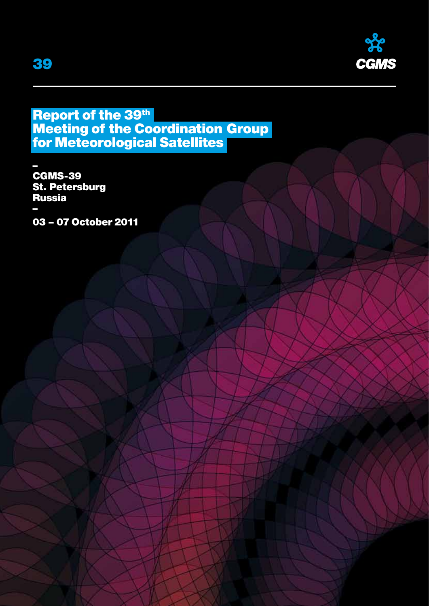

# Report of the 39th Meeting of the Coordination Group for Meteorological Satellites

– CGMS-39 St. Petersburg Russia – 03 – 07 October 2011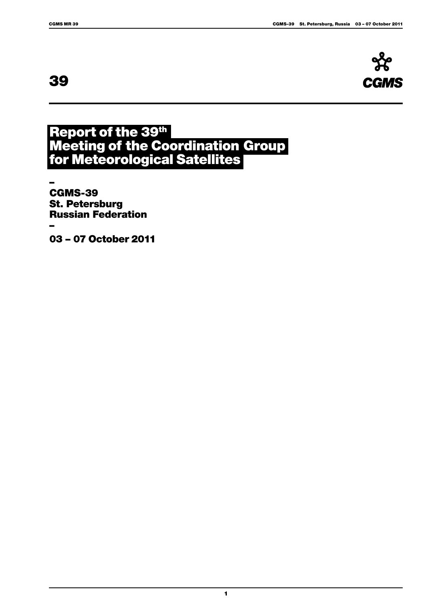# 39



# Report of the 39th Meeting of the Coordination Group for Meteorological Satellites

1

– CGMS-39 St. Petersburg Russian Federation –

03 – 07 October 2011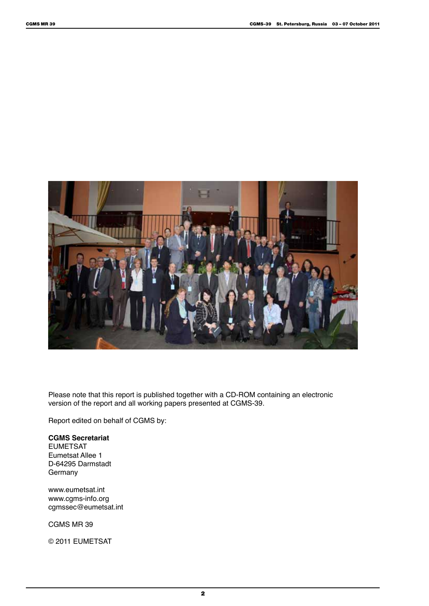

Please note that this report is published together with a CD-ROM containing an electronic version of the report and all working papers presented at CGMS-39.

Report edited on behalf of CGMS by:

# **CGMS Secretariat**

EUMETSAT Eumetsat Allee 1 D-64295 Darmstadt Germany

www.eumetsat.int www.cgms-info.org cgmssec@eumetsat.int

CGMS MR 39

© 2011 EUMETSAT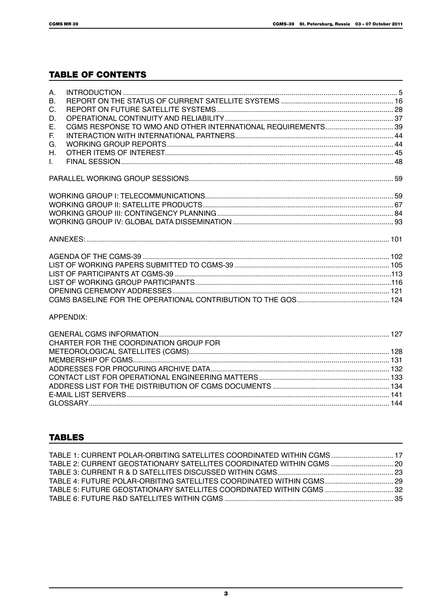# **TABLE OF CONTENTS**

| A.           |  |
|--------------|--|
| $B_{\cdot}$  |  |
| C.           |  |
| D.           |  |
| Е.           |  |
| E.           |  |
| G.           |  |
| Н.           |  |
| $\mathbf{L}$ |  |
|              |  |
|              |  |
|              |  |
|              |  |
|              |  |
|              |  |
|              |  |
|              |  |
|              |  |
|              |  |
|              |  |
|              |  |

### APPENDIX:

| CHARTER FOR THE COORDINATION GROUP FOR |  |
|----------------------------------------|--|
|                                        |  |
|                                        |  |
|                                        |  |
|                                        |  |
|                                        |  |
|                                        |  |
|                                        |  |

# **TABLES**

| TABLE 1: CURRENT POLAR-ORBITING SATELLITES COORDINATED WITHIN CGMS 17 |  |
|-----------------------------------------------------------------------|--|
| 20. TABLE 2: CURRENT GEOSTATIONARY SATELLITES COORDINATED WITHIN CGMS |  |
|                                                                       |  |
|                                                                       |  |
|                                                                       |  |
|                                                                       |  |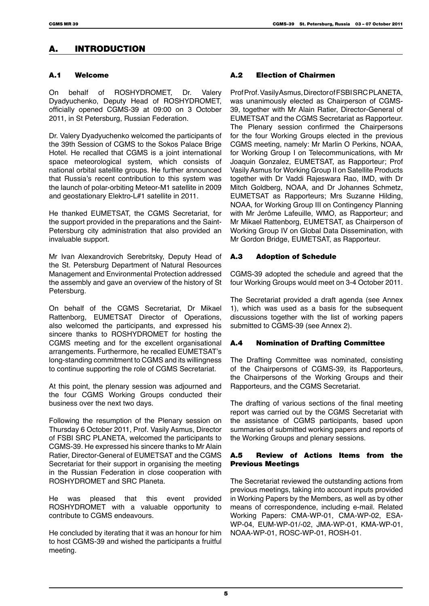# A. INTRODUCTION

### A.1 Welcome

On behalf of ROSHYDROMET, Dr. Valery Dyadyuchenko, Deputy Head of ROSHYDROMET, officially opened CGMS-39 at 09:00 on 3 October 2011, in St Petersburg, Russian Federation.

Dr. Valery Dyadyuchenko welcomed the participants of the 39th Session of CGMS to the Sokos Palace Brige Hotel. He recalled that CGMS is a joint international space meteorological system, which consists of national orbital satellite groups. He further announced that Russia's recent contribution to this system was the launch of polar-orbiting Meteor-M1 satellite in 2009 and geostationary Elektro-L#1 satellite in 2011.

He thanked EUMETSAT, the CGMS Secretariat, for the support provided in the preparations and the Saint-Petersburg city administration that also provided an invaluable support.

Mr Ivan Alexandrovich Serebritsky, Deputy Head of the St. Petersburg Department of Natural Resources Management and Environmental Protection addressed the assembly and gave an overview of the history of St Petersburg.

On behalf of the CGMS Secretariat, Dr Mikael Rattenborg, EUMETSAT Director of Operations, also welcomed the participants, and expressed his sincere thanks to ROSHYDROMET for hosting the CGMS meeting and for the excellent organisational arrangements. Furthermore, he recalled EUMETSAT's long-standing commitment to CGMS and its willingness to continue supporting the role of CGMS Secretariat.

At this point, the plenary session was adjourned and the four CGMS Working Groups conducted their business over the next two days.

Following the resumption of the Plenary session on Thursday 6 October 2011, Prof. Vasily Asmus, Director of FSBI SRC PLANETA, welcomed the participants to CGMS-39. He expressed his sincere thanks to Mr Alain Ratier, Director-General of EUMETSAT and the CGMS Secretariat for their support in organising the meeting in the Russian Federation in close cooperation with ROSHYDROMET and SRC Planeta.

He was pleased that this event provided ROSHYDROMET with a valuable opportunity to contribute to CGMS endeavours.

He concluded by iterating that it was an honour for him to host CGMS-39 and wished the participants a fruitful meeting.

### A.2 Election of Chairmen

Prof Prof. Vasily Asmus, Director of FSBI SRC PLANETA, was unanimously elected as Chairperson of CGMS-39, together with Mr Alain Ratier, Director-General of EUMETSAT and the CGMS Secretariat as Rapporteur. The Plenary session confirmed the Chairpersons for the four Working Groups elected in the previous CGMS meeting, namely: Mr Marlin O Perkins, NOAA, for Working Group I on Telecommunications, with Mr Joaquin Gonzalez, EUMETSAT, as Rapporteur; Prof Vasily Asmus for Working Group II on Satellite Products together with Dr Vaddi Rajeswara Rao, IMD, with Dr Mitch Goldberg, NOAA, and Dr Johannes Schmetz, EUMETSAT as Rapporteurs; Mrs Suzanne Hilding, NOAA, for Working Group III on Contingency Planning with Mr Jerôme Lafeuille, WMO, as Rapporteur; and Mr Mikael Rattenborg, EUMETSAT, as Chairperson of Working Group IV on Global Data Dissemination, with Mr Gordon Bridge, EUMETSAT, as Rapporteur.

### A.3 Adoption of Schedule

CGMS-39 adopted the schedule and agreed that the four Working Groups would meet on 3-4 October 2011.

The Secretariat provided a draft agenda (see Annex 1), which was used as a basis for the subsequent discussions together with the list of working papers submitted to CGMS-39 (see Annex 2).

### A.4 Nomination of Drafting Committee

The Drafting Committee was nominated, consisting of the Chairpersons of CGMS-39, its Rapporteurs, the Chairpersons of the Working Groups and their Rapporteurs, and the CGMS Secretariat.

The drafting of various sections of the final meeting report was carried out by the CGMS Secretariat with the assistance of CGMS participants, based upon summaries of submitted working papers and reports of the Working Groups and plenary sessions.

### A.5 Review of Actions Items from the Previous Meetings

The Secretariat reviewed the outstanding actions from previous meetings, taking into account inputs provided in Working Papers by the Members, as well as by other means of correspondence, including e-mail. Related Working Papers: CMA-WP-01, CMA-WP-02, ESA-WP-04, EUM-WP-01/-02, JMA-WP-01, KMA-WP-01, NOAA-WP-01, ROSC-WP-01, ROSH-01.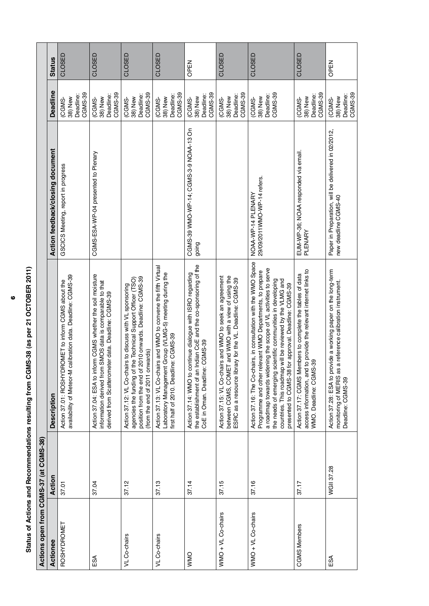| Actions open from CGMS-37 (at CGMS-38) |                   |                                                                                                                                                                                                                                                                                                                                                                                    |                                                                             |                                                 |               |
|----------------------------------------|-------------------|------------------------------------------------------------------------------------------------------------------------------------------------------------------------------------------------------------------------------------------------------------------------------------------------------------------------------------------------------------------------------------|-----------------------------------------------------------------------------|-------------------------------------------------|---------------|
| Actionee                               | Action            | <b>Description</b>                                                                                                                                                                                                                                                                                                                                                                 | Action feedback/closing document                                            | <b>Deadline</b>                                 | <b>Status</b> |
| <b>ROSHYDROMET</b>                     | 37.01             | availability of Meteor-M calibration data. Deadline: CGMS-39<br>ROMET to inform CGMS about the<br>Action 37.01: ROSHYDF                                                                                                                                                                                                                                                            | GSCICS Meeting, report in progress                                          | CGMS-39<br>Deadline:<br>38) New<br>CGMS-        | CLOSED        |
| ESA                                    | 37.04             | Action 37.04: ESA to inform CGMS whether the soil moisture<br>SMOS data is comparable to that<br>derived from Scatterometer data. Deadline: CGMS-39<br>information derived from                                                                                                                                                                                                    | CGMS-ESA-WP-04 presented to Plenary                                         | CGMS-39<br>Deadline:<br>38) New<br><b>CGMS-</b> | CLOSED        |
| VL Co-chairs                           | 37.12             | 2010 onwards. Deadline: CGMS-39<br>the Technical Support Officer (TSO)<br>Action 37.12: VL Co-chairs to discuss with VL sponsoring<br>(from the end of 2011 onwards)<br>position from the end of<br>agencies the funding of                                                                                                                                                        |                                                                             | CGMS-39<br>Deadline:<br>38) New<br><b>CGMS-</b> | CLOSED        |
| VL Co-chairs                           | 37.13             | Action 37.13: VL Co-chairs and WMO to convene the fifth Virtual<br>Laboratory Management Group (VLMG-5) meeting during the<br>first half of 2010. Deadline: CGMS-39                                                                                                                                                                                                                |                                                                             | CGMS-39<br>Deadline:<br>38) New<br><b>CGMS-</b> | CLOSED        |
| <b>OMMO</b>                            | 37.14             | Indian CoE and the co-sponsoring of the<br>Action 37.14: WMO to continue dialogue with ISRO regarding<br>CGMS-39<br>CoE in Oman. Deadline:<br>the establishment of an                                                                                                                                                                                                              | CGMS-39 WMO-WP-14; CGMS-3-9 NOAA-13 On<br>going                             | CGMS-39<br>Deadline:<br>38) New<br>(CGMS-       | OPEN          |
| WMO + VL Co-chairs                     | 37.15             | Action 37.15: VL Co-chairs and WMO to seek an agreement<br>between CGMS, COMET and WMO with a view of using the<br>ESRC as a resource library for the VL. Deadline: CGMS-39                                                                                                                                                                                                        |                                                                             | CGMS-39<br>Deadline:<br>38) New<br>(CGMS-       | CLOSED        |
| WMO + VL Co-chairs                     | 37.16             | Action 37.16: The Co-chairs, in consultation with the WMO Space<br>a roadmap towards widening the scope of VL activities to serve<br>Programme and other relevant WMO Departments, to prepare<br>countries. This roadmap will be reviewed by the VLMG and<br>the needs of emerging scientific communities in developing<br>for approval. Deadline: CGMS-39<br>presented to CGMS-38 | 29/09/2011WMO-WP-14 refers.<br>NOAA-WP-14 PLENARY                           | CGMS-39<br>Deadline:<br>38) New<br><b>CGMS-</b> | CLOSED        |
| <b>CGMS Members</b>                    | 37.17             | access information, and to provide the relevant internet links to<br>Action 37.17: CGMS Members to complete the tables of data<br>WMO. Deadline: CGMS-39                                                                                                                                                                                                                           | EUM-WP-36; NOAA responded via email.<br>PLENARY                             | CGMS-39<br>Deadline:<br>38) New<br><b>CGMS-</b> | CLOSED        |
| £SA                                    | <b>WGII 37.28</b> | Action 37.28: ESA to provide a working paper on the long-term<br>a reference calibration instrument.<br>monitoring of MERIS as<br>Deadline: CGMS-39                                                                                                                                                                                                                                | Paper in Preparation, will be delivered in 02/2012,<br>new deadline CGMS-40 | CGMS-39<br>Deadline:<br>38) New<br><b>CGMS-</b> | OPEN          |

Status of Actions and Recommendations resulting from CGMS-38 (as per 21 OCTOBER 2011) **Status of Actions and Recommendations resulting from CGMS-38 (as per 21 OCTOBER 2011)**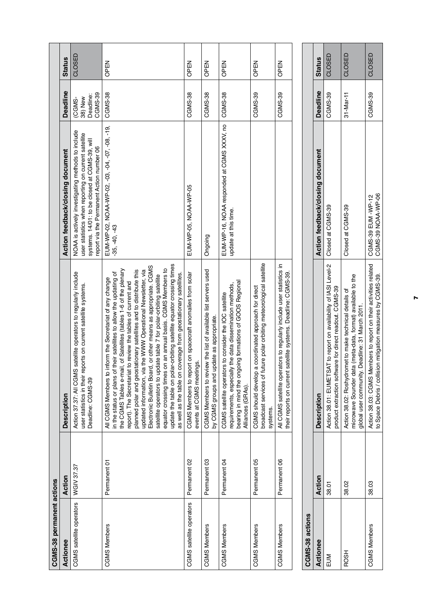| CGMS-38 permanent actions |              |                                                                                                                                                                                                                                                                                                                                                                                                                                                                                                                                                                                                                                                                                                                                                                 |                                                                                                                                                                                                       |                                                 |               |
|---------------------------|--------------|-----------------------------------------------------------------------------------------------------------------------------------------------------------------------------------------------------------------------------------------------------------------------------------------------------------------------------------------------------------------------------------------------------------------------------------------------------------------------------------------------------------------------------------------------------------------------------------------------------------------------------------------------------------------------------------------------------------------------------------------------------------------|-------------------------------------------------------------------------------------------------------------------------------------------------------------------------------------------------------|-------------------------------------------------|---------------|
| Actionee                  | Action       | <b>Description</b>                                                                                                                                                                                                                                                                                                                                                                                                                                                                                                                                                                                                                                                                                                                                              | Action feedback/closing document                                                                                                                                                                      | <b>Deadline</b>                                 | <b>Status</b> |
| CGMS satellite operators  | WGIV 37.37   | satellite operators to regularly include<br>user statistics in their reports on current satellite systems.<br>Action 37.37: All CGMS<br>Deadline: CGMS-39                                                                                                                                                                                                                                                                                                                                                                                                                                                                                                                                                                                                       | NOAA is actively investigating methods to include<br>user statistics when reporting on current satellite<br>systems. 14/01: to be closed at CGMS-39, will<br>eport via the Permanent Action number 06 | CGMS-39<br>Deadline:<br>38) New<br><b>CGMS-</b> | CLOSED        |
| <b>CGMS Members</b>       | Permanent 01 | update the table on polar-orbiting satellite equator crossing times<br>Electronic Bulletin Board, or other means as appropriate. CGMS<br>, of Satellites (tables 1-6 of the plenary<br>equator crossing times on an annual basis. CGMS Members to<br>planned polar and geostationary satellites and to distribute this<br>updated information, via the WWW Operational Newsletter, via<br>their satellites to allow the updating of<br>as well as the table on coverage from geostationary satellites.<br>satellite operators to update table 7 for polar-orbiting satellite<br>All CGMS Members to inform the Secretariat of any change<br>report). The Secretariat to review the tables of current and<br>the CGMS Tables e-mail<br>in the status or plans of | EUM-WP-02, NOAA-WP-02, -03, -04, -07, -08, -19,<br>$-35, -40, -43$                                                                                                                                    | <b>CGMS-38</b>                                  | OPEN          |
| CGMS satellite operators  | Permanent 02 | CGMS Members to report on spacecraft anomalies from solar<br>events at CGMS meetings.                                                                                                                                                                                                                                                                                                                                                                                                                                                                                                                                                                                                                                                                           | EUM-WP-05, NOAA-WP-05                                                                                                                                                                                 | CGMS-38                                         | OPEN          |
| <b>CGMS Members</b>       | Permanent 03 | CGMS Members to review the list of available list servers used<br>by CGMS groups and update as appropriate.                                                                                                                                                                                                                                                                                                                                                                                                                                                                                                                                                                                                                                                     | Ongoing                                                                                                                                                                                               | <b>CGMS-38</b>                                  | OPEN          |
| <b>CGMS Members</b>       | Permanent 04 | bearing in mind the ongoing formations of GOOS Regional<br>requirements, especially the data dissemination methods,<br>CGMS satellite operators to consider the IOC satellite<br>Alliances (GRAs).                                                                                                                                                                                                                                                                                                                                                                                                                                                                                                                                                              | EUM-WP-16, NOAA responded at CGMS XXXV, no<br>update at this time.                                                                                                                                    | <b>CGMS-38</b>                                  | OPEN          |
| <b>CGMS Members</b>       | Permanent 05 | broadcast services of future polar orbiting meteorological satellite<br>coordinated approach for direct<br>CGMS should develop a<br>systems.                                                                                                                                                                                                                                                                                                                                                                                                                                                                                                                                                                                                                    |                                                                                                                                                                                                       | CGMS-39                                         | OPEN          |
| <b>CGMS Members</b>       | Permanent 06 | All CGMS satellite operators to regularly include user statistics in<br>their reports on current satellite systems. Deadline: CGMS-39.                                                                                                                                                                                                                                                                                                                                                                                                                                                                                                                                                                                                                          |                                                                                                                                                                                                       | CGMS-39                                         | OPEN          |
|                           |              |                                                                                                                                                                                                                                                                                                                                                                                                                                                                                                                                                                                                                                                                                                                                                                 |                                                                                                                                                                                                       |                                                 |               |

| CGMS-38 actions     |        |                                                                                                                                                                             |                                  |                 |               |
|---------------------|--------|-----------------------------------------------------------------------------------------------------------------------------------------------------------------------------|----------------------------------|-----------------|---------------|
| Actionee            | Action | <b>Description</b>                                                                                                                                                          | Action feedback/closing document | <b>Deadline</b> | <b>Status</b> |
|                     | 38.01  | Action 38.01: EUMETSAT to report on availability of IASI Level-2   Closed at CGMS-39<br>product extraction software for direct readout. CGMS-39                             |                                  | CGMS-39         | CLOSED        |
| <b>ROSH</b>         | 38.02  | (meta-data, format) available to the<br>Action 38.02: Roshydromet to make technical details of<br>global user community. Deadline: 31 March 2011.<br>microwave Sounder data | Closed at CGMS-39                | 31-Mar-11       | CLOSED        |
| <b>CGMS Members</b> | 38.03  | Action 38.03: CGMS Members to report on their activities related   CGMS-39 EUM -WP-12<br>to Space Debris / collision mitigation measures by CGMS-39.                        | CGMS-39 NOAA-WP-06               | <b>CGMS-39</b>  | CLOSED        |
|                     |        |                                                                                                                                                                             |                                  |                 |               |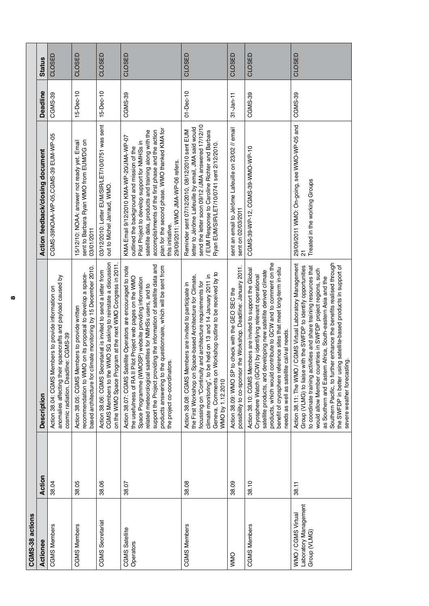| CGMS-38 actions                                             |        |                                                                                                                                                                                                                                                                                                                                                                                                                                                                                                                |                                                                                                                                                                                                                                                                                                                                                                |                 |               |
|-------------------------------------------------------------|--------|----------------------------------------------------------------------------------------------------------------------------------------------------------------------------------------------------------------------------------------------------------------------------------------------------------------------------------------------------------------------------------------------------------------------------------------------------------------------------------------------------------------|----------------------------------------------------------------------------------------------------------------------------------------------------------------------------------------------------------------------------------------------------------------------------------------------------------------------------------------------------------------|-----------------|---------------|
| Actionee                                                    | Action | <b>Description</b>                                                                                                                                                                                                                                                                                                                                                                                                                                                                                             | Action feedback/closing document                                                                                                                                                                                                                                                                                                                               | <b>Deadline</b> | <b>Status</b> |
| <b>CGMS Members</b>                                         | 38.04  | spacecrafts and payload caused by<br>Action 38.04: CGMS Members to provide information on<br>cosmic radiation. Deadline: CGMS-39<br>anomalies affecting their                                                                                                                                                                                                                                                                                                                                                  | CGMS-39NOAA-WP-05,CGMS-39 EUM-WP-05                                                                                                                                                                                                                                                                                                                            | CGMS-39         | CLOSED        |
| <b>CGMS Members</b>                                         | 38.05  | based architecture for climate monitoring by 15 December 2010.<br>recommendation to WMO on its proposal to develop a space-<br>Action 38.05: CGMS Members to provide written                                                                                                                                                                                                                                                                                                                                   | sent to Barbara Ryan WMO from EUM/DG on<br>15/12/10: NOAA: answer not ready yet. Email<br>03/01/2011                                                                                                                                                                                                                                                           | $15-Dec-10$     | CLOSED        |
| <b>CGMS</b> Secretariat                                     | 38.06  | CGMS Members to the WMO SG asking to reinstate a discussion<br>on the WMO Space Program at the next WMO Congress in 2011<br>Action 38.06: CGMS Secretariat is invited to send a letter from                                                                                                                                                                                                                                                                                                                    | 03/12/2010: Letter EUM/SIR/LET/10/0751 was sent<br>out to Michel Jarraud, WMO                                                                                                                                                                                                                                                                                  | $15 - Dec - 10$ | CLOSED        |
| CGMS Satellite<br>Operators                                 | 38.07  | support the Project providing the information of satellite data and<br>products answering to the questionnaire, which will be sent from<br>Action 38.07: CGMS Satellite Operators are encouraged to note<br>the usefulness of RA II Pilot Project web pages on the WMO<br>Space Programme (WMOSP) website providing information<br>related meteorological satellites for NMHSs users, and to<br>the project co-coordinators.                                                                                   | plan for the second phase. WMO thanked KMA for<br>satellite data, products and training along with the<br>accomplishments of the first phase and the action<br>KMA Email 9/12/2010 KMA-WP-20/JMA-WP-07<br>Pilot Project to develop support for NMHSs in<br>outlined the background and mission of the<br>29/09/2011: WMO JMA-WP-06 refers.<br>this initiative. | CGMS-39         | CLOSED        |
| <b>CGMS Members</b>                                         | 38.08  | Geneva. Comments on Workshop outline to be received by to<br>climate monitoring", to be held on 13 and 14 January 2011 in<br>the First Workshop on Space-based Architecture for Climate,<br>focussing on "Continuity and architecture requirements for<br>Action 38.08: CGMS Members are invited to participate in<br>WMO by 1.12.2010                                                                                                                                                                         | send the letter soon 09/12 /JMA answered 17/12/10<br>letter to Jérôme Lafeuille by email, JMA said would<br>Reminder sent 07/12/2010, 08/12/2010 sent EUM<br><b>EUM Response to Caroline Richter and Barbara</b><br>Ryan EUM/SIR/LET/10/0741 sent 2/12/2010.                                                                                                   | $01 - Dec-10$   | CLOSED        |
| <b>ONNO</b>                                                 | 38.09  | the Workshop. Deadline: January 2011<br>o check with the GEO SEC the<br>Action 38.09: WMO SP 1<br>possibility to co-sponsor                                                                                                                                                                                                                                                                                                                                                                                    | sent an email to Jérôme Lafeuille on 23/02 // email<br>sent on 02/03/2011                                                                                                                                                                                                                                                                                      | $31 - Jan - 11$ | CLOSED        |
| <b>CGMS Members</b>                                         | 38.10  | products, which would contribute to GCW and to comment on the<br>benefit of cryosphere reference sites that meet long-term in-situ<br>Action 38.10: CGMS Members are invited to support the Global<br>satellite products, and developing new satellite derived climate<br>Cryosphere Watch (GCW) by identifying relevant operational<br>needs as well as satellite cal/val needs.                                                                                                                              | CGMS-39-WP-12, CGMS-39-WMO-WP-10                                                                                                                                                                                                                                                                                                                               | CGMS-39         | CLOSED        |
| Laboratory Management<br>WMO / CGMS Virtual<br>Group (VLMG) | 38.11  | er enhance the benefits realised through<br>Action 38.11: The WMO / CGMS Virtual Laboratory Management<br>Group (VLMG) to liaise with the SWFDP to identify opportunities<br>the SWFDP in better using satellite-based products in support of<br>to coordinate training activities and share training resources that<br>would allow Member countries in SWFDP project regions, such<br>as Southern and Eastern Africa, South-eastern Asia and the<br>severe weather forecasting.<br>Southern Pacific, to furth | 29/09/2011 WMO: On-going, see WMO-WP-05 and<br>Treated in the working Groups<br>$\overline{\Omega}$                                                                                                                                                                                                                                                            | CGMS-39         | CLOSED        |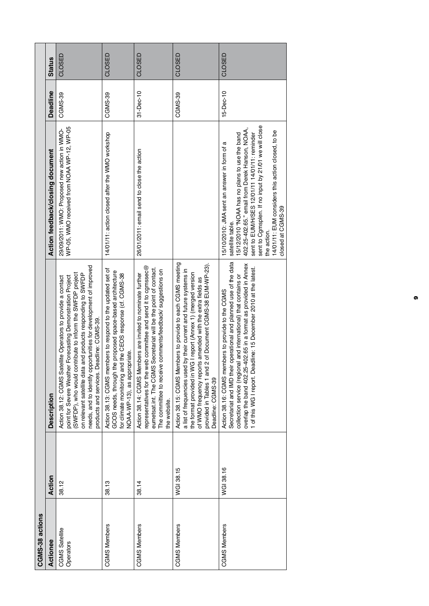| CGMS-38 actions             |           |                                                                                                                                                                                                                                                                                                                                                                           |                                                                                                                                                                                                                                                                                                                                                                      |                 |               |
|-----------------------------|-----------|---------------------------------------------------------------------------------------------------------------------------------------------------------------------------------------------------------------------------------------------------------------------------------------------------------------------------------------------------------------------------|----------------------------------------------------------------------------------------------------------------------------------------------------------------------------------------------------------------------------------------------------------------------------------------------------------------------------------------------------------------------|-----------------|---------------|
| Actionee                    | Action    | <b>Description</b>                                                                                                                                                                                                                                                                                                                                                        | Action feedback/closing document                                                                                                                                                                                                                                                                                                                                     | <b>Deadline</b> | <b>Status</b> |
| CGMS Satellite<br>Operators | 38.12     | needs, and to identify opportunities for development of improved<br>(SWFDP), who would contribute to inform the SWFDP project<br>and products responding to SWFDP<br>point for Severe Weather Forecasting Demonstration Project<br>Action 38.12: CGMS Satellite Operators to provide a contact<br>products and services. Deadline: CGMS-39.<br>on relevant satellite data | WP-05, WMO received from NOAA WP-12, WP-05<br>29/09/2011: WMO: Proposed new action in WMO-                                                                                                                                                                                                                                                                           | CGMS-39         | CLOSED        |
| <b>CGMS Members</b>         | 38.13     | Action 38.13: CGMS members to respond to the updated set of<br>GCOS needs, through the proposed space-based architecture<br>for climate monitoring and the CEOS response (cf. CGMS-38<br>NOAA-WP-13), as appropriate.                                                                                                                                                     | 14/01/11: action closed after the WMO workshop                                                                                                                                                                                                                                                                                                                       | CGMS-39         | CLOSED        |
| <b>CGMS Members</b>         | 38.14     | representatives for the web committee and send it to comssec $@$<br>Secretariat will be the point of contact.<br>The committee to receive comments/feedback/ suggestions on<br>Action 38.14: CGMS Members are invited to nominate further<br>eumetsat.int. The CGMS<br>the website.                                                                                       | 26/01/2011: email send to close the action                                                                                                                                                                                                                                                                                                                           | 31-Dec-10       | CLOSED        |
| <b>CGMS Members</b>         | WGI 38.15 | Action 38.15: CGMS Members to provide to each CGMS meeting<br>2 of Document CGMS-38 EUM-WP-23)<br>a list of frequencies used by their current and future systems in<br>the format provided in WG I report (Annex 1) (merged version<br>of WMO frequency reports amended with the extra fields as<br>provided in Tables 1 and<br>Deadline: CGMS-39                         |                                                                                                                                                                                                                                                                                                                                                                      | CGMS-39         | CLOSED        |
| <b>CGMS Members</b>         | WGI 38.16 | Secretariat and IMD their operational and planned use of the data<br>overlap the band 402.25-402.65 in a format as provided in Annex<br>1 of this WG I report. Deadline: 15 December 2010 at the latest.<br>collection service (regional and international) that contains or<br>Action 38.16: CGMS members to provide to the CGMS                                         | sent to Cgmsplen. If no input by 21/01 we will close<br>402.25-402.65." email from Derek Hanson, NOAA,<br>14/01/11: EUM considers this action closed, to be<br>sent to EUM/H/SES 12/01/11 14/01/11: reminder<br>15/12/2010 "NOAA has no plans to use the band<br>15/10/2010: JMA sent an answer in form of a<br>closed at CGMS-39<br>satellite table.<br>the action. | 15-Dec-10       | CLOSED        |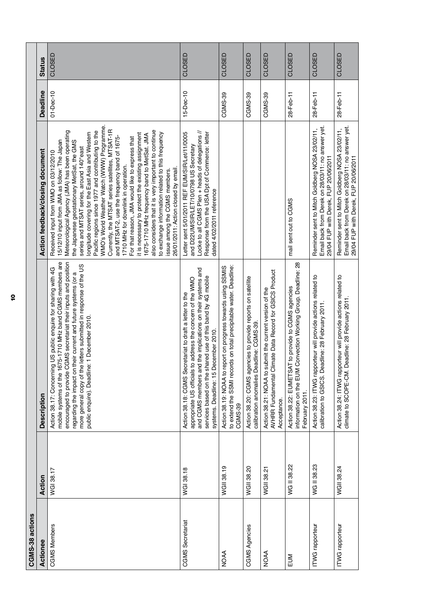|                 | <b>Status</b>                    | CLOSED                                                                                                                                                                                                                                                                                                                                                                                                                                                                                                                                                                                                                                                                                                                                                                                                                                                                            | CLOSED                                                                                                                                                                                                                                                                                    | CLOSED                                                                                                                                       | CLOSED                                                                                                  | CLOSED                                                                                                                            | CLOSED                                                                                                                                  | CLOSED                                                                                                                                     | CLOSED                                                                                                                                      |
|-----------------|----------------------------------|-----------------------------------------------------------------------------------------------------------------------------------------------------------------------------------------------------------------------------------------------------------------------------------------------------------------------------------------------------------------------------------------------------------------------------------------------------------------------------------------------------------------------------------------------------------------------------------------------------------------------------------------------------------------------------------------------------------------------------------------------------------------------------------------------------------------------------------------------------------------------------------|-------------------------------------------------------------------------------------------------------------------------------------------------------------------------------------------------------------------------------------------------------------------------------------------|----------------------------------------------------------------------------------------------------------------------------------------------|---------------------------------------------------------------------------------------------------------|-----------------------------------------------------------------------------------------------------------------------------------|-----------------------------------------------------------------------------------------------------------------------------------------|--------------------------------------------------------------------------------------------------------------------------------------------|---------------------------------------------------------------------------------------------------------------------------------------------|
|                 | <b>Deadline</b>                  | $01 - Dec-10$                                                                                                                                                                                                                                                                                                                                                                                                                                                                                                                                                                                                                                                                                                                                                                                                                                                                     | $15 - Dec - 10$                                                                                                                                                                                                                                                                           | CGMS-39                                                                                                                                      | CGMS-39                                                                                                 | CGMS-39                                                                                                                           | 28-Feb-11                                                                                                                               | 28-Feb-11                                                                                                                                  | 28-Feb-11                                                                                                                                   |
|                 | Action feedback/closing document | WMO's World Weather Watch (WWW) Programme.<br>Currently, the MTSAT series satellites, MTSAT-1R<br>also considers that it is very important to continue<br>Meteorological Agency (JMA) has been operating<br>Pacific regions since 1977 and contributing to the<br>longitude covering for the East Asia and Western<br>to exchange information related to this frequency<br>it is necessary to protect the existing assignment<br>1675-1710 MHz frequency band to MetSat. JMA<br>and MTSAT-2, use the frequency band of 1675-<br>For that reason, JMA would like to express that<br>15/12/10 input from JMA as follow: The Japan<br>the Japanese geostationary MetSat, the GMS<br>series and MTSAT series, around 140° east<br>Received input from WMO on 03/12/2010<br>1710 MHz for downlink in operation.<br>26/01/2011: Action closed by email<br>issue among the CGMS members. | Locke to all CGMS Plen + heads of delegations //<br>Letter sent 5/01/2011 REF EUM/SIR/Let/11/0005<br>Response from the USA Dpt of Commerce: letter<br>and D22UM/SIR/LET/10/0798 US Secretary<br>dated 4/02/2011 reference                                                                 |                                                                                                                                              |                                                                                                         |                                                                                                                                   | mail sent out to CGMS                                                                                                                   | Email back from Derek on 28/03/11: no answer yet<br>Reminder sent to Mitch Goldberg NOSA 23/02/11,<br>29/04 FUP with Derek, FUP 20/06/2011 | Reminder sent to Mitch Goldberg NOSA 23/02/11,<br>Email back from Derek on 28/03/11: no answer yet.<br>29/04 FUP with Derek, FUP 20/06/2011 |
|                 | <b>Description</b>               | mobile systems of the 1675-1710 MHz band CGMS members are<br>encouraged to provide CGMS secretariat their inputs and position<br>more general copy of the letters submitted in response of the US<br>Action 38.17: Concerning US public enquire for sharing with 4G<br>regarding the impact on their current and future systems (or a<br>public enquire). Deadline: 1 December 2010.                                                                                                                                                                                                                                                                                                                                                                                                                                                                                              | and CGMS members and the implications on their systems and<br>services based on the shared use of this band by 4G mobile<br>appropriate US officials to address the concern of the WMO<br>Action 38.18: CGMS Secretariat to draft a letter to the<br>systems. Deadline: 15 December 2010. | to extend the SSMI records on total precipitable water. Deadline:<br>Action 38.19: NOAA to report on progress towards using SSMIS<br>CGMS-39 | Action 38.20: CGMS agencies to provide reports on satellite<br>calibration anomalies Deadline: CGMS-39. | AVHRR Fundamental Climate Data Record for GSICS Product<br>Action 38.21: NOAA to submit the current version of the<br>Acceptance. | Convection Working Group. Deadline: 28<br>Action 38.22: EUMETSAT to provide to CGMS agencies<br>information on the EUM<br>February 2011 | Action 38.23: ITWG rapporteur will provide actions related to<br>calibration to GSICS. Deadline: 28 February 2011.                         | Action 38.24: ITWG rapporteur will provide actions related to<br>Deadline: 28 February 2011.<br>climate to SCOPE-CM.                        |
|                 | Action                           | WGI 38.17                                                                                                                                                                                                                                                                                                                                                                                                                                                                                                                                                                                                                                                                                                                                                                                                                                                                         | WGI 38.18                                                                                                                                                                                                                                                                                 | WGII 38.19                                                                                                                                   | <b>WGII 38.20</b>                                                                                       | WGII 38.21                                                                                                                        | WG II 38.22                                                                                                                             | WG II 38.23                                                                                                                                | WGII 38.24                                                                                                                                  |
| CGMS-38 actions | Actionee                         | <b>CGMS Members</b>                                                                                                                                                                                                                                                                                                                                                                                                                                                                                                                                                                                                                                                                                                                                                                                                                                                               | <b>CGMS</b> Secretariat                                                                                                                                                                                                                                                                   | <b>NOAA</b>                                                                                                                                  | <b>CGMS Agencies</b>                                                                                    | <b>NOAA</b>                                                                                                                       | EUM                                                                                                                                     | ITWG rapporteur                                                                                                                            | ITWG rapporteur                                                                                                                             |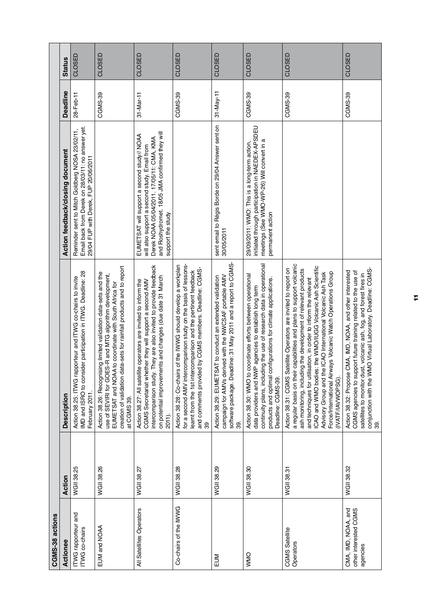|                 | <b>Status</b><br><b>Deadline</b> | CLOSED<br>28-Feb-11                                                                                                                        | CLOSED<br>CGMS-39                                                                                                                                                                                                                                                              | CLOSED<br>31-Mar-11                                                                                                                                                                                                                                                     | CLOSED<br>CGMS-39                                                                                                                                                                                                                                                        | CLOSED<br>$31$ -May-11                                                                                                                                                                                 | CLOSED<br>CGMS-39                                                                                                                                                                                                                                                                      | CLOSED<br>CGMS-39                                                                                                                                                                                                                                                                                                                                                                                                                                                                            | CLOSED<br>CGMS-39                                                                                                            |
|-----------------|----------------------------------|--------------------------------------------------------------------------------------------------------------------------------------------|--------------------------------------------------------------------------------------------------------------------------------------------------------------------------------------------------------------------------------------------------------------------------------|-------------------------------------------------------------------------------------------------------------------------------------------------------------------------------------------------------------------------------------------------------------------------|--------------------------------------------------------------------------------------------------------------------------------------------------------------------------------------------------------------------------------------------------------------------------|--------------------------------------------------------------------------------------------------------------------------------------------------------------------------------------------------------|----------------------------------------------------------------------------------------------------------------------------------------------------------------------------------------------------------------------------------------------------------------------------------------|----------------------------------------------------------------------------------------------------------------------------------------------------------------------------------------------------------------------------------------------------------------------------------------------------------------------------------------------------------------------------------------------------------------------------------------------------------------------------------------------|------------------------------------------------------------------------------------------------------------------------------|
|                 | Action feedback/closing document | Email back from Derek on 28/03/11: no answer yet<br>Reminder sent to Mitch Goldberg NOSA 23/02/11,<br>29/04 FUP with Derek, FUP 20/06/2011 |                                                                                                                                                                                                                                                                                | and Roshydromet. 18/05 JMA confirmed they will<br>EUMETSAT will support a second study// NOAA<br>Derek NOAA 05/04/2011. 17/05/11: CMA, KMA<br>will also support a second study. Email from<br>support the study                                                         |                                                                                                                                                                                                                                                                          | sent email to Régis Borde on 29/04 Answer sent on<br>30/05/2011                                                                                                                                        | initiated through participation in NAEDEX-APSDEU<br>meetings (See WMO-WP-26) Will convert in a<br>29/09/2011: WMO: This is a long-term action,<br>permanent action                                                                                                                     |                                                                                                                                                                                                                                                                                                                                                                                                                                                                                              |                                                                                                                              |
|                 | <b>Description</b>               | MD and ISRO to consider participation in ITWG. Deadline: 28<br>Action 38.25: ITWG rapporteur and ITWG co-chairs to invite<br>February 2011 | creation of validation data-sets for rainfall products and to report<br>Action 38.26: Recognising limited validation data-sets and the<br>use of SEVIRI for GOES-R and MTG algorithm development,<br>to coordinate with South Africa for<br>EUMETSAT and NOAA 1<br>at CGMS 39. | intercomparison study. They are also invited to provide feedback<br>on potential improvements and changes (due date 31 March<br>operators are invited to inform the<br>CGMS Secretariat whether they will support a second AMV<br>Action 38.27: All satellite<br>2011). | for a second AMV intercomparison study on the basis of lessons-<br>of the IWWG should develop a workplan<br>by CGMS members. Deadline: CGMS-<br>learnt from the 1st intercomparison and the pertinent feedback<br>and comments provided<br>Action 38.28: Co-chairs<br>39 | software package. Deadline: 31 May 2011 and a report to CGMS-<br>campaign for AMVs derived with the NWCSAF portable AMV<br><b>AT</b> to conduct an extended validation<br>Action 38.29: EUMETSA<br>39. | continuity plans, including the use of research data in operational<br>Action 38.30: WMO to coordinate efforts between operational<br>products and optimal configurations for climate applications.<br>agencies to establish long term<br>data providers and NWP<br>Deadline: CGMS-39. | a regular basis on their capabilities and plans to support volcanic<br>ICAO and WMO bodies: the WMO/IUGG Volcanic Ash Scientific<br>Action 38.31: CGMS Satellite Operators are invited to report on<br>ash monitoring, including the development of relevant products<br>Force/International Airways Volcanic Watch Operations Group<br>Advisory Group and the ICAO International Volcanic Ash Task<br>and techniques for utilisation, in order to inform the relevant<br>(IVAT F/IAVWOPSG). | Action 38.32: Propose CMA, IMD, NOAA, and other interested<br>CGMS agencies to support future training related to the use of |
|                 | Action                           | WGII 38.25                                                                                                                                 | <b>WGII 38.26</b>                                                                                                                                                                                                                                                              | WGII 38.27                                                                                                                                                                                                                                                              | WGII 38.28                                                                                                                                                                                                                                                               | WGII 38.29                                                                                                                                                                                             | WGII 38.30                                                                                                                                                                                                                                                                             | WGII 38.31                                                                                                                                                                                                                                                                                                                                                                                                                                                                                   | <b>WGII 38.32</b>                                                                                                            |
| CGMS-38 actions | Actionee                         | <b>ITWG</b> rapporteur and<br>ITWG co-chairs                                                                                               | EUM and NOAA                                                                                                                                                                                                                                                                   | All Satellites Operators                                                                                                                                                                                                                                                | Co-chairs of the IWWG                                                                                                                                                                                                                                                    | EUM                                                                                                                                                                                                    | <b>OMMO</b>                                                                                                                                                                                                                                                                            | CGMS Satellite<br>Operators                                                                                                                                                                                                                                                                                                                                                                                                                                                                  | CMA, IMD, NOAA, and<br>other interested CGMS                                                                                 |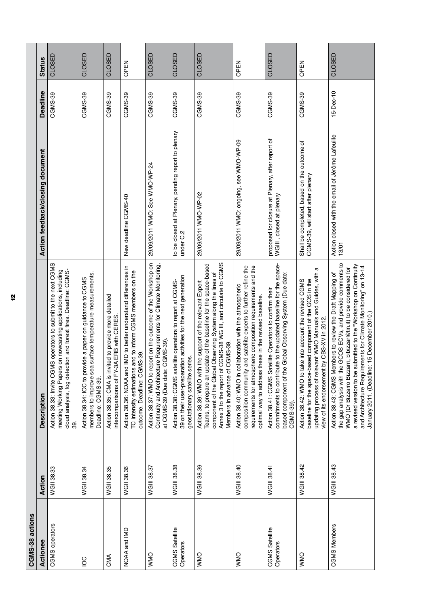| WGII 38.33<br>Action                                                                        | IS operators to submit to the next CGMS<br>Action 38.33: Invite CGN<br><b>Description</b>                                                                                                                                                                                                                                                                                           | Action feedback/closing document                                                 | Deadline<br>CGMS-39 | CLOSED<br><b>Status</b> |
|---------------------------------------------------------------------------------------------|-------------------------------------------------------------------------------------------------------------------------------------------------------------------------------------------------------------------------------------------------------------------------------------------------------------------------------------------------------------------------------------|----------------------------------------------------------------------------------|---------------------|-------------------------|
| 39.                                                                                         | meeting Working Papers on nowcasting applications, including<br>cloud analysis, fog detection and forest fires. Deadline: CGMS-                                                                                                                                                                                                                                                     |                                                                                  |                     |                         |
| Deadline: CGMS-39.<br>WGII 38.34                                                            | members to improve sea surface temperature measurements.<br>Action 38.34: IOC to provide a paper on guidance to CGMS                                                                                                                                                                                                                                                                |                                                                                  | CGMS-39             | CLOSED                  |
| intercomparisons of FY-3A ERB with CERES<br>WGII 38.35                                      | Action 38.35: CMA is invited to provide more detailed                                                                                                                                                                                                                                                                                                                               |                                                                                  | CGMS-39             | CLOSED                  |
| outcome. Deadline: CGMS-39.<br>WGII 38.36                                                   | Action 38.36: NOAA and IMD to better understand differences in<br>TC intensity estimations and to inform CGMS members on the                                                                                                                                                                                                                                                        | New deadline CGMS-40                                                             | CGMS-39             | OPEN                    |
| at CGMS-39 (Due date:<br>WGIII 38.37                                                        | Action 38.37: WMO to report on the outcome of the Workshop on<br>Continuity and Architecture Requirements for Climate Monitoring,<br>CGMS-39).                                                                                                                                                                                                                                      | 29/09/2011 WMO: See WMO-WP-24                                                    | CGMS-39             | CLOSED                  |
| geostationary satellite series.<br>WGIII 38.38                                              | 39 on their user-preparation activities for the next generation<br>Action 38.38: CGMS satellite operators to report at CGMS-                                                                                                                                                                                                                                                        | to be closed at Plenary, pending report to plenary<br>under C.2                  | CGMS-39             | CLOSED                  |
| component of the Global<br>Members in advance of<br>Annex 3 to the report of<br>WGIII 38.39 | CGMS-38 WG III, and circulate to CGMS<br>Teams, to prepare an update of the baseline for the space-based<br>Observing System along the lines of<br>Action 38.39: WMO with the support of the relevant Expert<br>CGMS-39                                                                                                                                                             | 29/09/2011 WWO-WP-02                                                             | CGMS-39             | CLOSED                  |
| composition community<br>WGIII 38.40                                                        | and satellite experts to further refine the<br>requirements for atmospheric composition requirements and the<br>Action 38.40: WMO in collaboration with the atmospheric<br>optimal way to address these in the revised baseline.                                                                                                                                                    | 29/09/2011 WMO: ongoing, see WMO-WP-09                                           | CGMS-39             | OPEN                    |
| based component of the<br>CGMS-39)<br>WGIII 38.41                                           | commitments to contribute to the updated baseline for the space-<br>Global Observing System (Due date:<br>Action 38.41: CGMS Satellite Operators to confirm their                                                                                                                                                                                                                   | proposed for closure at Plenary, after report of<br>WGIII , closed at plenary    | CGMS-39             | CLOSED                  |
| view of its endorsement<br>WGIII 38.42                                                      | a<br>updating process of relevant WMO Manuals and Guides, with<br>baseline for the space-based component of the GOS in the<br>Action 38.42: WMO to take into account the revised CGMS<br>by CBS-XV in 2012.                                                                                                                                                                         | Shall be completed, based on the outcome of<br>CGMS-39, will start after plenary | CGMS-39             | OPEN                    |
| WGIII 38.43                                                                                 | the gap analysis with the GCOS ECVs, and provide comments to<br>a revised version to be submitted to the "Workshop on Continuity<br>and Architecture Requirements for Climate Monitoring" on 13-14<br>January 2011 . (Deadline: 15 December 2010.)<br>WMO (Dr Bizzarro Bizzarri, bibizzar@tin.it) to be considered for<br>Action 38.43: CGMS Members to review the Draft Mapping of | Action closed with the email of Jérôme Lafeuille<br>13/01                        | $15 - Dec - 10$     | CLOSED                  |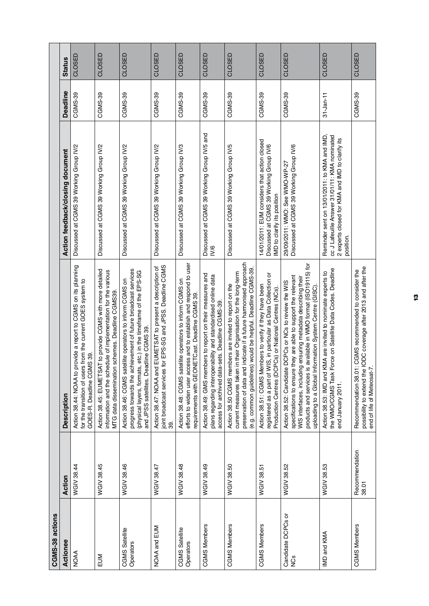| CGMS-38 actions                      |                         |                                                                                                                                                                                                                                                                                                                             |                                                                                                                                                               |                 |               |
|--------------------------------------|-------------------------|-----------------------------------------------------------------------------------------------------------------------------------------------------------------------------------------------------------------------------------------------------------------------------------------------------------------------------|---------------------------------------------------------------------------------------------------------------------------------------------------------------|-----------------|---------------|
| Actionee                             | Action                  | <b>Description</b>                                                                                                                                                                                                                                                                                                          | Action feedback/closing document                                                                                                                              | <b>Deadline</b> | <b>Status</b> |
| <b>NOAA</b>                          | WGIV 38.44              | Action 38.44: NOAA to provide a report to CGMS on its planning<br>for the transition of users from the current GOES system to<br>IS 39.<br>GOES-R. Deadline CGM                                                                                                                                                             | Discussed at CGMS 39 Working Group IV/2                                                                                                                       | CGMS-39         | CLOSED        |
| EUM                                  | WGIV 38.45              | Action 38.45: EUMETSAT to provide CGMS with more detailed<br>information and the schedule of implementation for the various<br>schemes. Deadline CGMS39.<br>MTG data dissemination                                                                                                                                          | Discussed at CGMS 39 Working Group IV/2                                                                                                                       | CGMS-39         | CLOSED        |
| CGMS Satellite<br>Operators          | WGIV 38.46              | progress towards the achievement of future broadcast services<br>(physical layers, formats, etc.) in the timeframe of the EPS-SG<br>Action 38.46: CGMS satellite operators to inform CGMS on<br>and JPSS satellites. Deadline CGMS 39.                                                                                      | Discussed at CGMS 39 Working Group IV/2                                                                                                                       | CGMS-39         | CLOSED        |
| NOAA and EUM                         | WGIV 38.47              | for EPS-SG and JPSS. Deadline CGMS<br>EUMETSAT to present a description of<br>Action 38.47: NOAA and<br>joint broadcast services t<br>39.                                                                                                                                                                                   | Discussed at CGMS 39 Working Group IV/2                                                                                                                       | CGMS-39         | CLOSED        |
| CGMS Satellite<br>Operators          | WGIV 38.48              | efforts to widen user access and to establish and respond to user<br>Action 38.48: CGMS satellite operators to inform CGMS on<br>requirements with GEONETCast. Deadline CGMS 39.                                                                                                                                            | Discussed at CGMS 39 Working Group IV/3                                                                                                                       | CGMS-39         | CLOSED        |
| <b>CGMS Members</b>                  | WGIV 38.49              | Action 38.49: GMS members to report on their measures and<br>plans regarding interoperability and standardised online data<br>access for archived data-sets. Deadline CGMS-39.                                                                                                                                              | Discussed at CGMS 39 Working Group IV/5 and<br>IV/6                                                                                                           | CGMS-39         | CLOSED        |
| <b>CGMS Members</b>                  | WGIV 38.50              | preservation of data and indicate if a future harmonised approach<br>(e.g. common guidelines) would be helpful. Deadline CGMS-39<br>current measures taken in their Organisation for the long-term<br>Action 38.50 CGMS members are invited to report on the                                                                | Discussed at CGMS 39 Working Group IV/5                                                                                                                       | CGMS-39         | CLOSED        |
| <b>CGMS Members</b>                  | WGIV 38.51              | registered as a part of WIS, in particular as Data Collection or<br>Action 38.51: CGMS Members to verify if they have been<br>Production Centres (DCPCs) or National Centres (NCs).                                                                                                                                         | 14/01/2011: EUM considers that action closed<br>Discussed at CGMS 39 Working Group IV/6<br>IMD to clarify its position                                        | CGMS-39         | CLOSED        |
| Candidate DCPCs or<br>S <sub>3</sub> | WGIV 38.52              | available in WMO format (ISO19115) for<br>they are able to support the relevant<br>WIS interfaces, including ensuring metadata describing their<br>Action 38.52: Candidate DCPCs or NCs to review the WIS<br>uploading to a Global Information System Centre (GISC)<br>products and services is<br>specifications to ensure | Discussed at CGMS 39 Working Group IV/6<br>29/09/2011: WMO: See WMO-WP-27                                                                                     | CGMS-39         | CLOSED        |
| IMD and KMA                          | WGIV 38.53              | the WMO/CGMS Task Force on Satellite Data Codes. Deadline<br>Action 38.53: IMD and KMA are invited to nominate experts to<br>end January 2011.                                                                                                                                                                              | cc J Lafeuille Answer 31/01/11: KMA nominated<br>Reminder sent on 13/01/2011: to KMA and IMD,<br>2 experts closed for KMA and IMD to clarify its<br>position. | $31 - Jan - 11$ | CLOSED        |
| <b>CGMS Members</b>                  | Recommendation<br>38.01 | ODC coverage after 2013 and after the<br>CGMS recommended to consider the<br>end of life of Meteosat-7.<br>Recommendation 38.01<br>possibility to extend the                                                                                                                                                                |                                                                                                                                                               | CGMS-39         | CLOSED        |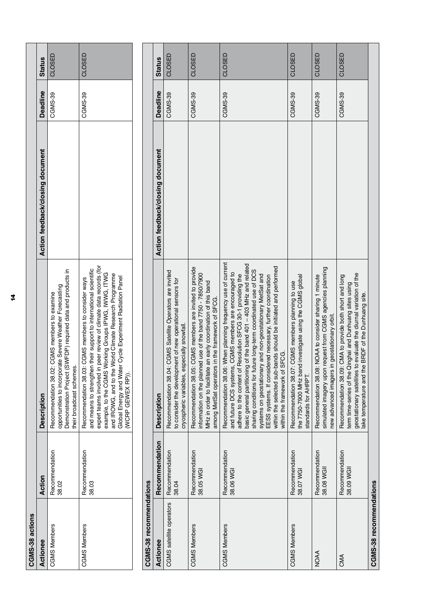| CGMS-38 actions          |                              |                                                                                                                                                                                                                                                                                                                                                                                                                                                                                                                                                             |                                  |                 |               |
|--------------------------|------------------------------|-------------------------------------------------------------------------------------------------------------------------------------------------------------------------------------------------------------------------------------------------------------------------------------------------------------------------------------------------------------------------------------------------------------------------------------------------------------------------------------------------------------------------------------------------------------|----------------------------------|-----------------|---------------|
| Actionee                 | Action                       | Description                                                                                                                                                                                                                                                                                                                                                                                                                                                                                                                                                 | Action feedback/closing document | <b>Deadline</b> | <b>Status</b> |
| <b>CGMS Members</b>      | Recommendation<br>38.02      | Demonstration Project (SWFDP) required data and products in<br>opportunities to incorporate Severe Weather Forecasting<br>Recommendation 38.02: CGMS members to examine<br>their broadcast schemes.                                                                                                                                                                                                                                                                                                                                                         |                                  | CGMS-39         | CLOSED        |
| <b>CGMS Members</b>      | Recommendation<br>38.03      | expert teams involved in peer review of climate data records (for<br>and means to strengthen their support to international scientific<br>example, to the CGMS Working Groups IPWG, IWWG, ITWG<br>and IROWG, and to the World Climate Research Programme<br>Global Energy and Water Cycle Experiment Radiation Panel<br>Recommendation 38.03: CGMS members to consider ways<br>(WCRP GEWEX RP)).                                                                                                                                                            |                                  | CGMS-39         | CLOSED        |
|                          |                              |                                                                                                                                                                                                                                                                                                                                                                                                                                                                                                                                                             |                                  |                 |               |
| CGMS-38 recommendations  |                              |                                                                                                                                                                                                                                                                                                                                                                                                                                                                                                                                                             |                                  |                 |               |
| Actionee                 | Recommendation               | Description                                                                                                                                                                                                                                                                                                                                                                                                                                                                                                                                                 | Action feedback/closing document | Deadline        | <b>Status</b> |
| CGMS satellite operators | Recommendation<br>38.04      | Recommendation 38.04: CGMS Satellite Operators are invited<br>to consider the development of new operational sensors for<br>cryospheric variables, especially snowfall.                                                                                                                                                                                                                                                                                                                                                                                     |                                  | CGMS-39         | CLOSED        |
| <b>CGMS Members</b>      | Recommendation<br>38.05 WGI  | Recommendation 38.05: CGMS members are invited to provide<br>information on the planned use of the band 7750 - 7850/7900<br>MHz in order to facilitate an early coordination of this band<br>among MetSat operators in the framework of SFCG.                                                                                                                                                                                                                                                                                                               |                                  | CGMS-39         | CLOSED        |
| <b>CGMS Members</b>      | Recommendation<br>38.06 WGI  | Recommendation 38.06: When planning frequency use of current<br>basic general partitioning of the band 401 - 403 MHz and related<br>within the selected sub-bands should be initiated and performed<br>sharing conditions for future long-term coordinated use of DCS<br>and future DCS systems, CGMS members are encouraged to<br>adhere to the content of Resolution SFCG 30-1 providing the<br>systems on geostationary and non-geostationary MetSat and<br>EESS systems. If considered necessary, further coordination<br>within the framework of SFCG. |                                  | CGMS-39         | CLOSED        |
| <b>CGMS Members</b>      | Recommendation<br>38.07 WGI  | the 7750-7900 MHz band investigate using the CGMS global<br>Recommendation 38.07: CGMS members planning to use<br>standards for AHRPT.                                                                                                                                                                                                                                                                                                                                                                                                                      |                                  | CGMS-39         | CLOSED        |
| <b>NOAA</b>              | Recommendation<br>38.08 WGII | simulated imagery upon request from CGMS agencies planning<br>Recommendation 38.08: NOAA to consider sharing 1 minute<br>new advanced imagers in geostationary orbit.                                                                                                                                                                                                                                                                                                                                                                                       |                                  | CGMS-39         | CLOSED        |
| CMA                      | Recommendation<br>38.09 WGII | geostationary satellites to evaluate the diurnal variation of the<br>Recommendation 38.09: CMA to provide both short and long<br>term time-series of the Qinghai and Dunhuang sites using<br>ake temperature and the BRDF of the Dunhuang site.                                                                                                                                                                                                                                                                                                             |                                  | CGMS-39         | CLOSED        |
| CGMS-38 recommendations  |                              |                                                                                                                                                                                                                                                                                                                                                                                                                                                                                                                                                             |                                  |                 |               |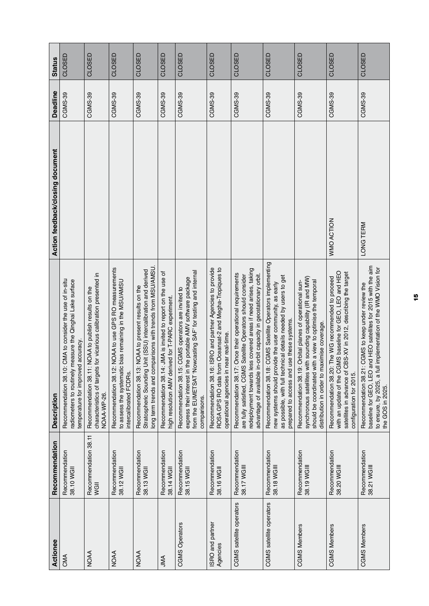| Actionee                     | Recommendation                | <b>Description</b>                                                                                                                                                                                                                                                     | Action feedback/closing document | Deadline       | <b>Status</b> |
|------------------------------|-------------------------------|------------------------------------------------------------------------------------------------------------------------------------------------------------------------------------------------------------------------------------------------------------------------|----------------------------------|----------------|---------------|
| CMA                          | Recommendation<br>38.10 WGII  | CMA to consider the use of in-situ<br>measure the Qinghai Lake surface<br>temperature for improved accuracy.<br>radiometers to routinely r<br>Recommendation 38.10:                                                                                                    |                                  | CGMS-39        | CLOSED        |
| <b>NOAA</b>                  | Recommendation 38.11<br>WGII  | characteristics of targets for vicarious calibration presented in<br>Recommendation 38.11: NOAA to publish results on the<br>NOAA-WP-26                                                                                                                                |                                  | <b>CGMS-39</b> | CLOSED        |
| <b>NOAA</b>                  | Recommendation<br>38.12 WGII  | NOAA to use GPS RO measurements<br>bias remaining in the MSU/AMSU<br>to assess the systematic<br>Recommendation 38.12:<br>intercalibrated FCDRs.                                                                                                                       |                                  | <b>CGMS-39</b> | CLOSED        |
| <b>NOAA</b>                  | Recommendation<br>38.13 WGII  | long term trends and comparisons with trends from MSU/AMSU<br>Jnit (SSU) intercalibration and derived<br>NOAA to present results on the<br>Stratospheric Sounding I<br>Recommendation 38.13:                                                                           |                                  | CGMS-39        | CLOSED        |
| AML                          | Recommendation<br>38.14 WGII  | Recommendation 38.14: JMA is invited to report on the use of<br>high resolution AMV derived for T-PARC experiment.                                                                                                                                                     |                                  | <b>CGMS-39</b> | CLOSED        |
| <b>CGMS</b> Operators        | Recommendation<br>38.15 WGII  | from the EUMETSAT 'Nowcasting SAF' for testing and internal<br>express their interest in the portable AMV software package<br>Recommendation 38.15: CGMS operators are invited to<br>comparisons.                                                                      |                                  | <b>CGMS-39</b> | CLOSED        |
| ISRO and partner<br>Agencies | Recommendation<br>38.16 WGII  | Recommendation 38.16: ISRO and partner Agencies to provide<br>ROSA GPS RO data from Oceansat-2 and Megha-Tropiques to<br>operational agencies in near real-time.                                                                                                       |                                  | <b>CGMS-39</b> | CLOSED        |
| CGMS satellite operators     | Recommendation<br>38.17 WGIII | redeployment towards less covered areas if need arises, taking<br>Once their operational requirements<br>advantage of available in-orbit capacity in geostationary orbit.<br>Satellite Operators should consider<br>Recommendation 38.17:<br>are fully satisfied, CGMS |                                  | CGMS-39        | CLOSED        |
| CGMS satellite operators     | Recommendation<br>38.18 WGIII | CGMS Satellite Operators implementing<br>as possible, with full technical details needed by users to get<br>new systems should provide the user community, as early<br>prepared to access and use these systems.<br>Recommendation 38.18:                              |                                  | CGMS-39        | CLOSED        |
| <b>CGMS Members</b>          | Recommendation<br>38.19 WGIII | synchronous satellites with sounding capability (IR and MW)<br>Recommendation 38.19: Orbital planes of operational sun-<br>should be coordinated with a view to optimise the temporal<br>distribution in order to maximise coverage.                                   |                                  | <b>CGMS-39</b> | CLOSED        |
| <b>CGMS Members</b>          | Recommendation<br>38.20 WGIII | with an update of the CGMS baseline for GEO, LEO and HEO<br>satellites in advance of CBS-XV in 2012, describing the target<br>Recommendation 38.20: The WG recommended to proceed<br>configuration for 2015.                                                           | WMO ACTION                       | CGMS-39        | CLOSED        |
| <b>CGMS Members</b>          | Recommendation<br>38.21 WGIII | baseline for GEO, LEO and HEO satellites for 2015 with the aim<br>implementation of the WMO Vision for<br>CGMS to keep under review the<br>Recommendation 38.21:<br>to ensure, by 2025, a full<br>the GOS in 2025.                                                     | LONG TERM                        | CGMS-39        | CLOSED        |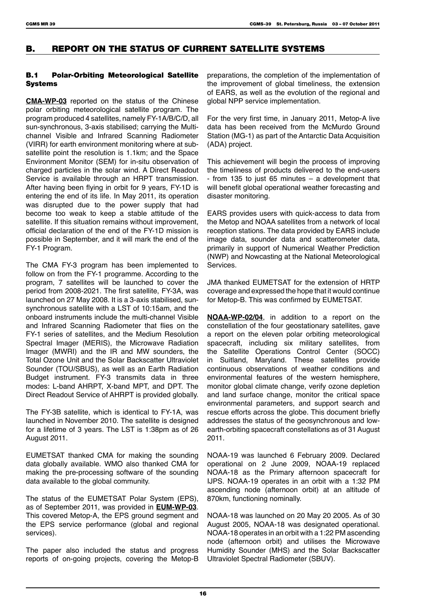# B. REPORT ON THE STATUS OF CURRENT SATELLITE SYSTEMS

### B.1 Polar-Orbiting Meteorological Satellite Systems

**CMA-WP-03** reported on the status of the Chinese polar orbiting meteorological satellite program. The program produced 4 satellites, namely FY-1A/B/C/D, all sun-synchronous, 3-axis stabilised; carrying the Multichannel Visible and Infrared Scanning Radiometer (VIRR) for earth environment monitoring where at subsatellite point the resolution is 1.1km; and the Space Environment Monitor (SEM) for in-situ observation of charged particles in the solar wind. A Direct Readout Service is available through an HRPT transmission. After having been flying in orbit for 9 years, FY-1D is entering the end of its life. In May 2011, its operation was disrupted due to the power supply that had become too weak to keep a stable attitude of the satellite. If this situation remains without improvement, official declaration of the end of the FY-1D mission is possible in September, and it will mark the end of the FY-1 Program.

The CMA FY-3 program has been implemented to follow on from the FY-1 programme. According to the program, 7 satellites will be launched to cover the period from 2008-2021. The first satellite, FY-3A, was launched on 27 May 2008. It is a 3-axis stabilised, sunsynchronous satellite with a LST of 10:15am, and the onboard instruments include the multi-channel Visible and Infrared Scanning Radiometer that flies on the FY-1 series of satellites, and the Medium Resolution Spectral Imager (MERIS), the Microwave Radiation Imager (MWRI) and the IR and MW sounders, the Total Ozone Unit and the Solar Backscatter Ultraviolet Sounder (TOU/SBUS), as well as an Earth Radiation Budget instrument. FY-3 transmits data in three modes: L-band AHRPT, X-band MPT, and DPT. The Direct Readout Service of AHRPT is provided globally.

The FY-3B satellite, which is identical to FY-1A, was launched in November 2010. The satellite is designed for a lifetime of 3 years. The LST is 1:38pm as of 26 August 2011.

EUMETSAT thanked CMA for making the sounding data globally available. WMO also thanked CMA for making the pre-processing software of the sounding data available to the global community.

The status of the EUMETSAT Polar System (EPS), as of September 2011, was provided in **EUM-WP-03**. This covered Metop-A, the EPS ground segment and the EPS service performance (global and regional services).

The paper also included the status and progress reports of on-going projects, covering the Metop-B preparations, the completion of the implementation of the improvement of global timeliness, the extension of EARS, as well as the evolution of the regional and global NPP service implementation.

For the very first time, in January 2011, Metop-A live data has been received from the McMurdo Ground Station (MG-1) as part of the Antarctic Data Acquisition (ADA) project.

This achievement will begin the process of improving the timeliness of products delivered to the end-users - from 135 to just 65 minutes – a development that will benefit global operational weather forecasting and disaster monitoring.

EARS provides users with quick-access to data from the Metop and NOAA satellites from a network of local reception stations. The data provided by EARS include image data, sounder data and scatterometer data, primarily in support of Numerical Weather Prediction (NWP) and Nowcasting at the National Meteorological **Services** 

JMA thanked EUMETSAT for the extension of HRTP coverage and expressed the hope that it would continue for Metop-B. This was confirmed by EUMETSAT.

**NOAA-WP-02/04**, in addition to a report on the constellation of the four geostationary satellites, gave a report on the eleven polar orbiting meteorological spacecraft, including six military satellites, from the Satellite Operations Control Center (SOCC) in Suitland, Maryland. These satellites provide continuous observations of weather conditions and environmental features of the western hemisphere, monitor global climate change, verify ozone depletion and land surface change, monitor the critical space environmental parameters, and support search and rescue efforts across the globe. This document briefly addresses the status of the geosynchronous and lowearth-orbiting spacecraft constellations as of 31 August 2011.

NOAA-19 was launched 6 February 2009. Declared operational on 2 June 2009, NOAA-19 replaced NOAA-18 as the Primary afternoon spacecraft for IJPS. NOAA-19 operates in an orbit with a 1:32 PM ascending node (afternoon orbit) at an altitude of 870km, functioning nominally.

NOAA-18 was launched on 20 May 20 2005. As of 30 August 2005, NOAA-18 was designated operational. NOAA-18 operates in an orbit with a 1:22 PM ascending node (afternoon orbit) and utilises the Microwave Humidity Sounder (MHS) and the Solar Backscatter Ultraviolet Spectral Radiometer (SBUV).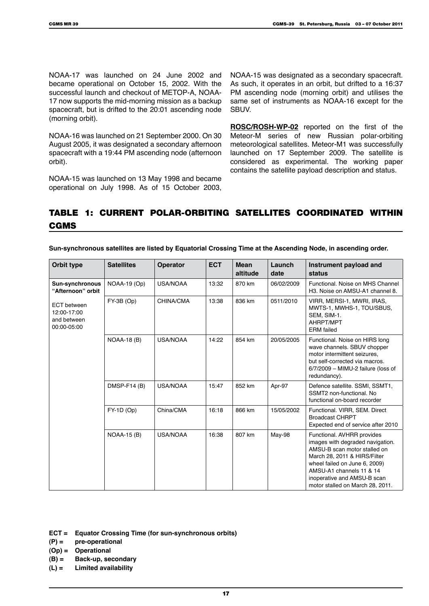NOAA-17 was launched on 24 June 2002 and became operational on October 15, 2002. With the successful launch and checkout of METOP-A, NOAA-17 now supports the mid-morning mission as a backup spacecraft, but is drifted to the 20:01 ascending node (morning orbit).

NOAA-16 was launched on 21 September 2000. On 30 August 2005, it was designated a secondary afternoon spacecraft with a 19:44 PM ascending node (afternoon orbit).

NOAA-15 was launched on 13 May 1998 and became operational on July 1998. As of 15 October 2003, NOAA-15 was designated as a secondary spacecraft. As such, it operates in an orbit, but drifted to a 16:37 PM ascending node (morning orbit) and utilises the same set of instruments as NOAA-16 except for the SBUV.

**ROSC/ROSH-WP-02** reported on the first of the Meteor-M series of new Russian polar-orbiting meteorological satellites. Meteor-M1 was successfully launched on 17 September 2009. The satellite is considered as experimental. The working paper contains the satellite payload description and status.

# Table 1: Current Polar-Orbiting Satellites Coordinated within CGMS

| Orbit type                                                      | <b>Satellites</b>  | <b>Operator</b>  | <b>ECT</b> | <b>Mean</b><br>altitude | Launch<br>date | Instrument payload and<br>status                                                                                                                                                                                                                               |
|-----------------------------------------------------------------|--------------------|------------------|------------|-------------------------|----------------|----------------------------------------------------------------------------------------------------------------------------------------------------------------------------------------------------------------------------------------------------------------|
| <b>Sun-synchronous</b><br>"Afternoon" orbit                     | NOAA-19 (Op)       | <b>USA/NOAA</b>  | 13:32      | 870 km                  | 06/02/2009     | Functional. Noise on MHS Channel<br>H <sub>3</sub> . Noise on AMSU-A1 channel 8.                                                                                                                                                                               |
| <b>ECT</b> between<br>12:00-17:00<br>and between<br>00:00-05:00 | FY-3B (Op)         | <b>CHINA/CMA</b> | 13:38      | 836 km                  | 0511/2010      | VIRR, MERSI-1, MWRI, IRAS,<br>MWTS-1, MWHS-1, TOU/SBUS,<br>SEM, SIM-1.<br>AHRPT/MPT<br><b>ERM</b> failed                                                                                                                                                       |
|                                                                 | <b>NOAA-18 (B)</b> | <b>USA/NOAA</b>  | 14:22      | 854 km                  | 20/05/2005     | Functional. Noise on HIRS long<br>wave channels. SBUV chopper<br>motor intermittent seizures,<br>but self-corrected via macros.<br>$6/7/2009$ – MIMU-2 failure (loss of<br>redundancy).                                                                        |
|                                                                 | $DMSP-F14(B)$      | <b>USA/NOAA</b>  | 15:47      | 852 km                  | Apr-97         | Defence satellite. SSMI, SSMT1,<br>SSMT2 non-functional, No<br>functional on-board recorder                                                                                                                                                                    |
|                                                                 | FY-1D (Op)         | China/CMA        | 16:18      | 866 km                  | 15/05/2002     | Functional. VIRR, SEM. Direct<br><b>Broadcast CHRPT</b><br>Expected end of service after 2010                                                                                                                                                                  |
|                                                                 | <b>NOAA-15 (B)</b> | <b>USA/NOAA</b>  | 16:38      | 807 km                  | <b>May-98</b>  | Functional. AVHRR provides<br>images with degraded navigation.<br>AMSU-B scan motor stalled on<br>March 28, 2011 & HIRS/Filter<br>wheel failed on June 6, 2009)<br>AMSU-A1 channels 11 & 14<br>inoperative and AMSU-B scan<br>motor stalled on March 28, 2011. |

**Sun-synchronous satellites are listed by Equatorial Crossing Time at the Ascending Node, in ascending order.**

**ECT = Equator Crossing Time (for sun-synchronous orbits)**

**(P) = pre-operational**

**(Op) = Operational**

- **(B) = Back-up, secondary**
- **(L) = Limited availability**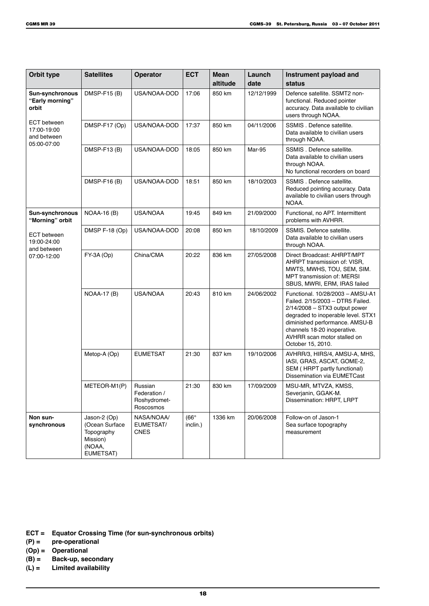| Orbit type                                                      | <b>Satellites</b>                                                               | Operator                                             | <b>ECT</b>              | <b>Mean</b><br>altitude | Launch<br>date | Instrument payload and<br>status                                                                                                                                                                                                                                   |
|-----------------------------------------------------------------|---------------------------------------------------------------------------------|------------------------------------------------------|-------------------------|-------------------------|----------------|--------------------------------------------------------------------------------------------------------------------------------------------------------------------------------------------------------------------------------------------------------------------|
| <b>Sun-synchronous</b><br>"Early morning"<br>orbit              | DMSP-F15 (B)                                                                    | USA/NOAA-DOD                                         | 17:06                   | 850 km                  | 12/12/1999     | Defence satellite. SSMT2 non-<br>functional. Reduced pointer<br>accuracy. Data available to civilian<br>users through NOAA.                                                                                                                                        |
| <b>ECT</b> between<br>17:00-19:00<br>and between<br>05:00-07:00 | DMSP-F17 (Op)                                                                   | USA/NOAA-DOD                                         | 17:37                   | 850 km                  | 04/11/2006     | SSMIS. Defence satellite.<br>Data available to civilian users<br>through NOAA.                                                                                                                                                                                     |
|                                                                 | DMSP-F13(B)                                                                     | USA/NOAA-DOD                                         | 18:05                   | 850 km                  | <b>Mar-95</b>  | SSMIS. Defence satellite.<br>Data available to civilian users<br>through NOAA.<br>No functional recorders on board                                                                                                                                                 |
|                                                                 | DMSP-F16 (B)                                                                    | USA/NOAA-DOD                                         | 18:51                   | 850 km                  | 18/10/2003     | SSMIS. Defence satellite.<br>Reduced pointing accuracy. Data<br>available to civilian users through<br>NOAA.                                                                                                                                                       |
| <b>Sun-synchronous</b><br>"Morning" orbit                       | <b>NOAA-16 (B)</b>                                                              | USA/NOAA                                             | 19:45                   | 849 km                  | 21/09/2000     | Functional, no APT. Intermittent<br>problems with AVHRR.                                                                                                                                                                                                           |
| <b>ECT</b> between<br>19:00-24:00                               | DMSP F-18 (Op)                                                                  | USA/NOAA-DOD                                         | 20:08                   | 850 km                  | 18/10/2009     | SSMIS. Defence satellite.<br>Data available to civilian users<br>through NOAA.                                                                                                                                                                                     |
| and between<br>07:00-12:00                                      | FY-3A (Op)                                                                      | China/CMA                                            | 20:22                   | 836 km                  | 27/05/2008     | Direct Broadcast: AHRPT/MPT<br>AHRPT transmission of: VISR,<br>MWTS, MWHS, TOU, SEM, SIM.<br><b>MPT transmission of: MERSI</b><br>SBUS, MWRI, ERM, IRAS failed                                                                                                     |
|                                                                 | <b>NOAA-17 (B)</b>                                                              | <b>USA/NOAA</b>                                      | 20:43                   | 810 km                  | 24/06/2002     | Functional. 10/28/2003 - AMSU-A1<br>Failed. 2/15/2003 - DTR5 Failed.<br>$2/14/2008 - STX3$ output power<br>degraded to inoperable level. STX1<br>diminished performance. AMSU-B<br>channels 18-20 inoperative.<br>AVHRR scan motor stalled on<br>October 15, 2010. |
|                                                                 | Metop-A (Op)                                                                    | <b>EUMETSAT</b>                                      | 21:30                   | 837 km                  | 19/10/2006     | AVHRR/3, HIRS/4, AMSU-A, MHS,<br>IASI, GRAS, ASCAT, GOME-2,<br>SEM (HRPT partly functional)<br>Dissemination via EUMETCast                                                                                                                                         |
|                                                                 | METEOR-M1(P)                                                                    | Russian<br>Federation /<br>Roshydromet-<br>Roscosmos | 21:30                   | 830 km                  | 17/09/2009     | MSU-MR, MTVZA, KMSS,<br>Severjanin, GGAK-M.<br>Dissemination: HRPT, LRPT                                                                                                                                                                                           |
| Non sun-<br>synchronous                                         | Jason-2 (Op)<br>(Ocean Surface<br>Topography<br>Mission)<br>(NOAA,<br>EUMETSAT) | NASA/NOAA/<br>EUMETSAT/<br><b>CNES</b>               | $(66^\circ$<br>inclin.) | 1336 km                 | 20/06/2008     | Follow-on of Jason-1<br>Sea surface topography<br>measurement                                                                                                                                                                                                      |

**ECT = Equator Crossing Time (for sun-synchronous orbits)**

- **(P) = pre-operational**
- **(Op) = Operational**
- **Back-up, secondary**
- **(L) = Limited availability**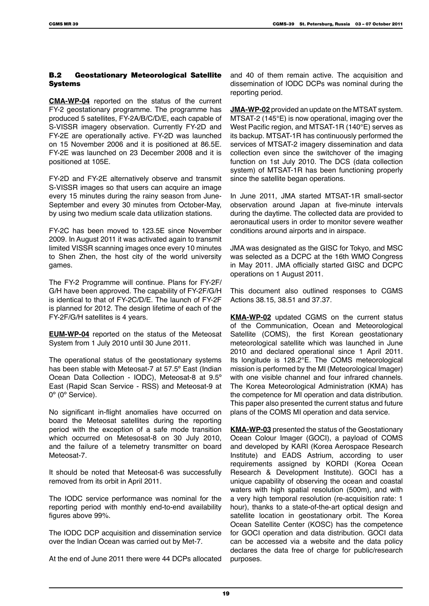### B.2 Geostationary Meteorological Satellite Systems

**CMA-WP-04** reported on the status of the current FY-2 geostationary programme. The programme has produced 5 satellites, FY-2A/B/C/D/E, each capable of S-VISSR imagery observation. Currently FY-2D and FY-2E are operationally active. FY-2D was launched on 15 November 2006 and it is positioned at 86.5E. FY-2E was launched on 23 December 2008 and it is positioned at 105E.

FY-2D and FY-2E alternatively observe and transmit S-VISSR images so that users can acquire an image every 15 minutes during the rainy season from June-September and every 30 minutes from October-May, by using two medium scale data utilization stations.

FY-2C has been moved to 123.5E since November 2009. In August 2011 it was activated again to transmit limited VISSR scanning images once every 10 minutes to Shen Zhen, the host city of the world university games.

The FY-2 Programme will continue. Plans for FY-2F/ G/H have been approved. The capability of FY-2F/G/H is identical to that of FY-2C/D/E. The launch of FY-2F is planned for 2012. The design lifetime of each of the FY-2F/G/H satellites is 4 years.

**EUM-WP-04** reported on the status of the Meteosat System from 1 July 2010 until 30 June 2011.

The operational status of the geostationary systems has been stable with Meteosat-7 at 57.5º East (Indian Ocean Data Collection - IODC), Meteosat-8 at 9.5º East (Rapid Scan Service - RSS) and Meteosat-9 at 0º (0º Service).

No significant in-flight anomalies have occurred on board the Meteosat satellites during the reporting period with the exception of a safe mode transition which occurred on Metesosat-8 on 30 July 2010, and the failure of a telemetry transmitter on board Meteosat-7

It should be noted that Meteosat-6 was successfully removed from its orbit in April 2011.

The IODC service performance was nominal for the reporting period with monthly end-to-end availability figures above 99%.

The IODC DCP acquisition and dissemination service over the Indian Ocean was carried out by Met-7.

At the end of June 2011 there were 44 DCPs allocated

and 40 of them remain active. The acquisition and dissemination of IODC DCPs was nominal during the reporting period.

**JMA-WP-02** provided an update on the MTSAT system. MTSAT-2 (145°E) is now operational, imaging over the West Pacific region, and MTSAT-1R (140°E) serves as its backup. MTSAT-1R has continuously performed the services of MTSAT-2 imagery dissemination and data collection even since the switchover of the imaging function on 1st July 2010. The DCS (data collection system) of MTSAT-1R has been functioning properly since the satellite began operations.

In June 2011, JMA started MTSAT-1R small-sector observation around Japan at five-minute intervals during the daytime. The collected data are provided to aeronautical users in order to monitor severe weather conditions around airports and in airspace.

JMA was designated as the GISC for Tokyo, and MSC was selected as a DCPC at the 16th WMO Congress in May 2011. JMA officially started GISC and DCPC operations on 1 August 2011.

This document also outlined responses to CGMS Actions 38.15, 38.51 and 37.37.

**KMA-WP-02** updated CGMS on the current status of the Communication, Ocean and Meteorological Satellite (COMS), the first Korean geostationary meteorological satellite which was launched in June 2010 and declared operational since 1 April 2011. Its longitude is 128.2°E. The COMS meteorological mission is performed by the MI (Meteorological Imager) with one visible channel and four infrared channels. The Korea Meteorological Administration (KMA) has the competence for MI operation and data distribution. This paper also presented the current status and future plans of the COMS MI operation and data service.

**KMA-WP-03** presented the status of the Geostationary Ocean Colour Imager (GOCI), a payload of COMS and developed by KARI (Korea Aerospace Research Institute) and EADS Astrium, according to user requirements assigned by KORDI (Korea Ocean Research & Development Institute). GOCI has a unique capability of observing the ocean and coastal waters with high spatial resolution (500m), and with a very high temporal resolution (re-acquisition rate: 1 hour), thanks to a state-of-the-art optical design and satellite location in geostationary orbit. The Korea Ocean Satellite Center (KOSC) has the competence for GOCI operation and data distribution. GOCI data can be accessed via a website and the data policy declares the data free of charge for public/research purposes.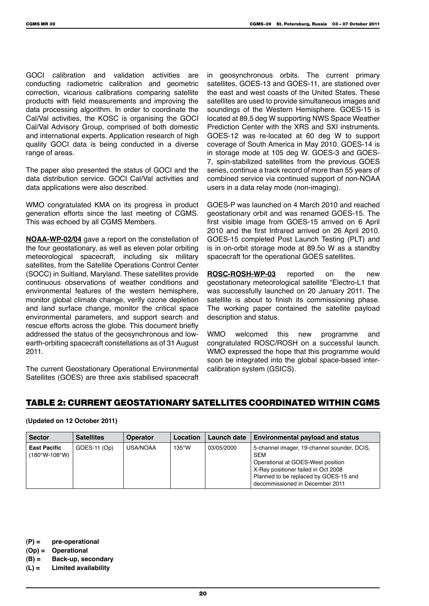GOCI calibration and validation activities are conducting radiometric calibration and geometric correction, vicarious calibrations comparing satellite products with field measurements and improving the data processing algorithm. In order to coordinate the Cal/Val activities, the KOSC is organising the GOCI Cal/Val Advisory Group, comprised of both domestic and international experts. Application research of high quality GOCI data is being conducted in a diverse range of areas.

The paper also presented the status of GOCI and the data distribution service. GOCI Cal/Val activities and data applications were also described.

WMO congratulated KMA on its progress in product generation efforts since the last meeting of CGMS. This was echoed by all CGMS Members.

**NOAA-WP-02/04** gave a report on the constellation of the four geostationary, as well as eleven polar orbiting meteorological spacecraft, including six military satellites, from the Satellite Operations Control Center (SOCC) in Suitland, Maryland. These satellites provide continuous observations of weather conditions and environmental features of the western hemisphere, monitor global climate change, verify ozone depletion and land surface change, monitor the critical space environmental parameters, and support search and rescue efforts across the globe. This document briefly addressed the status of the geosynchronous and lowearth-orbiting spacecraft constellations as of 31 August 2011.

The current Geostationary Operational Environmental Satellites (GOES) are three axis stabilised spacecraft

in geosynchronous orbits. The current primary satellites, GOES-13 and GOES-11, are stationed over the east and west coasts of the United States. These satellites are used to provide simultaneous images and soundings of the Western Hemisphere. GOES-15 is located at 89.5 deg W supporting NWS Space Weather Prediction Center with the XRS and SXI instruments. GOES-12 was re-located at 60 deg W to support coverage of South America in May 2010. GOES-14 is in storage mode at 105 deg W. GOES-3 and GOES-7, spin-stabilized satellites from the previous GOES series, continue a track record of more than 55 years of combined service via continued support of non-NOAA users in a data relay mode (non-imaging).

GOES-P was launched on 4 March 2010 and reached geostationary orbit and was renamed GOES-15. The first visible image from GOES-15 arrived on 6 April 2010 and the first Infrared arrived on 26 April 2010. GOES-15 completed Post Launch Testing (PLT) and is in on-orbit storage mode at 89.5o W as a standby spacecraft for the operational GOES satellites.

**ROSC-ROSH-WP-03** reported on the new geostationary meteorological satellite "Electro-L1 that was successfully launched on 20 January 2011. The satellite is about to finish its commissioning phase. The working paper contained the satellite payload description and status.

WMO welcomed this new programme and congratulated ROSC/ROSH on a successful launch. WMO expressed the hope that this programme would soon be integrated into the global space-based intercalibration system (GSICS).

### Table 2: Current Geostationary Satellites Coordinated within CGMS

#### **(Updated on 12 October 2011)**

| <b>Sector</b>                          | <b>Satellites</b> | <b>Operator</b> | Location        | Launch date | <b>Environmental payload and status</b>                                                                                                                                                                           |
|----------------------------------------|-------------------|-----------------|-----------------|-------------|-------------------------------------------------------------------------------------------------------------------------------------------------------------------------------------------------------------------|
| <b>East Pacific</b><br>$(180°W-108°W)$ | $GOES-11 (Op)$    | USA/NOAA        | $135^{\circ}$ W | 03/05/2000  | 5-channel imager, 19-channel sounder, DCIS,<br><b>SEM</b><br>Operational at GOES-West position<br>X-Ray positioner failed in Oct 2008<br>Planned to be replaced by GOES-15 and<br>decommissioned in December 2011 |

**(P) = pre-operational**

- **(Op) = Operational**
- **(B) = Back-up, secondary**

**(L) = Limited availability**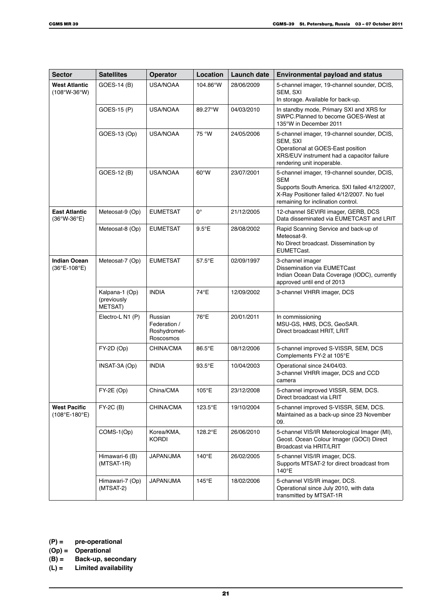| <b>Sector</b>                                          | <b>Satellites</b>                               | <b>Operator</b>                                      | Location       | Launch date | <b>Environmental payload and status</b>                                                                                                                                                        |  |
|--------------------------------------------------------|-------------------------------------------------|------------------------------------------------------|----------------|-------------|------------------------------------------------------------------------------------------------------------------------------------------------------------------------------------------------|--|
| <b>West Atlantic</b><br>$(108°W-36°W)$                 | GOES-14 (B)                                     | <b>USA/NOAA</b>                                      | 104.86°W       | 28/06/2009  | 5-channel imager, 19-channel sounder, DCIS,<br>SEM. SXI<br>In storage. Available for back-up.                                                                                                  |  |
|                                                        | GOES-15 (P)                                     | <b>USA/NOAA</b>                                      | 89.27°W        | 04/03/2010  | In standby mode, Primary SXI and XRS for<br>SWPC.Planned to become GOES-West at<br>135°W in December 2011                                                                                      |  |
|                                                        | GOES-13 (Op)                                    | USA/NOAA                                             | 75 °W          | 24/05/2006  | 5-channel imager, 19-channel sounder, DCIS,<br>SEM, SXI<br>Operational at GOES-East position<br>XRS/EUV instrument had a capacitor failure<br>rendering unit inoperable.                       |  |
|                                                        | GOES-12 (B)                                     | <b>USA/NOAA</b>                                      | 60°W           | 23/07/2001  | 5-channel imager, 19-channel sounder, DCIS,<br><b>SEM</b><br>Supports South America. SXI failed 4/12/2007,<br>X-Ray Positioner failed 4/12/2007. No fuel<br>remaining for inclination control. |  |
| <b>East Atlantic</b><br>$(36°W-36°E)$                  | Meteosat-9 (Op)                                 | <b>EUMETSAT</b>                                      | 0°             | 21/12/2005  | 12-channel SEVIRI imager, GERB, DCS<br>Data disseminated via EUMETCAST and LRIT                                                                                                                |  |
|                                                        | Meteosat-8 (Op)                                 | <b>EUMETSAT</b>                                      | $9.5^{\circ}E$ | 28/08/2002  | Rapid Scanning Service and back-up of<br>Meteosat-9.<br>No Direct broadcast. Dissemination by<br>EUMETCast.                                                                                    |  |
| <b>Indian Ocean</b><br>$(36^{\circ}E - 108^{\circ}E)$  | Meteosat-7 (Op)                                 | <b>EUMETSAT</b>                                      | 57.5°E         | 02/09/1997  | 3-channel imager<br>Dissemination via EUMETCast<br>Indian Ocean Data Coverage (IODC), currently<br>approved until end of 2013                                                                  |  |
|                                                        | Kalpana-1 (Op)<br>(previously<br><b>METSAT)</b> | <b>INDIA</b>                                         | 74°E           | 12/09/2002  | 3-channel VHRR imager, DCS                                                                                                                                                                     |  |
|                                                        | Electro-L N1 (P)                                | Russian<br>Federation /<br>Roshydromet-<br>Roscosmos | 76°E           | 20/01/2011  | In commissioning<br>MSU-GS, HMS, DCS, GeoSAR.<br>Direct broadcast HRIT, LRIT                                                                                                                   |  |
|                                                        | $FY-2D$ (Op)                                    | CHINA/CMA                                            | 86.5°E         | 08/12/2006  | 5-channel improved S-VISSR, SEM, DCS<br>Complements FY-2 at 105°E                                                                                                                              |  |
|                                                        | INSAT-3A (Op)                                   | <b>INDIA</b>                                         | 93.5°E         | 10/04/2003  | Operational since 24/04/03.<br>3-channel VHRR imager, DCS and CCD<br>camera                                                                                                                    |  |
|                                                        | FY-2E (Op)                                      | China/CMA                                            | 105°E          | 23/12/2008  | 5-channel improved VISSR, SEM, DCS.<br>Direct broadcast via LRIT                                                                                                                               |  |
| <b>West Pacific</b><br>$(108^{\circ}E - 180^{\circ}E)$ | FY-2C (B)                                       | CHINA/CMA                                            | 123.5°E        | 19/10/2004  | 5-channel improved S-VISSR, SEM, DCS.<br>Maintained as a back-up since 23 November<br>09.                                                                                                      |  |
|                                                        | COMS-1(Op)                                      | Korea/KMA,<br><b>KORDI</b>                           | 128.2°E        | 26/06/2010  | 5-channel VIS/IR Meteorological Imager (MI),<br>Geost. Ocean Colour Imager (GOCI) Direct<br>Broadcast via HRIT/LRIT                                                                            |  |
|                                                        | Himawari-6 (B)<br>$(MTSAT-1R)$                  | JAPAN/JMA                                            | 140°E          | 26/02/2005  | 5-channel VIS/IR imager, DCS.<br>Supports MTSAT-2 for direct broadcast from<br>140°E                                                                                                           |  |
|                                                        | Himawari-7 (Op)<br>(MTSAT-2)                    | JAPAN/JMA                                            | 145°E          | 18/02/2006  | 5-channel VIS/IR imager, DCS.<br>Operational since July 2010, with data<br>transmitted by MTSAT-1R                                                                                             |  |

- **(P) = pre-operational**
- 
- **(Op) = Operational (B) = Back-up, secondary**
- **(L) = Limited availability**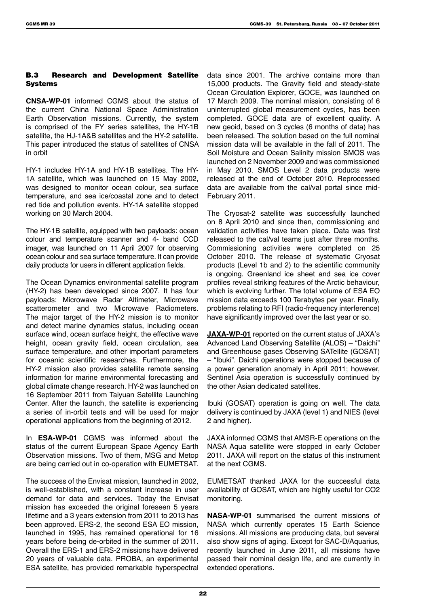### B.3 Research and Development Satellite Systems

**CNSA-WP-01** informed CGMS about the status of the current China National Space Administration Earth Observation missions. Currently, the system is comprised of the FY series satellites, the HY-1B satellite, the HJ-1A&B satellites and the HY-2 satellite. This paper introduced the status of satellites of CNSA in orbit

HY-1 includes HY-1A and HY-1B satellites. The HY-1A satellite, which was launched on 15 May 2002, was designed to monitor ocean colour, sea surface temperature, and sea ice/coastal zone and to detect red tide and pollution events. HY-1A satellite stopped working on 30 March 2004.

The HY-1B satellite, equipped with two payloads: ocean colour and temperature scanner and 4- band CCD imager, was launched on 11 April 2007 for observing ocean colour and sea surface temperature. It can provide daily products for users in different application fields.

The Ocean Dynamics environmental satellite program (HY-2) has been developed since 2007. It has four payloads: Microwave Radar Altimeter, Microwave scatterometer and two Microwave Radiometers. The major target of the HY-2 mission is to monitor and detect marine dynamics status, including ocean surface wind, ocean surface height, the effective wave height, ocean gravity field, ocean circulation, sea surface temperature, and other important parameters for oceanic scientific researches. Furthermore, the HY-2 mission also provides satellite remote sensing information for marine environmental forecasting and global climate change research. HY-2 was launched on 16 September 2011 from Taiyuan Satellite Launching Center. After the launch, the satellite is experiencing a series of in-orbit tests and will be used for major operational applications from the beginning of 2012.

In **ESA-WP-01** CGMS was informed about the status of the current European Space Agency Earth Observation missions. Two of them, MSG and Metop are being carried out in co-operation with EUMETSAT.

The success of the Envisat mission, launched in 2002, is well-established, with a constant increase in user demand for data and services. Today the Envisat mission has exceeded the original foreseen 5 years lifetime and a 3 years extension from 2011 to 2013 has been approved. ERS-2, the second ESA EO mission, launched in 1995, has remained operational for 16 years before being de-orbited in the summer of 2011. Overall the ERS-1 and ERS-2 missions have delivered 20 years of valuable data. PROBA, an experimental ESA satellite, has provided remarkable hyperspectral

data since 2001. The archive contains more than 15,000 products. The Gravity field and steady-state Ocean Circulation Explorer, GOCE, was launched on 17 March 2009. The nominal mission, consisting of 6 uninterrupted global measurement cycles, has been completed. GOCE data are of excellent quality. A new geoid, based on 3 cycles (6 months of data) has been released. The solution based on the full nominal mission data will be available in the fall of 2011. The Soil Moisture and Ocean Salinity mission SMOS was launched on 2 November 2009 and was commissioned in May 2010. SMOS Level 2 data products were released at the end of October 2010. Reprocessed data are available from the cal/val portal since mid-February 2011.

The Cryosat-2 satellite was successfully launched on 8 April 2010 and since then, commissioning and validation activities have taken place. Data was first released to the cal/val teams just after three months. Commissioning activities were completed on 25 October 2010. The release of systematic Cryosat products (Level 1b and 2) to the scientific community is ongoing. Greenland ice sheet and sea ice cover profiles reveal striking features of the Arctic behaviour, which is evolving further. The total volume of ESA EO mission data exceeds 100 Terabytes per year. Finally, problems relating to RFI (radio-frequency interference) have significantly improved over the last year or so.

**JAXA-WP-01** reported on the current status of JAXA's Advanced Land Observing Satellite (ALOS) – "Daichi" and Greenhouse gases Observing SATellite (GOSAT) – "Ibuki". Daichi operations were stopped because of a power generation anomaly in April 2011; however, Sentinel Asia operation is successfully continued by the other Asian dedicated satellites.

Ibuki (GOSAT) operation is going on well. The data delivery is continued by JAXA (level 1) and NIES (level 2 and higher).

JAXA informed CGMS that AMSR-E operations on the NASA Aqua satellite were stopped in early October 2011. JAXA will report on the status of this instrument at the next CGMS.

EUMETSAT thanked JAXA for the successful data availability of GOSAT, which are highly useful for CO2 monitoring.

**NASA-WP-01** summarised the current missions of NASA which currently operates 15 Earth Science missions. All missions are producing data, but several also show signs of aging. Except for SAC-D/Aquarius, recently launched in June 2011, all missions have passed their nominal design life, and are currently in extended operations.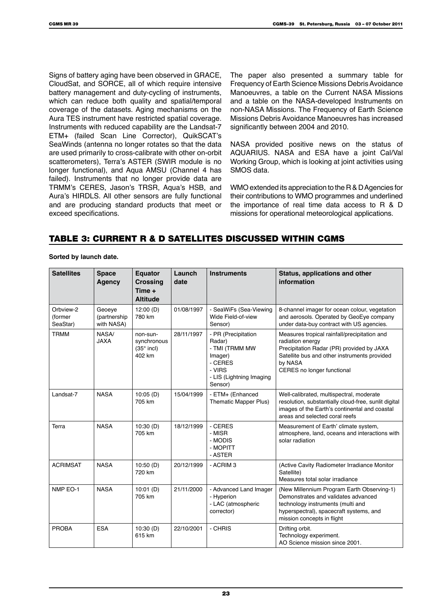Signs of battery aging have been observed in GRACE, CloudSat, and SORCE, all of which require intensive battery management and duty-cycling of instruments, which can reduce both quality and spatial/temporal coverage of the datasets. Aging mechanisms on the Aura TES instrument have restricted spatial coverage. Instruments with reduced capability are the Landsat-7 ETM+ (failed Scan Line Corrector), QuikSCAT's SeaWinds (antenna no longer rotates so that the data are used primarily to cross-calibrate with other on-orbit scatterometers), Terra's ASTER (SWIR module is no longer functional), and Aqua AMSU (Channel 4 has failed). Instruments that no longer provide data are TRMM's CERES, Jason's TRSR, Aqua's HSB, and Aura's HIRDLS. All other sensors are fully functional and are producing standard products that meet or exceed specifications.

The paper also presented a summary table for Frequency of Earth Science Missions Debris Avoidance Manoeuvres, a table on the Current NASA Missions and a table on the NASA-developed Instruments on non-NASA Missions. The Frequency of Earth Science Missions Debris Avoidance Manoeuvres has increased significantly between 2004 and 2010.

NASA provided positive news on the status of AQUARIUS. NASA and ESA have a joint Cal/Val Working Group, which is looking at joint activities using SMOS data.

WMO extended its appreciation to the R & D Agencies for their contributions to WMO programmes and underlined the importance of real time data access to R & D missions for operational meteorological applications.

# Table 3: Current R & D satellites discussed within CGMS

**Sorted by launch date.**

| <b>Satellites</b>                | <b>Space</b><br><b>Agency</b>         | <b>Equator</b><br><b>Crossing</b><br>Time $+$<br><b>Altitude</b> | Launch<br>date | <b>Instruments</b>                                                                                                     | Status, applications and other<br>information                                                                                                                                                          |
|----------------------------------|---------------------------------------|------------------------------------------------------------------|----------------|------------------------------------------------------------------------------------------------------------------------|--------------------------------------------------------------------------------------------------------------------------------------------------------------------------------------------------------|
| Orbview-2<br>(former<br>SeaStar) | Geoeye<br>(partnership)<br>with NASA) | 12:00(D)<br>780 km                                               | 01/08/1997     | - SeaWiFs (Sea-Viewing<br>Wide Field-of-view<br>Sensor)                                                                | 8-channel imager for ocean colour, vegetation<br>and aerosols. Operated by GeoEye company<br>under data-buy contract with US agencies.                                                                 |
| <b>TRMM</b>                      | NASA/<br><b>JAXA</b>                  | non-sun-<br>synchronous<br>$(35^\circ$ incl)<br>402 km           | 28/11/1997     | - PR (Precipitation<br>Radar)<br>- TMI (TRMM MW<br>Imager)<br>- CERES<br>- VIRS<br>- LIS (Lightning Imaging<br>Sensor) | Measures tropical rainfall/precipitation and<br>radiation energy<br>Precipitation Radar (PR) provided by JAXA<br>Satellite bus and other instruments provided<br>by NASA<br>CERES no longer functional |
| Landsat-7                        | <b>NASA</b>                           | 10:05(D)<br>705 km                                               | 15/04/1999     | - ETM+ (Enhanced<br><b>Thematic Mapper Plus)</b>                                                                       | Well-calibrated, multispectral, moderate<br>resolution, substantially cloud-free, sunlit digital<br>images of the Earth's continental and coastal<br>areas and selected coral reefs                    |
| Terra                            | <b>NASA</b>                           | 10:30(D)<br>705 km                                               | 18/12/1999     | - CERES<br>- MISR<br>- MODIS<br>- MOPITT<br>- ASTER                                                                    | Measurement of Earth' climate system,<br>atmosphere, land, oceans and interactions with<br>solar radiation                                                                                             |
| <b>ACRIMSAT</b>                  | <b>NASA</b>                           | 10:50(D)<br>720 km                                               | 20/12/1999     | - ACRIM <sub>3</sub>                                                                                                   | (Active Cavity Radiometer Irradiance Monitor<br>Satellite)<br>Measures total solar irradiance                                                                                                          |
| NMP EO-1                         | <b>NASA</b>                           | 10:01(D)<br>705 km                                               | 21/11/2000     | - Advanced Land Imager<br>- Hyperion<br>- LAC (atmospheric<br>corrector)                                               | (New Millennium Program Earth Observing-1)<br>Demonstrates and validates advanced<br>technology instruments (multi and<br>hyperspectral), spacecraft systems, and<br>mission concepts in flight        |
| <b>PROBA</b>                     | <b>ESA</b>                            | 10:30(D)<br>615 km                                               | 22/10/2001     | - CHRIS                                                                                                                | Drifting orbit.<br>Technology experiment.<br>AO Science mission since 2001.                                                                                                                            |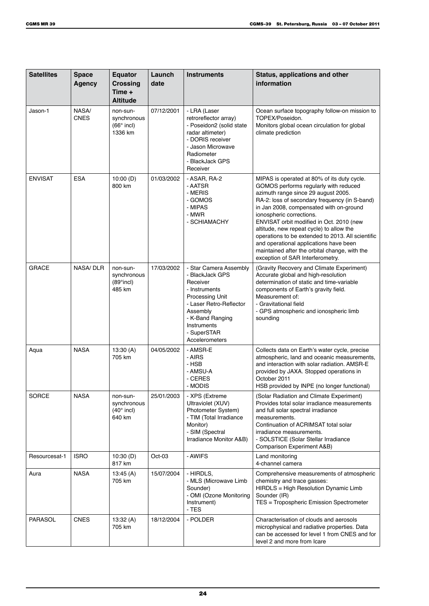| <b>Satellites</b> | <b>Space</b><br><b>Agency</b> | <b>Equator</b><br><b>Crossing</b><br>Time $+$<br><b>Altitude</b> | Launch<br>date | <b>Instruments</b>                                                                                                                                                                                   | Status, applications and other<br>information                                                                                                                                                                                                                                                                                                                                                                                                                                                                                   |
|-------------------|-------------------------------|------------------------------------------------------------------|----------------|------------------------------------------------------------------------------------------------------------------------------------------------------------------------------------------------------|---------------------------------------------------------------------------------------------------------------------------------------------------------------------------------------------------------------------------------------------------------------------------------------------------------------------------------------------------------------------------------------------------------------------------------------------------------------------------------------------------------------------------------|
| Jason-1           | NASA/<br><b>CNES</b>          | non-sun-<br>synchronous<br>$(66°$ incl)<br>1336 km               | 07/12/2001     | - LRA (Laser<br>retroreflector array)<br>- Poseidon2 (solid state<br>radar altimeter)<br>- DORIS receiver<br>- Jason Microwave<br>Radiometer<br>- BlackJack GPS<br>Receiver                          | Ocean surface topography follow-on mission to<br>TOPEX/Poseidon.<br>Monitors global ocean circulation for global<br>climate prediction                                                                                                                                                                                                                                                                                                                                                                                          |
| <b>ENVISAT</b>    | <b>ESA</b>                    | 10:00(D)<br>800 km                                               | 01/03/2002     | - ASAR, RA-2<br>- AATSR<br>- MERIS<br>- GOMOS<br>- MIPAS<br>- MWR<br>- SCHIAMACHY                                                                                                                    | MIPAS is operated at 80% of its duty cycle.<br>GOMOS performs regularly with reduced<br>azimuth range since 29 august 2005.<br>RA-2: loss of secondary frequency (in S-band)<br>in Jan 2008, compensated with on-ground<br>ionospheric corrections.<br>ENVISAT orbit modified in Oct. 2010 (new<br>altitude, new repeat cycle) to allow the<br>operations to be extended to 2013. All scientific<br>and operational applications have been<br>maintained after the orbital change, with the<br>exception of SAR Interferometry. |
| <b>GRACE</b>      | <b>NASA/DLR</b>               | non-sun-<br>synchronous<br>$(89°$ incl)<br>485 km                | 17/03/2002     | - Star Camera Assembly<br>- BlackJack GPS<br>Receiver<br>- Instruments<br>Processing Unit<br>- Laser Retro-Reflector<br>Assembly<br>- K-Band Ranging<br>Instruments<br>- SuperSTAR<br>Accelerometers | (Gravity Recovery and Climate Experiment)<br>Accurate global and high-resolution<br>determination of static and time-variable<br>components of Earth's gravity field.<br>Measurement of:<br>- Gravitational field<br>- GPS atmospheric and ionospheric limb<br>sounding                                                                                                                                                                                                                                                         |
| Aqua              | <b>NASA</b>                   | 13:30(A)<br>705 km                                               | 04/05/2002     | - AMSR-E<br>- AIRS<br>- HSB<br>- AMSU-A<br>- CERES<br>- MODIS                                                                                                                                        | Collects data on Earth's water cycle, precise<br>atmospheric, land and oceanic measurements,<br>and interaction with solar radiation. AMSR-E<br>provided by JAXA. Stopped operations in<br>October 2011<br>HSB provided by INPE (no longer functional)                                                                                                                                                                                                                                                                          |
| <b>SORCE</b>      | <b>NASA</b>                   | non-sun-<br>synchronous<br>$(40^\circ$ incl)<br>640 km           | 25/01/2003     | - XPS (Extreme<br>Ultraviolet (XUV)<br>Photometer System)<br>- TIM (Total Irradiance<br>Monitor)<br>- SIM (Spectral<br>Irradiance Monitor A&B)                                                       | (Solar Radiation and Climate Experiment)<br>Provides total solar irradiance measurements<br>and full solar spectral irradiance<br>measurements.<br>Continuation of ACRIMSAT total solar<br>irradiance measurements.<br>- SOLSTICE (Solar Stellar Irradiance<br>Comparison Experiment A&B)                                                                                                                                                                                                                                       |
| Resourcesat-1     | <b>ISRO</b>                   | 10:30(D)<br>817 km                                               | $Oct-03$       | - AWIFS                                                                                                                                                                                              | Land monitoring<br>4-channel camera                                                                                                                                                                                                                                                                                                                                                                                                                                                                                             |
| Aura              | <b>NASA</b>                   | 13:45(A)<br>705 km                                               | 15/07/2004     | - HIRDLS,<br>- MLS (Microwave Limb<br>Sounder)<br>- OMI (Ozone Monitoring<br>Instrument)<br>$-$ TES                                                                                                  | Comprehensive measurements of atmospheric<br>chemistry and trace gasses:<br>HIRDLS = High Resolution Dynamic Limb<br>Sounder (IR)<br>TES = Tropospheric Emission Spectrometer                                                                                                                                                                                                                                                                                                                                                   |
| <b>PARASOL</b>    | <b>CNES</b>                   | 13:32 (A)<br>705 km                                              | 18/12/2004     | - POLDER                                                                                                                                                                                             | Characterisation of clouds and aerosols<br>microphysical and radiative properties. Data<br>can be accessed for level 1 from CNES and for<br>level 2 and more from Icare                                                                                                                                                                                                                                                                                                                                                         |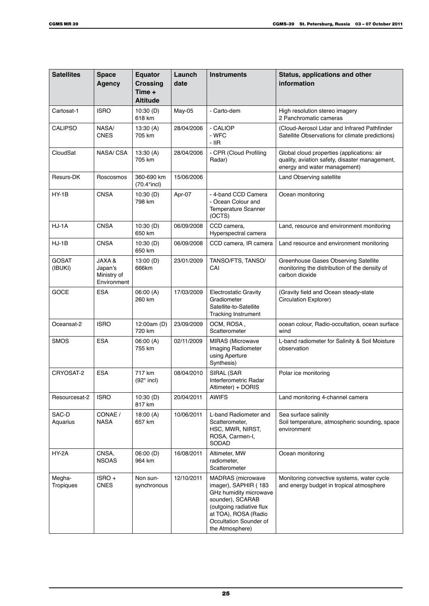| <b>Satellites</b>       | <b>Space</b><br><b>Agency</b>                              | <b>Equator</b><br><b>Crossing</b><br>Time $+$<br><b>Altitude</b> | Launch<br>date | <b>Instruments</b>                                                                                                                                                                              | Status, applications and other<br>information                                                                                |
|-------------------------|------------------------------------------------------------|------------------------------------------------------------------|----------------|-------------------------------------------------------------------------------------------------------------------------------------------------------------------------------------------------|------------------------------------------------------------------------------------------------------------------------------|
| Cartosat-1              | <b>ISRO</b>                                                | 10:30(D)<br>618 km                                               | May-05         | - Carto-dem                                                                                                                                                                                     | High resolution stereo imagery<br>2 Panchromatic cameras                                                                     |
| <b>CALIPSO</b>          | NASA/<br><b>CNES</b>                                       | 13:30(A)<br>705 km                                               | 28/04/2006     | - CALIOP<br>- WFC<br>- IIR                                                                                                                                                                      | (Cloud-Aerosol Lidar and Infrared Pathfinder<br>Satellite Observations for climate predictions)                              |
| CloudSat                | NASA/ CSA                                                  | 13:30 (A)<br>705 km                                              | 28/04/2006     | - CPR (Cloud Profiling<br>Radar)                                                                                                                                                                | Global cloud properties (applications: air<br>quality, aviation safety, disaster management,<br>energy and water management) |
| Resurs-DK               | Roscosmos                                                  | 360-690 km<br>$(70.4^{\circ}$ incl)                              | 15/06/2006     |                                                                                                                                                                                                 | Land Observing satellite                                                                                                     |
| HY-1B                   | <b>CNSA</b>                                                | 10:30(D)<br>798 km                                               | Apr-07         | - 4-band CCD Camera<br>- Ocean Colour and<br>Temperature Scanner<br>(OCTS)                                                                                                                      | Ocean monitoring                                                                                                             |
| HJ-1A                   | <b>CNSA</b>                                                | 10:30(D)<br>650 km                                               | 06/09/2008     | CCD camera,<br>Hyperspectral camera                                                                                                                                                             | Land, resource and environment monitoring                                                                                    |
| $HJ-1B$                 | <b>CNSA</b>                                                | 10:30(D)<br>650 km                                               | 06/09/2008     | CCD camera, IR camera                                                                                                                                                                           | Land resource and environment monitoring                                                                                     |
| <b>GOSAT</b><br>(IBUKI) | <b>JAXA &amp;</b><br>Japan's<br>Ministry of<br>Environment | 13:00(D)<br>666km                                                | 23/01/2009     | TANSO/FTS, TANSO/<br>CAI                                                                                                                                                                        | Greenhouse Gases Observing Satellite<br>monitoring the distribution of the density of<br>carbon dioxide                      |
| <b>GOCE</b>             | <b>ESA</b>                                                 | 06:00 (A)<br>260 km                                              | 17/03/2009     | <b>Electrostatic Gravity</b><br>Gradiometer<br>Satellite-to-Satellite<br><b>Tracking Instrument</b>                                                                                             | (Gravity field and Ocean steady-state<br><b>Circulation Explorer)</b>                                                        |
| Oceansat-2              | <b>ISRO</b>                                                | 12:00am (D)<br>720 km                                            | 23/09/2009     | OCM, ROSA,<br>Scatterometer                                                                                                                                                                     | ocean colour, Radio-occultation, ocean surface<br>wind                                                                       |
| <b>SMOS</b>             | <b>ESA</b>                                                 | 06:00(A)<br>755 km                                               | 02/11/2009     | <b>MIRAS</b> (Microwave<br>Imaging Radiometer<br>using Aperture<br>Synthesis)                                                                                                                   | L-band radiometer for Salinity & Soil Moisture<br>observation                                                                |
| CRYOSAT-2               | <b>ESA</b>                                                 | 717 km<br>$(92°$ incl)                                           | 08/04/2010     | SIRAL (SAR<br>Interferometric Radar<br>Altimeter) + DORIS                                                                                                                                       | Polar ice monitoring                                                                                                         |
| Resourcesat-2           | <b>ISRO</b>                                                | 10:30(D)<br>817 km                                               | 20/04/2011     | <b>AWIFS</b>                                                                                                                                                                                    | Land monitoring 4-channel camera                                                                                             |
| SAC-D<br>Aquarius       | CONAE /<br><b>NASA</b>                                     | 18:00 $(A)$<br>657 km                                            | 10/06/2011     | L-band Radiometer and<br>Scatterometer,<br>HSC, MWR, NIRST,<br>ROSA, Carmen-I,<br>SODAD                                                                                                         | Sea surface salinity<br>Soil temperature, atmospheric sounding, space<br>environment                                         |
| HY-2A                   | CNSA,<br>NSOAS                                             | 06:00(D)<br>964 km                                               | 16/08/2011     | Altimeter, MW<br>radiometer,<br>Scatterometer                                                                                                                                                   | Ocean monitoring                                                                                                             |
| Megha-<br>Tropiques     | ISRO+<br><b>CNES</b>                                       | Non sun-<br>synchronous                                          | 12/10/2011     | <b>MADRAS</b> (microwave<br>imager), SAPHIR (183<br>GHz humidity microwave<br>sounder), SCARAB<br>(outgoing radiative flux<br>at TOA), ROSA (Radio<br>Occultation Sounder of<br>the Atmosphere) | Monitoring convective systems, water cycle<br>and energy budget in tropical atmosphere                                       |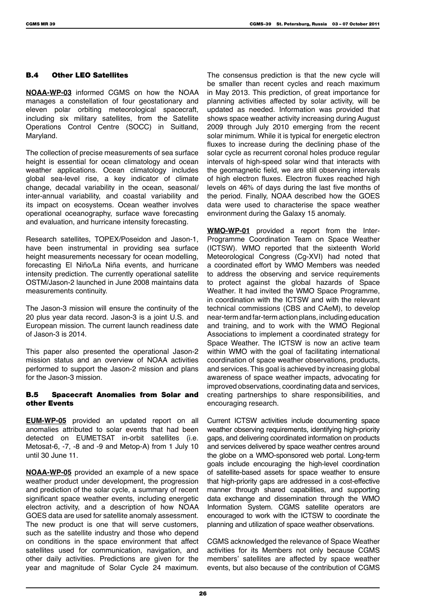### B.4 Other LEO Satellites

**NOAA-WP-03** informed CGMS on how the NOAA manages a constellation of four geostationary and eleven polar orbiting meteorological spacecraft, including six military satellites, from the Satellite Operations Control Centre (SOCC) in Suitland, Maryland.

The collection of precise measurements of sea surface height is essential for ocean climatology and ocean weather applications. Ocean climatology includes global sea-level rise, a key indicator of climate change, decadal variability in the ocean, seasonal/ inter-annual variability, and coastal variability and its impact on ecosystems. Ocean weather involves operational oceanography, surface wave forecasting and evaluation, and hurricane intensity forecasting.

Research satellites, TOPEX/Poseidon and Jason-1, have been instrumental in providing sea surface height measurements necessary for ocean modelling, forecasting El Niño/La Niña events, and hurricane intensity prediction. The currently operational satellite OSTM/Jason-2 launched in June 2008 maintains data measurements continuity.

The Jason-3 mission will ensure the continuity of the 20 plus year data record. Jason-3 is a joint U.S. and European mission. The current launch readiness date of Jason-3 is 2014.

This paper also presented the operational Jason-2 mission status and an overview of NOAA activities performed to support the Jason-2 mission and plans for the Jason-3 mission.

#### B.5 Spacecraft Anomalies from Solar and other Events

**EUM-WP-05** provided an updated report on all anomalies attributed to solar events that had been detected on EUMETSAT in-orbit satellites (i.e. Metosat-6, -7, -8 and -9 and Metop-A) from 1 July 10 until 30 June 11.

**NOAA-WP-05** provided an example of a new space weather product under development, the progression and prediction of the solar cycle, a summary of recent significant space weather events, including energetic electron activity, and a description of how NOAA GOES data are used for satellite anomaly assessment. The new product is one that will serve customers, such as the satellite industry and those who depend on conditions in the space environment that affect satellites used for communication, navigation, and other daily activities. Predictions are given for the year and magnitude of Solar Cycle 24 maximum.

The consensus prediction is that the new cycle will be smaller than recent cycles and reach maximum in May 2013. This prediction, of great importance for planning activities affected by solar activity, will be updated as needed. Information was provided that shows space weather activity increasing during August 2009 through July 2010 emerging from the recent solar minimum. While it is typical for energetic electron fluxes to increase during the declining phase of the solar cycle as recurrent coronal holes produce regular intervals of high-speed solar wind that interacts with the geomagnetic field, we are still observing intervals of high electron fluxes. Electron fluxes reached high levels on 46% of days during the last five months of the period. Finally, NOAA described how the GOES data were used to characterise the space weather environment during the Galaxy 15 anomaly.

**WMO-WP-01** provided a report from the Inter-Programme Coordination Team on Space Weather (ICTSW). WMO reported that the sixteenth World Meteorological Congress (Cg-XVI) had noted that a coordinated effort by WMO Members was needed to address the observing and service requirements to protect against the global hazards of Space Weather. It had invited the WMO Space Programme, in coordination with the ICTSW and with the relevant technical commissions (CBS and CAeM), to develop near-term and far-term action plans, including education and training, and to work with the WMO Regional Associations to implement a coordinated strategy for Space Weather. The ICTSW is now an active team within WMO with the goal of facilitating international coordination of space weather observations, products, and services. This goal is achieved by increasing global awareness of space weather impacts, advocating for improved observations, coordinating data and services, creating partnerships to share responsibilities, and encouraging research.

Current ICTSW activities include documenting space weather observing requirements, identifying high-priority gaps, and delivering coordinated information on products and services delivered by space weather centres around the globe on a WMO-sponsored web portal. Long-term goals include encouraging the high-level coordination of satellite-based assets for space weather to ensure that high-priority gaps are addressed in a cost-effective manner through shared capabilities, and supporting data exchange and dissemination through the WMO Information System. CGMS satellite operators are encouraged to work with the ICTSW to coordinate the planning and utilization of space weather observations.

CGMS acknowledged the relevance of Space Weather activities for its Members not only because CGMS members' satellites are affected by space weather events, but also because of the contribution of CGMS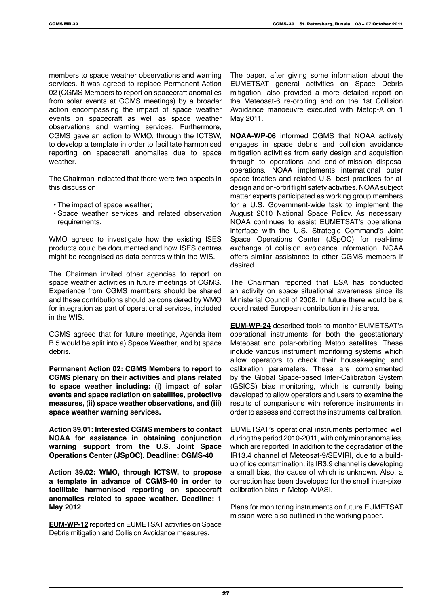members to space weather observations and warning services. It was agreed to replace Permanent Action 02 (CGMS Members to report on spacecraft anomalies from solar events at CGMS meetings) by a broader action encompassing the impact of space weather events on spacecraft as well as space weather observations and warning services. Furthermore, CGMS gave an action to WMO, through the ICTSW, to develop a template in order to facilitate harmonised reporting on spacecraft anomalies due to space weather.

The Chairman indicated that there were two aspects in this discussion:

- The impact of space weather;
- Space weather services and related observation requirements.

WMO agreed to investigate how the existing ISES products could be documented and how ISES centres might be recognised as data centres within the WIS.

The Chairman invited other agencies to report on space weather activities in future meetings of CGMS. Experience from CGMS members should be shared and these contributions should be considered by WMO for integration as part of operational services, included in the WIS.

CGMS agreed that for future meetings, Agenda item B.5 would be split into a) Space Weather, and b) space debris.

**Permanent Action 02: CGMS Members to report to CGMS plenary on their activities and plans related to space weather including: (i) impact of solar events and space radiation on satellites, protective measures, (ii) space weather observations, and (iii) space weather warning services.**

**Action 39.01: Interested CGMS members to contact NOAA for assistance in obtaining conjunction warning support from the U.S. Joint Space Operations Center (JSpOC). Deadline: CGMS-40**

**Action 39.02: WMO, through ICTSW, to propose a template in advance of CGMS-40 in order to facilitate harmonised reporting on spacecraft anomalies related to space weather. Deadline: 1 May 2012**

**EUM-WP-12** reported on EUMETSAT activities on Space Debris mitigation and Collision Avoidance measures.

The paper, after giving some information about the EUMETSAT general activities on Space Debris mitigation, also provided a more detailed report on the Meteosat-6 re-orbiting and on the 1st Collision Avoidance manoeuvre executed with Metop-A on 1 May 2011.

**NOAA-WP-06** informed CGMS that NOAA actively engages in space debris and collision avoidance mitigation activities from early design and acquisition through to operations and end-of-mission disposal operations. NOAA implements international outer space treaties and related U.S. best practices for all design and on-orbit flight safety activities. NOAA subject matter experts participated as working group members for a U.S. Government-wide task to implement the August 2010 National Space Policy. As necessary, NOAA continues to assist EUMETSAT's operational interface with the U.S. Strategic Command's Joint Space Operations Center (JSpOC) for real-time exchange of collision avoidance information. NOAA offers similar assistance to other CGMS members if desired.

The Chairman reported that ESA has conducted an activity on space situational awareness since its Ministerial Council of 2008. In future there would be a coordinated European contribution in this area.

**EUM-WP-24** described tools to monitor EUMETSAT's operational instruments for both the geostationary Meteosat and polar-orbiting Metop satellites. These include various instrument monitoring systems which allow operators to check their housekeeping and calibration parameters. These are complemented by the Global Space-based Inter-Calibration System (GSICS) bias monitoring, which is currently being developed to allow operators and users to examine the results of comparisons with reference instruments in order to assess and correct the instruments' calibration.

EUMETSAT's operational instruments performed well during the period 2010-2011, with only minor anomalies, which are reported. In addition to the degradation of the IR13.4 channel of Meteosat-9/SEVIRI, due to a buildup of ice contamination, its IR3.9 channel is developing a small bias, the cause of which is unknown. Also, a correction has been developed for the small inter-pixel calibration bias in Metop-A/IASI.

Plans for monitoring instruments on future EUMETSAT mission were also outlined in the working paper.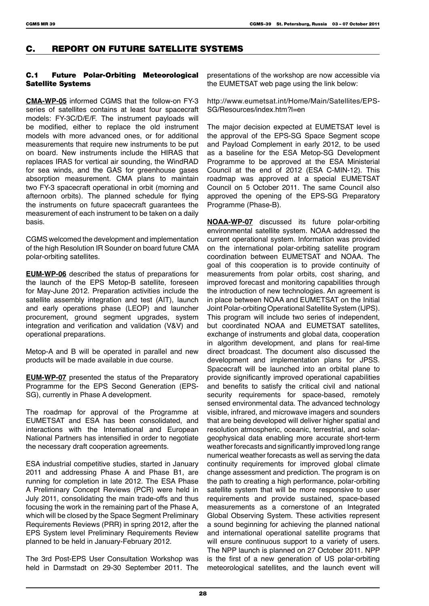# C. REPORT ON FUTURE SATELLITE SYSTEMS

### C.1 Future Polar-Orbiting Meteorological Satellite Systems

**CMA-WP-05** informed CGMS that the follow-on FY-3 series of satellites contains at least four spacecraft models: FY-3C/D/E/F. The instrument payloads will be modified, either to replace the old instrument models with more advanced ones, or for additional measurements that require new instruments to be put on board. New instruments include the HIRAS that replaces IRAS for vertical air sounding, the WindRAD for sea winds, and the GAS for greenhouse gases absorption measurement. CMA plans to maintain two FY-3 spacecraft operational in orbit (morning and afternoon orbits). The planned schedule for flying the instruments on future spacecraft guarantees the measurement of each instrument to be taken on a daily basis.

CGMS welcomed the development and implementation of the high Resolution IR Sounder on board future CMA polar-orbiting satellites.

**EUM-WP-06** described the status of preparations for the launch of the EPS Metop-B satellite, foreseen for May-June 2012. Preparation activities include the satellite assembly integration and test (AIT), launch and early operations phase (LEOP) and launcher procurement, ground segment upgrades, system integration and verification and validation (V&V) and operational preparations.

Metop-A and B will be operated in parallel and new products will be made available in due course.

**EUM-WP-07** presented the status of the Preparatory Programme for the EPS Second Generation (EPS-SG), currently in Phase A development.

The roadmap for approval of the Programme at EUMETSAT and ESA has been consolidated, and interactions with the International and European National Partners has intensified in order to negotiate the necessary draft cooperation agreements.

ESA industrial competitive studies, started in January 2011 and addressing Phase A and Phase B1, are running for completion in late 2012. The ESA Phase A Preliminary Concept Reviews (PCR) were held in July 2011, consolidating the main trade-offs and thus focusing the work in the remaining part of the Phase A, which will be closed by the Space Segment Preliminary Requirements Reviews (PRR) in spring 2012, after the EPS System level Preliminary Requirements Review planned to be held in January-February 2012.

The 3rd Post-EPS User Consultation Workshop was held in Darmstadt on 29-30 September 2011. The presentations of the workshop are now accessible via the EUMETSAT web page using the link below:

http://www.eumetsat.int/Home/Main/Satellites/EPS-SG/Resources/index.htm?l=en

The major decision expected at EUMETSAT level is the approval of the EPS-SG Space Segment scope and Payload Complement in early 2012, to be used as a baseline for the ESA Metop-SG Development Programme to be approved at the ESA Ministerial Council at the end of 2012 (ESA C-MIN-12). This roadmap was approved at a special EUMETSAT Council on 5 October 2011. The same Council also approved the opening of the EPS-SG Preparatory Programme (Phase-B).

**NOAA-WP-07** discussed its future polar-orbiting environmental satellite system. NOAA addressed the current operational system. Information was provided on the international polar-orbiting satellite program coordination between EUMETSAT and NOAA. The goal of this cooperation is to provide continuity of measurements from polar orbits, cost sharing, and improved forecast and monitoring capabilities through the introduction of new technologies. An agreement is in place between NOAA and EUMETSAT on the Initial Joint Polar-orbiting Operational Satellite System (IJPS). This program will include two series of independent, but coordinated NOAA and EUMETSAT satellites, exchange of instruments and global data, cooperation in algorithm development, and plans for real-time direct broadcast. The document also discussed the development and implementation plans for JPSS. Spacecraft will be launched into an orbital plane to provide significantly improved operational capabilities and benefits to satisfy the critical civil and national security requirements for space-based, remotely sensed environmental data. The advanced technology visible, infrared, and microwave imagers and sounders that are being developed will deliver higher spatial and resolution atmospheric, oceanic, terrestrial, and solargeophysical data enabling more accurate short-term weather forecasts and significantly improved long range numerical weather forecasts as well as serving the data continuity requirements for improved global climate change assessment and prediction. The program is on the path to creating a high performance, polar-orbiting satellite system that will be more responsive to user requirements and provide sustained, space-based measurements as a cornerstone of an Integrated Global Observing System. These activities represent a sound beginning for achieving the planned national and international operational satellite programs that will ensure continuous support to a variety of users. The NPP launch is planned on 27 October 2011. NPP is the first of a new generation of US polar-orbiting meteorological satellites, and the launch event will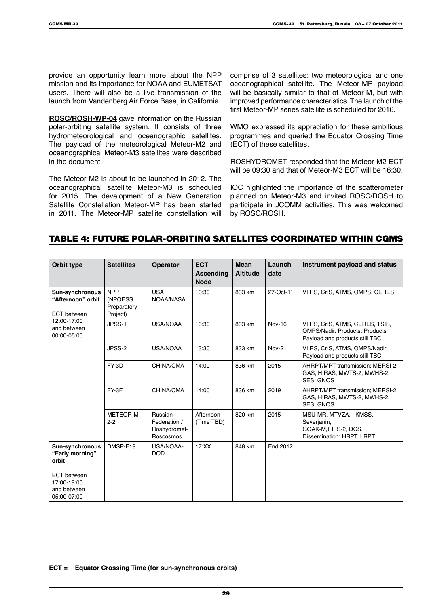provide an opportunity learn more about the NPP mission and its importance for NOAA and EUMETSAT users. There will also be a live transmission of the launch from Vandenberg Air Force Base, in California.

**ROSC/ROSH-WP-04** gave information on the Russian polar-orbiting satellite system. It consists of three hydrometeorological and oceanographic satellites. The payload of the meteorological Meteor-M2 and oceanographical Meteor-M3 satellites were described in the document.

The Meteor-M2 is about to be launched in 2012. The oceanographical satellite Meteor-M3 is scheduled for 2015. The development of a New Generation Satellite Constellation Meteor-MP has been started in 2011. The Meteor-MP satellite constellation will comprise of 3 satellites: two meteorological and one oceanographical satellite. The Meteor-MP payload will be basically similar to that of Meteor-M, but with improved performance characteristics. The launch of the first Meteor-MP series satellite is scheduled for 2016.

WMO expressed its appreciation for these ambitious programmes and queried the Equator Crossing Time (ECT) of these satellites.

ROSHYDROMET responded that the Meteor-M2 ECT will be 09:30 and that of Meteor-M3 ECT will be 16:30.

IOC highlighted the importance of the scatterometer planned on Meteor-M3 and invited ROSC/ROSH to participate in JCOMM activities. This was welcomed by ROSC/ROSH.

### Table 4: Future Polar-Orbiting Satellites Coordinated within CGMS

| Orbit type                                                        | <b>Satellites</b>                                | <b>Operator</b>                                      | <b>ECT</b><br><b>Ascending</b><br><b>Node</b> | <b>Mean</b><br><b>Altitude</b> | Launch<br>date | Instrument payload and status                                                                              |
|-------------------------------------------------------------------|--------------------------------------------------|------------------------------------------------------|-----------------------------------------------|--------------------------------|----------------|------------------------------------------------------------------------------------------------------------|
| <b>Sun-synchronous</b><br>"Afternoon" orbit<br><b>ECT</b> between | <b>NPP</b><br>(NPOESS<br>Preparatory<br>Project) | <b>USA</b><br>NOAA/NASA                              | 13:30                                         | 833 km                         | 27-Oct-11      | VIIRS, CrIS, ATMS, OMPS, CERES                                                                             |
| 12:00-17:00<br>and between<br>00:00-05:00                         | JPSS-1                                           | USA/NOAA                                             | 13:30                                         | 833 km                         | <b>Nov-16</b>  | VIIRS, CrIS, ATMS, CERES, TSIS,<br><b>OMPS/Nadir, Products: Products</b><br>Payload and products still TBC |
|                                                                   | JPSS-2                                           | USA/NOAA                                             | 13:30                                         | 833 km                         | <b>Nov-21</b>  | VIIRS, CrIS, ATMS, OMPS/Nadir<br>Payload and products still TBC                                            |
|                                                                   | FY-3D                                            | CHINA/CMA                                            | 14:00                                         | 836 km                         | 2015           | AHRPT/MPT transmission; MERSI-2,<br>GAS, HIRAS, MWTS-2, MWHS-2,<br><b>SES. GNOS</b>                        |
|                                                                   | FY-3F                                            | CHINA/CMA                                            | 14:00                                         | 836 km                         | 2019           | AHRPT/MPT transmission; MERSI-2,<br>GAS, HIRAS, MWTS-2, MWHS-2,<br><b>SES, GNOS</b>                        |
|                                                                   | <b>METEOR-M</b><br>$2-2$                         | Russian<br>Federation /<br>Roshydromet-<br>Roscosmos | Afternoon<br>(Time TBD)                       | 820 km                         | 2015           | MSU-MR, MTVZA, , KMSS,<br>Severjanin,<br>GGAK-M, IRFS-2, DCS.<br>Dissemination: HRPT, LRPT                 |
| <b>Sun-synchronous</b><br>"Early morning"<br>orbit                | DMSP-F19                                         | USA/NOAA-<br><b>DOD</b>                              | 17:XX                                         | 848 km                         | End 2012       |                                                                                                            |
| <b>ECT</b> between<br>17:00-19:00<br>and between<br>05:00-07:00   |                                                  |                                                      |                                               |                                |                |                                                                                                            |

**ECT = Equator Crossing Time (for sun-synchronous orbits)**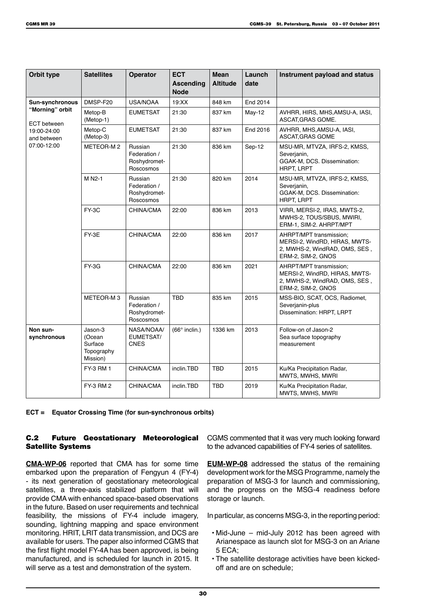| Orbit type                            | <b>Satellites</b>                                      | <b>Operator</b>                                      | <b>ECT</b><br><b>Ascending</b><br><b>Node</b> | <b>Mean</b><br><b>Altitude</b> | Launch<br>date | Instrument payload and status                                                                                   |
|---------------------------------------|--------------------------------------------------------|------------------------------------------------------|-----------------------------------------------|--------------------------------|----------------|-----------------------------------------------------------------------------------------------------------------|
| <b>Sun-synchronous</b>                | DMSP-F20                                               | <b>USA/NOAA</b>                                      | 19:XX                                         | 848 km                         | End 2014       |                                                                                                                 |
| "Morning" orbit<br><b>ECT</b> between | Metop-B<br>$(Metop-1)$                                 | <b>EUMETSAT</b>                                      | 21:30                                         | 837 km                         | May-12         | AVHRR, HIRS, MHS, AMSU-A, IASI,<br>ASCAT, GRAS GOME.                                                            |
| 19:00-24:00<br>and between            | Metop-C<br>(Metop-3)                                   | <b>EUMETSAT</b>                                      | 21:30                                         | 837 km                         | End 2016       | AVHRR, MHS, AMSU-A, IASI,<br>ASCAT, GRAS GOME                                                                   |
| 07:00-12:00                           | METEOR-M2                                              | Russian<br>Federation /<br>Roshydromet-<br>Roscosmos | 21:30                                         | 836 km                         | Sep-12         | MSU-MR, MTVZA, IRFS-2, KMSS,<br>Severjanin,<br>GGAK-M, DCS. Dissemination:<br><b>HRPT, LRPT</b>                 |
|                                       | M N2-1                                                 | Russian<br>Federation /<br>Roshydromet-<br>Roscosmos | 21:30                                         | 820 km                         | 2014           | MSU-MR, MTVZA, IRFS-2, KMSS,<br>Severjanin,<br>GGAK-M, DCS. Dissemination:<br><b>HRPT, LRPT</b>                 |
|                                       | FY-3C                                                  | CHINA/CMA                                            | 22:00                                         | 836 km                         | 2013           | VIRR, MERSI-2, IRAS, MWTS-2,<br>MWHS-2, TOUS/SBUS, MWIRI,<br>ERM-1, SIM-2. AHRPT/MPT                            |
|                                       | FY-3E                                                  | <b>CHINA/CMA</b>                                     | 22:00                                         | 836 km                         | 2017           | AHRPT/MPT transmission:<br>MERSI-2, WindRD, HIRAS, MWTS-<br>2, MWHS-2, WindRAD, OMS, SES,<br>ERM-2, SIM-2, GNOS |
|                                       | FY-3G                                                  | <b>CHINA/CMA</b>                                     | 22:00                                         | 836 km                         | 2021           | AHRPT/MPT transmission:<br>MERSI-2, WindRD, HIRAS, MWTS-<br>2, MWHS-2, WindRAD, OMS, SES,<br>ERM-2, SIM-2, GNOS |
|                                       | METEOR-M3                                              | Russian<br>Federation /<br>Roshydromet-<br>Roscosmos | <b>TBD</b>                                    | 835 km                         | 2015           | MSS-BIO, SCAT, OCS, Radiomet,<br>Severjanin-plus<br>Dissemination: HRPT, LRPT                                   |
| Non sun-<br>synchronous               | Jason-3<br>(Ocean<br>Surface<br>Topography<br>Mission) | NASA/NOAA/<br>EUMETSAT/<br><b>CNES</b>               | $(66°$ inclin.)                               | 1336 km                        | 2013           | Follow-on of Jason-2<br>Sea surface topography<br>measurement                                                   |
|                                       | FY-3 RM 1                                              | CHINA/CMA                                            | inclin.TBD                                    | <b>TBD</b>                     | 2015           | Ku/Ka Precipitation Radar,<br>MWTS, MWHS, MWRI                                                                  |
|                                       | <b>FY-3 RM 2</b>                                       | CHINA/CMA                                            | inclin.TBD                                    | <b>TBD</b>                     | 2019           | Ku/Ka Precipitation Radar,<br>MWTS, MWHS, MWRI                                                                  |

**ECT = Equator Crossing Time (for sun-synchronous orbits)**

### C.2 Future Geostationary Meteorological Satellite Systems

**CMA-WP-06** reported that CMA has for some time embarked upon the preparation of Fengyun 4 (FY-4) - its next generation of geostationary meteorological satellites, a three-axis stabilized platform that will provide CMA with enhanced space-based observations in the future. Based on user requirements and technical feasibility, the missions of FY-4 include imagery, sounding, lightning mapping and space environment monitoring. HRIT, LRIT data transmission, and DCS are available for users. The paper also informed CGMS that the first flight model FY-4A has been approved, is being manufactured, and is scheduled for launch in 2015. It will serve as a test and demonstration of the system.

CGMS commented that it was very much looking forward to the advanced capabilities of FY-4 series of satellites.

**EUM-WP-08** addressed the status of the remaining development work for the MSG Programme, namely the preparation of MSG-3 for launch and commissioning, and the progress on the MSG-4 readiness before storage or launch.

In particular, as concerns MSG-3, in the reporting period:

- Mid-June mid-July 2012 has been agreed with Arianespace as launch slot for MSG-3 on an Ariane 5 ECA;
- The satellite destorage activities have been kickedoff and are on schedule;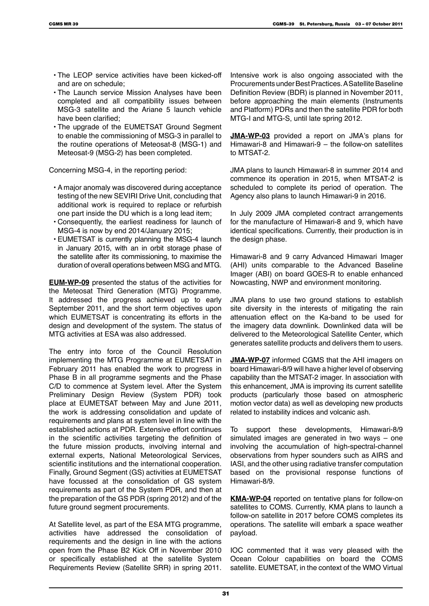- The LEOP service activities have been kicked-off and are on schedule;
- The Launch service Mission Analyses have been completed and all compatibility issues between MSG-3 satellite and the Ariane 5 launch vehicle have been clarified;
- The upgrade of the EUMETSAT Ground Segment to enable the commissioning of MSG-3 in parallel to the routine operations of Meteosat-8 (MSG-1) and Meteosat-9 (MSG-2) has been completed.

Concerning MSG-4, in the reporting period:

- A major anomaly was discovered during acceptance testing of the new SEVIRI Drive Unit, concluding that additional work is required to replace or refurbish one part inside the DU which is a long lead item;
- Consequently, the earliest readiness for launch of MSG-4 is now by end 2014/January 2015;
- EUMETSAT is currently planning the MSG-4 launch in January 2015, with an in orbit storage phase of the satellite after its commissioning, to maximise the duration of overall operations between MSG and MTG.

**EUM-WP-09** presented the status of the activities for the Meteosat Third Generation (MTG) Programme. It addressed the progress achieved up to early September 2011, and the short term objectives upon which EUMETSAT is concentrating its efforts in the design and development of the system. The status of MTG activities at ESA was also addressed.

The entry into force of the Council Resolution implementing the MTG Programme at EUMETSAT in February 2011 has enabled the work to progress in Phase B in all programme segments and the Phase C/D to commence at System level. After the System Preliminary Design Review (System PDR) took place at EUMETSAT between May and June 2011, the work is addressing consolidation and update of requirements and plans at system level in line with the established actions at PDR. Extensive effort continues in the scientific activities targeting the definition of the future mission products, involving internal and external experts, National Meteorological Services, scientific institutions and the international cooperation. Finally, Ground Segment (GS) activities at EUMETSAT have focussed at the consolidation of GS system requirements as part of the System PDR, and then at the preparation of the GS PDR (spring 2012) and of the future ground segment procurements.

At Satellite level, as part of the ESA MTG programme, activities have addressed the consolidation of requirements and the design in line with the actions open from the Phase B2 Kick Off in November 2010 or specifically established at the satellite System Requirements Review (Satellite SRR) in spring 2011.

Intensive work is also ongoing associated with the Procurements under Best Practices. A Satellite Baseline Definition Review (BDR) is planned in November 2011, before approaching the main elements (Instruments and Platform) PDRs and then the satellite PDR for both MTG-I and MTG-S, until late spring 2012.

**JMA-WP-03** provided a report on JMA's plans for Himawari-8 and Himawari-9 – the follow-on satellites to MTSAT-2.

JMA plans to launch Himawari-8 in summer 2014 and commence its operation in 2015, when MTSAT-2 is scheduled to complete its period of operation. The Agency also plans to launch Himawari-9 in 2016.

In July 2009 JMA completed contract arrangements for the manufacture of Himawari-8 and 9, which have identical specifications. Currently, their production is in the design phase.

Himawari-8 and 9 carry Advanced Himawari Imager (AHI) units comparable to the Advanced Baseline Imager (ABI) on board GOES-R to enable enhanced Nowcasting, NWP and environment monitoring.

JMA plans to use two ground stations to establish site diversity in the interests of mitigating the rain attenuation effect on the Ka-band to be used for the imagery data downlink. Downlinked data will be delivered to the Meteorological Satellite Center, which generates satellite products and delivers them to users.

**JMA-WP-07** informed CGMS that the AHI imagers on board Himawari-8/9 will have a higher level of observing capability than the MTSAT-2 imager. In association with this enhancement, JMA is improving its current satellite products (particularly those based on atmospheric motion vector data) as well as developing new products related to instability indices and volcanic ash.

To support these developments, Himawari-8/9 simulated images are generated in two ways – one involving the accumulation of high-spectral-channel observations from hyper sounders such as AIRS and IASI, and the other using radiative transfer computation based on the provisional response functions of Himawari-8/9.

**KMA-WP-04** reported on tentative plans for follow-on satellites to COMS. Currently, KMA plans to launch a follow-on satellite in 2017 before COMS completes its operations. The satellite will embark a space weather payload.

IOC commented that it was very pleased with the Ocean Colour capabilities on board the COMS satellite. EUMETSAT, in the context of the WMO Virtual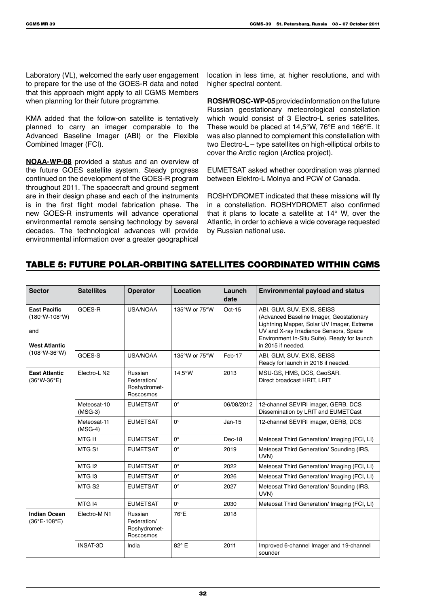Laboratory (VL), welcomed the early user engagement to prepare for the use of the GOES-R data and noted that this approach might apply to all CGMS Members when planning for their future programme.

KMA added that the follow-on satellite is tentatively planned to carry an imager comparable to the Advanced Baseline Imager (ABI) or the Flexible Combined Imager (FCI).

**NOAA-WP-08** provided a status and an overview of the future GOES satellite system. Steady progress continued on the development of the GOES-R program throughout 2011. The spacecraft and ground segment are in their design phase and each of the instruments is in the first flight model fabrication phase. The new GOES-R instruments will advance operational environmental remote sensing technology by several decades. The technological advances will provide environmental information over a greater geographical

location in less time, at higher resolutions, and with higher spectral content.

**ROSH/ROSC-WP-05** provided information on the future Russian geostationary meteorological constellation which would consist of 3 Electro-L series satellites. These would be placed at 14,5°W, 76°E and 166°E. It was also planned to complement this constellation with two Electro-L – type satellites on high-elliptical orbits to cover the Arctic region (Arctica project).

EUMETSAT asked whether coordination was planned between Elektro-L Molnya and PCW of Canada.

ROSHYDROMET indicated that these missions will fly in a constellation. ROSHYDROMET also confirmed that it plans to locate a satellite at 14° W, over the Atlantic, in order to achieve a wide coverage requested by Russian national use.

### Table 5: Future Polar-Orbiting Satellites Coordinated within CGMS

| <b>Sector</b>                                                           | <b>Satellites</b>        | Operator                                            | Location         | Launch<br>date | <b>Environmental payload and status</b>                                                                                                                                                                                              |
|-------------------------------------------------------------------------|--------------------------|-----------------------------------------------------|------------------|----------------|--------------------------------------------------------------------------------------------------------------------------------------------------------------------------------------------------------------------------------------|
| <b>East Pacific</b><br>$(180°W - 108°W)$<br>and<br><b>West Atlantic</b> | GOES-R                   | <b>USA/NOAA</b>                                     | 135°W or 75°W    | $Oct-15$       | ABI, GLM, SUV, EXIS, SEISS<br>(Advanced Baseline Imager, Geostationary<br>Lightning Mapper, Solar UV Imager, Extreme<br>UV and X-ray Irradiance Sensors, Space<br>Environment In-Situ Suite). Ready for launch<br>in 2015 if needed. |
| $(108°W-36°W)$                                                          | GOES-S                   | <b>USA/NOAA</b>                                     | 135°W or 75°W    | Feb-17         | ABI, GLM, SUV, EXIS, SEISS<br>Ready for launch in 2016 if needed.                                                                                                                                                                    |
| <b>East Atlantic</b><br>$(36°W-36°E)$                                   | Electro-L N2             | Russian<br>Federation/<br>Roshydromet-<br>Roscosmos | $14.5^{\circ}$ W | 2013           | MSU-GS, HMS, DCS, GeoSAR.<br>Direct broadcast HRIT, LRIT                                                                                                                                                                             |
|                                                                         | Meteosat-10<br>$(MSG-3)$ | <b>EUMETSAT</b>                                     | $0^{\circ}$      | 06/08/2012     | 12-channel SEVIRI imager, GERB, DCS<br>Dissemination by LRIT and EUMETCast                                                                                                                                                           |
|                                                                         | Meteosat-11<br>$(MSG-4)$ | <b>EUMETSAT</b>                                     | $0^{\circ}$      | $Jan-15$       | 12-channel SEVIRI imager, GERB, DCS                                                                                                                                                                                                  |
|                                                                         | MTG <sub>11</sub>        | <b>EUMETSAT</b>                                     | $0^{\circ}$      | Dec-18         | Meteosat Third Generation/ Imaging (FCI, LI)                                                                                                                                                                                         |
|                                                                         | MTG <sub>S1</sub>        | <b>EUMETSAT</b>                                     | $0^{\circ}$      | 2019           | Meteosat Third Generation/ Sounding (IRS,<br>UVN)                                                                                                                                                                                    |
|                                                                         | MTG <sub>12</sub>        | <b>EUMETSAT</b>                                     | $0^{\circ}$      | 2022           | Meteosat Third Generation/ Imaging (FCI, LI)                                                                                                                                                                                         |
|                                                                         | MTG <sub>13</sub>        | <b>EUMETSAT</b>                                     | $0^{\circ}$      | 2026           | Meteosat Third Generation/ Imaging (FCI, LI)                                                                                                                                                                                         |
|                                                                         | MTG <sub>S2</sub>        | <b>EUMETSAT</b>                                     | $0^{\circ}$      | 2027           | Meteosat Third Generation/ Sounding (IRS,<br>UVN)                                                                                                                                                                                    |
|                                                                         | MTG <sub>14</sub>        | <b>EUMETSAT</b>                                     | $0^{\circ}$      | 2030           | Meteosat Third Generation/ Imaging (FCI, LI)                                                                                                                                                                                         |
| <b>Indian Ocean</b><br>$(36^{\circ}E - 108^{\circ}E)$                   | Electro-M <sub>N1</sub>  | Russian<br>Federation/<br>Roshydromet-<br>Roscosmos | 76°E             | 2018           |                                                                                                                                                                                                                                      |
|                                                                         | <b>INSAT-3D</b>          | India                                               | 82° E            | 2011           | Improved 6-channel Imager and 19-channel<br>sounder                                                                                                                                                                                  |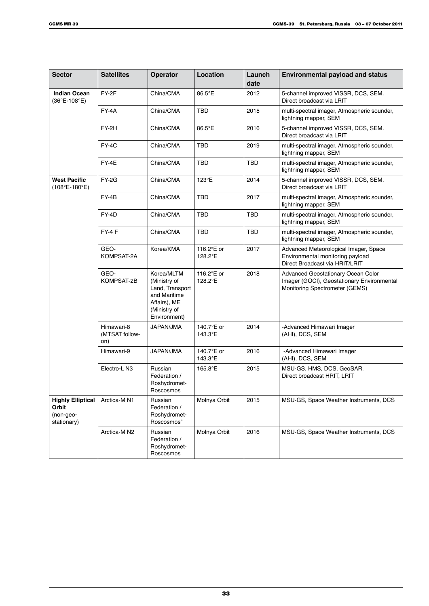| <b>Sector</b>                                                 | <b>Satellites</b>                   | <b>Operator</b>                                                                                               | Location              | Launch<br>date | <b>Environmental payload and status</b>                                                                            |
|---------------------------------------------------------------|-------------------------------------|---------------------------------------------------------------------------------------------------------------|-----------------------|----------------|--------------------------------------------------------------------------------------------------------------------|
| <b>Indian Ocean</b><br>(36°E-108°E)                           | FY-2F                               | China/CMA                                                                                                     | 86.5°E                | 2012           | 5-channel improved VISSR, DCS, SEM.<br>Direct broadcast via LRIT                                                   |
|                                                               | FY-4A                               | China/CMA                                                                                                     | TBD                   | 2015           | multi-spectral imager, Atmospheric sounder,<br>lightning mapper, SEM                                               |
|                                                               | FY-2H                               | China/CMA                                                                                                     | 86.5°E                | 2016           | 5-channel improved VISSR, DCS, SEM.<br>Direct broadcast via LRIT                                                   |
|                                                               | FY-4C                               | China/CMA                                                                                                     | TBD                   | 2019           | multi-spectral imager, Atmospheric sounder,<br>lightning mapper, SEM                                               |
|                                                               | FY-4E                               | China/CMA                                                                                                     | TBD                   | TBD            | multi-spectral imager, Atmospheric sounder,<br>lightning mapper, SEM                                               |
| <b>West Pacific</b><br>(108°E-180°E)                          | FY-2G                               | China/CMA                                                                                                     | 123°E                 | 2014           | 5-channel improved VISSR, DCS, SEM.<br>Direct broadcast via LRIT                                                   |
|                                                               | FY-4B                               | China/CMA                                                                                                     | TBD                   | 2017           | multi-spectral imager, Atmospheric sounder,<br>lightning mapper, SEM                                               |
|                                                               | FY-4D                               | China/CMA                                                                                                     | TBD                   | TBD            | multi-spectral imager, Atmospheric sounder,<br>lightning mapper, SEM                                               |
|                                                               | FY-4F                               | China/CMA                                                                                                     | TBD                   | TBD            | multi-spectral imager, Atmospheric sounder,<br>lightning mapper, SEM                                               |
|                                                               | GEO-<br>KOMPSAT-2A                  | Korea/KMA                                                                                                     | 116.2°E or<br>128.2°E | 2017           | Advanced Meteorological Imager, Space<br>Environmental monitoring payload<br>Direct Broadcast via HRIT/LRIT        |
|                                                               | GEO-<br>KOMPSAT-2B                  | Korea/MLTM<br>(Ministry of<br>Land, Transport<br>and Maritime<br>Affairs), ME<br>(Ministry of<br>Environment) | 116.2°E or<br>128.2°E | 2018           | Advanced Geostationary Ocean Color<br>Imager (GOCI), Geostationary Environmental<br>Monitoring Spectrometer (GEMS) |
|                                                               | Himawari-8<br>(MTSAT follow-<br>on) | JAPAN/JMA                                                                                                     | 140.7°E or<br>143.3°E | 2014           | -Advanced Himawari Imager<br>(AHI), DCS, SEM                                                                       |
|                                                               | Himawari-9                          | JAPAN/JMA                                                                                                     | 140.7°E or<br>143.3°E | 2016           | -Advanced Himawari Imager<br>(AHI), DCS, SEM                                                                       |
|                                                               | Electro-L N3                        | Russian<br>Federation /<br>Roshydromet-<br>Roscosmos                                                          | 165.8°E               | 2015           | MSU-GS, HMS, DCS, GeoSAR.<br>Direct broadcast HRIT, LRIT                                                           |
| <b>Highly Elliptical</b><br>Orbit<br>(non-geo-<br>stationary) | Arctica-M <sub>N1</sub>             | Russian<br>Federation /<br>Roshydromet-<br>Roscosmos"                                                         | Molnya Orbit          | 2015           | MSU-GS, Space Weather Instruments, DCS                                                                             |
|                                                               | Arctica-M N2                        | Russian<br>Federation /<br>Roshydromet-<br>Roscosmos                                                          | Molnya Orbit          | 2016           | MSU-GS, Space Weather Instruments, DCS                                                                             |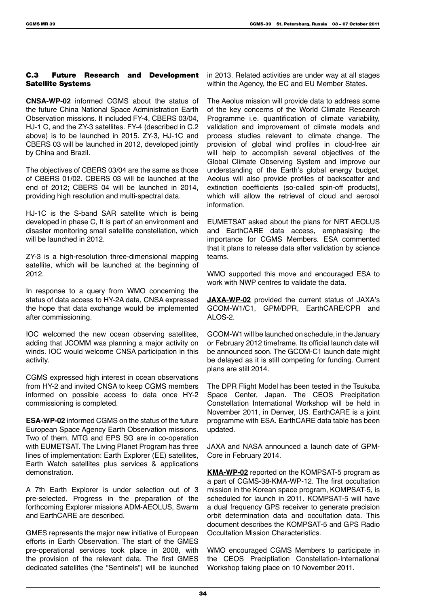### C.3 Future Research and Development Satellite Systems

**CNSA-WP-02** informed CGMS about the status of the future China National Space Administration Earth Observation missions. It included FY-4, CBERS 03/04, HJ-1 C, and the ZY-3 satellites. FY-4 (described in C.2 above) is to be launched in 2015. ZY-3, HJ-1C and CBERS 03 will be launched in 2012, developed jointly by China and Brazil.

The objectives of CBERS 03/04 are the same as those of CBERS 01/02. CBERS 03 will be launched at the end of 2012; CBERS 04 will be launched in 2014, providing high resolution and multi-spectral data.

HJ-1C is the S-band SAR satellite which is being developed in phase C, It is part of an environment and disaster monitoring small satellite constellation, which will be launched in 2012.

ZY-3 is a high-resolution three-dimensional mapping satellite, which will be launched at the beginning of 2012.

In response to a query from WMO concerning the status of data access to HY-2A data, CNSA expressed the hope that data exchange would be implemented after commissioning.

IOC welcomed the new ocean observing satellites, adding that JCOMM was planning a major activity on winds. IOC would welcome CNSA participation in this activity.

CGMS expressed high interest in ocean observations from HY-2 and invited CNSA to keep CGMS members informed on possible access to data once HY-2 commissioning is completed.

**ESA-WP-02** informed CGMS on the status of the future European Space Agency Earth Observation missions. Two of them, MTG and EPS SG are in co-operation with EUMETSAT. The Living Planet Program has three lines of implementation: Earth Explorer (EE) satellites, Earth Watch satellites plus services & applications demonstration.

A 7th Earth Explorer is under selection out of 3 pre-selected. Progress in the preparation of the forthcoming Explorer missions ADM-AEOLUS, Swarm and EarthCARE are described.

GMES represents the major new initiative of European efforts in Earth Observation. The start of the GMES pre-operational services took place in 2008, with the provision of the relevant data. The first GMES dedicated satellites (the "Sentinels") will be launched

in 2013. Related activities are under way at all stages within the Agency, the EC and EU Member States.

The Aeolus mission will provide data to address some of the key concerns of the World Climate Research Programme i.e. quantification of climate variability, validation and improvement of climate models and process studies relevant to climate change. The provision of global wind profiles in cloud-free air will help to accomplish several objectives of the Global Climate Observing System and improve our understanding of the Earth's global energy budget. Aeolus will also provide profiles of backscatter and extinction coefficients (so-called spin-off products), which will allow the retrieval of cloud and aerosol information.

EUMETSAT asked about the plans for NRT AEOLUS and EarthCARE data access, emphasising the importance for CGMS Members. ESA commented that it plans to release data after validation by science teams.

WMO supported this move and encouraged ESA to work with NWP centres to validate the data.

**JAXA-WP-02** provided the current status of JAXA's GCOM-W1/C1, GPM/DPR, EarthCARE/CPR and ALOS-2.

GCOM-W1 will be launched on schedule, in the January or February 2012 timeframe. Its official launch date will be announced soon. The GCOM-C1 launch date might be delayed as it is still competing for funding. Current plans are still 2014.

The DPR Flight Model has been tested in the Tsukuba Space Center, Japan. The CEOS Precipitation Constellation International Workshop will be held in November 2011, in Denver, US. EarthCARE is a joint programme with ESA. EarthCARE data table has been updated.

JAXA and NASA announced a launch date of GPM-Core in February 2014.

**KMA-WP-02** reported on the KOMPSAT-5 program as a part of CGMS-38-KMA-WP-12. The first occultation mission in the Korean space program, KOMPSAT-5, is scheduled for launch in 2011. KOMPSAT-5 will have a dual frequency GPS receiver to generate precision orbit determination data and occultation data. This document describes the KOMPSAT-5 and GPS Radio Occultation Mission Characteristics.

WMO encouraged CGMS Members to participate in the CEOS Preciptiation Constellation-International Workshop taking place on 10 November 2011.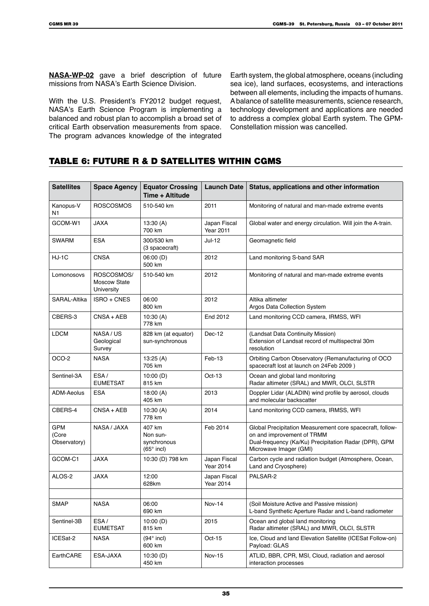**NASA-WP-02** gave a brief description of future missions from NASA's Earth Science Division.

With the U.S. President's FY2012 budget request, NASA's Earth Science Program is implementing a balanced and robust plan to accomplish a broad set of critical Earth observation measurements from space. The program advances knowledge of the integrated

Earth system, the global atmosphere, oceans (including sea ice), land surfaces, ecosystems, and interactions between all elements, including the impacts of humans. A balance of satellite measurements, science research, technology development and applications are needed to address a complex global Earth system. The GPM-Constellation mission was cancelled.

# Table 6: Future R & D satellites within CGMS

| <b>Satellites</b>                   | <b>Space Agency</b>                             | <b>Equator Crossing</b><br>Time + Altitude        | Launch Date                      | Status, applications and other information                                                                                                                                 |
|-------------------------------------|-------------------------------------------------|---------------------------------------------------|----------------------------------|----------------------------------------------------------------------------------------------------------------------------------------------------------------------------|
| Kanopus-V<br>N1                     | <b>ROSCOSMOS</b>                                | 510-540 km                                        | 2011                             | Monitoring of natural and man-made extreme events                                                                                                                          |
| GCOM-W1                             | <b>JAXA</b>                                     | 13:30(A)<br>700 km                                | Japan Fiscal<br><b>Year 2011</b> | Global water and energy circulation. Will join the A-train.                                                                                                                |
| SWARM                               | <b>ESA</b>                                      | 300/530 km<br>(3 spacecraft)                      | Jul-12                           | Geomagnetic field                                                                                                                                                          |
| $HJ-1C$                             | CNSA                                            | 06:00 (D)<br>500 km                               | 2012                             | Land monitoring S-band SAR                                                                                                                                                 |
| Lomonosovs                          | ROSCOSMOS/<br><b>Moscow State</b><br>University | 510-540 km                                        | 2012                             | Monitoring of natural and man-made extreme events                                                                                                                          |
| SARAL-Altika                        | ISRO + CNES                                     | 06:00<br>800 km                                   | 2012                             | Altika altimeter<br>Argos Data Collection System                                                                                                                           |
| CBERS-3                             | CNSA + AEB                                      | 10:30(A)<br>778 km                                | End 2012                         | Land monitoring CCD camera, IRMSS, WFI                                                                                                                                     |
| <b>LDCM</b>                         | NASA/US<br>Geological<br>Survey                 | 828 km (at equator)<br>sun-synchronous            | $Dec-12$                         | (Landsat Data Continuity Mission)<br>Extension of Landsat record of multispectral 30m<br>resolution                                                                        |
| OCO-2                               | <b>NASA</b>                                     | 13:25(A)<br>705 km                                | Feb-13                           | Orbiting Carbon Observatory (Remanufacturing of OCO<br>spacecraft lost at launch on 24Feb 2009)                                                                            |
| Sentinel-3A                         | ESA/<br><b>EUMETSAT</b>                         | 10:00(D)<br>815 km                                | $Oct-13$                         | Ocean and global land monitoring<br>Radar altimeter (SRAL) and MWR, OLCI, SLSTR                                                                                            |
| <b>ADM-Aeolus</b>                   | <b>ESA</b>                                      | 18:00 (A)<br>405 km                               | 2013                             | Doppler Lidar (ALADIN) wind profile by aerosol, clouds<br>and molecular backscatter                                                                                        |
| CBERS-4                             | $CNSA + AEB$                                    | 10:30(A)<br>778 km                                | 2014                             | Land monitoring CCD camera, IRMSS, WFI                                                                                                                                     |
| <b>GPM</b><br>(Core<br>Observatory) | NASA / JAXA                                     | 407 km<br>Non sun-<br>synchronous<br>$(65°$ incl) | Feb 2014                         | Global Precipitation Measurement core spacecraft, follow-<br>on and improvement of TRMM<br>Dual-frequency (Ka/Ku) Precipitation Radar (DPR), GPM<br>Microwave Imager (GMI) |
| GCOM-C1                             | JAXA                                            | 10:30 (D) 798 km                                  | Japan Fiscal<br><b>Year 2014</b> | Carbon cycle and radiation budget (Atmosphere, Ocean,<br>Land and Cryosphere)                                                                                              |
| ALOS-2                              | JAXA                                            | 12:00<br>628km                                    | Japan Fiscal<br><b>Year 2014</b> | PALSAR-2                                                                                                                                                                   |
|                                     |                                                 |                                                   |                                  |                                                                                                                                                                            |
| <b>SMAP</b>                         | <b>NASA</b>                                     | 06:00<br>690 km                                   | <b>Nov-14</b>                    | (Soil Moisture Active and Passive mission)<br>L-band Synthetic Aperture Radar and L-band radiometer                                                                        |
| Sentinel-3B                         | ESA/<br><b>EUMETSAT</b>                         | 10:00(D)<br>815 km                                | 2015                             | Ocean and global land monitoring<br>Radar altimeter (SRAL) and MWR, OLCI, SLSTR                                                                                            |
| ICESat-2                            | <b>NASA</b>                                     | $(94°$ incl)<br>600 km                            | $Oct-15$                         | Ice, Cloud and land Elevation Satellite (ICESat Follow-on)<br>Payload: GLAS                                                                                                |
| EarthCARE                           | ESA-JAXA                                        | 10:30(D)<br>450 km                                | Nov-15                           | ATLID, BBR, CPR, MSI, Cloud, radiation and aerosol<br>interaction processes                                                                                                |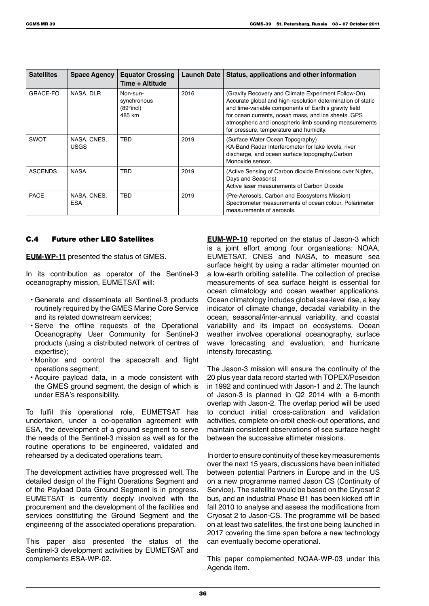| <b>Satellites</b> | <b>Space Agency</b>        | <b>Equator Crossing</b><br>Time + Altitude                  | Launch Date | Status, applications and other information                                                                                                                                                                                                                                                                                              |
|-------------------|----------------------------|-------------------------------------------------------------|-------------|-----------------------------------------------------------------------------------------------------------------------------------------------------------------------------------------------------------------------------------------------------------------------------------------------------------------------------------------|
| GRACE-FO          | NASA, DLR                  | Non-sun-<br>synchronous<br>$(89^{\circ}$ incl $)$<br>485 km | 2016        | (Gravity Recovery and Climate Experiment Follow-On)<br>Accurate global and high-resolution determination of static<br>and time-variable components of Earth's gravity field<br>for ocean currents, ocean mass, and ice sheets. GPS<br>atmospheric and ionospheric limb sounding measurements<br>for pressure, temperature and humidity. |
| <b>SWOT</b>       | NASA, CNES,<br><b>USGS</b> | <b>TBD</b>                                                  | 2019        | (Surface Water Ocean Topography)<br>KA-Band Radar Interferometer for lake levels, river<br>discharge, and ocean surface topography.Carbon<br>Monoxide sensor.                                                                                                                                                                           |
| <b>ASCENDS</b>    | <b>NASA</b>                | <b>TBD</b>                                                  | 2019        | (Active Sensing of Carbon dioxide Emissions over Nights,<br>Days and Seasons)<br>Active laser measurements of Carbon Dioxide                                                                                                                                                                                                            |
| <b>PACE</b>       | NASA, CNES,<br><b>ESA</b>  | <b>TBD</b>                                                  | 2019        | (Pre-Aerosols, Carbon and Ecosystems Mission)<br>Spectrometer measurements of ocean colour, Polarimeter<br>measurements of aerosols.                                                                                                                                                                                                    |

### C.4 Future other LEO Satellites

**EUM-WP-11** presented the status of GMES.

In its contribution as operator of the Sentinel-3 oceanography mission, EUMETSAT will:

- Generate and disseminate all Sentinel-3 products routinely required by the GMES Marine Core Service and its related downstream services;
- Serve the offline requests of the Operational Oceanography User Community for Sentinel-3 products (using a distributed network of centres of expertise);
- Monitor and control the spacecraft and flight operations segment;
- Acquire payload data, in a mode consistent with the GMES ground segment, the design of which is under ESA's responsibility.

To fulfil this operational role, EUMETSAT has undertaken, under a co-operation agreement with ESA, the development of a ground segment to serve the needs of the Sentinel-3 mission as well as for the routine operations to be engineered, validated and rehearsed by a dedicated operations team.

The development activities have progressed well. The detailed design of the Flight Operations Segment and of the Payload Data Ground Segment is in progress. EUMETSAT is currently deeply involved with the procurement and the development of the facilities and services constituting the Ground Segment and the engineering of the associated operations preparation.

This paper also presented the status of the Sentinel-3 development activities by EUMETSAT and complements ESA-WP-02.

**EUM-WP-10** reported on the status of Jason-3 which is a joint effort among four organisations: NOAA, EUMETSAT, CNES and NASA, to measure sea surface height by using a radar altimeter mounted on a low-earth orbiting satellite. The collection of precise measurements of sea surface height is essential for ocean climatology and ocean weather applications. Ocean climatology includes global sea-level rise, a key indicator of climate change, decadal variability in the ocean, seasonal/inter-annual variability, and coastal variability and its impact on ecosystems. Ocean weather involves operational oceanography, surface wave forecasting and evaluation, and hurricane intensity forecasting.

The Jason-3 mission will ensure the continuity of the 20 plus year data record started with TOPEX/Poseidon in 1992 and continued with Jason-1 and 2. The launch of Jason-3 is planned in Q2 2014 with a 6-month overlap with Jason-2. The overlap period will be used to conduct initial cross-calibration and validation activities, complete on-orbit check-out operations, and maintain consistent observations of sea surface height between the successive altimeter missions.

In order to ensure continuity of these key measurements over the next 15 years, discussions have been initiated between potential Partners in Europe and in the US on a new programme named Jason CS (Continuity of Service). The satellite would be based on the Cryosat 2 bus, and an industrial Phase B1 has been kicked off in fall 2010 to analyse and assess the modifications from Cryosat 2 to Jason-CS. The programme will be based on at least two satellites, the first one being launched in 2017 covering the time span before a new technology can eventually become operational.

This paper complemented NOAA-WP-03 under this Agenda item.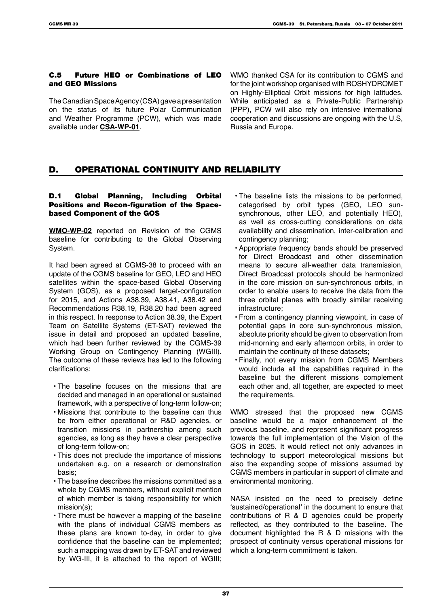#### C.5 Future HEO or Combinations of LEO and GEO Missions

The Canadian Space Agency (CSA) gave a presentation on the status of its future Polar Communication and Weather Programme (PCW), which was made available under **CSA-WP-01**.

WMO thanked CSA for its contribution to CGMS and for the joint workshop organised with ROSHYDROMET on Highly-Elliptical Orbit missions for high latitudes. While anticipated as a Private-Public Partnership (PPP), PCW will also rely on intensive international cooperation and discussions are ongoing with the U.S, Russia and Europe.

# D. OPERATIONAL CONTINUITY AND RELIABILITY

## D.1 Global Planning, Including Orbital Positions and Recon-figuration of the Spacebased Component of the GOS

**WMO-WP-02** reported on Revision of the CGMS baseline for contributing to the Global Observing System.

It had been agreed at CGMS-38 to proceed with an update of the CGMS baseline for GEO, LEO and HEO satellites within the space-based Global Observing System (GOS), as a proposed target-configuration for 2015, and Actions A38.39, A38.41, A38.42 and Recommendations R38.19, R38.20 had been agreed in this respect. In response to Action 38.39, the Expert Team on Satellite Systems (ET-SAT) reviewed the issue in detail and proposed an updated baseline, which had been further reviewed by the CGMS-39 Working Group on Contingency Planning (WGIII). The outcome of these reviews has led to the following clarifications:

- The baseline focuses on the missions that are decided and managed in an operational or sustained framework, with a perspective of long-term follow-on;
- Missions that contribute to the baseline can thus be from either operational or R&D agencies, or transition missions in partnership among such agencies, as long as they have a clear perspective of long-term follow-on;
- This does not preclude the importance of missions undertaken e.g. on a research or demonstration basis;
- The baseline describes the missions committed as a whole by CGMS members, without explicit mention of which member is taking responsibility for which mission(s);
- There must be however a mapping of the baseline with the plans of individual CGMS members as these plans are known to-day, in order to give confidence that the baseline can be implemented; such a mapping was drawn by ET-SAT and reviewed by WG-III, it is attached to the report of WGIII;
- The baseline lists the missions to be performed, categorised by orbit types (GEO, LEO sunsynchronous, other LEO, and potentially HEO), as well as cross-cutting considerations on data availability and dissemination, inter-calibration and contingency planning;
- Appropriate frequency bands should be preserved for Direct Broadcast and other dissemination means to secure all-weather data transmission Direct Broadcast protocols should be harmonized in the core mission on sun-synchronous orbits, in order to enable users to receive the data from the three orbital planes with broadly similar receiving infrastructure;
- From a contingency planning viewpoint, in case of potential gaps in core sun-synchronous mission, absolute priority should be given to observation from mid-morning and early afternoon orbits, in order to maintain the continuity of these datasets;
- Finally, not every mission from CGMS Members would include all the capabilities required in the baseline but the different missions complement each other and, all together, are expected to meet the requirements.

WMO stressed that the proposed new CGMS baseline would be a major enhancement of the previous baseline, and represent significant progress towards the full implementation of the Vision of the GOS in 2025. It would reflect not only advances in technology to support meteorological missions but also the expanding scope of missions assumed by CGMS members in particular in support of climate and environmental monitoring.

NASA insisted on the need to precisely define 'sustained/operational' in the document to ensure that contributions of R & D agencies could be properly reflected, as they contributed to the baseline. The document highlighted the R & D missions with the prospect of continuity versus operational missions for which a long-term commitment is taken.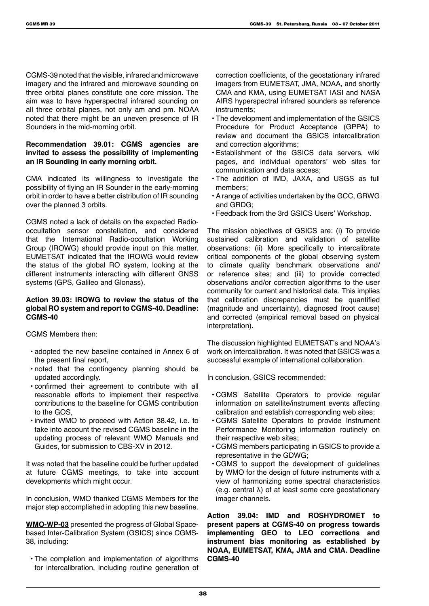CGMS-39 noted that the visible, infrared and microwave imagery and the infrared and microwave sounding on three orbital planes constitute one core mission. The aim was to have hyperspectral infrared sounding on all three orbital planes, not only am and pm. NOAA noted that there might be an uneven presence of IR Sounders in the mid-morning orbit.

## **Recommendation 39.01: CGMS agencies are invited to assess the possibility of implementing an IR Sounding in early morning orbit.**

CMA indicated its willingness to investigate the possibility of flying an IR Sounder in the early-morning orbit in order to have a better distribution of IR sounding over the planned 3 orbits.

CGMS noted a lack of details on the expected Radiooccultation sensor constellation, and considered that the International Radio-occultation Working Group (IROWG) should provide input on this matter. EUMETSAT indicated that the IROWG would review the status of the global RO system, looking at the different instruments interacting with different GNSS systems (GPS, Galileo and Glonass).

## **Action 39.03: IROWG to review the status of the global RO system and report to CGMS-40. Deadline: CGMS-40**

CGMS Members then:

- adopted the new baseline contained in Annex 6 of the present final report,
- noted that the contingency planning should be updated accordingly.
- confirmed their agreement to contribute with all reasonable efforts to implement their respective contributions to the baseline for CGMS contribution to the GOS,
- invited WMO to proceed with Action 38.42, i.e. to take into account the revised CGMS baseline in the updating process of relevant WMO Manuals and Guides, for submission to CBS-XV in 2012.

It was noted that the baseline could be further updated at future CGMS meetings, to take into account developments which might occur.

In conclusion, WMO thanked CGMS Members for the major step accomplished in adopting this new baseline.

**WMO-WP-03** presented the progress of Global Spacebased Inter-Calibration System (GSICS) since CGMS-38, including:

• The completion and implementation of algorithms for intercalibration, including routine generation of correction coefficients, of the geostationary infrared imagers from EUMETSAT, JMA, NOAA, and shortly CMA and KMA, using EUMETSAT IASI and NASA AIRS hyperspectral infrared sounders as reference instruments;

- The development and implementation of the GSICS Procedure for Product Acceptance (GPPA) to review and document the GSICS intercalibration and correction algorithms;
- Establishment of the GSICS data servers, wiki pages, and individual operators' web sites for communication and data access;
- The addition of IMD, JAXA, and USGS as full members;
- A range of activities undertaken by the GCC, GRWG and GRDG;
- Feedback from the 3rd GSICS Users' Workshop.

The mission objectives of GSICS are: (i) To provide sustained calibration and validation of satellite observations; (ii) More specifically to intercalibrate critical components of the global observing system to climate quality benchmark observations and/ or reference sites; and (iii) to provide corrected observations and/or correction algorithms to the user community for current and historical data. This implies that calibration discrepancies must be quantified (magnitude and uncertainty), diagnosed (root cause) and corrected (empirical removal based on physical interpretation).

The discussion highlighted EUMETSAT's and NOAA's work on intercalibration. It was noted that GSICS was a successful example of international collaboration.

In conclusion, GSICS recommended:

- CGMS Satellite Operators to provide regular information on satellite/instrument events affecting calibration and establish corresponding web sites;
- CGMS Satellite Operators to provide Instrument Performance Monitoring information routinely on their respective web sites;
- CGMS members participating in GSICS to provide a representative in the GDWG;
- CGMS to support the development of guidelines by WMO for the design of future instruments with a view of harmonizing some spectral characteristics (e.g. central λ) of at least some core geostationary imager channels.

**Action 39.04: IMD and ROSHYDROMET to present papers at CGMS-40 on progress towards implementing GEO to LEO corrections and instrument bias monitoring as established by NOAA, EUMETSAT, KMA, JMA and CMA. Deadline CGMS-40**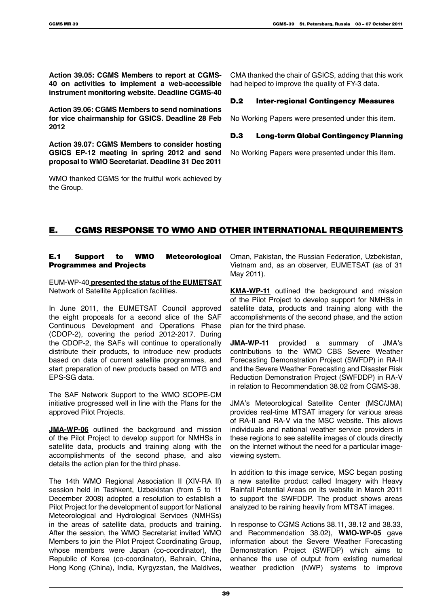**Action 39.05: CGMS Members to report at CGMS-40 on activities to implement a web-accessible instrument monitoring website. Deadline CGMS-40**

**Action 39.06: CGMS Members to send nominations for vice chairmanship for GSICS. Deadline 28 Feb 2012**

**Action 39.07: CGMS Members to consider hosting GSICS EP-12 meeting in spring 2012 and send proposal to WMO Secretariat. Deadline 31 Dec 2011**

WMO thanked CGMS for the fruitful work achieved by the Group.

CMA thanked the chair of GSICS, adding that this work had helped to improve the quality of FY-3 data.

#### D.2 Inter-regional Contingency Measures

No Working Papers were presented under this item.

### D.3 Long-term Global Contingency Planning

No Working Papers were presented under this item.

# E. CGMS RESPONSE TO WMO AND OTHER INTERNATIONAL REQUIREMENTS

### E.1 Support to WMO Meteorological Programmes and Projects

EUM-WP-40 **presented the status of the EUMETSAT**  Network of Satellite Application facilities.

In June 2011, the EUMETSAT Council approved the eight proposals for a second slice of the SAF Continuous Development and Operations Phase (CDOP-2), covering the period 2012-2017. During the CDOP-2, the SAFs will continue to operationally distribute their products, to introduce new products based on data of current satellite programmes, and start preparation of new products based on MTG and EPS-SG data.

The SAF Network Support to the WMO SCOPE-CM initiative progressed well in line with the Plans for the approved Pilot Projects.

**JMA-WP-06** outlined the background and mission of the Pilot Project to develop support for NMHSs in satellite data, products and training along with the accomplishments of the second phase, and also details the action plan for the third phase.

The 14th WMO Regional Association II (XIV-RA II) session held in Tashkent, Uzbekistan (from 5 to 11 December 2008) adopted a resolution to establish a Pilot Project for the development of support for National Meteorological and Hydrological Services (NMHSs) in the areas of satellite data, products and training. After the session, the WMO Secretariat invited WMO Members to join the Pilot Project Coordinating Group, whose members were Japan (co-coordinator), the Republic of Korea (co-coordinator), Bahrain, China, Hong Kong (China), India, Kyrgyzstan, the Maldives,

Oman, Pakistan, the Russian Federation, Uzbekistan, Vietnam and, as an observer, EUMETSAT (as of 31 May 2011).

**KMA-WP-11** outlined the background and mission of the Pilot Project to develop support for NMHSs in satellite data, products and training along with the accomplishments of the second phase, and the action plan for the third phase.

**JMA-WP-11** provided a summary of JMA's contributions to the WMO CBS Severe Weather Forecasting Demonstration Project (SWFDP) in RA-II and the Severe Weather Forecasting and Disaster Risk Reduction Demonstration Project (SWFDDP) in RA-V in relation to Recommendation 38.02 from CGMS-38.

JMA's Meteorological Satellite Center (MSC/JMA) provides real-time MTSAT imagery for various areas of RA-II and RA-V via the MSC website. This allows individuals and national weather service providers in these regions to see satellite images of clouds directly on the Internet without the need for a particular imageviewing system.

In addition to this image service, MSC began posting a new satellite product called Imagery with Heavy Rainfall Potential Areas on its website in March 2011 to support the SWFDDP. The product shows areas analyzed to be raining heavily from MTSAT images.

In response to CGMS Actions 38.11, 38.12 and 38.33, and Recommendation 38.02), **WMO-WP-05** gave information about the Severe Weather Forecasting Demonstration Project (SWFDP) which aims to enhance the use of output from existing numerical weather prediction (NWP) systems to improve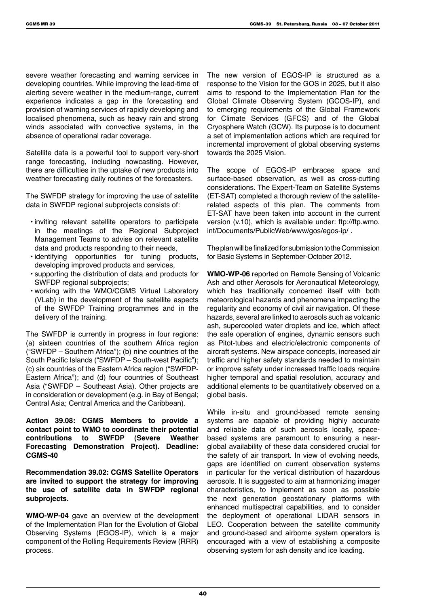severe weather forecasting and warning services in developing countries. While improving the lead-time of alerting severe weather in the medium-range, current experience indicates a gap in the forecasting and provision of warning services of rapidly developing and localised phenomena, such as heavy rain and strong winds associated with convective systems, in the absence of operational radar coverage.

Satellite data is a powerful tool to support very-short range forecasting, including nowcasting. However, there are difficulties in the uptake of new products into weather forecasting daily routines of the forecasters.

The SWFDP strategy for improving the use of satellite data in SWFDP regional subprojects consists of:

- inviting relevant satellite operators to participate in the meetings of the Regional Subproject Management Teams to advise on relevant satellite data and products responding to their needs,
- identifying opportunities for tuning products, developing improved products and services,
- supporting the distribution of data and products for SWFDP regional subprojects;
- working with the WMO/CGMS Virtual Laboratory (VLab) in the development of the satellite aspects of the SWFDP Training programmes and in the delivery of the training.

The SWFDP is currently in progress in four regions: (a) sixteen countries of the southern Africa region ("SWFDP – Southern Africa"); (b) nine countries of the South Pacific Islands ("SWFDP – South-west Pacific"); (c) six countries of the Eastern Africa region ("SWFDP-Eastern Africa"); and (d) four countries of Southeast Asia ("SWFDP – Southeast Asia). Other projects are in consideration or development (e.g. in Bay of Bengal; Central Asia; Central America and the Caribbean).

**Action 39.08: CGMS Members to provide a contact point to WMO to coordinate their potential contributions to SWFDP (Severe Weather Forecasting Demonstration Project). Deadline: CGMS-40**

**Recommendation 39.02: CGMS Satellite Operators are invited to support the strategy for improving the use of satellite data in SWFDP regional subprojects.**

**WMO-WP-04** gave an overview of the development of the Implementation Plan for the Evolution of Global Observing Systems (EGOS-IP), which is a major component of the Rolling Requirements Review (RRR) process.

The new version of EGOS-IP is structured as a response to the Vision for the GOS in 2025, but it also aims to respond to the Implementation Plan for the Global Climate Observing System (GCOS-IP), and to emerging requirements of the Global Framework for Climate Services (GFCS) and of the Global Cryosphere Watch (GCW). Its purpose is to document a set of implementation actions which are required for incremental improvement of global observing systems towards the 2025 Vision.

The scope of EGOS-IP embraces space and surface-based observation, as well as cross-cutting considerations. The Expert-Team on Satellite Systems (ET-SAT) completed a thorough review of the satelliterelated aspects of this plan. The comments from ET-SAT have been taken into account in the current version (v.10), which is available under: ftp://ftp.wmo. int/Documents/PublicWeb/www/gos/egos-ip/ .

The plan will be finalized for submission to the Commission for Basic Systems in September-October 2012.

**WMO-WP-06** reported on Remote Sensing of Volcanic Ash and other Aerosols for Aeronautical Meteorology, which has traditionally concerned itself with both meteorological hazards and phenomena impacting the regularity and economy of civil air navigation. Of these hazards, several are linked to aerosols such as volcanic ash, supercooled water droplets and ice, which affect the safe operation of engines, dynamic sensors such as Pitot-tubes and electric/electronic components of aircraft systems. New airspace concepts, increased air traffic and higher safety standards needed to maintain or improve safety under increased traffic loads require higher temporal and spatial resolution, accuracy and additional elements to be quantitatively observed on a global basis.

While in-situ and ground-based remote sensing systems are capable of providing highly accurate and reliable data of such aerosols locally, spacebased systems are paramount to ensuring a nearglobal availability of these data considered crucial for the safety of air transport. In view of evolving needs, gaps are identified on current observation systems in particular for the vertical distribution of hazardous aerosols. It is suggested to aim at harmonizing imager characteristics, to implement as soon as possible the next generation geostationary platforms with enhanced multispectral capabilities, and to consider the deployment of operational LIDAR sensors in LEO. Cooperation between the satellite community and ground-based and airborne system operators is encouraged with a view of establishing a composite observing system for ash density and ice loading.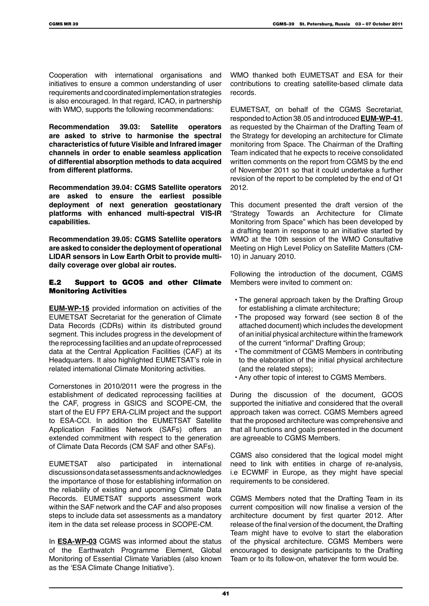Cooperation with international organisations and initiatives to ensure a common understanding of user requirements and coordinated implementation strategies is also encouraged. In that regard, ICAO, in partnership with WMO, supports the following recommendations:

**Recommendation 39.03: Satellite operators are asked to strive to harmonise the spectral characteristics of future Visible and Infrared imager channels in order to enable seamless application of differential absorption methods to data acquired from different platforms.**

**Recommendation 39.04: CGMS Satellite operators are asked to ensure the earliest possible deployment of next generation geostationary platforms with enhanced multi-spectral VIS-IR capabilities.**

**Recommendation 39.05: CGMS Satellite operators are asked to consider the deployment of operational LIDAR sensors in Low Earth Orbit to provide multidaily coverage over global air routes.**

### E.2 Support to GCOS and other Climate Monitoring Activities

**EUM-WP-15** provided information on activities of the EUMETSAT Secretariat for the generation of Climate Data Records (CDRs) within its distributed ground segment. This includes progress in the development of the reprocessing facilities and an update of reprocessed data at the Central Application Facilities (CAF) at its Headquarters. It also highlighted EUMETSAT's role in related international Climate Monitoring activities.

Cornerstones in 2010/2011 were the progress in the establishment of dedicated reprocessing facilities at the CAF, progress in GSICS and SCOPE-CM, the start of the EU FP7 ERA-CLIM project and the support to ESA-CCI. In addition the EUMETSAT Satellite Application Facilities Network (SAFs) offers an extended commitment with respect to the generation of Climate Data Records (CM SAF and other SAFs).

EUMETSAT also participated in international discussions on data set assessments and acknowledges the importance of those for establishing information on the reliability of existing and upcoming Climate Data Records. EUMETSAT supports assessment work within the SAF network and the CAF and also proposes steps to include data set assessments as a mandatory item in the data set release process in SCOPE-CM.

In **ESA-WP-03** CGMS was informed about the status of the Earthwatch Programme Element, Global Monitoring of Essential Climate Variables (also known as the 'ESA Climate Change Initiative').

WMO thanked both EUMETSAT and ESA for their contributions to creating satellite-based climate data records.

EUMETSAT, on behalf of the CGMS Secretariat, responded to Action 38.05 and introduced **EUM-WP-41**, as requested by the Chairman of the Drafting Team of the Strategy for developing an architecture for Climate monitoring from Space. The Chairman of the Drafting Team indicated that he expects to receive consolidated written comments on the report from CGMS by the end of November 2011 so that it could undertake a further revision of the report to be completed by the end of Q1 2012.

This document presented the draft version of the "Strategy Towards an Architecture for Climate Monitoring from Space" which has been developed by a drafting team in response to an initiative started by WMO at the 10th session of the WMO Consultative Meeting on High Level Policy on Satellite Matters (CM-10) in January 2010.

Following the introduction of the document, CGMS Members were invited to comment on:

- The general approach taken by the Drafting Group for establishing a climate architecture;
- The proposed way forward (see section 8 of the attached document) which includes the development of an initial physical architecture within the framework of the current "informal" Drafting Group;
- The commitment of CGMS Members in contributing to the elaboration of the initial physical architecture (and the related steps);
- Any other topic of interest to CGMS Members.

During the discussion of the document, GCOS supported the initiative and considered that the overall approach taken was correct. CGMS Members agreed that the proposed architecture was comprehensive and that all functions and goals presented in the document are agreeable to CGMS Members.

CGMS also considered that the logical model might need to link with entities in charge of re-analysis, i.e ECWMF in Europe, as they might have special requirements to be considered.

CGMS Members noted that the Drafting Team in its current composition will now finalise a version of the architecture document by first quarter 2012. After release of the final version of the document, the Drafting Team might have to evolve to start the elaboration of the physical architecture. CGMS Members were encouraged to designate participants to the Drafting Team or to its follow-on, whatever the form would be.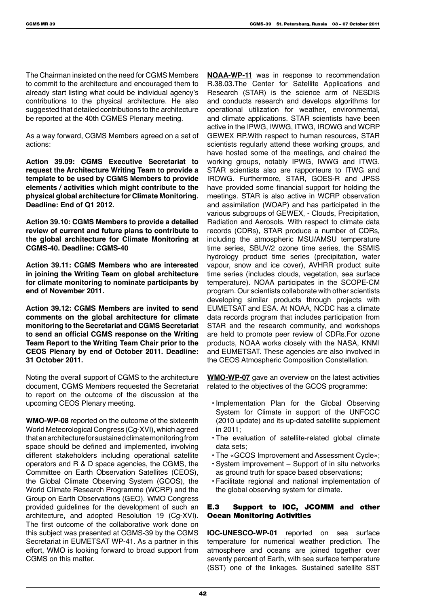The Chairman insisted on the need for CGMS Members to commit to the architecture and encouraged them to already start listing what could be individual agency's contributions to the physical architecture. He also suggested that detailed contributions to the architecture be reported at the 40th CGMES Plenary meeting.

As a way forward, CGMS Members agreed on a set of actions:

**Action 39.09: CGMS Executive Secretariat to request the Architecture Writing Team to provide a template to be used by CGMS Members to provide elements / activities which might contribute to the physical global architecture for Climate Monitoring. Deadline: End of Q1 2012.**

**Action 39.10: CGMS Members to provide a detailed review of current and future plans to contribute to the global architecture for Climate Monitoring at CGMS-40. Deadline: CGMS-40**

**Action 39.11: CGMS Members who are interested in joining the Writing Team on global architecture for climate monitoring to nominate participants by end of November 2011.**

**Action 39.12: CGMS Members are invited to send comments on the global architecture for climate monitoring to the Secretariat and CGMS Secretariat to send an official CGMS response on the Writing Team Report to the Writing Team Chair prior to the CEOS Plenary by end of October 2011. Deadline: 31 October 2011.**

Noting the overall support of CGMS to the architecture document, CGMS Members requested the Secretariat to report on the outcome of the discussion at the upcoming CEOS Plenary meeting.

**WMO-WP-08** reported on the outcome of the sixteenth World Meteorological Congress (Cg-XVI), which agreed that an architecture for sustained climate monitoring from space should be defined and implemented, involving different stakeholders including operational satellite operators and R & D space agencies, the CGMS, the Committee on Earth Observation Satellites (CEOS), the Global Climate Observing System (GCOS), the World Climate Research Programme (WCRP) and the Group on Earth Observations (GEO). WMO Congress provided guidelines for the development of such an architecture, and adopted Resolution 19 (Cg-XVI). The first outcome of the collaborative work done on this subject was presented at CGMS-39 by the CGMS Secretariat in EUMETSAT WP-41. As a partner in this effort, WMO is looking forward to broad support from CGMS on this matter.

**NOAA-WP-11** was in response to recommendation R.38.03.The Center for Satellite Applications and Research (STAR) is the science arm of NESDIS and conducts research and develops algorithms for operational utilization for weather, environmental, and climate applications. STAR scientists have been active in the IPWG, IWWG, ITWG, IROWG and WCRP GEWEX RP.With respect to human resources, STAR scientists regularly attend these working groups, and have hosted some of the meetings, and chaired the working groups, notably IPWG, IWWG and ITWG. STAR scientists also are rapporteurs to ITWG and IROWG. Furthermore, STAR, GOES-R and JPSS have provided some financial support for holding the meetings. STAR is also active in WCRP observation and assimilation (WOAP) and has participated in the various subgroups of GEWEX, - Clouds, Precipitation, Radiation and Aerosols. With respect to climate data records (CDRs), STAR produce a number of CDRs, including the atmospheric MSU/AMSU temperature time series, SBUV/2 ozone time series, the SSMIS hydrology product time series (precipitation, water vapour, snow and ice cover), AVHRR product suite time series (includes clouds, vegetation, sea surface temperature). NOAA participates in the SCOPE-CM program. Our scientists collaborate with other scientists developing similar products through projects with EUMETSAT and ESA. At NOAA, NCDC has a climate data records program that includes participation from STAR and the research community, and workshops are held to promote peer review of CDRs.For ozone products, NOAA works closely with the NASA, KNMI and EUMETSAT. These agencies are also involved in the CEOS Atmospheric Composition Constellation.

**WMO-WP-07** gave an overview on the latest activities related to the objectives of the GCOS programme:

- Implementation Plan for the Global Observing System for Climate in support of the UNFCCC (2010 update) and its up-dated satellite supplement in 2011;
- The evaluation of satellite-related global climate data sets;
- The «GCOS Improvement and Assessment Cycle»;
- System improvement Support of in situ networks as ground truth for space based observations:
- Facilitate regional and national implementation of the global observing system for climate.

### E.3 Support to IOC, JCOMM and other Ocean Monitoring Activities

**IOC-UNESCO-WP-01** reported on sea surface temperature for numerical weather prediction. The atmosphere and oceans are joined together over seventy percent of Earth, with sea surface temperature (SST) one of the linkages. Sustained satellite SST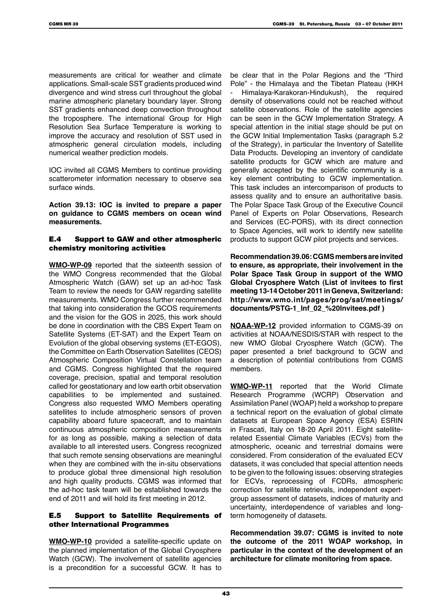measurements are critical for weather and climate applications. Small-scale SST gradients produced wind divergence and wind stress curl throughout the global marine atmospheric planetary boundary layer. Strong SST gradients enhanced deep convection throughout the troposphere. The international Group for High Resolution Sea Surface Temperature is working to improve the accuracy and resolution of SST used in atmospheric general circulation models, including numerical weather prediction models.

IOC invited all CGMS Members to continue providing scatterometer information necessary to observe sea surface winds.

**Action 39.13: IOC is invited to prepare a paper on guidance to CGMS members on ocean wind measurements.**

#### E.4 Support to GAW and other atmospheric chemistry monitoring activities

**WMO-WP-09** reported that the sixteenth session of the WMO Congress recommended that the Global Atmospheric Watch (GAW) set up an ad-hoc Task Team to review the needs for GAW regarding satellite measurements. WMO Congress further recommended that taking into consideration the GCOS requirements and the vision for the GOS in 2025, this work should be done in coordination with the CBS Expert Team on Satellite Systems (ET-SAT) and the Expert Team on Evolution of the global observing systems (ET-EGOS), the Committee on Earth Observation Satellites (CEOS) Atmospheric Composition Virtual Constellation team and CGMS. Congress highlighted that the required coverage, precision, spatial and temporal resolution called for geostationary and low earth orbit observation capabilities to be implemented and sustained. Congress also requested WMO Members operating satellites to include atmospheric sensors of proven capability aboard future spacecraft, and to maintain continuous atmospheric composition measurements for as long as possible, making a selection of data available to all interested users. Congress recognized that such remote sensing observations are meaningful when they are combined with the in-situ observations to produce global three dimensional high resolution and high quality products. CGMS was informed that the ad-hoc task team will be established towards the end of 2011 and will hold its first meeting in 2012.

#### E.5 Support to Satellite Requirements of other International Programmes

**WMO-WP-10** provided a satellite-specific update on the planned implementation of the Global Cryosphere Watch (GCW). The involvement of satellite agencies is a precondition for a successful GCW. It has to

be clear that in the Polar Regions and the "Third Pole" - the Himalaya and the Tibetan Plateau (HKH - Himalaya-Karakoran-Hindukush), the required density of observations could not be reached without satellite observations. Role of the satellite agencies can be seen in the GCW Implementation Strategy. A special attention in the initial stage should be put on the GCW Initial Implementation Tasks (paragraph 5.2 of the Strategy), in particular the Inventory of Satellite Data Products. Developing an inventory of candidate satellite products for GCW which are mature and generally accepted by the scientific community is a key element contributing to GCW implementation. This task includes an intercomparison of products to assess quality and to ensure an authoritative basis. The Polar Space Task Group of the Executive Council Panel of Experts on Polar Observations, Research and Services (EC-PORS), with its direct connection to Space Agencies, will work to identify new satellite products to support GCW pilot projects and services.

**Recommendation 39.06: CGMS members are invited to ensure, as appropriate, their involvement in the Polar Space Task Group in support of the WMO Global Cryosphere Watch (List of invitees to first meeting 13-14 October 2011 in Geneva, Switzerland: http://www.wmo.int/pages/prog/sat/meetings/ documents/PSTG-1\_Inf\_02\_%20Invitees.pdf )**

**NOAA-WP-12** provided information to CGMS-39 on activities at NOAA/NESDIS/STAR with respect to the new WMO Global Cryosphere Watch (GCW). The paper presented a brief background to GCW and a description of potential contributions from CGMS members.

**WMO-WP-11** reported that the World Climate Research Programme (WCRP) Observation and Assimilation Panel (WOAP) held a workshop to prepare a technical report on the evaluation of global climate datasets at European Space Agency (ESA) ESRIN in Frascati, Italy on 18-20 April 2011. Eight satelliterelated Essential Climate Variables (ECVs) from the atmospheric, oceanic and terrestrial domains were considered. From consideration of the evaluated ECV datasets, it was concluded that special attention needs to be given to the following issues: observing strategies for ECVs, reprocessing of FCDRs, atmospheric correction for satellite retrievals, independent expertgroup assessment of datasets, indices of maturity and uncertainty, interdependence of variables and longterm homogeneity of datasets.

**Recommendation 39.07: CGMS is invited to note the outcome of the 2011 WOAP workshop, in particular in the context of the development of an architecture for climate monitoring from space.**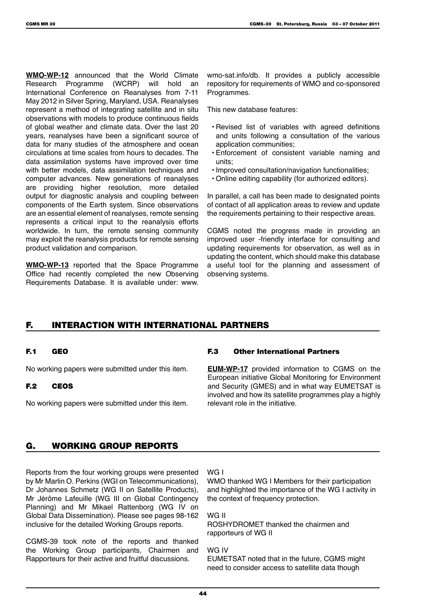**WMO-WP-12** announced that the World Climate Research Programme (WCRP) will hold an International Conference on Reanalyses from 7-11 May 2012 in Silver Spring, Maryland, USA. Reanalyses represent a method of integrating satellite and in situ observations with models to produce continuous fields of global weather and climate data. Over the last 20 years, reanalyses have been a significant source of data for many studies of the atmosphere and ocean circulations at time scales from hours to decades. The data assimilation systems have improved over time with better models, data assimilation techniques and computer advances. New generations of reanalyses are providing higher resolution, more detailed output for diagnostic analysis and coupling between components of the Earth system. Since observations are an essential element of reanalyses, remote sensing represents a critical input to the reanalysis efforts worldwide. In turn, the remote sensing community may exploit the reanalysis products for remote sensing product validation and comparison.

**WMO-WP-13** reported that the Space Programme Office had recently completed the new Observing Requirements Database. It is available under: www.

wmo-sat.info/db. It provides a publicly accessible repository for requirements of WMO and co-sponsored Programmes.

This new database features:

- Revised list of variables with agreed definitions and units following a consultation of the various application communities;
- Enforcement of consistent variable naming and units;
- Improved consultation/navigation functionalities;
- Online editing capability (for authorized editors).

In parallel, a call has been made to designated points of contact of all application areas to review and update the requirements pertaining to their respective areas.

CGMS noted the progress made in providing an improved user -friendly interface for consulting and updating requirements for observation, as well as in updating the content, which should make this database a useful tool for the planning and assessment of observing systems.

# F. INTERACTION WITH INTERNATIONAL PARTNERS

#### F.1 GEO

No working papers were submitted under this item.

#### F.2 CEOS

No working papers were submitted under this item.

#### F.3 Other International Partners

**EUM-WP-17** provided information to CGMS on the European initiative Global Monitoring for Environment and Security (GMES) and in what way EUMETSAT is involved and how its satellite programmes play a highly relevant role in the initiative.

# G. WORKING GROUP REPORTS

Reports from the four working groups were presented by Mr Marlin O. Perkins (WGI on Telecommunications), Dr Johannes Schmetz (WG II on Satellite Products), Mr Jérôme Lafeuille (WG III on Global Contingency Planning) and Mr Mikael Rattenborg (WG IV on Global Data Dissemination). Please see pages 98-162 inclusive for the detailed Working Groups reports.

CGMS-39 took note of the reports and thanked the Working Group participants, Chairmen and Rapporteurs for their active and fruitful discussions.

WG I

WMO thanked WG I Members for their participation and highlighted the importance of the WG I activity in the context of frequency protection.

WG II ROSHYDROMET thanked the chairmen and rapporteurs of WG II

WG IV EUMETSAT noted that in the future, CGMS might need to consider access to satellite data though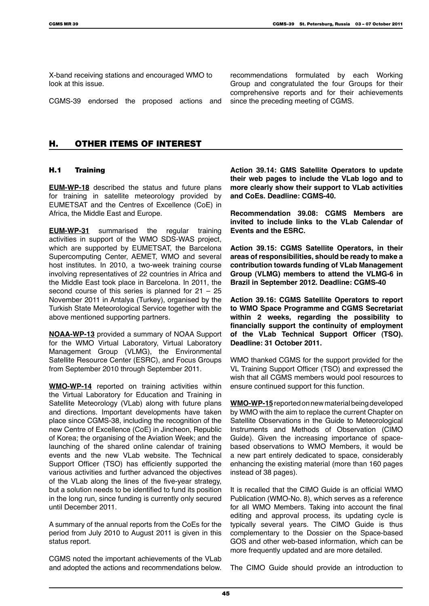X-band receiving stations and encouraged WMO to look at this issue.

CGMS-39 endorsed the proposed actions and

recommendations formulated by each Working Group and congratulated the four Groups for their comprehensive reports and for their achievements since the preceding meeting of CGMS.

# H. OTHER ITEMS OF INTEREST

#### H.1 Training

**EUM-WP-18** described the status and future plans for training in satellite meteorology provided by EUMETSAT and the Centres of Excellence (CoE) in Africa, the Middle East and Europe.

**EUM-WP-31** summarised the regular training activities in support of the WMO SDS-WAS project, which are supported by EUMETSAT, the Barcelona Supercomputing Center, AEMET, WMO and several host institutes. In 2010, a two-week training course involving representatives of 22 countries in Africa and the Middle East took place in Barcelona. In 2011, the second course of this series is planned for  $21 - 25$ November 2011 in Antalya (Turkey), organised by the Turkish State Meteorological Service together with the above mentioned supporting partners.

**NOAA-WP-13** provided a summary of NOAA Support for the WMO Virtual Laboratory, Virtual Laboratory Management Group (VLMG), the Environmental Satellite Resource Center (ESRC), and Focus Groups from September 2010 through September 2011.

**WMO-WP-14** reported on training activities within the Virtual Laboratory for Education and Training in Satellite Meteorology (VLab) along with future plans and directions. Important developments have taken place since CGMS-38, including the recognition of the new Centre of Excellence (CoE) in Jincheon, Republic of Korea; the organising of the Aviation Week; and the launching of the shared online calendar of training events and the new VLab website. The Technical Support Officer (TSO) has efficiently supported the various activities and further advanced the objectives of the VLab along the lines of the five-year strategy, but a solution needs to be identified to fund its position in the long run, since funding is currently only secured until December 2011.

A summary of the annual reports from the CoEs for the period from July 2010 to August 2011 is given in this status report.

CGMS noted the important achievements of the VLab and adopted the actions and recommendations below. **Action 39.14: GMS Satellite Operators to update their web pages to include the VLab logo and to more clearly show their support to VLab activities and CoEs. Deadline: CGMS-40.**

**Recommendation 39.08: CGMS Members are invited to include links to the VLab Calendar of Events and the ESRC.**

**Action 39.15: CGMS Satellite Operators, in their areas of responsibilities, should be ready to make a contribution towards funding of VLab Management Group (VLMG) members to attend the VLMG-6 in Brazil in September 2012. Deadline: CGMS-40**

**Action 39.16: CGMS Satellite Operators to report to WMO Space Programme and CGMS Secretariat within 2 weeks, regarding the possibility to financially support the continuity of employment of the VLab Technical Support Officer (TSO). Deadline: 31 October 2011.**

WMO thanked CGMS for the support provided for the VL Training Support Officer (TSO) and expressed the wish that all CGMS members would pool resources to ensure continued support for this function.

**WMO-WP-15** reported on new material being developed by WMO with the aim to replace the current Chapter on Satellite Observations in the Guide to Meteorological Instruments and Methods of Observation (CIMO Guide). Given the increasing importance of spacebased observations to WMO Members, it would be a new part entirely dedicated to space, considerably enhancing the existing material (more than 160 pages instead of 38 pages).

It is recalled that the CIMO Guide is an official WMO Publication (WMO-No. 8), which serves as a reference for all WMO Members. Taking into account the final editing and approval process, its updating cycle is typically several years. The CIMO Guide is thus complementary to the Dossier on the Space-based GOS and other web-based information, which can be more frequently updated and are more detailed.

The CIMO Guide should provide an introduction to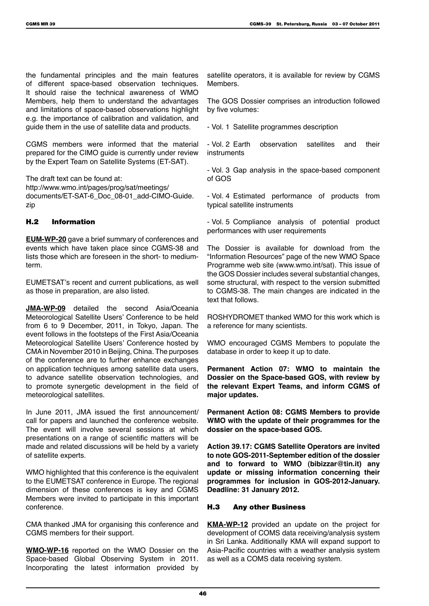the fundamental principles and the main features of different space-based observation techniques. It should raise the technical awareness of WMO Members, help them to understand the advantages and limitations of space-based observations highlight e.g. the importance of calibration and validation, and guide them in the use of satellite data and products.

CGMS members were informed that the material prepared for the CIMO guide is currently under review by the Expert Team on Satellite Systems (ET-SAT).

The draft text can be found at: http://www.wmo.int/pages/prog/sat/meetings/ documents/ET-SAT-6\_Doc\_08-01\_add-CIMO-Guide. zip

# H.2 Information

**EUM-WP-20** gave a brief summary of conferences and events which have taken place since CGMS-38 and lists those which are foreseen in the short- to mediumterm.

EUMETSAT's recent and current publications, as well as those in preparation, are also listed.

**JMA-WP-09** detailed the second Asia/Oceania Meteorological Satellite Users' Conference to be held from 6 to 9 December, 2011, in Tokyo, Japan. The event follows in the footsteps of the First Asia/Oceania Meteorological Satellite Users' Conference hosted by CMA in November 2010 in Beijing, China. The purposes of the conference are to further enhance exchanges on application techniques among satellite data users, to advance satellite observation technologies, and to promote synergetic development in the field of meteorological satellites.

In June 2011, JMA issued the first announcement/ call for papers and launched the conference website. The event will involve several sessions at which presentations on a range of scientific matters will be made and related discussions will be held by a variety of satellite experts.

WMO highlighted that this conference is the equivalent to the EUMETSAT conference in Europe. The regional dimension of these conferences is key and CGMS Members were invited to participate in this important conference.

CMA thanked JMA for organising this conference and CGMS members for their support.

**WMO-WP-16** reported on the WMO Dossier on the Space-based Global Observing System in 2011. Incorporating the latest information provided by satellite operators, it is available for review by CGMS Members.

The GOS Dossier comprises an introduction followed by five volumes:

- Vol. 1 Satellite programmes description

- Vol. 2 Earth observation satellites and their instruments

- Vol. 3 Gap analysis in the space-based component of GOS

- Vol. 4 Estimated performance of products from typical satellite instruments

- Vol. 5 Compliance analysis of potential product performances with user requirements

The Dossier is available for download from the "Information Resources" page of the new WMO Space Programme web site (www.wmo.int/sat). This issue of the GOS Dossier includes several substantial changes, some structural, with respect to the version submitted to CGMS-38. The main changes are indicated in the text that follows.

ROSHYDROMET thanked WMO for this work which is a reference for many scientists.

WMO encouraged CGMS Members to populate the database in order to keep it up to date.

**Permanent Action 07: WMO to maintain the Dossier on the Space-based GOS, with review by the relevant Expert Teams, and inform CGMS of major updates.**

**Permanent Action 08: CGMS Members to provide WMO with the update of their programmes for the dossier on the space-based GOS.**

**Action 39.17: CGMS Satellite Operators are invited to note GOS-2011-September edition of the dossier and to forward to WMO (bibizzar@tin.it) any update or missing information concerning their programmes for inclusion in GOS-2012-January. Deadline: 31 January 2012.**

# H.3 Any other Business

**KMA-WP-12** provided an update on the project for development of COMS data receiving/analysis system in Sri Lanka. Additionally KMA will expand support to Asia-Pacific countries with a weather analysis system as well as a COMS data receiving system.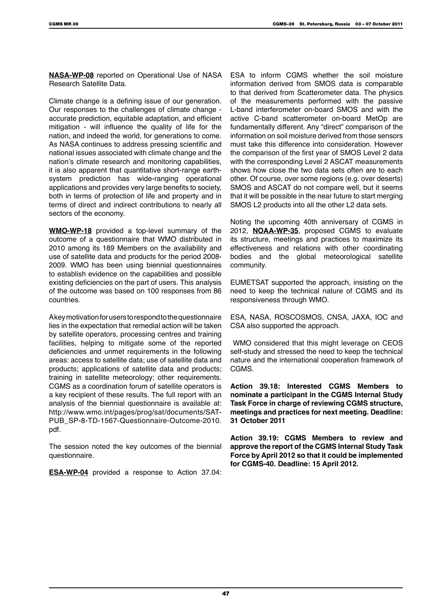**NASA-WP-08** reported on Operational Use of NASA Research Satellite Data.

Climate change is a defining issue of our generation. Our responses to the challenges of climate change accurate prediction, equitable adaptation, and efficient mitigation - will influence the quality of life for the nation, and indeed the world, for generations to come. As NASA continues to address pressing scientific and national issues associated with climate change and the nation's climate research and monitoring capabilities, it is also apparent that quantitative short-range earthsystem prediction has wide-ranging operational applications and provides very large benefits to society, both in terms of protection of life and property and in terms of direct and indirect contributions to nearly all sectors of the economy.

**WMO-WP-18** provided a top-level summary of the outcome of a questionnaire that WMO distributed in 2010 among its 189 Members on the availability and use of satellite data and products for the period 2008- 2009. WMO has been using biennial questionnaires to establish evidence on the capabilities and possible existing deficiencies on the part of users. This analysis of the outcome was based on 100 responses from 86 countries.

A key motivation for users to respond to the questionnaire lies in the expectation that remedial action will be taken by satellite operators, processing centres and training facilities, helping to mitigate some of the reported deficiencies and unmet requirements in the following areas: access to satellite data; use of satellite data and products; applications of satellite data and products; training in satellite meteorology; other requirements. CGMS as a coordination forum of satellite operators is a key recipient of these results. The full report with an analysis of the biennial questionnaire is available at: http://www.wmo.int/pages/prog/sat/documents/SAT-PUB\_SP-8-TD-1567-Questionnaire-Outcome-2010. pdf.

The session noted the key outcomes of the biennial questionnaire.

**ESA-WP-04** provided a response to Action 37.04:

ESA to inform CGMS whether the soil moisture information derived from SMOS data is comparable to that derived from Scatterometer data. The physics of the measurements performed with the passive L-band interferometer on-board SMOS and with the active C-band scatterometer on-board MetOp are fundamentally different. Any "direct" comparison of the information on soil moisture derived from those sensors must take this difference into consideration. However the comparison of the first year of SMOS Level 2 data with the corresponding Level 2 ASCAT measurements shows how close the two data sets often are to each other. Of course, over some regions (e.g. over deserts) SMOS and ASCAT do not compare well, but it seems that it will be possible in the near future to start merging SMOS L2 products into all the other L2 data sets.

Noting the upcoming 40th anniversary of CGMS in 2012, **NOAA-WP-35**, proposed CGMS to evaluate its structure, meetings and practices to maximize its effectiveness and relations with other coordinating bodies and the global meteorological satellite community.

EUMETSAT supported the approach, insisting on the need to keep the technical nature of CGMS and its responsiveness through WMO.

ESA, NASA, ROSCOSMOS, CNSA, JAXA, IOC and CSA also supported the approach.

WMO considered that this might leverage on CEOS self-study and stressed the need to keep the technical nature and the international cooperation framework of CGMS.

**Action 39.18: Interested CGMS Members to nominate a participant in the CGMS Internal Study Task Force in charge of reviewing CGMS structure, meetings and practices for next meeting. Deadline: 31 October 2011**

**Action 39.19: CGMS Members to review and approve the report of the CGMS Internal Study Task Force by April 2012 so that it could be implemented for CGMS-40. Deadline: 15 April 2012.**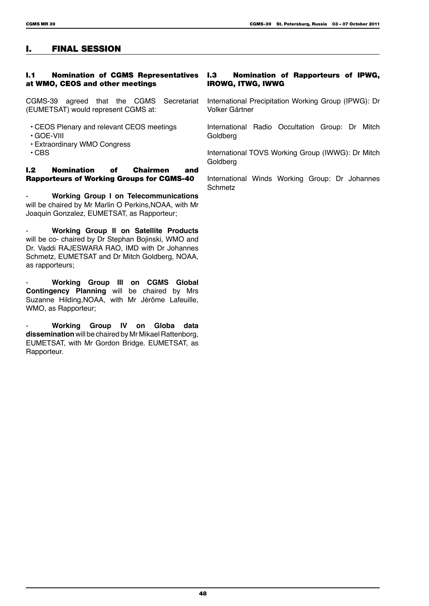# I. FINAL SESSION

#### **I.1 Nomination of CGMS Representatives I.3** at WMO, CEOS and other meetings

CGMS-39 agreed that the CGMS Secretariat (EUMETSAT) would represent CGMS at:

- CEOS Plenary and relevant CEOS meetings
- GOE-VIII
- Extraordinary WMO Congress
- CBS

#### I.2 Nomination of Chairmen and Rapporteurs of Working Groups for CGMS-40

- **Working Group I on Telecommunications** will be chaired by Mr Marlin O Perkins,NOAA, with Mr Joaquin Gonzalez, EUMETSAT, as Rapporteur;

- **Working Group II on Satellite Products** will be co- chaired by Dr Stephan Bojinski, WMO and Dr. Vaddi RAJESWARA RAO, IMD with Dr Johannes Schmetz, EUMETSAT and Dr Mitch Goldberg, NOAA, as rapporteurs;

- **Working Group III on CGMS Global Contingency Planning** will be chaired by Mrs Suzanne Hilding,NOAA, with Mr Jérôme Lafeuille, WMO, as Rapporteur;

- **Working Group IV on Globa data dissemination** will be chaired by Mr Mikael Rattenborg, EUMETSAT, with Mr Gordon Bridge. EUMETSAT, as Rapporteur.

#### Nomination of Rapporteurs of IPWG, IROWG, ITWG, IWWG

International Precipitation Working Group (IPWG): Dr Volker Gärtner

International Radio Occultation Group: Dr Mitch Goldberg

International TOVS Working Group (IWWG): Dr Mitch Goldberg

International Winds Working Group: Dr Johannes Schmetz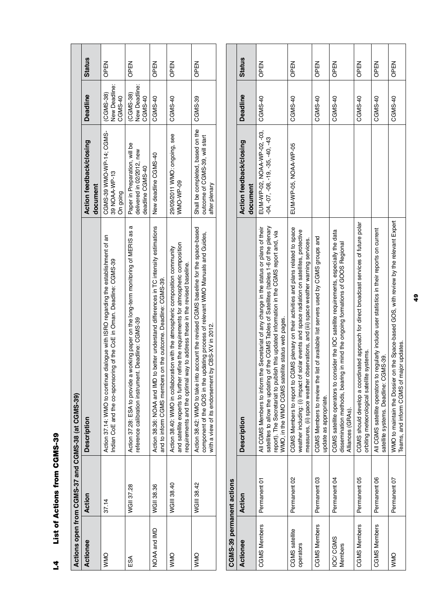| l |
|---|
| l |
|   |
|   |
|   |
|   |
|   |
| I |
|   |
|   |
|   |

|              |             | Actions open from CGMS-37 and CGMS-38 (at CGMS-39)                                                                                                                                                                                                  |                                                                                     |                                       |               |
|--------------|-------------|-----------------------------------------------------------------------------------------------------------------------------------------------------------------------------------------------------------------------------------------------------|-------------------------------------------------------------------------------------|---------------------------------------|---------------|
| Actionee     | Action      | <b>Description</b>                                                                                                                                                                                                                                  | Action feedback/closing<br>document                                                 | <b>Deadline</b>                       | <b>Status</b> |
| OMN          | 37.14       | dialogue with ISRO regarding the establishment of an<br>Indian CoE and the co-sponsoring of the CoE in Oman. Deadline: CGMS-39<br>Action 37.14: WMO to continue                                                                                     | CGMS-39 WMO-WAS-05-2010<br>39 NOAA-WP-13<br>On going                                | New Deadline:<br>(CGMS-38)<br>CGMS-40 | OPEN          |
| ESA          | WGII 37.28  | Action 37.28: ESA to provide a working paper on the long-term monitoring of MERIS as a<br>Deadline: CGMS-39<br>reference calibration instrument.                                                                                                    | Paper in Preparation, will be<br>delivered in 02/2012, new<br>deadline CGMS-40      | New Deadline:<br>(CGMS-38)<br>CGMS-40 | OPEN          |
| NOAA and IMD | WGII 38.36  | better understand differences in TC intensity estimations<br>and to inform CGMS members on the outcome. Deadline: CGMS-39.<br>Action 38.36: NOAA and IMD to                                                                                         | New deadline CGMS-40                                                                | CGMS-40                               | NBN<br>OPEN   |
| OMN          | WGIII 38.40 | and satellite experts to further refine the requirements for atmospheric composition<br>Action 38.40: WMO in collaboration with the atmospheric composition community<br>requirements and the optimal way to address these in the revised baseline. | 29/09/2011 WMO: ongoing, see<br>WMO-WP-09                                           | CGMS-40                               | OPEN          |
| <b>OMMO</b>  | WGIII 38.42 | Action 38.42: WMO to take into account the revised CGMS baseline for the space-based<br>component of the GOS in the updating process of relevant WMO Manuals and Guides,<br>/ CBS-XV in 2012.<br>with a view of its endorsement by                  | Shall be completed, based on the<br>outcome of CGMS-39, will start<br>after plenary | CGMS-39                               | <b>NBAO</b>   |
|              |             |                                                                                                                                                                                                                                                     |                                                                                     |                                       |               |

| CGMS-39 permanent actions   |                         |                                                                                                                                                                                                                                                                                                                                                  |                                                               |                 |               |
|-----------------------------|-------------------------|--------------------------------------------------------------------------------------------------------------------------------------------------------------------------------------------------------------------------------------------------------------------------------------------------------------------------------------------------|---------------------------------------------------------------|-----------------|---------------|
| Actionee                    | Action                  | <b>Description</b>                                                                                                                                                                                                                                                                                                                               | <b>Action feedback/closing</b><br>document                    | <b>Deadline</b> | <b>Status</b> |
| <b>CGMS Members</b>         | Permanent 01            | the CGMS Tables of Satellites (tables 1-6 of the plenary<br>Secretariat of any change in the status or plans of their<br>report). The Secretariat to publish this updated information in the CGMS report and, via<br>WMO, in the WMO CGMS satellite status web pages.<br>All CGMS Members to inform the<br>satellites to allow the updating of t | EUM-WP-02, NOAA-WP-02, -03,<br>$-04, -05, -19, -35, -40, -43$ | CGMS-40         | <b>OPEN</b>   |
| CGMS satellite<br>operators | Permanent 02            | IS plenary on their activities and plans related to space<br>lar events and space radiation on satellites, protective<br>measures, (ii) space weather observations, and (iii) space weather warning services.<br>CGMS Members to report to CGM<br>weather including: (i) impact of sol                                                           | EUM-WP-05, NOAA-WP-05                                         | CGMS-40         | <b>NBAO</b>   |
| <b>CGMS Members</b>         | Permanent 03            | of available list servers used by CGMS groups and<br>CGMS Members to review the list<br>update as appropriate.                                                                                                                                                                                                                                   |                                                               | CGMS-40         | <b>OPEN</b>   |
| IOC/CGMS<br><b>Members</b>  | Permanent <sub>04</sub> | CGMS satellite operators to consider the IOC satellite requirements, especially the data<br>mind the ongoing formations of GOOS Regional<br>dissemination methods, bearing in<br>Alliances (GRAs).                                                                                                                                               |                                                               | CGMS-40         | OPEN          |
| <b>CGMS Members</b>         | Permanent 05            | CGMS should develop a coordinated approach for direct broadcast services of future polar<br>orbiting meteorological satellite systems.                                                                                                                                                                                                           |                                                               | CGMS-40         | OPEN          |
| <b>CGMS Members</b>         | Permanent 06            | All CGMS satellite operators to regularly include user statistics in their reports on current<br>satellite systems. Deadline: CGMS-39.                                                                                                                                                                                                           |                                                               | CGMS-40         | OPEN          |
| OMN                         | Permanent 07            | the Space-based GOS, with review by the relevant Expert<br>Teams, and inform CGMS of major updates.<br>WMO to maintain the Dossier on t                                                                                                                                                                                                          |                                                               | CGMS-40         | <b>OPEN</b>   |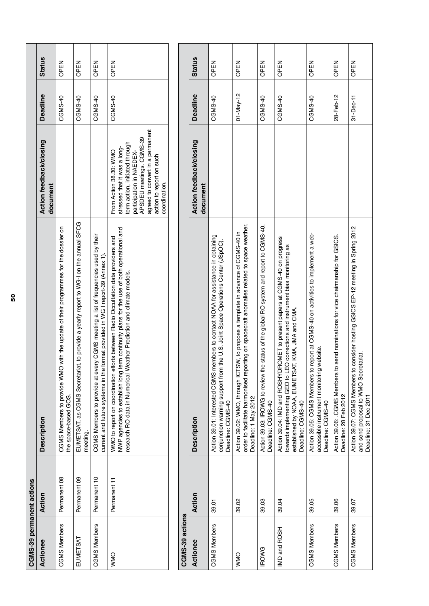| CGMS-39 permanent actions |              |                                                                                                                                                                                                                                                        |                                                                                                                                                                                                                                   |                 |               |
|---------------------------|--------------|--------------------------------------------------------------------------------------------------------------------------------------------------------------------------------------------------------------------------------------------------------|-----------------------------------------------------------------------------------------------------------------------------------------------------------------------------------------------------------------------------------|-----------------|---------------|
| Actionee                  | Action       | Description                                                                                                                                                                                                                                            | Action feedback/closing<br>document                                                                                                                                                                                               | <b>Deadline</b> | <b>Status</b> |
| <b>CGMS Members</b>       | Permanent 08 | with the update of their programmes for the dossier on<br>CGMS Members to provide WMO<br>the space-based GOS.                                                                                                                                          |                                                                                                                                                                                                                                   | CGMS-40         | OPEN          |
| EUMETSAT                  | Permanent 09 | EUMETSAT, as CGMS Secretariat, to provide a yearly report to WG-I on the annual SFCG<br>meeting.                                                                                                                                                       |                                                                                                                                                                                                                                   | CGMS-40         | OPEN          |
| <b>CGMS Members</b>       | Permanent 10 | CGMS Members to provide at every CGMS meeting a list of frequencies used by their<br>current and future systems in the format provided in WG I report-39 (Annex 1)                                                                                     |                                                                                                                                                                                                                                   | CGMS-40         | OPEN          |
| <b>ONN/</b>               | Permanent 11 | NWP agencies to establish long term continuity plans for the use of both operational and<br>WMO to report on coordination efforts between Radio Occultation data providers and<br>research RO data in Numerical Weather Prediction and climate models. | agreed to convert in a permanent<br>APSDEU meetings. CGMS-39<br>term action, initiated through<br>stressed that it was a long-<br>From Action 38.30: WMO<br>participation in NAEDEX-<br>action to report on such<br>coordination. | CGMS-40         | OPEN          |
|                           |              |                                                                                                                                                                                                                                                        |                                                                                                                                                                                                                                   |                 |               |
| CGMS-39 actions           |              |                                                                                                                                                                                                                                                        |                                                                                                                                                                                                                                   |                 |               |
| Actionee                  | Action       | <b>Description</b>                                                                                                                                                                                                                                     | Action feedback/closing<br>document                                                                                                                                                                                               | <b>Deadline</b> | <b>Status</b> |
| <b>CGMS Members</b>       | 39.01        | Action 39.01: Interested CGMS members to contact NOAA for assistance in obtaining<br>conjunction warning support from the U.S. Joint Space Operations Center (JSpOC)<br>Deadline: CGMS-40                                                              |                                                                                                                                                                                                                                   | CGMS-40         | OPEN          |
| <b>VVMO</b>               | 39.02        | order to facilitate harmonised reporting on spacecraft anomalies related to space weather.<br>Action 39.02: WMO, through ICTSW, to propose a template in advance of CGMS-40 in<br>Deadline: 1 May 2012                                                 |                                                                                                                                                                                                                                   | $01 - May - 12$ | OPEN          |
| <b>IROWG</b>              | 39.03        | status of the global RO system and report to CGMS-40.<br>Action 39.03: IROWG to review the<br>Deadline: CGMS-40                                                                                                                                        |                                                                                                                                                                                                                                   | CGMS-40         | OPEN          |
| IMD and ROSH              | 39.04        | Action 39.04: IMD and ROSHYDROMET to present papers at CGMS-40 on progress<br>towards implementing GEO to LEO corrections and instrument bias monitoring as<br>established by NOAA, EUMETSAT, KMA, JMA and CMA.<br>Deadline: CGMS-40                   |                                                                                                                                                                                                                                   | CGMS-40         | OPEN          |
| <b>CGMS Members</b>       | 39.05        | Action 39.05: CGMS Members to report at CGMS-40 on activities to implement a web-<br>accessible instrument monitoring website.<br>Deadline: CGMS-40                                                                                                    |                                                                                                                                                                                                                                   | CGMS-40         | OPEN          |
| <b>CGMS Members</b>       | 39.06        | send nominations for vice chairmanship for GSICS.<br>Action 39.06: .CGMS Members to<br>Deadline: 28 Feb 2012                                                                                                                                           |                                                                                                                                                                                                                                   | 28-Feb-12       | OPEN          |
| <b>CGMS Members</b>       | 39.07        | Action 39.07: CGMS Members to consider hosting GSICS EP-12 meeting in Spring 2012<br>and send proposal to WMO Secretariat.<br>Deadline: 31 Dec 2011                                                                                                    |                                                                                                                                                                                                                                   | $31 - Dec.11$   | OPEN          |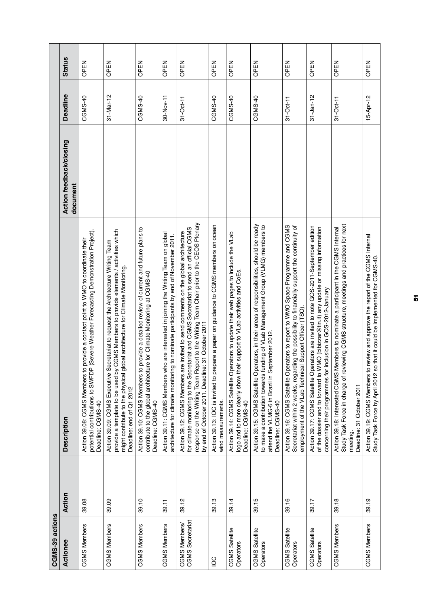| CGMS-39 actions                          |        |                                                                                                                                                                                                                                                                                                                               |                                     |                 |               |
|------------------------------------------|--------|-------------------------------------------------------------------------------------------------------------------------------------------------------------------------------------------------------------------------------------------------------------------------------------------------------------------------------|-------------------------------------|-----------------|---------------|
| Actionee                                 | Action | <b>Description</b>                                                                                                                                                                                                                                                                                                            | Action feedback/closing<br>document | <b>Deadline</b> | <b>Status</b> |
| <b>CGMS Members</b>                      | 39.08  | (Severe Weather Forecasting Demonstration Project).<br>provide a contact point to WMO to coordinate their<br>Action 39.08: CGMS Members to<br>potential contributions to SWFDP<br>Deadline: CGMS-40                                                                                                                           |                                     | CGMS-40         | OPEN          |
| <b>CGMS Members</b>                      | 39.09  | CGMS Members to provide elements / activities which<br>Action 39.09: CGMS Executive Secretariat to request the Architecture Writing Team<br>might contribute to the physical global architecture for Climate Monitoring.<br>provide a template to be used by<br>Deadline: end of Q1 2012                                      |                                     | 31-Mar-12       | OPEN          |
| <b>CGMS Members</b>                      | 39.10  | provide a detailed review of current and future plans to<br>re for Climate Monitoring at CGMS-40<br>Action 39.10: CGMS Members to<br>contribute to the global architectu<br>Deadline: CGMS-40                                                                                                                                 |                                     | CGMS-40         | OPEN          |
| <b>CGMS Members</b>                      | 39.11  | Action 39.11: CGMS Members who are interested in joining the Writing Team on global<br>architecture for climate monitoring to nominate participants by end of November 2011.                                                                                                                                                  |                                     | 30-Nov-11       | OPEN          |
| <b>CGMS</b> Secretariat<br>CGMS Members/ | 39.12  | response on the Writing Team Report to the Writing Team Chair prior to the CEOS Plenary<br>for climate monitoring to the Secretariat and CGMS Secretariat to send an official CGMS<br>Action 39.12: CGMS Members are invited to send comments on the global architecture<br>by end of October 2011. Deadline: 31 October 2011 |                                     | 31-Oct-11       | OPEN          |
| $\frac{1}{2}$                            | 39.13  | pare a paper on guidance to CGMS members on ocean<br>Action 39.13: IOC is invited to pre<br>wind measurements.                                                                                                                                                                                                                |                                     | CGMS-40         | OPEN          |
| CGMS Satellite<br>Operators              | 39.14  | Action 39.14: CGMS Satellite Operators to update their web pages to include the VLab<br>logo and to more clearly show their support to VLab activities and CoEs.<br>Deadline: CGMS-40                                                                                                                                         |                                     | CGMS-40         | OPEN          |
| CGMS Satellite<br>Operators              | 39.15  | Action 39.15: CGMS Satellite Operators, in their areas of responsibilities, should be ready<br>to make a contribution towards funding of VLab Management Group (VLMG) members to<br>attend the VLMG-6 in Brazil in September 2012.<br>Deadline: CGMS-40                                                                       |                                     | CGMS-40         | OPEN          |
| CGMS Satellite<br>Operators              | 39.16  | Action 39.16: CGMS Satellite Operators to report to WMO Space Programme and CGMS<br>Secretariat within 2 weeks, regarding the possibility to financially support the continuity of<br>employment of the VLab Technical Support Officer (TSO)                                                                                  |                                     | $31-Oct-11$     | OPEN          |
| CGMS Satellite<br>Operators              | 39.17  | Action 39.17: CGMS Satellite Operators are invited to note GOS-2011-September edition<br>of the dossier and to forward to WMO (bibizzar@tin.it) any update or missing information<br>concerning their programmes for inclusion in GOS-2012-January                                                                            |                                     | $31 - Jan - 12$ | OPEN          |
| <b>CGMS Members</b>                      | 39.18  | Study Task Force in charge of reviewing CGMS structure, meetings and practices for next<br>Action 39.18: Interested CGMS Members to nominate a participant in the CGMS Internal<br>Deadline: 31 October 2011<br>meeting.                                                                                                      |                                     | $31-Oct-11$     | OPEN          |
| <b>CGMS Members</b>                      | 39.19  | review and approve the report of the CGMS Internal<br>Action 39.19: CGMS Members to review and approve the report of the CGMS<br>Study Task Force by April 2012 so that it could be implemented for CGMS-40.                                                                                                                  |                                     | 15-Apr-12       | OPEN          |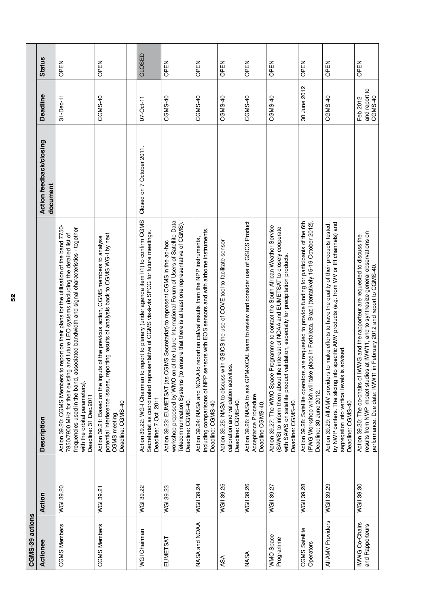| CGMS-39 actions                   |            |                                                                                                                                                                                                                                                                                                                                               |                                     |                                      |               |
|-----------------------------------|------------|-----------------------------------------------------------------------------------------------------------------------------------------------------------------------------------------------------------------------------------------------------------------------------------------------------------------------------------------------|-------------------------------------|--------------------------------------|---------------|
| Actionee                          | Action     | Description                                                                                                                                                                                                                                                                                                                                   | Action feedback/closing<br>document | Deadline                             | <b>Status</b> |
| <b>CGMS Members</b>               | WGI 39.20  | report on their plans for the utilisation of the band 7750-<br>frequencies used in the band, associated bandwidth and signal characteristics - together<br>7850/7900 MHz for their existing and future LEO systems (including the detailed list of<br>Action 39.20: CGMS Members to<br>with the orbital parameters).<br>Deadline: 31 Dec.2011 |                                     | 31-Dec-11                            | OPEN          |
| <b>CGMS Members</b>               | WGI 39.21  | potential interference issues, reporting results of analysis back to CGMS WG-I by next<br>of the previous action, CGMS members to analyse<br>Action 39.21: Based on the inputs<br>Deadline: CGMS-40<br>CGMS meeting.                                                                                                                          |                                     | CGMS-40                              | OPEN          |
|                                   |            |                                                                                                                                                                                                                                                                                                                                               |                                     |                                      |               |
| WGI Chairman                      | WGI 39.22  | Action 39.22: WG-I Chairman to report to plenary (under agenda item I/1) to confirm CGMS<br>Secretariat as coordinated representative of CGMS vis-à-vis SFCG for future meetings.<br>Deadline: 7.Oct.2011                                                                                                                                     | Closed on 7 October 2011.           | 07-Oct-11                            | CLOSED        |
| EUMETSAT                          | WGI 39.23  | workshop proposed by WMO on of the future International Forum of Users of Satellite Data<br>Telecommunication Systems (to ensure that there is at least one representative of CGMS).<br>Action 39.23: EUMETSAT (as CGMS Secretariat) to represent CGMS in the ad-hoc<br>Deadline: CGMS-40.                                                    |                                     | CGMS-40                              | OPEN          |
| NASA and NOAA                     | WGII 39.24 | including comparisons of NPP sensors with EOS sensors and with airborne instruments.<br>Action 39.24: NASA and NOAA to report on cal/val results from the NPP instruments,<br>Deadline: CGMS-40                                                                                                                                               |                                     | CGMS-40                              | OPEN          |
| ASA                               | WGII 39.25 | Action 39.25: NASA to discuss with GSICS the use of COVE tool to facilitate sensor<br>calibration and validation activities<br>Deadline: CGMS-40.                                                                                                                                                                                             |                                     | CGMS-40                              | OPEN          |
| <b>NASA</b>                       | WGII 39.26 | Action 39.26: NASA to ask GPM-XCAL team to review and consider use of GSICS Product<br>Acceptance Procedure.<br>Deadline CGMS-40.                                                                                                                                                                                                             |                                     | CGMS-40                              | OPEN          |
| WMO Space<br>Programme            | WGII 39.27 | Action 39.27: The WMO Space Programme to contact the South African Weather Service<br>(SAWS) to inform them about the interest of NOAA and EUMETSAT to closely cooperate<br>with SAWS on satellite product validation, especially for precipitation products.<br>Deadline: CGMS-40.                                                           |                                     | CGMS-40                              | OPEN          |
| CGMS Satellite<br>Operators       | WGII 39.28 | Action 39.28: Satellite operators are requested to provide funding for participants of the 6th<br>IPWG Workshop which will take place in Fortaleza, Brazil (tentatively 15-19 October 2012)<br>Deadline: 30 June 2012.                                                                                                                        |                                     | 30 June 2012                         | OPEN          |
| All AMV Providers                 | WGII 39.29 | pecific AMV products (e.g. from WV or IR channels) and<br>make efforts to have the quality of their products tested<br>segregation into vertical levels is advised.<br>Action 39.29: All AMV providers to<br>by NWP centers. The slicing into s<br>Deadline: CGMS-40                                                                          |                                     | CGMS-40                              | OPEN          |
| IWWG Co-Chairs<br>and Rapporteurs | WGII 39.30 | results from NWP impact studies at IWW11, and to synthesize general observations on<br>Action 39.30: The co-chairs of IWWG and the rapporteur are requested to discuss the<br>February 2012 and report to CGMS-40.<br>performance. Due date: IWW11 in                                                                                         |                                     | and report to<br>CGMS-40<br>Feb 2012 | OPEN          |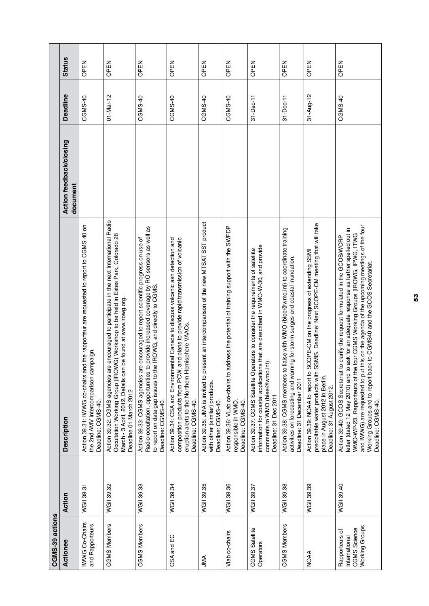| CGMS-39 actions                                                          |            |                                                                                                                                                                                                                                                                                                                                                                                                                                                             |                                     |                 |               |
|--------------------------------------------------------------------------|------------|-------------------------------------------------------------------------------------------------------------------------------------------------------------------------------------------------------------------------------------------------------------------------------------------------------------------------------------------------------------------------------------------------------------------------------------------------------------|-------------------------------------|-----------------|---------------|
| Actionee                                                                 | Action     | <b>Description</b>                                                                                                                                                                                                                                                                                                                                                                                                                                          | Action feedback/closing<br>document | <b>Deadline</b> | <b>Status</b> |
| <b>IWWG Co-Chairs</b><br>and Rapporteurs                                 | WGII 39.31 | Action 39.31: IWWG co-chairs and the rapporteur are requested to report to CGMS 40 on<br>the 2nd AMV intercomparison campaign.<br>Deadline: CGMS-40.                                                                                                                                                                                                                                                                                                        |                                     | CGMS-40         | OPEN          |
| <b>CGMS Members</b>                                                      | WGII 39.32 | e encouraged to participate in the next International Radio<br>Occultation Working Group (IROWG) Workshop to be held in Estes Park, Colorado 28<br>be found at www.irowg.org<br>March - 3 April, 2012. Details can<br>Action 39.32: CGMS agencies ar<br>Deadline 01 March 2012                                                                                                                                                                              |                                     | 01-Mar-12       | OPEN          |
| <b>CGMS Members</b>                                                      | WGII 39.33 | Radio-occultation, opportunities to provide increased coverage by RO sensors as well as<br>e encouraged to report scientific progress on use of<br>to report on data gap issues to the IROWG, and directly to CGMS.<br>Action 39.33: CGMS agencies ar<br>Deadline: CGMS-40.                                                                                                                                                                                 |                                     | CGMS-40         | OPEN          |
| CSA and EC                                                               | WGII 39.34 | Action 39.34: CSA and Environmental Canada to discuss volcanic ash detection and<br>and plans to provide rapid transmission of volcanic<br>eruption alerts to the Northern Hemisphere VAACs.<br>composition products from PCW,<br>Deadline: CGMS-40.                                                                                                                                                                                                        |                                     | CGMS-40         | OPEN          |
| JMA                                                                      | WGII 39.35 | esent an intercomparison of the new MTSAT SST product<br>Action 39.35: JMA is invited to pr<br>with other (similar) products.<br>Deadline: CGMS-40.                                                                                                                                                                                                                                                                                                         |                                     | CGMS-40         | OPEN          |
| Vlab co-chairs                                                           | WGII 39.36 | Action 39.36: VLab co-chairs to address the potential of training support with the SWFDP<br>responsible in WMO.<br>Deadline: CGMS-40.                                                                                                                                                                                                                                                                                                                       |                                     | CGMS-40         | OPEN          |
| CGMS Satellite<br>Operators                                              | WGII 39.37 | information for coastal applications that are described in WMO-W-30, and provide<br>Action 39.37: CGMS Satellite Operators to consider the requirements of satellite<br>comments to WMO (blee@wmo.int).<br>Deadline: 31 Dec 2011                                                                                                                                                                                                                            |                                     | $31 - Dec-11$   | OPEN          |
| <b>CGMS Members</b>                                                      | WGII 39.38 | liaise with WMO (blee@wmo.int) to coordinate training<br>activities on forecasting and warning for storm surges and coastal inundation.<br>Action 39.38: CGMS members to<br>Deadline: 31 December 2011                                                                                                                                                                                                                                                      |                                     | 31-Dec-11       | OPEN          |
| <b>NOAA</b>                                                              | WGII 39.39 | precipitable water products with SSMIS. Deadline: Next SCOPE-CM meeting that will take<br>SCOPE-CM on the progress of extending SSMI<br>Action 39.39: NOAA to report to<br>place in August 2012 in Berlin.<br>Deadline: 31 August 2012.                                                                                                                                                                                                                     |                                     | $31 - Aug - 12$ | OPEN          |
| <b>Working Groups</b><br>CGMS Science<br>Rapporteurs of<br>International | WGII 39.40 | and IWWG) are requested to put this on the agenda of the upcoming meetings of the four<br>ask for an adequate response as further spelled out in<br>WMO-WP-23. Rapporteurs of the four CGMS Working Groups (IROWG, IPWG, ITWG<br>to clarify the request formulated in the GCOS/WCRP<br>Working Groups and to report back to CGMS40 and the GCOS Secretariat.<br>Action 39.40: GCOS Secretariat t<br>letter (dated 12 May 2010) and to<br>Deadline: CGMS-40. |                                     | CGMS-40         | OPEN          |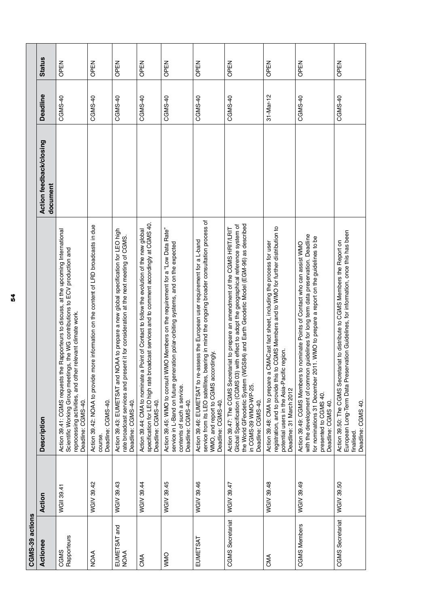| CGMS-39 actions             |            |                                                                                                                                                                                                                                                                                                                  |                                     |                 |               |
|-----------------------------|------------|------------------------------------------------------------------------------------------------------------------------------------------------------------------------------------------------------------------------------------------------------------------------------------------------------------------|-------------------------------------|-----------------|---------------|
| Actionee                    | Action     | <b>Description</b>                                                                                                                                                                                                                                                                                               | Action feedback/closing<br>document | <b>Deadline</b> | <b>Status</b> |
| Rapporteurs<br>CGMS         | WGII 39.41 | Rapporteurs to discuss, at the upcoming International<br>Scientific Working Group meetings, the WG contributions to ECV production and<br>relevant climate work.<br>Action 39.41: CGMS requests the<br>reprocessing activities, and other<br>Deadline: CGMS-40.                                                  |                                     | CGMS-40         | OPEN          |
| <b>NOAA</b>                 | WGIV 39.42 | Action 39.42: NOAA to provide more information on the content of LRD broadcasts in due<br>Deadline: CGMS-40.<br>course                                                                                                                                                                                           |                                     | CGMS-40         | OPEN          |
| EUMETSAT and<br><b>NOAA</b> | WGIV 39.43 | DAA to prepare a new global specification for LEO high<br>rate broadcast services and present it for consideration at the next meeting of CGMS.<br>Action 39.43: EUMETSAT and NC<br>Deadline: CGMS-40.                                                                                                           |                                     | CGMS-40         | OPEN          |
| CMA                         | WGIV 39.44 | specification for LEO high rate broadcast services and to comment accordingly at CGMS 40.<br>Point of Contact to follow the evolution of the new global<br>Action 39.44: CMA to nominate a<br>Deadline: CGMS-40.                                                                                                 |                                     | CGMS-40         | OPEN          |
| <b>ONMO</b>                 | WGIV 39.45 | Action 39.45: WMO to consult WMO Members on the requirement for a "Low Data Rate"<br>service in L-Band on future generation polar-orbiting systems, and on the expected<br>contents of such a service.<br>Deadline: CGMS-40.                                                                                     |                                     | CGMS-40         | OPEN          |
| EUMETSAT                    | WGIV 39.46 | service from its LEO satellites, bearing in mind the ongoing broader consultation process of<br>Action 39.46: EUMETSAT to re-assess the European user requirement for a L-band<br>WMO, and report to CGMS accordingly.<br>Deadline: CGMS-40.                                                                     |                                     | CGMS-40         | OPEN          |
| <b>CGMS</b> Secretariat     | WGIV 39.47 | the World GFeodetic System (WGS84) and Earth Geodetic Model (EGM-96) as described<br>Global Specification (CGMS 03) with effect to adopt the geographical reference system of<br>Action 39.47: The CGMS Secretariat to prepare an amendment of the CGMS HRIT/LRIT<br>in CGMS-39 WMO-WP-25.<br>Deadline: CGMS-40. |                                     | CGMS-40         | OPEN          |
| CMA                         | WGIV 39.48 | CGMS Members and to WMO for further distribution to<br>MACast fact sheet, including the process for user<br>potential users in the Asia-Pacific region.<br>Action 39.48: CMA to prepare a C<br>registration, and to provide this to<br>Deadline: 31 March 2012                                                   |                                     | 31-Mar-12       | OPEN          |
| <b>CGMS Members</b>         | WGIV 39.49 | guidelines for long term data preservation. Deadline<br>1. WMO to prepare a report on the guidelines to be<br>nominate Points of Contact who can assist WMO<br>Action 39.49: CGMS Members to<br>for nominations 31 December 201<br>with the development of common<br>presented to CGMS 40.<br>Deadline: CGMS 40. |                                     | CGMS-40         | OPEN          |
| <b>CGMS</b> Secretariat     | WGIV 39.50 | Action 39.50: The CGMS Secretariat to distribute to CGMS Members the Report on<br>European Long-Term Data Preservation Guidelines, for information, once this has been<br>Deadline: CGMS 40.<br>finalised.                                                                                                       |                                     | CGMS-40         | OPEN          |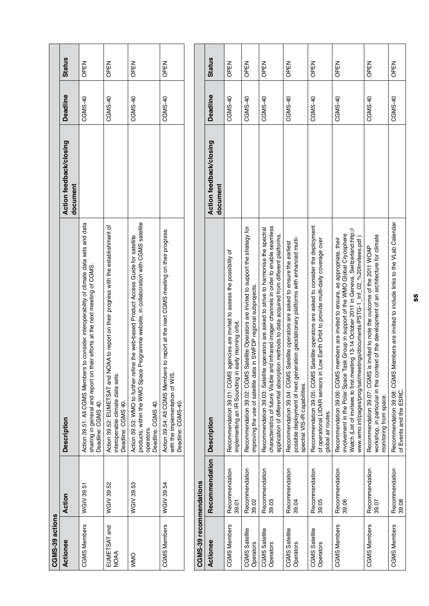| CGMS-39 actions             |                         |                                                                                                                                                                                                                                                                                                                                                    |                                     |                 |               |
|-----------------------------|-------------------------|----------------------------------------------------------------------------------------------------------------------------------------------------------------------------------------------------------------------------------------------------------------------------------------------------------------------------------------------------|-------------------------------------|-----------------|---------------|
| Actionee                    | Action                  | <b>Description</b>                                                                                                                                                                                                                                                                                                                                 | Action feedback/closing<br>document | <b>Deadline</b> | <b>Status</b> |
| <b>CGMS Members</b>         | WGIV 39.51              | Action 39.51: All CGMS Members to consider interoperability of climate data sets and data<br>eir efforts at the next meeting of CGMS.<br>sharing in general and report on th<br>Deadline: CGMS 40.                                                                                                                                                 |                                     | CGMS-40         | OPEN          |
| EUMETSAT and<br><b>NOAA</b> | WGIV 39.52              | AA to report on their progress with the establishment of<br>Action 39.52: EUMETSAT and NO.<br>interoperable climate data sets.<br>Deadline: CGMS 40.                                                                                                                                                                                               |                                     | CGMS-40         | OPEN          |
| <b>ONNO</b>                 | WGIV 39.53              | rogramme website, in collaboration with CGMS satellite<br>Action 39.53: WMO to further refine the web-based Product Access Guide for satellite<br>products, within the WMO Space P<br>Deadline: CGMS 40.<br>operators.                                                                                                                             |                                     | CGMS-40         | OPEN          |
| <b>CGMS Members</b>         | WGIV 39.54              | to report at the next CGMS meeting on their progress<br>Action 39.54: All CGMS Members<br>with the implementation of WIS.<br>Deadline: CGMS-40.                                                                                                                                                                                                    |                                     | CGMS-40         | <b>OPEN</b>   |
|                             |                         |                                                                                                                                                                                                                                                                                                                                                    |                                     |                 |               |
| CGMS-39 recommendations     |                         |                                                                                                                                                                                                                                                                                                                                                    |                                     |                 |               |
| Actionee                    | Recommendation          | <b>Description</b>                                                                                                                                                                                                                                                                                                                                 | Action feedback/closing<br>document | <b>Deadline</b> | <b>Status</b> |
| <b>CGMS Members</b>         | Recommendation<br>39.01 | Recommendation 39.01: CGMS agencies are invited to assess the possibility of<br>implementing an IR Sounding in early morning orbit.                                                                                                                                                                                                                |                                     | CGMS-40         | OPEN          |
| CGMS Satellite<br>Operators | Recommendation<br>39.02 | Recommendation 39.02: CGMS Satellite Operators are invited to support the strategy for<br>improving the use of satellite data in SWFDP regional subprojects.                                                                                                                                                                                       |                                     | CGMS-40         | OPEN          |
| CGMS Satellite<br>Operators | Recommendation<br>39.03 | characteristics of future Visible and Infrared imager channels in order to enable seamless<br>Recommendation 39.03: Satellite operators are asked to strive to harmonise the spectral<br>application of differential absorption methods to data acquired from different platforms.                                                                 |                                     | CGMS-40         | OPEN          |
| CGMS Satellite<br>Operators | Recommendation<br>39.04 | possible deployment of next generation geostationary platforms with enhanced multi-<br>Recommendation 39.04: CGMS Satellite operators are asked to ensure the earliest<br>spectral VIS-IR capabilities.                                                                                                                                            |                                     | CGMS-40         | OPEN          |
| CGMS Satellite<br>Operators | Recommendation<br>39.05 | Recommendation 39.05: CGMS Satellite operators are asked to consider the deployment<br>of operational LIDAR sensors in Low Earth Orbit to provide multi-daily coverage over<br>global air routes.                                                                                                                                                  |                                     | CGMS-40         | OPEN          |
| <b>CGMS Members</b>         | Recommendation<br>39.06 | Watch (List of invitees to first meeting 13-14 October 2011 in Geneva, Switzerland:http://<br>involvement in the Polar Space Task Group in support of the WMO Global Cryosphere<br>www.wmo.int/pages/prog/sat/meetings/documents/PSTG-1_Inf_02_%20Invitees.pdf)<br>Recommendation 39.06: CGMS members are invited to ensure, as appropriate, their |                                     | CGMS-40         | OPEN          |
| <b>CGMS Members</b>         | Recommendation<br>39.07 | workshop, in particular in the context of the development of an architecture for climate<br>Recommendation 39.07: CGMS is invited to note the outcome of the 2011 WOAP<br>monitoring from space.                                                                                                                                                   |                                     | CGMS-40         | OPEN          |
| <b>CGMS Members</b>         | Recommendation<br>39.08 | Recommendation 39.08: CGMS Members are invited to include links to the VLab Calendar<br>of Events and the ESRC.                                                                                                                                                                                                                                    |                                     | CGMS-40         | OPEN          |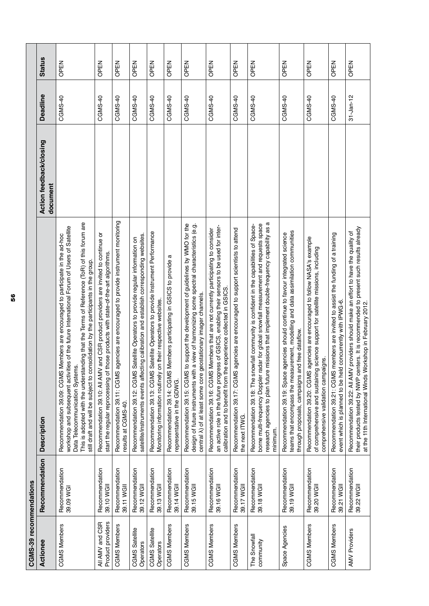| CGMS-39 recommendations              |                              |                                                                                                                                                                                                                                                                                                                                                                                                       |                                     |                 |               |
|--------------------------------------|------------------------------|-------------------------------------------------------------------------------------------------------------------------------------------------------------------------------------------------------------------------------------------------------------------------------------------------------------------------------------------------------------------------------------------------------|-------------------------------------|-----------------|---------------|
| Actionee                             | Recommendation               | <b>Description</b>                                                                                                                                                                                                                                                                                                                                                                                    | Action feedback/closing<br>document | Deadline        | <b>Status</b> |
| <b>CGMS Members</b>                  | Recommendation<br>39.09 WGI  | This is adopted with the understanding that the Terms of Reference (ToR) of this forum are<br>workshop and subsequent activities of the future International Forum of Users of Satellite<br>Members are encouraged to participate in the ad-hoc<br>still draft and will be subject to consolidation by the participants in the group.<br>Data Telecommunication Systems<br>Recommendation 39.09: CGMS |                                     | CGMS-40         | OPEN          |
| Product providers<br>All AMV and CSR | Recommendation<br>39.10 WGII | and CSR product providers are invited to continue or<br>start the regular reprocessing of those products with state-of-the-art algorithms.<br>Recommendation 39.10: All AMV                                                                                                                                                                                                                           |                                     | CGMS-40         | OPEN          |
| <b>CGMS Members</b>                  | Recommendation<br>39.11 WGII | Recommendation 39.11: CGMS agencies are encouraged to provide instrument monitoring<br>results at CGMS-40                                                                                                                                                                                                                                                                                             |                                     | CGMS-40         | OPEN          |
| CGMS Satellite<br>Operators          | Recommendation<br>39.12 WGII | satellite/instruments events affecting calibration and establish corresponding websites.<br>Recommendation 39.12: CGMS Satellite Operators to provide regular information on                                                                                                                                                                                                                          |                                     | CGMS-40         | OPEN          |
| CGMS Satellite<br>Operators          | Recommendation<br>39.13 WGII | Recommendation 39.13: CGMS Satellite Operators to provide Instrument Performance<br>Monitoring information routinely on their respective websites.                                                                                                                                                                                                                                                    |                                     | CGMS-40         | OPEN          |
| <b>CGMS Members</b>                  | Recommendation<br>39.14 WGII | œ<br>Members participating in GSICS to provide<br>Recommendation 39.14: CGMS<br>representative in the GDWG.                                                                                                                                                                                                                                                                                           |                                     | CGMS-40         | OPEN          |
| <b>CGMS Members</b>                  | Recommendation<br>39.15 WGII | to support the development of guidelines by WMO for the<br>a view of harmonizing some spectral characteristics (e.g.<br>central $\lambda$ ) of at least some core geostationary imager channels.<br>Recommendation 39.15: CGMS<br>design of future instruments with                                                                                                                                   |                                     | CGMS-40         | OPEN          |
| <b>CGMS Members</b>                  | Recommendation<br>39.16 WGII | an active role in the future progress of GSICS, enabling their sensors to be used for inter-<br>Members that are not currently participating to consider<br>experience collected in GSICS.<br>calibration and to benefit from the<br>Recommendation 39.16: CGMS                                                                                                                                       |                                     | CGMS-40         | OPEN          |
| CGMS Members                         | Recommendation<br>39.17 WGII | Recommendation 39.17: CGMS agencies are encouraged to support scientists to attend<br>the next ITWG.                                                                                                                                                                                                                                                                                                  |                                     | CGMS-40         | OPEN          |
| The Snowfall<br>community            | Recommendation<br>39.18 WGII | research agencies to plan future missions that implement double-frequency capability as a<br>borne multi-frequency Doppler radar for global snowfall measurement and requests space<br>Recommendation 39.18: The snowfall community is confident in the capabilities of Space-<br>minimum.                                                                                                            |                                     | CGMS-40         | OPEN          |
| Space Agencies                       | Recommendation<br>39.19 WGII | teams that encompass the measurement, modelling and data assimilation communities<br>Recommendation 39.19: Space agencies should continue to favour integrated science<br>through proposals, campaigns and free dataflow.                                                                                                                                                                             |                                     | CGMS-40         | OPEN          |
| <b>CGMS Members</b>                  | Recommendation<br>39.20 WGII | Recommendation 39.20: CGMS agencies are encouraged to follow NASA's example<br>of comprehensive and sustaining science support for satellite missions, including<br>comprehensive validation campaigns.                                                                                                                                                                                               |                                     | CGMS-40         | OPEN          |
| <b>CGMS Members</b>                  | Recommendation<br>39.21 WGII | members are invited to assist the funding of a training<br>event which is planned to be held concurrently with IPWG-6.<br>Recommendation 39.21: CGMS                                                                                                                                                                                                                                                  |                                     | CGMS-40         | OPEN          |
| <b>AMV Providers</b>                 | Recommendation<br>39.22 WGII | their products tested by NWP centers. It is recommended to present such results already<br>at the 11th International Winds Workshop in February 2012.<br>providers should make an effort to have the quality of<br>Recommendation 39.22: All AMV                                                                                                                                                      |                                     | $31 - Jan - 12$ | OPEN          |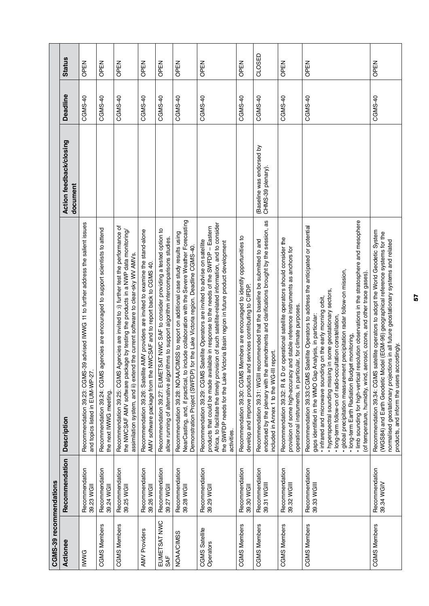| CGMS-39 recommendations     |                               |                                                                                                                                                                                                                                                                                                                                                                                                                                                                                                                                                                                                                                                          |                                                |          |               |
|-----------------------------|-------------------------------|----------------------------------------------------------------------------------------------------------------------------------------------------------------------------------------------------------------------------------------------------------------------------------------------------------------------------------------------------------------------------------------------------------------------------------------------------------------------------------------------------------------------------------------------------------------------------------------------------------------------------------------------------------|------------------------------------------------|----------|---------------|
| Actionee                    | Recommendation                | <b>Description</b>                                                                                                                                                                                                                                                                                                                                                                                                                                                                                                                                                                                                                                       | Action feedback/closing<br>document            | Deadline | <b>Status</b> |
| <b>IWWG</b>                 | Recommendation<br>39.23 WGII  | s9 advised IWWG 11 to further address the salient issues<br>Recommendation 39.23: CGMS-3<br>and topics listed in EUM-WP-27.                                                                                                                                                                                                                                                                                                                                                                                                                                                                                                                              |                                                | CGMS-40  | OPEN          |
| <b>CGMS Members</b>         | Recommendation<br>39.24 WGII  | Recommendation 39.24: CGMS agencies are encouraged to support scientists to attend<br>the next IWWG meeting                                                                                                                                                                                                                                                                                                                                                                                                                                                                                                                                              |                                                | CGMS-40  | OPEN          |
| <b>CGMS Members</b>         | Recommendation<br>39.25 WGII  | Recommendation 39.25: CGMS Agencies are invited to :i) further test the performance of<br>the NWCSAF AMV software package by testing the products in a NWP data monitoring/<br>assimilation system, and ii) extend the current software to clear-sky WV AMVs.                                                                                                                                                                                                                                                                                                                                                                                            |                                                | CGMS-40  | OPEN          |
| <b>AMV Providers</b>        | Recommendation<br>39.26 WGII  | AMV providers are invited to examine the stand-alone<br>VWCSAF and to report back to CGMS 40.<br>Recommendation 39.26: Satellite<br>AMV software package from the I                                                                                                                                                                                                                                                                                                                                                                                                                                                                                      |                                                | CGMS-40  | OPEN          |
| EUMETSAT NWC<br>SAF         | Recommendation<br>39.27 WGII  | SAT NWC SAF to consider providing a tested option to<br>allow running of alternative algorithms to support algorithm intercomparisons studies.<br>Recommendation 39.27: EUMET                                                                                                                                                                                                                                                                                                                                                                                                                                                                            |                                                | CGMS-40  | OPEN          |
| <b>NOAA/CIMSS</b>           | Recommendation<br>39.28 WGII  | NearCasting, and, if practical, to include collaboration with the Severe Weather Forecasting<br>Recommendation 39.28: NOAA/CIMSS to report on additional case study results using<br>for the Lake Victoria region. Deadline CGMS-40.<br>Demonstration Project (SWFDP)                                                                                                                                                                                                                                                                                                                                                                                    |                                                | CGMS-40  | OPEN          |
| CGMS Satellite<br>Operators | Recommendation<br>39.29 WGII  | Africa, to facilitate the timely provision of such satellite-related information, and to consider<br>products that could be made available in response to the needs of the SWFDP - Eastern<br>Recommendation 39.29: CGMS Satellite Operators are invited to advise on satellite<br>the SWFDP needs for the Lake Victoria Basin region in future product development<br>activities.                                                                                                                                                                                                                                                                       |                                                | CGMS-40  | OPEN          |
| <b>CGMS Members</b>         | Recommendation<br>39.30 WGII  | Recommendation 39.30: CGMS Members are encouraged to identify opportunities to<br>develop and improve products and services contributing to CIFDP.                                                                                                                                                                                                                                                                                                                                                                                                                                                                                                       |                                                | CGMS-40  | OPEN          |
| <b>CGMS Members</b>         | Recommendation<br>39.31 WGIII | amendments and clarifications brought by the session, as<br>Recommendation 39.31: WGIII recommended that the baseline be submitted to and<br>report.<br>included in Annex 1 to the WG-III<br>endorsed by the plenary with the                                                                                                                                                                                                                                                                                                                                                                                                                            | (Baseline was endorsed by<br>CHMS-39 plenary). | CGMS-40  | CLOSED        |
| <b>CGMS Members</b>         | Recommendation<br>39.32 WGIII | r operational satellite operators should consider the<br>provision of some high-accuracy and stable reference instruments as anchors for<br>operational instruments, in particular, for climate purposes.<br>Recommendation 39.32: R & D or                                                                                                                                                                                                                                                                                                                                                                                                              |                                                | CGMS-40  | OPEN          |
| <b>CGMS Members</b>         | Recommendation<br>39.33 WGIII | · limb sounding for high-vertical resolution observations in the stratosphere and mesophere<br>Recommendation 39.33:CGMS Satellite Operators to address the anticipated or potential<br>· global precipitation measurement precipitation radar follow-on mission,<br>(of temperature, humidity, wind, aerosol, ozone, and other trace gases).<br>· hyperspectral sounding missing in some geostationary sectors,<br>infrared and microwave sounding on the early morning orbit,<br>gaps identified in the WMO Gap Analysis, in particular<br>· long-term follow-on of radio-occultation constellation,<br>· long-term Earth Radiation Budget monitoring, |                                                | CGMS-40  | OPEN          |
| <b>CGMS Members</b>         | Recommendation<br>39.34 WGIV  | Recommendation 39.34: CGMS satellite operators to adopt the World Geodetic System<br>(WGS84) and Earth Geodetic Model (EGM-96) geographical reference systems for the<br>normalised geostationary projections in all future geostationary systems and related<br>products, and inform the users accordingly.                                                                                                                                                                                                                                                                                                                                             |                                                | CGMS-40  | OPEN          |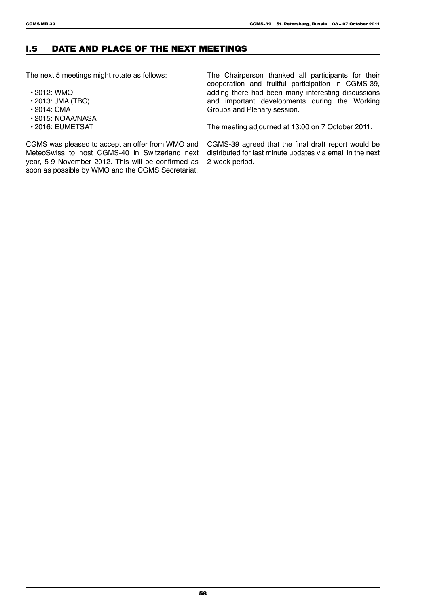# I.5 Date and Place of the next meetings

The next 5 meetings might rotate as follows:

- 2012: WMO
- 2013: JMA (TBC)
- 2014: CMA
- 2015: NOAA/NASA
- 2016: EUMETSAT

The Chairperson thanked all participants for their cooperation and fruitful participation in CGMS-39, adding there had been many interesting discussions and important developments during the Working Groups and Plenary session.

The meeting adjourned at 13:00 on 7 October 2011.

CGMS was pleased to accept an offer from WMO and MeteoSwiss to host CGMS-40 in Switzerland next year, 5-9 November 2012. This will be confirmed as soon as possible by WMO and the CGMS Secretariat.

CGMS-39 agreed that the final draft report would be distributed for last minute updates via email in the next 2-week period.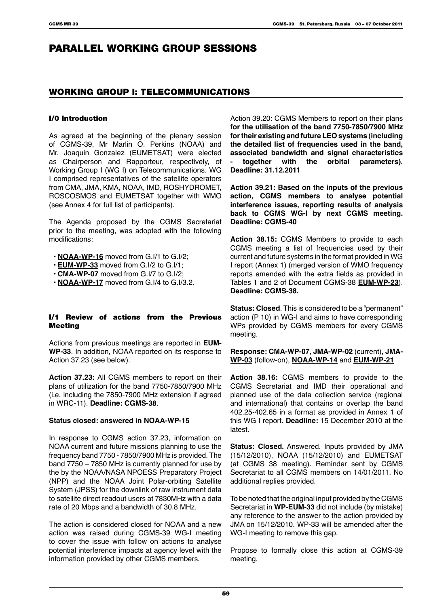# PARALLEL WORKING GROUP SESSIONS

# WORKING GROUP I: TELECOMMUNICATIONS

# I/0 Introduction

As agreed at the beginning of the plenary session of CGMS-39, Mr Marlin O. Perkins (NOAA) and Mr. Joaquin Gonzalez (EUMETSAT) were elected as Chairperson and Rapporteur, respectively, of Working Group I (WG I) on Telecommunications. WG I comprised representatives of the satellite operators from CMA, JMA, KMA, NOAA, IMD, ROSHYDROMET, ROSCOSMOS and EUMETSAT together with WMO (see Annex 4 for full list of participants).

The Agenda proposed by the CGMS Secretariat prior to the meeting, was adopted with the following modifications:

- **NOAA-WP-16** moved from G.I/1 to G.I/2;
- **EUM-WP-33** moved from G.I/2 to G.I/1;
- **CMA-WP-07** moved from G.I/7 to G.I/2;
- **NOAA-WP-17** moved from G.I/4 to G.I/3.2.

### I/1 Review of actions from the Previous **Meeting**

Actions from previous meetings are reported in **EUM-WP-33**. In addition, NOAA reported on its response to Action 37.23 (see below).

**Action 37.23:** All CGMS members to report on their plans of utilization for the band 7750-7850/7900 MHz (i.e. including the 7850-7900 MHz extension if agreed in WRC-11). **Deadline: CGMS-38**.

# **Status closed: answered in NOAA-WP-15**

In response to CGMS action 37.23, information on NOAA current and future missions planning to use the frequency band 7750 - 7850/7900 MHz is provided. The band 7750 – 7850 MHz is currently planned for use by the by the NOAA/NASA NPOESS Preparatory Project (NPP) and the NOAA Joint Polar-orbiting Satellite System (JPSS) for the downlink of raw instrument data to satellite direct readout users at 7830MHz with a data rate of 20 Mbps and a bandwidth of 30.8 MHz.

The action is considered closed for NOAA and a new action was raised during CGMS-39 WG-I meeting to cover the issue with follow on actions to analyse potential interference impacts at agency level with the information provided by other CGMS members.

Action 39.20: CGMS Members to report on their plans **for the utilisation of the band 7750-7850/7900 MHz for their existing and future LEO systems (including the detailed list of frequencies used in the band, associated bandwidth and signal characteristics - together with the orbital parameters). Deadline: 31.12.2011**

**Action 39.21: Based on the inputs of the previous action, CGMS members to analyse potential interference issues, reporting results of analysis back to CGMS WG-I by next CGMS meeting. Deadline: CGMS-40**

**Action 38.15:** CGMS Members to provide to each CGMS meeting a list of frequencies used by their current and future systems in the format provided in WG I report (Annex 1) (merged version of WMO frequency reports amended with the extra fields as provided in Tables 1 and 2 of Document CGMS-38 **EUM-WP-23**). **Deadline: CGMS-38.**

**Status: Closed**. This is considered to be a "permanent" action (P 10) in WG-I and aims to have corresponding WPs provided by CGMS members for every CGMS meeting.

**Response: CMA-WP-07**, **JMA-WP-02** (current), **JMA-WP-03** (follow-on), **NOAA-WP-14** and **EUM-WP-21**

**Action 38.16:** CGMS members to provide to the CGMS Secretariat and IMD their operational and planned use of the data collection service (regional and international) that contains or overlap the band 402.25-402.65 in a format as provided in Annex 1 of this WG I report. **Deadline:** 15 December 2010 at the latest.

**Status: Closed.** Answered. Inputs provided by JMA (15/12/2010), NOAA (15/12/2010) and EUMETSAT (at CGMS 38 meeting). Reminder sent by CGMS Secretariat to all CGMS members on 14/01/2011. No additional replies provided.

To be noted that the original input provided by the CGMS Secretariat in **WP-EUM-33** did not include (by mistake) any reference to the answer to the action provided by JMA on 15/12/2010. WP-33 will be amended after the WG-I meeting to remove this gap.

Propose to formally close this action at CGMS-39 meeting.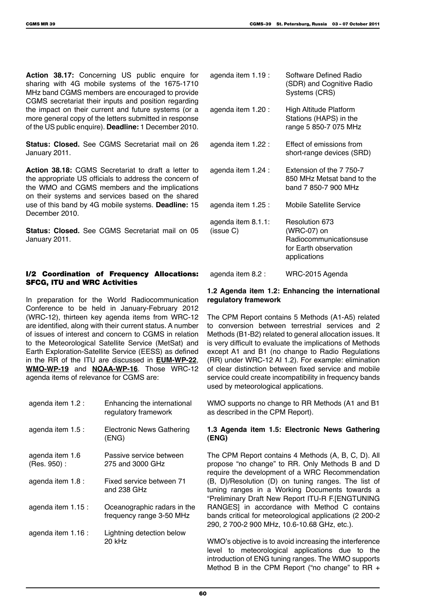**Action 38.17:** Concerning US public enquire for sharing with 4G mobile systems of the 1675-1710 MHz band CGMS members are encouraged to provide CGMS secretariat their inputs and position regarding the impact on their current and future systems (or a more general copy of the letters submitted in response of the US public enquire). **Deadline:** 1 December 2010.

**Status: Closed.** See CGMS Secretariat mail on 26 January 2011.

**Action 38.18:** CGMS Secretariat to draft a letter to the appropriate US officials to address the concern of the WMO and CGMS members and the implications on their systems and services based on the shared use of this band by 4G mobile systems. **Deadline:** 15 December 2010.

**Status: Closed.** See CGMS Secretariat mail on 05 January 2011.

# I/2 Coordination of Frequency Allocations: SFCG, ITU and WRC Activities

In preparation for the World Radiocommunication Conference to be held in January-February 2012 (WRC-12), thirteen key agenda items from WRC-12 are identified, along with their current status. A number of issues of interest and concern to CGMS in relation to the Meteorological Satellite Service (MetSat) and Earth Exploration-Satellite Service (EESS) as defined in the RR of the ITU are discussed in **EUM-WP-22**, **WMO-WP-19** and **NOAA-WP-16**. Those WRC-12 agenda items of relevance for CGMS are:

| agenda item 1.2 :              | Enhancing the international<br>regulatory framework     |
|--------------------------------|---------------------------------------------------------|
| agenda item 1.5 :              | Electronic News Gathering<br>(ENG)                      |
| agenda item 1.6<br>(Res. 950): | Passive service between<br>275 and 3000 GHz             |
| agenda item 1.8 :              | Fixed service between 71<br>and 238 GHz                 |
| agenda item 1.15 :             | Oceanographic radars in the<br>frequency range 3-50 MHz |
| agenda item 1.16 :             | Lightning detection below<br>20 kHz                     |
|                                |                                                         |

| agenda item 1.19 :              | Software Defined Radio<br>(SDR) and Cognitive Radio<br>Systems (CRS)                             |
|---------------------------------|--------------------------------------------------------------------------------------------------|
| agenda item 1.20 :              | <b>High Altitude Platform</b><br>Stations (HAPS) in the<br>range 5 850-7 075 MHz                 |
| agenda item 1.22 :              | Effect of emissions from<br>short-range devices (SRD)                                            |
| agenda item 1.24 :              | Extension of the 7 750-7<br>850 MHz Metsat band to the<br>band 7 850-7 900 MHz                   |
| agenda item 1.25 :              | <b>Mobile Satellite Service</b>                                                                  |
| agenda item 8.1.1:<br>(issue C) | Resolution 673<br>(WRC-07) on<br>Radiocommunicationsuse<br>for Earth observation<br>applications |

### agenda item 8.2 : WRC-2015 Agenda

## **1.2 Agenda item 1.2: Enhancing the international regulatory framework**

The CPM Report contains 5 Methods (A1-A5) related to conversion between terrestrial services and 2 Methods (B1-B2) related to general allocation issues. It is very difficult to evaluate the implications of Methods except A1 and B1 (no change to Radio Regulations (RR) under WRC-12 AI 1.2). For example: elimination of clear distinction between fixed service and mobile service could create incompatibility in frequency bands used by meteorological applications.

WMO supports no change to RR Methods (A1 and B1 as described in the CPM Report).

# **1.3 Agenda item 1.5: Electronic News Gathering (ENG)**

The CPM Report contains 4 Methods (A, B, C, D). All propose "no change" to RR. Only Methods B and D require the development of a WRC Recommendation (B, D)/Resolution (D) on tuning ranges. The list of tuning ranges in a Working Documents towards a "Preliminary Draft New Report ITU-R F.[ENGTUNING RANGES] in accordance with Method C contains bands critical for meteorological applications (2 200-2 290, 2 700-2 900 MHz, 10.6-10.68 GHz, etc.).

WMO's objective is to avoid increasing the interference level to meteorological applications due to the introduction of ENG tuning ranges. The WMO supports Method B in the CPM Report ("no change" to RR +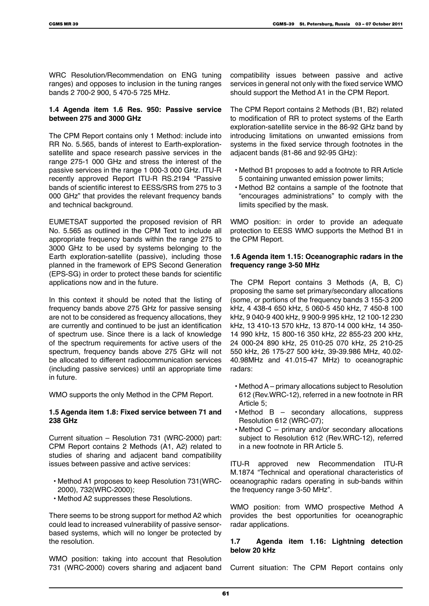WRC Resolution/Recommendation on ENG tuning ranges) and opposes to inclusion in the tuning ranges bands 2 700-2 900, 5 470-5 725 MHz.

#### **1.4 Agenda item 1.6 Res. 950: Passive service between 275 and 3000 GHz**

The CPM Report contains only 1 Method: include into RR No. 5.565, bands of interest to Earth-explorationsatellite and space research passive services in the range 275-1 000 GHz and stress the interest of the passive services in the range 1 000-3 000 GHz. ITU-R recently approved Report ITU-R RS.2194 "Passive bands of scientific interest to EESS/SRS from 275 to 3 000 GHz" that provides the relevant frequency bands and technical background.

EUMETSAT supported the proposed revision of RR No. 5.565 as outlined in the CPM Text to include all appropriate frequency bands within the range 275 to 3000 GHz to be used by systems belonging to the Earth exploration-satellite (passive), including those planned in the framework of EPS Second Generation (EPS-SG) in order to protect these bands for scientific applications now and in the future.

In this context it should be noted that the listing of frequency bands above 275 GHz for passive sensing are not to be considered as frequency allocations, they are currently and continued to be just an identification of spectrum use. Since there is a lack of knowledge of the spectrum requirements for active users of the spectrum, frequency bands above 275 GHz will not be allocated to different radiocommunication services (including passive services) until an appropriate time in future.

WMO supports the only Method in the CPM Report.

### **1.5 Agenda item 1.8: Fixed service between 71 and 238 GHz**

Current situation – Resolution 731 (WRC-2000) part: CPM Report contains 2 Methods (A1, A2) related to studies of sharing and adjacent band compatibility issues between passive and active services:

- Method A1 proposes to keep Resolution 731(WRC-2000), 732(WRC-2000);
- Method A2 suppresses these Resolutions.

There seems to be strong support for method A2 which could lead to increased vulnerability of passive sensorbased systems, which will no longer be protected by the resolution.

WMO position: taking into account that Resolution 731 (WRC-2000) covers sharing and adjacent band compatibility issues between passive and active services in general not only with the fixed service WMO should support the Method A1 in the CPM Report.

The CPM Report contains 2 Methods (B1, B2) related to modification of RR to protect systems of the Earth exploration-satellite service in the 86-92 GHz band by introducing limitations on unwanted emissions from systems in the fixed service through footnotes in the adjacent bands (81-86 and 92-95 GHz):

- Method B1 proposes to add a footnote to RR Article 5 containing unwanted emission power limits;
- Method B2 contains a sample of the footnote that "encourages administrations" to comply with the limits specified by the mask.

WMO position: in order to provide an adequate protection to EESS WMO supports the Method B1 in the CPM Report.

## **1.6 Agenda item 1.15: Oceanographic radars in the frequency range 3-50 MHz**

The CPM Report contains 3 Methods (A, B, C) proposing the same set primary/secondary allocations (some, or portions of the frequency bands 3 155-3 200 kHz, 4 438-4 650 kHz, 5 060-5 450 kHz, 7 450-8 100 kHz, 9 040-9 400 kHz, 9 900-9 995 kHz, 12 100-12 230 kHz, 13 410-13 570 kHz, 13 870-14 000 kHz, 14 350- 14 990 kHz, 15 800-16 350 kHz, 22 855-23 200 kHz, 24 000-24 890 kHz, 25 010-25 070 kHz, 25 210-25 550 kHz, 26 175-27 500 kHz, 39-39.986 MHz, 40.02- 40.98MHz and 41.015-47 MHz) to oceanographic radars:

- Method A primary allocations subject to Resolution 612 (Rev.WRC-12), referred in a new footnote in RR Article 5;
- Method B secondary allocations, suppress Resolution 612 (WRC-07);
- Method C primary and/or secondary allocations subject to Resolution 612 (Rev.WRC-12), referred in a new footnote in RR Article 5.

ITU-R approved new Recommendation ITU-R M.1874 "Technical and operational characteristics of oceanographic radars operating in sub-bands within the frequency range 3-50 MHz".

WMO position: from WMO prospective Method A provides the best opportunities for oceanographic radar applications.

# **1.7 Agenda item 1.16: Lightning detection below 20 kHz**

Current situation: The CPM Report contains only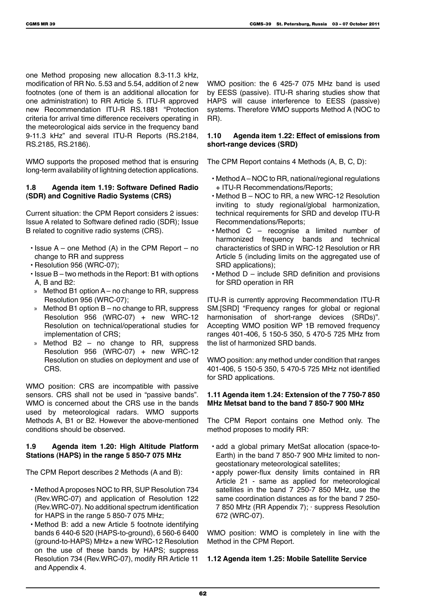one Method proposing new allocation 8.3-11.3 kHz, modification of RR No. 5.53 and 5.54, addition of 2 new footnotes (one of them is an additional allocation for one administration) to RR Article 5. ITU-R approved new Recommendation ITU-R RS.1881 "Protection criteria for arrival time difference receivers operating in the meteorological aids service in the frequency band 9-11.3 kHz" and several ITU-R Reports (RS.2184, RS.2185, RS.2186).

WMO supports the proposed method that is ensuring long-term availability of lightning detection applications.

## **1.8 Agenda item 1.19: Software Defined Radio (SDR) and Cognitive Radio Systems (CRS)**

Current situation: the CPM Report considers 2 issues: Issue A related to Software defined radio (SDR); Issue B related to cognitive radio systems (CRS).

- $\cdot$  Issue A one Method (A) in the CPM Report no change to RR and suppress
- Resolution 956 (WRC-07);
- Issue B two methods in the Report: B1 with options A, B and B2:
- » Method B1 option A no change to RR, suppress Resolution 956 (WRC-07);
- Method B1 option  $B no$  change to RR, suppress Resolution 956 (WRC-07) + new WRC-12 Resolution on technical/operational studies for implementation of CRS;
- Method  $B2 no$  change to RR, suppress Resolution 956 (WRC-07) + new WRC-12 Resolution on studies on deployment and use of CRS.

WMO position: CRS are incompatible with passive sensors. CRS shall not be used in "passive bands". WMO is concerned about the CRS use in the bands used by meteorological radars. WMO supports Methods A, B1 or B2. However the above-mentioned conditions should be observed.

# **1.9 Agenda item 1.20: High Altitude Platform Stations (HAPS) in the range 5 850-7 075 MHz**

The CPM Report describes 2 Methods (A and B):

- Method A proposes NOC to RR, SUP Resolution 734 (Rev.WRC-07) and application of Resolution 122 (Rev.WRC-07). No additional spectrum identification for HAPS in the range 5 850-7 075 MHz;
- Method B: add a new Article 5 footnote identifying bands 6 440-6 520 (HAPS-to-ground), 6 560-6 6400 (ground-to-HAPS) MHz+ a new WRC-12 Resolution on the use of these bands by HAPS; suppress Resolution 734 (Rev.WRC-07), modify RR Article 11 and Appendix 4.

WMO position: the 6 425-7 075 MHz band is used by EESS (passive). ITU-R sharing studies show that HAPS will cause interference to EESS (passive) systems. Therefore WMO supports Method A (NOC to RR).

## **1.10 Agenda item 1.22: Effect of emissions from short-range devices (SRD)**

The CPM Report contains 4 Methods (A, B, C, D):

- Method A NOC to RR, national/regional regulations + ITU-R Recommendations/Reports;
- Method B NOC to RR, a new WRC-12 Resolution inviting to study regional/global harmonization, technical requirements for SRD and develop ITU-R Recommendations/Reports;
- Method C recognise a limited number of harmonized frequency bands and technical characteristics of SRD in WRC-12 Resolution or RR Article 5 (including limits on the aggregated use of SRD applications);
- Method D include SRD definition and provisions for SRD operation in RR

ITU-R is currently approving Recommendation ITU-R SM.[SRD] "Frequency ranges for global or regional harmonisation of short-range devices (SRDs)". Accepting WMO position WP 1B removed frequency ranges 401-406, 5 150-5 350, 5 470-5 725 MHz from the list of harmonized SRD bands.

WMO position: any method under condition that ranges 401-406, 5 150-5 350, 5 470-5 725 MHz not identified for SRD applications.

# **1.11 Agenda item 1.24: Extension of the 7 750-7 850 MHz Metsat band to the band 7 850-7 900 MHz**

The CPM Report contains one Method only. The method proposes to modify RR:

- add a global primary MetSat allocation (space-to-Earth) in the band 7 850-7 900 MHz limited to nongeostationary meteorological satellites;
- apply power-flux density limits contained in RR Article 21 - same as applied for meteorological satellites in the band 7 250-7 850 MHz, use the same coordination distances as for the band 7 250- 7 850 MHz (RR Appendix 7); · suppress Resolution 672 (WRC-07).

WMO position: WMO is completely in line with the Method in the CPM Report.

**1.12 Agenda item 1.25: Mobile Satellite Service**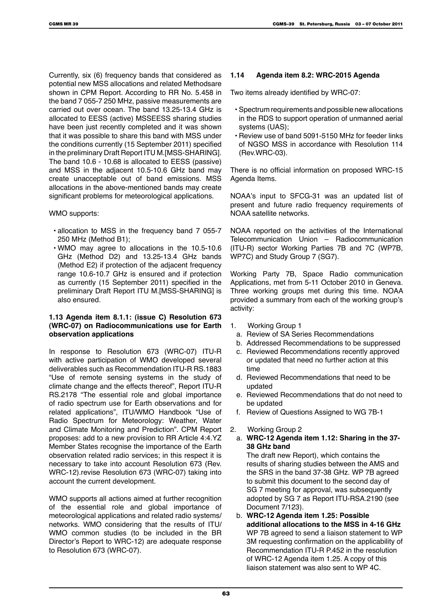Currently, six (6) frequency bands that considered as potential new MSS allocations and related Methodsare shown in CPM Report. According to RR No. 5.458 in the band 7 055-7 250 MHz, passive measurements are carried out over ocean. The band 13.25-13.4 GHz is allocated to EESS (active) MSSEESS sharing studies have been just recently completed and it was shown that it was possible to share this band with MSS under the conditions currently (15 September 2011) specified in the preliminary Draft Report ITU M.[MSS-SHARING]. The band 10.6 - 10.68 is allocated to EESS (passive) and MSS in the adjacent 10.5-10.6 GHz band may create unacceptable out of band emissions. MSS allocations in the above-mentioned bands may create significant problems for meteorological applications.

#### WMO supports:

- allocation to MSS in the frequency band 7 055-7 250 MHz (Method B1);
- WMO may agree to allocations in the 10.5-10.6 GHz (Method D2) and 13.25-13.4 GHz bands (Method E2) if protection of the adjacent frequency range 10.6-10.7 GHz is ensured and if protection as currently (15 September 2011) specified in the preliminary Draft Report ITU M.[MSS-SHARING] is also ensured.

#### **1.13 Agenda item 8.1.1: (issue C) Resolution 673 (WRC-07) on Radiocommunications use for Earth observation applications**

In response to Resolution 673 (WRC-07) ITU-R with active participation of WMO developed several deliverables such as Recommendation ITU-R RS.1883 "Use of remote sensing systems in the study of climate change and the effects thereof", Report ITU-R RS.2178 "The essential role and global importance of radio spectrum use for Earth observations and for related applications", ITU/WMO Handbook "Use of Radio Spectrum for Meteorology: Weather, Water and Climate Monitoring and Prediction". CPM Report proposes: add to a new provision to RR Article 4:4.YZ Member States recognise the importance of the Earth observation related radio services; in this respect it is necessary to take into account Resolution 673 (Rev. WRC-12).revise Resolution 673 (WRC-07) taking into account the current development.

WMO supports all actions aimed at further recognition of the essential role and global importance of meteorological applications and related radio systems/ networks. WMO considering that the results of ITU/ WMO common studies (to be included in the BR Director's Report to WRC-12) are adequate response to Resolution 673 (WRC-07).

#### **1.14 Agenda item 8.2: WRC-2015 Agenda**

Two items already identified by WRC-07:

- Spectrum requirements and possible new allocations in the RDS to support operation of unmanned aerial systems (UAS);
- Review use of band 5091-5150 MHz for feeder links of NGSO MSS in accordance with Resolution 114 (Rev.WRC-03).

There is no official information on proposed WRC-15 Agenda Items.

NOAA's input to SFCG-31 was an updated list of present and future radio frequency requirements of NOAA satellite networks.

NOAA reported on the activities of the International Telecommunication Union – Radiocommunication (ITU-R) sector Working Parties 7B and 7C (WP7B, WP7C) and Study Group 7 (SG7).

Working Party 7B, Space Radio communication Applications, met from 5-11 October 2010 in Geneva. Three working groups met during this time. NOAA provided a summary from each of the working group's activity:

- 1. Working Group 1
	- a. Review of SA Series Recommendations
	- b. Addressed Recommendations to be suppressed
	- c. Reviewed Recommendations recently approved or updated that need no further action at this time
	- d. Reviewed Recommendations that need to be updated
	- e. Reviewed Recommendations that do not need to be updated
	- f. Review of Questions Assigned to WG 7B-1
- 2. Working Group 2
- a. **WRC-12 Agenda item 1.12: Sharing in the 37- 38 GHz band**

The draft new Report), which contains the results of sharing studies between the AMS and the SRS in the band 37-38 GHz. WP 7B agreed to submit this document to the second day of SG 7 meeting for approval, was subsequently adopted by SG 7 as Report ITU-RSA.2190 (see Document 7/123).

b. **WRC-12 Agenda item 1.25: Possible additional allocations to the MSS in 4-16 GHz** WP 7B agreed to send a liaison statement to WP 3M requesting confirmation on the applicability of Recommendation ITU-R P.452 in the resolution of WRC-12 Agenda item 1.25. A copy of this liaison statement was also sent to WP 4C.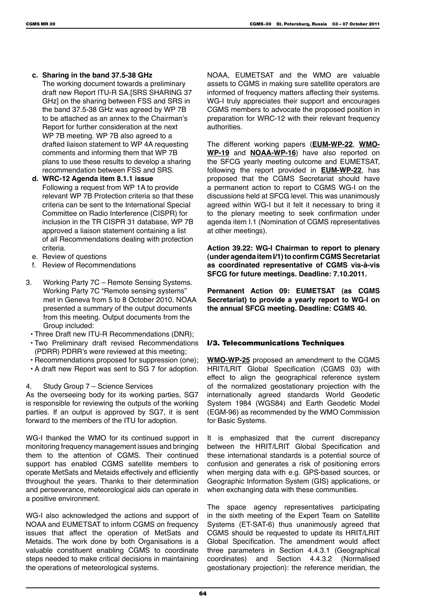- **c. Sharing in the band 37.5-38 GHz**
	- The working document towards a preliminary draft new Report ITU-R SA.[SRS SHARING 37 GHz] on the sharing between FSS and SRS in the band 37.5-38 GHz was agreed by WP 7B to be attached as an annex to the Chairman's Report for further consideration at the next WP 7B meeting. WP 7B also agreed to a drafted liaison statement to WP 4A requesting comments and informing them that WP 7B plans to use these results to develop a sharing recommendation between FSS and SRS.
- **d. WRC-12 Agenda item 8.1.1 issue** Following a request from WP 1A to provide relevant WP 7B Protection criteria so that these criteria can be sent to the International Special Committee on Radio Interference (CISPR) for inclusion in the TR CISPR 31 database, WP 7B approved a liaison statement containing a list of all Recommendations dealing with protection criteria.
- e. Review of questions
- f. Review of Recommendations
- 3. Working Party 7C Remote Sensing Systems. Working Party 7C "Remote sensing systems" met in Geneva from 5 to 8 October 2010. NOAA presented a summary of the output documents from this meeting. Output documents from the Group included:
	- Three Draft new ITU-R Recommendations (DNR);
	- Two Preliminary draft revised Recommendations (PDRR) PDRR's were reviewed at this meeting;
	- Recommendations proposed for suppression (one);
- A draft new Report was sent to SG 7 for adoption.

#### 4. Study Group 7 – Science Services

As the overseeing body for its working parties, SG7 is responsible for reviewing the outputs of the working parties. If an output is approved by SG7, it is sent forward to the members of the ITU for adoption.

WG-I thanked the WMO for its continued support in monitoring frequency management issues and bringing them to the attention of CGMS. Their continued support has enabled CGMS satellite members to operate MetSats and Metaids effectively and efficiently throughout the years. Thanks to their determination and perseverance, meteorological aids can operate in a positive environment.

WG-I also acknowledged the actions and support of NOAA and EUMETSAT to inform CGMS on frequency issues that affect the operation of MetSats and Metaids. The work done by both Organisations is a valuable constituent enabling CGMS to coordinate steps needed to make critical decisions in maintaining the operations of meteorological systems.

NOAA, EUMETSAT and the WMO are valuable assets to CGMS in making sure satellite operators are informed of frequency matters affecting their systems. WG-I truly appreciates their support and encourages CGMS members to advocate the proposed position in preparation for WRC-12 with their relevant frequency authorities.

The different working papers (**EUM-WP-22**, **WMO-WP-19** and **NOAA-WP-16**) have also reported on the SFCG yearly meeting outcome and EUMETSAT, following the report provided in **EUM-WP-22**, has proposed that the CGMS Secretariat should have a permanent action to report to CGMS WG-I on the discussions held at SFCG level. This was unanimously agreed within WG-I but it felt it necessary to bring it to the plenary meeting to seek confirmation under agenda item I.1 (Nomination of CGMS representatives at other meetings).

**Action 39.22: WG-I Chairman to report to plenary (under agenda item I/1) to confirm CGMS Secretariat as coordinated representative of CGMS vis-à-vis SFCG for future meetings. Deadline: 7.10.2011.**

**Permanent Action 09: EUMETSAT (as CGMS Secretariat) to provide a yearly report to WG-I on the annual SFCG meeting. Deadline: CGMS 40.**

# I/3. Telecommunications Techniques

**WMO-WP-25** proposed an amendment to the CGMS HRIT/LRIT Global Specification (CGMS 03) with effect to align the geographical reference system of the normalized geostationary projection with the internationally agreed standards World Geodetic System 1984 (WGS84) and Earth Geodetic Model (EGM-96) as recommended by the WMO Commission for Basic Systems.

It is emphasized that the current discrepancy between the HRIT/LRIT Global Specification and these international standards is a potential source of confusion and generates a risk of positioning errors when merging data with e.g. GPS-based sources, or Geographic Information System (GIS) applications, or when exchanging data with these communities.

The space agency representatives participating in the sixth meeting of the Expert Team on Satellite Systems (ET-SAT-6) thus unanimously agreed that CGMS should be requested to update its HRIT/LRIT Global Specification. The amendment would affect three parameters in Section 4.4.3.1 (Geographical coordinates) and Section 4.4.3.2 (Normalised geostationary projection): the reference meridian, the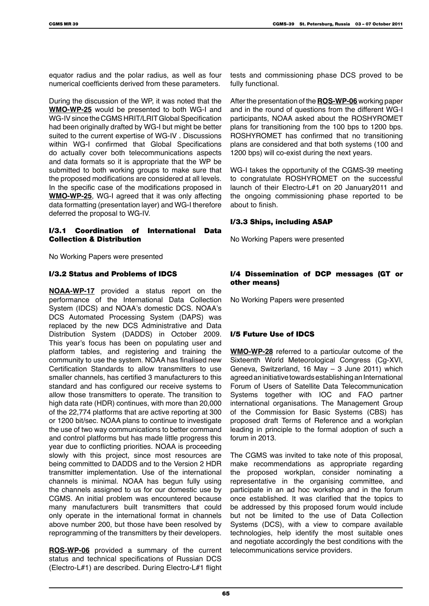equator radius and the polar radius, as well as four numerical coefficients derived from these parameters.

During the discussion of the WP, it was noted that the **WMO-WP-25** would be presented to both WG-I and WG-IV since the CGMS HRIT/LRIT Global Specification had been originally drafted by WG-I but might be better suited to the current expertise of WG-IV . Discussions within WG-I confirmed that Global Specifications do actually cover both telecommunications aspects and data formats so it is appropriate that the WP be submitted to both working groups to make sure that the proposed modifications are considered at all levels. In the specific case of the modifications proposed in **WMO-WP-25**, WG-I agreed that it was only affecting data formatting (presentation layer) and WG-I therefore deferred the proposal to WG-IV.

#### I/3.1 Coordination of International Data Collection & Distribution

No Working Papers were presented

## I/3.2 Status and Problems of IDCS

**NOAA-WP-17** provided a status report on the performance of the International Data Collection System (IDCS) and NOAA's domestic DCS. NOAA's DCS Automated Processing System (DAPS) was replaced by the new DCS Administrative and Data Distribution System (DADDS) in October 2009. This year's focus has been on populating user and platform tables, and registering and training the community to use the system. NOAA has finalised new Certification Standards to allow transmitters to use smaller channels, has certified 3 manufacturers to this standard and has configured our receive systems to allow those transmitters to operate. The transition to high data rate (HDR) continues, with more than 20,000 of the 22,774 platforms that are active reporting at 300 or 1200 bit/sec. NOAA plans to continue to investigate the use of two way communications to better command and control platforms but has made little progress this year due to conflicting priorities. NOAA is proceeding slowly with this project, since most resources are being committed to DADDS and to the Version 2 HDR transmitter implementation. Use of the international channels is minimal. NOAA has begun fully using the channels assigned to us for our domestic use by CGMS. An initial problem was encountered because many manufacturers built transmitters that could only operate in the international format in channels above number 200, but those have been resolved by reprogramming of the transmitters by their developers.

**ROS-WP-06** provided a summary of the current status and technical specifications of Russian DCS (Electro-L#1) are described. During Electro-L#1 flight

tests and commissioning phase DCS proved to be fully functional.

After the presentation of the **ROS-WP-06** working paper and in the round of questions from the different WG-I participants, NOAA asked about the ROSHYROMET plans for transitioning from the 100 bps to 1200 bps. ROSHYROMET has confirmed that no transitioning plans are considered and that both systems (100 and 1200 bps) will co-exist during the next years.

WG-I takes the opportunity of the CGMS-39 meeting to congratulate ROSHYROMET on the successful launch of their Electro-L#1 on 20 January2011 and the ongoing commissioning phase reported to be about to finish.

### I/3.3 Ships, including ASAP

No Working Papers were presented

## I/4 Dissemination of DCP messages (GT or other means)

No Working Papers were presented

# I/5 Future Use of IDCS

**WMO-WP-28** referred to a particular outcome of the Sixteenth World Meteorological Congress (Cg-XVI, Geneva, Switzerland, 16 May – 3 June 2011) which agreed an initiative towards establishing an International Forum of Users of Satellite Data Telecommunication Systems together with IOC and FAO partner international organisations. The Management Group of the Commission for Basic Systems (CBS) has proposed draft Terms of Reference and a workplan leading in principle to the formal adoption of such a forum in 2013.

The CGMS was invited to take note of this proposal, make recommendations as appropriate regarding the proposed workplan, consider nominating a representative in the organising committee, and participate in an ad hoc workshop and in the forum once established. It was clarified that the topics to be addressed by this proposed forum would include but not be limited to the use of Data Collection Systems (DCS), with a view to compare available technologies, help identify the most suitable ones and negotiate accordingly the best conditions with the telecommunications service providers.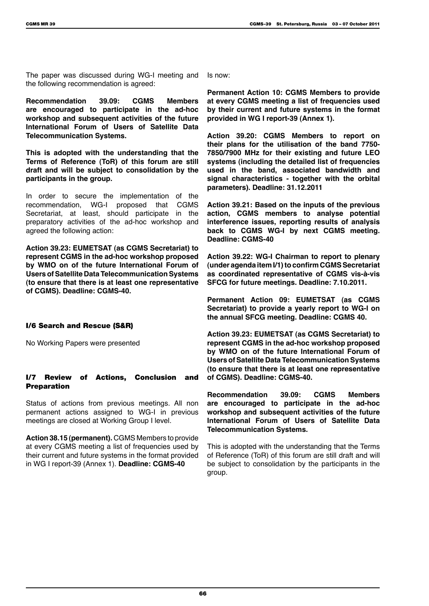The paper was discussed during WG-I meeting and the following recommendation is agreed:

**Recommendation 39.09: CGMS Members are encouraged to participate in the ad-hoc workshop and subsequent activities of the future International Forum of Users of Satellite Data Telecommunication Systems.**

**This is adopted with the understanding that the Terms of Reference (ToR) of this forum are still draft and will be subject to consolidation by the participants in the group.**

In order to secure the implementation of the recommendation, WG-I proposed that CGMS Secretariat, at least, should participate in the preparatory activities of the ad-hoc workshop and agreed the following action:

**Action 39.23: EUMETSAT (as CGMS Secretariat) to represent CGMS in the ad-hoc workshop proposed by WMO on of the future International Forum of Users of Satellite Data Telecommunication Systems (to ensure that there is at least one representative of CGMS). Deadline: CGMS-40.**

#### I/6 Search and Rescue (S&R)

No Working Papers were presented

#### I/7 Review of Actions, Conclusion and Preparation

Status of actions from previous meetings. All non permanent actions assigned to WG-I in previous meetings are closed at Working Group I level.

**Action 38.15 (permanent).** CGMS Members to provide at every CGMS meeting a list of frequencies used by their current and future systems in the format provided in WG I report-39 (Annex 1). **Deadline: CGMS-40**

Is now:

**Permanent Action 10: CGMS Members to provide at every CGMS meeting a list of frequencies used by their current and future systems in the format provided in WG I report-39 (Annex 1).**

**Action 39.20: CGMS Members to report on their plans for the utilisation of the band 7750- 7850/7900 MHz for their existing and future LEO systems (including the detailed list of frequencies used in the band, associated bandwidth and signal characteristics - together with the orbital parameters). Deadline: 31.12.2011**

**Action 39.21: Based on the inputs of the previous action, CGMS members to analyse potential interference issues, reporting results of analysis back to CGMS WG-I by next CGMS meeting. Deadline: CGMS-40**

**Action 39.22: WG-I Chairman to report to plenary (under agenda item I/1) to confirm CGMS Secretariat as coordinated representative of CGMS vis-à-vis SFCG for future meetings. Deadline: 7.10.2011.**

**Permanent Action 09: EUMETSAT (as CGMS Secretariat) to provide a yearly report to WG-I on the annual SFCG meeting. Deadline: CGMS 40.**

**Action 39.23: EUMETSAT (as CGMS Secretariat) to represent CGMS in the ad-hoc workshop proposed by WMO on of the future International Forum of Users of Satellite Data Telecommunication Systems (to ensure that there is at least one representative of CGMS). Deadline: CGMS-40.**

**Recommendation 39.09: CGMS Members are encouraged to participate in the ad-hoc workshop and subsequent activities of the future International Forum of Users of Satellite Data Telecommunication Systems.**

This is adopted with the understanding that the Terms of Reference (ToR) of this forum are still draft and will be subject to consolidation by the participants in the group.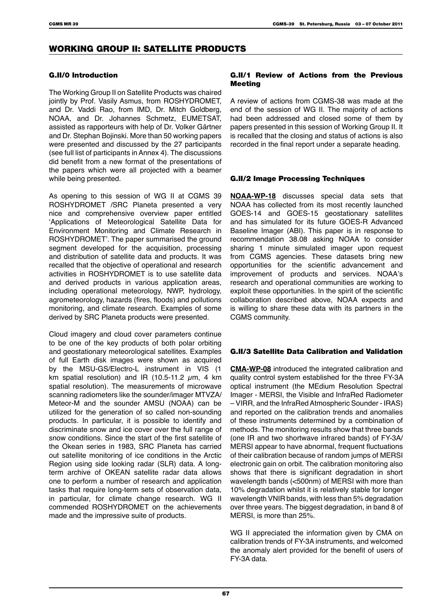# WORKING GROUP II: SATELLITE PRODUCTS

#### G.II/0 Introduction

The Working Group II on Satellite Products was chaired jointly by Prof. Vasily Asmus, from ROSHYDROMET, and Dr. Vaddi Rao, from IMD, Dr. Mitch Goldberg, NOAA, and Dr. Johannes Schmetz, EUMETSAT, assisted as rapporteurs with help of Dr. Volker Gärtner and Dr. Stephan Bojinski. More than 50 working papers were presented and discussed by the 27 participants (see full list of participants in Annex 4). The discussions did benefit from a new format of the presentations of the papers which were all projected with a beamer while being presented.

As opening to this session of WG II at CGMS 39 ROSHYDROMET /SRC Planeta presented a very nice and comprehensive overview paper entitled 'Applications of Meteorological Satellite Data for Environment Monitoring and Climate Research in ROSHYDROMET'. The paper summarised the ground segment developed for the acquisition, processing and distribution of satellite data and products. It was recalled that the objective of operational and research activities in ROSHYDROMET is to use satellite data and derived products in various application areas, including operational meteorology, NWP, hydrology, agrometeorology, hazards (fires, floods) and pollutions monitoring, and climate research. Examples of some derived by SRC Planeta products were presented.

Cloud imagery and cloud cover parameters continue to be one of the key products of both polar orbiting and geostationary meteorological satellites. Examples of full Earth disk images were shown as acquired by the MSU-GS/Electro-L instrument in VIS (1 km spatial resolution) and IR (10.5-11.2  $\mu$ m, 4 km spatial resolution). The measurements of microwave scanning radiometers like the sounder/imager MTVZA/ Meteor-M and the sounder AMSU (NOAA) can be utilized for the generation of so called non-sounding products. In particular, it is possible to identify and discriminate snow and ice cover over the full range of snow conditions. Since the start of the first satellite of the Okean series in 1983, SRC Planeta has carried out satellite monitoring of ice conditions in the Arctic Region using side looking radar (SLR) data. A longterm archive of OKEAN satellite radar data allows one to perform a number of research and application tasks that require long-term sets of observation data, in particular, for climate change research. WG II commended ROSHYDROMET on the achievements made and the impressive suite of products.

#### G.II/1 Review of Actions from the Previous Meeting

A review of actions from CGMS-38 was made at the end of the session of WG II. The majority of actions had been addressed and closed some of them by papers presented in this session of Working Group II. It is recalled that the closing and status of actions is also recorded in the final report under a separate heading.

### G.II/2 Image Processing Techniques

**NOAA-WP-18** discusses special data sets that NOAA has collected from its most recently launched GOES-14 and GOES-15 geostationary satellites and has simulated for its future GOES-R Advanced Baseline Imager (ABI). This paper is in response to recommendation 38.08 asking NOAA to consider sharing 1 minute simulated imager upon request from CGMS agencies. These datasets bring new opportunities for the scientific advancement and improvement of products and services. NOAA's research and operational communities are working to exploit these opportunities. In the spirit of the scientific collaboration described above, NOAA expects and is willing to share these data with its partners in the CGMS community.

# G.II/3 Satellite Data Calibration and Validation

**CMA-WP-08** introduced the integrated calibration and quality control system established for the three FY-3A optical instrument (the MEdium Resolution Spectral Imager - MERSI, the Visible and InfraRed Radiometer – VIRR, and the InfraRed Atmospheric Sounder - IRAS) and reported on the calibration trends and anomalies of these instruments determined by a combination of methods. The monitoring results show that three bands (one IR and two shortwave infrared bands) of FY-3A/ MERSI appear to have abnormal, frequent fluctuations of their calibration because of random jumps of MERSI electronic gain on orbit. The calibration monitoring also shows that there is significant degradation in short wavelength bands (<500nm) of MERSI with more than 10% degradation whilst it is relatively stable for longer wavelength VNIR bands, with less than 5% degradation over three years. The biggest degradation, in band 8 of MERSI, is more than 25%.

WG II appreciated the information given by CMA on calibration trends of FY-3A instruments, and welcomed the anomaly alert provided for the benefit of users of FY-3A data.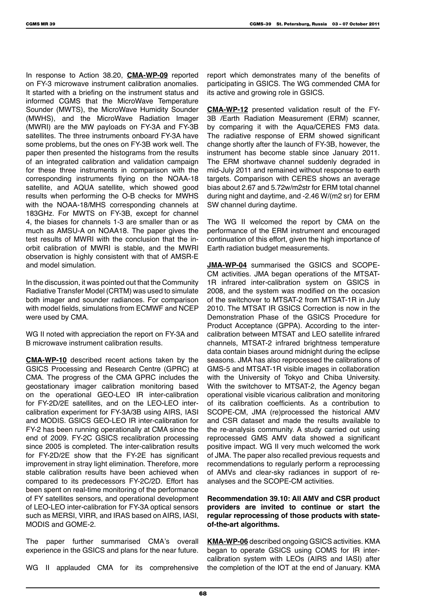In response to Action 38.20, **CMA-WP-09** reported on FY-3 microwave instrument calibration anomalies. It started with a briefing on the instrument status and informed CGMS that the MicroWave Temperature Sounder (MWTS), the MicroWave Humidity Sounder (MWHS), and the MicroWave Radiation Imager (MWRI) are the MW payloads on FY-3A and FY-3B satellites. The three instruments onboard FY-3A have some problems, but the ones on FY-3B work well. The paper then presented the histograms from the results of an integrated calibration and validation campaign for these three instruments in comparison with the corresponding instruments flying on the NOAA-18 satellite, and AQUA satellite, which showed good results when performing the O-B checks for MWHS with the NOAA-18/MHS corresponding channels at 183GHz. For MWTS on FY-3B, except for channel 4, the biases for channels 1-3 are smaller than or as much as AMSU-A on NOAA18. The paper gives the test results of MWRI with the conclusion that the inorbit calibration of MWRI is stable, and the MWRI observation is highly consistent with that of AMSR-E and model simulation.

In the discussion, it was pointed out that the Community Radiative Transfer Model (CRTM) was used to simulate both imager and sounder radiances. For comparison with model fields, simulations from ECMWF and NCEP were used by CMA.

WG II noted with appreciation the report on FY-3A and B microwave instrument calibration results.

**CMA-WP-10** described recent actions taken by the GSICS Processing and Research Centre (GPRC) at CMA. The progress of the CMA GPRC includes the geostationary imager calibration monitoring based on the operational GEO-LEO IR inter-calibration for FY-2D/2E satellites, and on the LEO-LEO intercalibration experiment for FY-3A/3B using AIRS, IASI and MODIS. GSICS GEO-LEO IR inter-calibration for FY-2 has been running operationally at CMA since the end of 2009. FY-2C GSICS recalibration processing since 2005 is completed. The inter-calibration results for FY-2D/2E show that the FY-2E has significant improvement in stray light elimination. Therefore, more stable calibration results have been achieved when compared to its predecessors FY-2C/2D. Effort has been spent on real-time monitoring of the performance of FY satellites sensors, and operational development of LEO-LEO inter-calibration for FY-3A optical sensors such as MERSI, VIRR, and IRAS based on AIRS, IASI, MODIS and GOME-2.

The paper further summarised CMA's overall experience in the GSICS and plans for the near future.

WG II applauded CMA for its comprehensive

report which demonstrates many of the benefits of participating in GSICS. The WG commended CMA for its active and growing role in GSICS.

**CMA-WP-12** presented validation result of the FY-3B /Earth Radiation Measurement (ERM) scanner, by comparing it with the Aqua/CERES FM3 data. The radiative response of ERM showed significant change shortly after the launch of FY-3B, however, the instrument has become stable since January 2011. The ERM shortwave channel suddenly degraded in mid-July 2011 and remained without response to earth targets. Comparison with CERES shows an average bias about 2.67 and 5.72w/m2str for ERM total channel during night and daytime, and -2.46 W/(m2 sr) for ERM SW channel during daytime.

The WG II welcomed the report by CMA on the performance of the ERM instrument and encouraged continuation of this effort, given the high importance of Earth radiation budget measurements.

**JMA-WP-04** summarised the GSICS and SCOPE-CM activities. JMA began operations of the MTSAT-1R infrared inter-calibration system on GSICS in 2008, and the system was modified on the occasion of the switchover to MTSAT-2 from MTSAT-1R in July 2010. The MTSAT IR GSICS Correction is now in the Demonstration Phase of the GSICS Procedure for Product Acceptance (GPPA). According to the intercalibration between MTSAT and LEO satellite infrared channels, MTSAT-2 infrared brightness temperature data contain biases around midnight during the eclipse seasons. JMA has also reprocessed the calibrations of GMS-5 and MTSAT-1R visible images in collaboration with the University of Tokyo and Chiba University. With the switchover to MTSAT-2, the Agency began operational visible vicarious calibration and monitoring of its calibration coefficients. As a contribution to SCOPE-CM, JMA (re)processed the historical AMV and CSR dataset and made the results available to the re-analysis community. A study carried out using reprocessed GMS AMV data showed a significant positive impact. WG II very much welcomed the work of JMA. The paper also recalled previous requests and recommendations to regularly perform a reprocessing of AMVs and clear-sky radiances in support of reanalyses and the SCOPE-CM activities.

#### **Recommendation 39.10: All AMV and CSR product providers are invited to continue or start the regular reprocessing of those products with stateof-the-art algorithms.**

**KMA-WP-06** described ongoing GSICS activities. KMA began to operate GSICS using COMS for IR intercalibration system with LEOs (AIRS and IASI) after the completion of the IOT at the end of January. KMA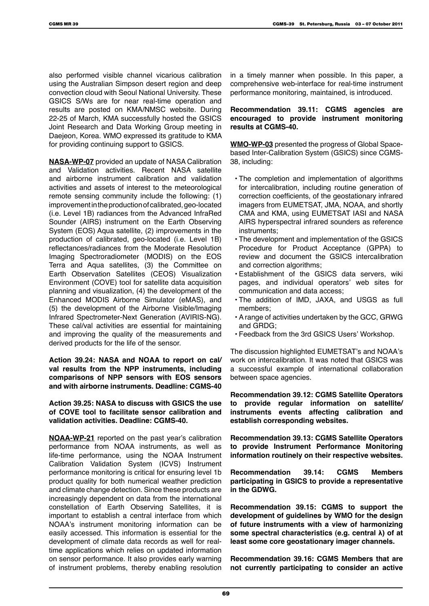also performed visible channel vicarious calibration using the Australian Simpson desert region and deep convection cloud with Seoul National University. These GSICS S/Ws are for near real-time operation and results are posted on KMA/NMSC website. During 22-25 of March, KMA successfully hosted the GSICS Joint Research and Data Working Group meeting in Daejeon, Korea. WMO expressed its gratitude to KMA for providing continuing support to GSICS.

**NASA-WP-07** provided an update of NASA Calibration and Validation activities. Recent NASA satellite and airborne instrument calibration and validation activities and assets of interest to the meteorological remote sensing community include the following: (1) improvement in the production of calibrated, geo-located (i.e. Level 1B) radiances from the Advanced InfraRed Sounder (AIRS) instrument on the Earth Observing System (EOS) Aqua satellite, (2) improvements in the production of calibrated, geo-located (i.e. Level 1B) reflectances/radiances from the Moderate Resolution Imaging Spectroradiometer (MODIS) on the EOS Terra and Aqua satellites, (3) the Committee on Earth Observation Satellites (CEOS) Visualization Environment (COVE) tool for satellite data acquisition planning and visualization, (4) the development of the Enhanced MODIS Airborne Simulator (eMAS), and (5) the development of the Airborne Visible/Imaging Infrared Spectrometer-Next Generation (AVIRIS-NG). These cal/val activities are essential for maintaining and improving the quality of the measurements and derived products for the life of the sensor.

**Action 39.24: NASA and NOAA to report on cal/ val results from the NPP instruments, including comparisons of NPP sensors with EOS sensors and with airborne instruments. Deadline: CGMS-40**

**Action 39.25: NASA to discuss with GSICS the use of COVE tool to facilitate sensor calibration and validation activities. Deadline: CGMS-40.**

**NOAA-WP-21** reported on the past year's calibration performance from NOAA instruments, as well as life-time performance, using the NOAA Instrument Calibration Validation System (ICVS) Instrument performance monitoring is critical for ensuring level 1b product quality for both numerical weather prediction and climate change detection. Since these products are increasingly dependent on data from the international constellation of Earth Observing Satellites, it is important to establish a central interface from which NOAA's instrument monitoring information can be easily accessed. This information is essential for the development of climate data records as well for realtime applications which relies on updated information on sensor performance. It also provides early warning of instrument problems, thereby enabling resolution

in a timely manner when possible. In this paper, a comprehensive web-interface for real-time instrument performance monitoring, maintained, is introduced.

#### **Recommendation 39.11: CGMS agencies are encouraged to provide instrument monitoring results at CGMS-40.**

**WMO-WP-03** presented the progress of Global Spacebased Inter-Calibration System (GSICS) since CGMS-38, including:

- The completion and implementation of algorithms for intercalibration, including routine generation of correction coefficients, of the geostationary infrared imagers from EUMETSAT, JMA, NOAA, and shortly CMA and KMA, using EUMETSAT IASI and NASA AIRS hyperspectral infrared sounders as reference instruments;
- The development and implementation of the GSICS Procedure for Product Acceptance (GPPA) to review and document the GSICS intercalibration and correction algorithms;
- Establishment of the GSICS data servers, wiki pages, and individual operators' web sites for communication and data access;
- The addition of IMD, JAXA, and USGS as full members;
- A range of activities undertaken by the GCC, GRWG and GRDG;
- Feedback from the 3rd GSICS Users' Workshop.

The discussion highlighted EUMETSAT's and NOAA's work on intercalibration. It was noted that GSICS was a successful example of international collaboration between space agencies.

**Recommendation 39.12: CGMS Satellite Operators to provide regular information on satellite/ instruments events affecting calibration and establish corresponding websites.**

**Recommendation 39.13: CGMS Satellite Operators to provide Instrument Performance Monitoring information routinely on their respective websites.**

**Recommendation 39.14: CGMS Members participating in GSICS to provide a representative in the GDWG.**

**Recommendation 39.15: CGMS to support the development of guidelines by WMO for the design of future instruments with a view of harmonizing some spectral characteristics (e.g. central λ) of at least some core geostationary imager channels.**

**Recommendation 39.16: CGMS Members that are not currently participating to consider an active**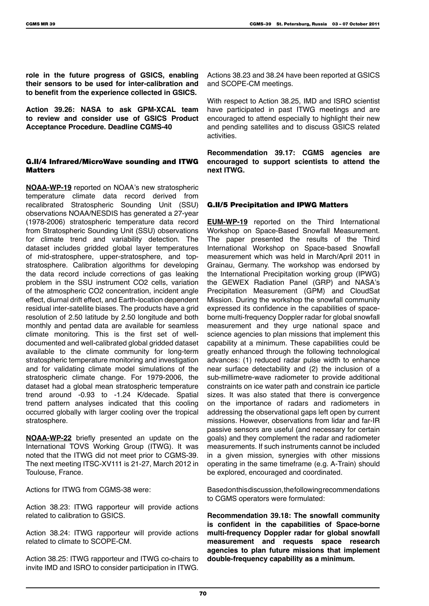**role in the future progress of GSICS, enabling their sensors to be used for inter-calibration and to benefit from the experience collected in GSICS.**

**Action 39.26: NASA to ask GPM-XCAL team to review and consider use of GSICS Product Acceptance Procedure. Deadline CGMS-40**

# G.II/4 Infrared/MicroWave sounding and ITWG **Matters**

**NOAA-WP-19** reported on NOAA's new stratospheric temperature climate data record derived from recalibrated Stratospheric Sounding Unit (SSU) observations NOAA/NESDIS has generated a 27-year (1978-2006) stratospheric temperature data record from Stratospheric Sounding Unit (SSU) observations for climate trend and variability detection. The dataset includes gridded global layer temperatures of mid-stratosphere, upper-stratosphere, and topstratosphere. Calibration algorithms for developing the data record include corrections of gas leaking problem in the SSU instrument CO2 cells, variation of the atmospheric CO2 concentration, incident angle effect, diurnal drift effect, and Earth-location dependent residual inter-satellite biases. The products have a grid resolution of 2.50 latitude by 2.50 longitude and both monthly and pentad data are available for seamless climate monitoring. This is the first set of welldocumented and well-calibrated global gridded dataset available to the climate community for long-term stratospheric temperature monitoring and investigation and for validating climate model simulations of the stratospheric climate change. For 1979-2006, the dataset had a global mean stratospheric temperature trend around -0.93 to -1.24 K/decade. Spatial trend pattern analyses indicated that this cooling occurred globally with larger cooling over the tropical stratosphere.

**NOAA-WP-22** briefly presented an update on the International TOVS Working Group (ITWG). It was noted that the ITWG did not meet prior to CGMS-39. The next meeting ITSC-XV111 is 21-27, March 2012 in Toulouse, France.

Actions for ITWG from CGMS-38 were:

Action 38.23: ITWG rapporteur will provide actions related to calibration to GSICS.

Action 38.24: ITWG rapporteur will provide actions related to climate to SCOPE-CM.

Action 38.25: ITWG rapporteur and ITWG co-chairs to invite IMD and ISRO to consider participation in ITWG.

Actions 38.23 and 38.24 have been reported at GSICS and SCOPE-CM meetings.

With respect to Action 38.25, IMD and ISRO scientist have participated in past ITWG meetings and are encouraged to attend especially to highlight their new and pending satellites and to discuss GSICS related activities.

**Recommendation 39.17: CGMS agencies are encouraged to support scientists to attend the next ITWG.**

### G.II/5 Precipitation and IPWG Matters

**EUM-WP-19** reported on the Third International Workshop on Space-Based Snowfall Measurement. The paper presented the results of the Third International Workshop on Space-based Snowfall measurement which was held in March/April 2011 in Grainau, Germany. The workshop was endorsed by the International Precipitation working group (IPWG) the GEWEX Radiation Panel (GRP) and NASA's Precipitation Measurement (GPM) and CloudSat Mission. During the workshop the snowfall community expressed its confidence in the capabilities of spaceborne multi-frequency Doppler radar for global snowfall measurement and they urge national space and science agencies to plan missions that implement this capability at a minimum. These capabilities could be greatly enhanced through the following technological advances: (1) reduced radar pulse width to enhance near surface detectability and (2) the inclusion of a sub-millimetre-wave radiometer to provide additional constraints on ice water path and constrain ice particle sizes. It was also stated that there is convergence on the importance of radars and radiometers in addressing the observational gaps left open by current missions. However, observations from lidar and far-IR passive sensors are useful (and necessary for certain goals) and they complement the radar and radiometer measurements. If such instruments cannot be included in a given mission, synergies with other missions operating in the same timeframe (e.g. A-Train) should be explored, encouraged and coordinated.

Based on this discussion, the following recommendations to CGMS operators were formulated:

**Recommendation 39.18: The snowfall community is confident in the capabilities of Space-borne multi-frequency Doppler radar for global snowfall measurement and requests space research agencies to plan future missions that implement double-frequency capability as a minimum.**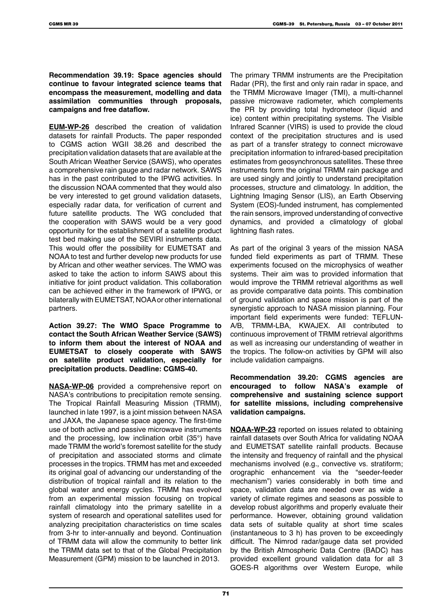**Recommendation 39.19: Space agencies should continue to favour integrated science teams that encompass the measurement, modelling and data assimilation communities through proposals, campaigns and free dataflow.**

**EUM-WP-26** described the creation of validation datasets for rainfall Products. The paper responded to CGMS action WGII 38.26 and described the precipitation validation datasets that are available at the South African Weather Service (SAWS), who operates a comprehensive rain gauge and radar network. SAWS has in the past contributed to the IPWG activities. In the discussion NOAA commented that they would also be very interested to get ground validation datasets, especially radar data, for verification of current and future satellite products. The WG concluded that the cooperation with SAWS would be a very good opportunity for the establishment of a satellite product test bed making use of the SEVIRI instruments data. This would offer the possibility for EUMETSAT and NOAA to test and further develop new products for use by African and other weather services. The WMO was asked to take the action to inform SAWS about this initiative for joint product validation. This collaboration can be achieved either in the framework of IPWG, or bilaterally with EUMETSAT, NOAA or other international partners.

**Action 39.27: The WMO Space Programme to contact the South African Weather Service (SAWS) to inform them about the interest of NOAA and EUMETSAT to closely cooperate with SAWS on satellite product validation, especially for precipitation products. Deadline: CGMS-40.**

**NASA-WP-06** provided a comprehensive report on NASA's contributions to precipitation remote sensing. The Tropical Rainfall Measuring Mission (TRMM), launched in late 1997, is a joint mission between NASA and JAXA, the Japanese space agency. The first-time use of both active and passive microwave instruments and the processing, low inclination orbit (35°) have made TRMM the world's foremost satellite for the study of precipitation and associated storms and climate processes in the tropics. TRMM has met and exceeded its original goal of advancing our understanding of the distribution of tropical rainfall and its relation to the global water and energy cycles. TRMM has evolved from an experimental mission focusing on tropical rainfall climatology into the primary satellite in a system of research and operational satellites used for analyzing precipitation characteristics on time scales from 3-hr to inter-annually and beyond. Continuation of TRMM data will allow the community to better link the TRMM data set to that of the Global Precipitation Measurement (GPM) mission to be launched in 2013.

The primary TRMM instruments are the Precipitation Radar (PR), the first and only rain radar in space, and the TRMM Microwave Imager (TMI), a multi-channel passive microwave radiometer, which complements the PR by providing total hydrometeor (liquid and ice) content within precipitating systems. The Visible Infrared Scanner (VIRS) is used to provide the cloud context of the precipitation structures and is used as part of a transfer strategy to connect microwave precipitation information to infrared-based precipitation estimates from geosynchronous satellites. These three instruments form the original TRMM rain package and are used singly and jointly to understand precipitation processes, structure and climatology. In addition, the Lightning Imaging Sensor (LIS), an Earth Observing System (EOS)-funded instrument, has complemented the rain sensors, improved understanding of convective dynamics, and provided a climatology of global lightning flash rates.

As part of the original 3 years of the mission NASA funded field experiments as part of TRMM. These experiments focused on the microphysics of weather systems. Their aim was to provided information that would improve the TRMM retrieval algorithms as well as provide comparative data points. This combination of ground validation and space mission is part of the synergistic approach to NASA mission planning. Four important field experiments were funded: TEFLUN-A/B, TRMM-LBA, KWAJEX. All contributed to continuous improvement of TRMM retrieval algorithms as well as increasing our understanding of weather in the tropics. The follow-on activities by GPM will also include validation campaigns.

**Recommendation 39.20: CGMS agencies are encouraged to follow NASA's example of comprehensive and sustaining science support for satellite missions, including comprehensive validation campaigns.**

**NOAA-WP-23** reported on issues related to obtaining rainfall datasets over South Africa for validating NOAA and EUMETSAT satellite rainfall products. Because the intensity and frequency of rainfall and the physical mechanisms involved (e.g., convective vs. stratiform; orographic enhancement via the "seeder-feeder mechanism") varies considerably in both time and space, validation data are needed over as wide a variety of climate regimes and seasons as possible to develop robust algorithms and properly evaluate their performance. However, obtaining ground validation data sets of suitable quality at short time scales (instantaneous to 3 h) has proven to be exceedingly difficult. The Nimrod radar/gauge data set provided by the British Atmospheric Data Centre (BADC) has provided excellent ground validation data for all 3 GOES-R algorithms over Western Europe, while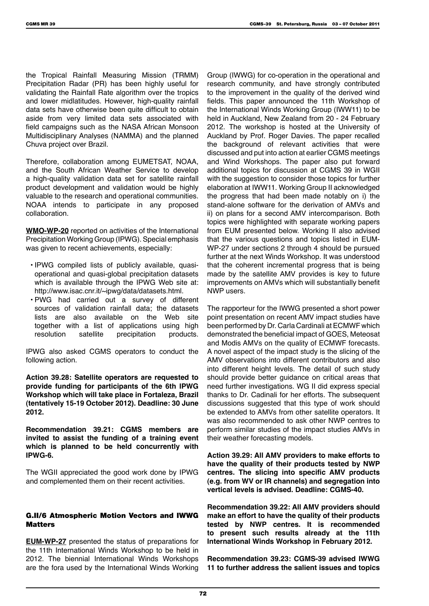the Tropical Rainfall Measuring Mission (TRMM) Precipitation Radar (PR) has been highly useful for validating the Rainfall Rate algorithm over the tropics and lower midlatitudes. However, high-quality rainfall data sets have otherwise been quite difficult to obtain aside from very limited data sets associated with field campaigns such as the NASA African Monsoon Multidisciplinary Analyses (NAMMA) and the planned Chuva project over Brazil.

Therefore, collaboration among EUMETSAT, NOAA, and the South African Weather Service to develop a high-quality validation data set for satellite rainfall product development and validation would be highly valuable to the research and operational communities. NOAA intends to participate in any proposed collaboration.

**WMO-WP-20** reported on activities of the International Precipitation Working Group (IPWG). Special emphasis was given to recent achievements, especially:

- IPWG compiled lists of publicly available, quasioperational and quasi-global precipitation datasets which is available through the IPWG Web site at: http://www.isac.cnr.it/~ipwg/data/datasets.html.
- PWG had carried out a survey of different sources of validation rainfall data; the datasets lists are also available on the Web site together with a list of applications using high resolution satellite precipitation products.

IPWG also asked CGMS operators to conduct the following action.

**Action 39.28: Satellite operators are requested to provide funding for participants of the 6th IPWG Workshop which will take place in Fortaleza, Brazil (tentatively 15-19 October 2012). Deadline: 30 June 2012.**

**Recommendation 39.21: CGMS members are invited to assist the funding of a training event which is planned to be held concurrently with IPWG-6.**

The WGII appreciated the good work done by IPWG and complemented them on their recent activities.

#### G.II/6 Atmospheric Motion Vectors and IWWG Matters

**EUM-WP-27** presented the status of preparations for the 11th International Winds Workshop to be held in 2012. The biennial International Winds Workshops are the fora used by the International Winds Working

Group (IWWG) for co-operation in the operational and research community, and have strongly contributed to the improvement in the quality of the derived wind fields. This paper announced the 11th Workshop of the International Winds Working Group (IWW11) to be held in Auckland, New Zealand from 20 - 24 February 2012. The workshop is hosted at the University of Auckland by Prof. Roger Davies. The paper recalled the background of relevant activities that were discussed and put into action at earlier CGMS meetings and Wind Workshops. The paper also put forward additional topics for discussion at CGMS 39 in WGII with the suggestion to consider those topics for further elaboration at IWW11. Working Group II acknowledged the progress that had been made notably on i) the stand-alone software for the derivation of AMVs and ii) on plans for a second AMV intercomparison. Both topics were highlighted with separate working papers from EUM presented below. Working II also advised that the various questions and topics listed in EUM-WP-27 under sections 2 through 4 should be pursued further at the next Winds Workshop. It was understood that the coherent incremental progress that is being made by the satellite AMV provides is key to future improvements on AMVs which will substantially benefit NWP users.

The rapporteur for the IWWG presented a short power point presentation on recent AMV impact studies have been performed by Dr. Carla Cardinali at ECMWF which demonstrated the beneficial impact of GOES, Meteosat and Modis AMVs on the quality of ECMWF forecasts. A novel aspect of the impact study is the slicing of the AMV observations into different contributors and also into different height levels. The detail of such study should provide better guidance on critical areas that need further investigations. WG II did express special thanks to Dr. Cadinali for her efforts. The subsequent discussions suggested that this type of work should be extended to AMVs from other satellite operators. It was also recommended to ask other NWP centres to perform similar studies of the impact studies AMVs in their weather forecasting models.

**Action 39.29: All AMV providers to make efforts to have the quality of their products tested by NWP centres. The slicing into specific AMV products (e.g. from WV or IR channels) and segregation into vertical levels is advised. Deadline: CGMS-40.**

**Recommendation 39.22: All AMV providers should make an effort to have the quality of their products tested by NWP centres. It is recommended to present such results already at the 11th International Winds Workshop in February 2012.**

**Recommendation 39.23: CGMS-39 advised IWWG 11 to further address the salient issues and topics**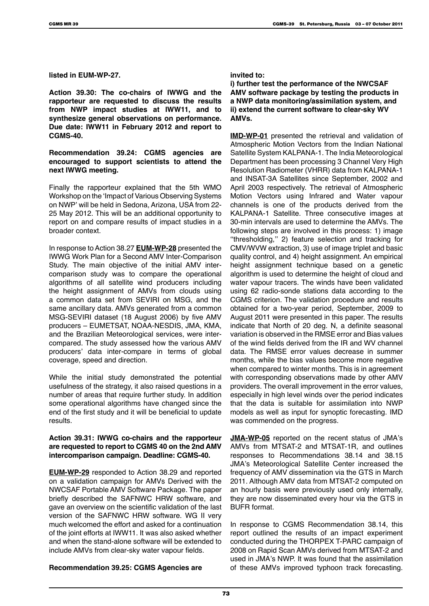**listed in EUM-WP-27.**

**Action 39.30: The co-chairs of IWWG and the rapporteur are requested to discuss the results from NWP impact studies at IWW11, and to synthesize general observations on performance. Due date: IWW11 in February 2012 and report to CGMS-40.**

#### **Recommendation 39.24: CGMS agencies are encouraged to support scientists to attend the next IWWG meeting.**

Finally the rapporteur explained that the 5th WMO Workshop on the 'Impact of Various Observing Systems on NWP' will be held in Sedona, Arizona, USA from 22- 25 May 2012. This will be an additional opportunity to report on and compare results of impact studies in a broader context.

In response to Action 38.27 **EUM-WP-28** presented the IWWG Work Plan for a Second AMV Inter-Comparison Study. The main objective of the initial AMV intercomparison study was to compare the operational algorithms of all satellite wind producers including the height assignment of AMVs from clouds using a common data set from SEVIRI on MSG, and the same ancillary data. AMVs generated from a common MSG-SEVIRI dataset (18 August 2006) by five AMV producers – EUMETSAT, NOAA-NESDIS, JMA, KMA, and the Brazilian Meteorological services, were intercompared. The study assessed how the various AMV producers' data inter-compare in terms of global coverage, speed and direction.

While the initial study demonstrated the potential usefulness of the strategy, it also raised questions in a number of areas that require further study. In addition some operational algorithms have changed since the end of the first study and it will be beneficial to update results.

#### **Action 39.31: IWWG co-chairs and the rapporteur are requested to report to CGMS 40 on the 2nd AMV intercomparison campaign. Deadline: CGMS-40.**

**EUM-WP-29** responded to Action 38.29 and reported on a validation campaign for AMVs Derived with the NWCSAF Portable AMV Software Package. The paper briefly described the SAFNWC HRW software, and gave an overview on the scientific validation of the last version of the SAFNWC HRW software. WG II very much welcomed the effort and asked for a continuation of the joint efforts at IWW11. It was also asked whether and when the stand-alone software will be extended to include AMVs from clear-sky water vapour fields.

#### **Recommendation 39.25: CGMS Agencies are**

#### **invited to:**

**i) further test the performance of the NWCSAF AMV software package by testing the products in a NWP data monitoring/assimilation system, and ii) extend the current software to clear-sky WV AMVs.**

**IMD-WP-01** presented the retrieval and validation of Atmospheric Motion Vectors from the Indian National Satellite System KALPANA-1. The India Meteorological Department has been processing 3 Channel Very High Resolution Radiometer (VHRR) data from KALPANA-1 and INSAT-3A Satellites since September, 2002 and April 2003 respectively. The retrieval of Atmospheric Motion Vectors using Infrared and Water vapour channels is one of the products derived from the KALPANA-1 Satellite. Three consecutive images at 30-min intervals are used to determine the AMVs. The following steps are involved in this process: 1) image ''thresholding,'' 2) feature selection and tracking for CMV/WVW extraction, 3) use of image triplet and basic quality control, and 4) height assignment. An empirical height assignment technique based on a genetic algorithm is used to determine the height of cloud and water vapour tracers. The winds have been validated using 62 radio-sonde stations data according to the CGMS criterion. The validation procedure and results obtained for a two-year period, September, 2009 to August 2011 were presented in this paper. The results indicate that North of 20 deg. N, a definite seasonal variation is observed in the RMSE error and Bias values of the wind fields derived from the IR and WV channel data. The RMSE error values decrease in summer months, while the bias values become more negative when compared to winter months. This is in agreement with corresponding observations made by other AMV providers. The overall improvement in the error values, especially in high level winds over the period indicates that the data is suitable for assimilation into NWP models as well as input for synoptic forecasting. IMD was commended on the progress.

**JMA-WP-05** reported on the recent status of JMA's AMVs from MTSAT-2 and MTSAT-1R, and outlines responses to Recommendations 38.14 and 38.15 JMA's Meteorological Satellite Center increased the frequency of AMV dissemination via the GTS in March 2011. Although AMV data from MTSAT-2 computed on an hourly basis were previously used only internally, they are now disseminated every hour via the GTS in BUFR format.

In response to CGMS Recommendation 38.14, this report outlined the results of an impact experiment conducted during the THORPEX T-PARC campaign of 2008 on Rapid Scan AMVs derived from MTSAT-2 and used in JMA's NWP. It was found that the assimilation of these AMVs improved typhoon track forecasting.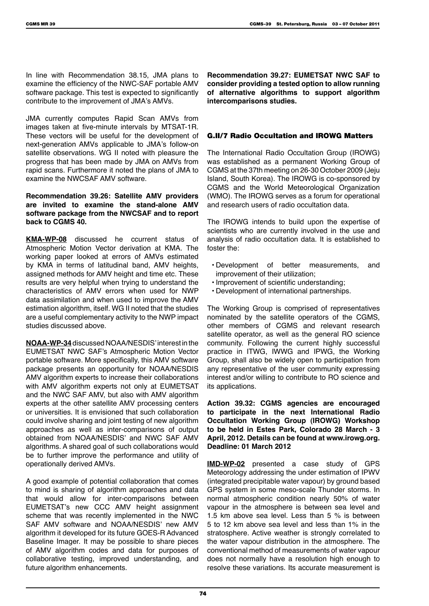In line with Recommendation 38.15, JMA plans to examine the efficiency of the NWC-SAF portable AMV software package. This test is expected to significantly contribute to the improvement of JMA's AMVs.

JMA currently computes Rapid Scan AMVs from images taken at five-minute intervals by MTSAT-1R. These vectors will be useful for the development of next-generation AMVs applicable to JMA's follow-on satellite observations. WG II noted with pleasure the progress that has been made by JMA on AMVs from rapid scans. Furthermore it noted the plans of JMA to examine the NWCSAF AMV software.

#### **Recommendation 39.26: Satellite AMV providers are invited to examine the stand-alone AMV software package from the NWCSAF and to report back to CGMS 40.**

**KMA-WP-08** discussed he ccurrent status of Atmospheric Motion Vector derivation at KMA. The working paper looked at errors of AMVs estimated by KMA in terms of latitudinal band, AMV heights, assigned methods for AMV height and time etc. These results are very helpful when trying to understand the characteristics of AMV errors when used for NWP data assimilation and when used to improve the AMV estimation algorithm, itself. WG II noted that the studies are a useful complementary activity to the NWP impact studies discussed above.

**NOAA-WP-34** discussed NOAA/NESDIS' interest in the EUMETSAT NWC SAF's Atmospheric Motion Vector portable software. More specifically, this AMV software package presents an opportunity for NOAA/NESDIS AMV algorithm experts to increase their collaborations with AMV algorithm experts not only at EUMETSAT and the NWC SAF AMV, but also with AMV algorithm experts at the other satellite AMV processing centers or universities. It is envisioned that such collaboration could involve sharing and joint testing of new algorithm approaches as well as inter-comparisons of output obtained from NOAA/NESDIS' and NWC SAF AMV algorithms. A shared goal of such collaborations would be to further improve the performance and utility of operationally derived AMVs.

A good example of potential collaboration that comes to mind is sharing of algorithm approaches and data that would allow for inter-comparisons between EUMETSAT's new CCC AMV height assignment scheme that was recently implemented in the NWC SAF AMV software and NOAA/NESDIS' new AMV algorithm it developed for its future GOES-R Advanced Baseline Imager. It may be possible to share pieces of AMV algorithm codes and data for purposes of collaborative testing, improved understanding, and future algorithm enhancements.

**Recommendation 39.27: EUMETSAT NWC SAF to consider providing a tested option to allow running of alternative algorithms to support algorithm intercomparisons studies.**

### G.II/7 Radio Occultation and IROWG Matters

The International Radio Occultation Group (IROWG) was established as a permanent Working Group of CGMS at the 37th meeting on 26-30 October 2009 (Jeju Island, South Korea). The IROWG is co-sponsored by CGMS and the World Meteorological Organization (WMO). The IROWG serves as a forum for operational and research users of radio occultation data.

The IROWG intends to build upon the expertise of scientists who are currently involved in the use and analysis of radio occultation data. It is established to foster the:

- Development of better measurements, and improvement of their utilization;
- Improvement of scientific understanding;
- Development of international partnerships.

The Working Group is comprised of representatives nominated by the satellite operators of the CGMS, other members of CGMS and relevant research satellite operator, as well as the general RO science community. Following the current highly successful practice in ITWG, IWWG and IPWG, the Working Group, shall also be widely open to participation from any representative of the user community expressing interest and/or willing to contribute to RO science and its applications.

**Action 39.32: CGMS agencies are encouraged to participate in the next International Radio Occultation Working Group (IROWG) Workshop to be held in Estes Park, Colorado 28 March - 3 April, 2012. Details can be found at www.irowg.org. Deadline: 01 March 2012**

**IMD-WP-02** presented a case study of GPS Meteorology addressing the under estimation of IPWV (integrated precipitable water vapour) by ground based GPS system in some meso-scale Thunder storms. In normal atmospheric condition nearly 50% of water vapour in the atmosphere is between sea level and 1.5 km above sea level. Less than 5 % is between 5 to 12 km above sea level and less than 1% in the stratosphere. Active weather is strongly correlated to the water vapour distribution in the atmosphere. The conventional method of measurements of water vapour does not normally have a resolution high enough to resolve these variations. Its accurate measurement is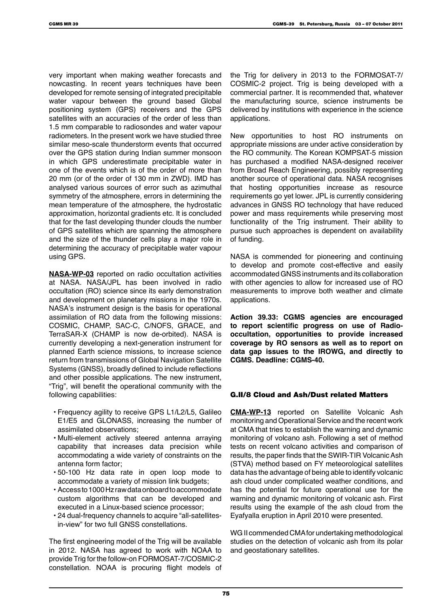very important when making weather forecasts and nowcasting. In recent years techniques have been developed for remote sensing of integrated precipitable water vapour between the ground based Global positioning system (GPS) receivers and the GPS satellites with an accuracies of the order of less than 1.5 mm comparable to radiosondes and water vapour radiometers. In the present work we have studied three similar meso-scale thunderstorm events that occurred over the GPS station during Indian summer monsoon in which GPS underestimate precipitable water in one of the events which is of the order of more than 20 mm (or of the order of 130 mm in ZWD). IMD has analysed various sources of error such as azimuthal symmetry of the atmosphere, errors in determining the mean temperature of the atmosphere, the hydrostatic approximation, horizontal gradients etc. It is concluded that for the fast developing thunder clouds the number of GPS satellites which are spanning the atmosphere and the size of the thunder cells play a major role in determining the accuracy of precipitable water vapour using GPS.

**NASA-WP-03** reported on radio occultation activities at NASA. NASA/JPL has been involved in radio occultation (RO) science since its early demonstration and development on planetary missions in the 1970s. NASA's instrument design is the basis for operational assimilation of RO data from the following missions: COSMIC, CHAMP, SAC-C, C/NOFS, GRACE, and TerraSAR-X (CHAMP is now de-orbited). NASA is currently developing a next-generation instrument for planned Earth science missions, to increase science return from transmissions of Global Navigation Satellite Systems (GNSS), broadly defined to include reflections and other possible applications. The new instrument, "Trig", will benefit the operational community with the following capabilities:

- Frequency agility to receive GPS L1/L2/L5, Galileo E1/E5 and GLONASS, increasing the number of assimilated observations;
- Multi-element actively steered antenna arraying capability that increases data precision while accommodating a wide variety of constraints on the antenna form factor;
- 50-100 Hz data rate in open loop mode to accommodate a variety of mission link budgets;
- Access to 1000 Hz raw data onboard to accommodate custom algorithms that can be developed and executed in a Linux-based science processor;
- 24 dual-frequency channels to acquire "all-satellitesin-view" for two full GNSS constellations.

The first engineering model of the Trig will be available in 2012. NASA has agreed to work with NOAA to provide Trig for the follow-on FORMOSAT-7/COSMIC-2 constellation. NOAA is procuring flight models of the Trig for delivery in 2013 to the FORMOSAT-7/ COSMIC-2 project. Trig is being developed with a commercial partner. It is recommended that, whatever the manufacturing source, science instruments be delivered by institutions with experience in the science applications.

New opportunities to host RO instruments on appropriate missions are under active consideration by the RO community. The Korean KOMPSAT-5 mission has purchased a modified NASA-designed receiver from Broad Reach Engineering, possibly representing another source of operational data. NASA recognises that hosting opportunities increase as resource requirements go yet lower. JPL is currently considering advances in GNSS RO technology that have reduced power and mass requirements while preserving most functionality of the Trig instrument. Their ability to pursue such approaches is dependent on availability of funding.

NASA is commended for pioneering and continuing to develop and promote cost-effective and easily accommodated GNSS instruments and its collaboration with other agencies to allow for increased use of RO measurements to improve both weather and climate applications.

**Action 39.33: CGMS agencies are encouraged to report scientific progress on use of Radiooccultation, opportunities to provide increased coverage by RO sensors as well as to report on data gap issues to the IROWG, and directly to CGMS. Deadline: CGMS-40.**

#### G.II/8 Cloud and Ash/Dust related Matters

**CMA-WP-13** reported on Satellite Volcanic Ash monitoring and Operational Service and the recent work at CMA that tries to establish the warning and dynamic monitoring of volcano ash. Following a set of method tests on recent volcano activities and comparison of results, the paper finds that the SWIR-TIR Volcanic Ash (STVA) method based on FY meteorological satellites data has the advantage of being able to identify volcanic ash cloud under complicated weather conditions, and has the potential for future operational use for the warning and dynamic monitoring of volcanic ash. First results using the example of the ash cloud from the Eyafyalla eruption in April 2010 were presented.

WG II commended CMA for undertaking methodological studies on the detection of volcanic ash from its polar and geostationary satellites.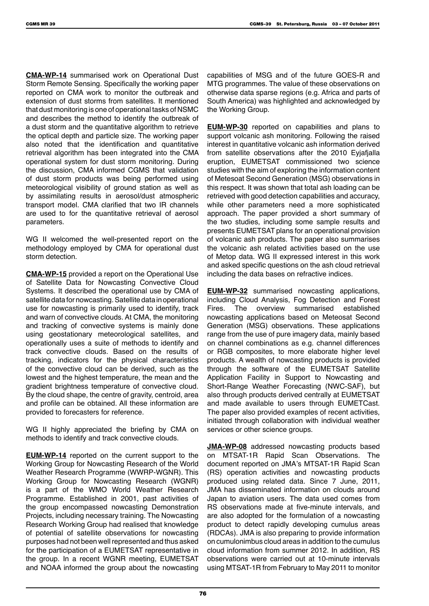**CMA-WP-14** summarised work on Operational Dust Storm Remote Sensing. Specifically the working paper reported on CMA work to monitor the outbreak and extension of dust storms from satellites. It mentioned that dust monitoring is one of operational tasks of NSMC and describes the method to identify the outbreak of a dust storm and the quantitative algorithm to retrieve the optical depth and particle size. The working paper also noted that the identification and quantitative retrieval algorithm has been integrated into the CMA operational system for dust storm monitoring. During the discussion, CMA informed CGMS that validation of dust storm products was being performed using meteorological visibility of ground station as well as by assimilating results in aerosol/dust atmospheric transport model. CMA clarified that two IR channels are used to for the quantitative retrieval of aerosol parameters.

WG II welcomed the well-presented report on the methodology employed by CMA for operational dust storm detection.

**CMA-WP-15** provided a report on the Operational Use of Satellite Data for Nowcasting Convective Cloud Systems. It described the operational use by CMA of satellite data for nowcasting. Satellite data in operational use for nowcasting is primarily used to identify, track and warn of convective clouds. At CMA, the monitoring and tracking of convective systems is mainly done using geostationary meteorological satellites, and operationally uses a suite of methods to identify and track convective clouds. Based on the results of tracking, indicators for the physical characteristics of the convective cloud can be derived, such as the lowest and the highest temperature, the mean and the gradient brightness temperature of convective cloud. By the cloud shape, the centre of gravity, centroid, area and profile can be obtained. All these information are provided to forecasters for reference.

WG II highly appreciated the briefing by CMA on methods to identify and track convective clouds.

**EUM-WP-14** reported on the current support to the Working Group for Nowcasting Research of the World Weather Research Programme (WWRP-WGNR). This Working Group for Nowcasting Research (WGNR) is a part of the WMO World Weather Research Programme. Established in 2001, past activities of the group encompassed nowcasting Demonstration Projects, including necessary training. The Nowcasting Research Working Group had realised that knowledge of potential of satellite observations for nowcasting purposes had not been well represented and thus asked for the participation of a EUMETSAT representative in the group. In a recent WGNR meeting, EUMETSAT and NOAA informed the group about the nowcasting

capabilities of MSG and of the future GOES-R and MTG programmes. The value of these observations on otherwise data sparse regions (e.g. Africa and parts of South America) was highlighted and acknowledged by the Working Group.

**EUM-WP-30** reported on capabilities and plans to support volcanic ash monitoring. Following the raised interest in quantitative volcanic ash information derived from satellite observations after the 2010 Eyjafjalla eruption, EUMETSAT commissioned two science studies with the aim of exploring the information content of Metesoat Second Generation (MSG) observations in this respect. It was shown that total ash loading can be retrieved with good detection capabilities and accuracy, while other parameters need a more sophisticated approach. The paper provided a short summary of the two studies, including some sample results and presents EUMETSAT plans for an operational provision of volcanic ash products. The paper also summarises the volcanic ash related activities based on the use of Metop data. WG II expressed interest in this work and asked specific questions on the ash cloud retrieval including the data bases on refractive indices.

**EUM-WP-32** summarised nowcasting applications, including Cloud Analysis, Fog Detection and Forest Fires. The overview summarised established nowcasting applications based on Meteosat Second Generation (MSG) observations. These applications range from the use of pure imagery data, mainly based on channel combinations as e.g. channel differences or RGB composites, to more elaborate higher level products. A wealth of nowcasting products is provided through the software of the EUMETSAT Satellite Application Facility in Support to Nowcasting and Short-Range Weather Forecasting (NWC-SAF), but also through products derived centrally at EUMETSAT and made available to users through EUMETCast. The paper also provided examples of recent activities, initiated through collaboration with individual weather services or other science groups.

**JMA-WP-08** addressed nowcasting products based on MTSAT-1R Rapid Scan Observations. The document reported on JMA's MTSAT-1R Rapid Scan (RS) operation activities and nowcasting products produced using related data. Since 7 June, 2011, JMA has disseminated information on clouds around Japan to aviation users. The data used comes from RS observations made at five-minute intervals, and are also adopted for the formulation of a nowcasting product to detect rapidly developing cumulus areas (RDCAs). JMA is also preparing to provide information on cumulonimbus cloud areas in addition to the cumulus cloud information from summer 2012. In addition, RS observations were carried out at 10-minute intervals using MTSAT-1R from February to May 2011 to monitor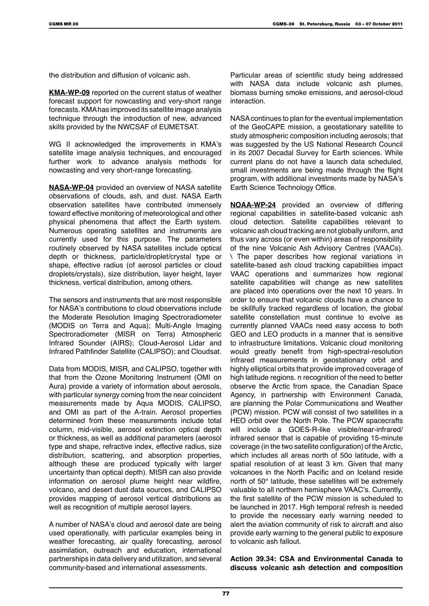the distribution and diffusion of volcanic ash.

**KMA-WP-09** reported on the current status of weather forecast support for nowcasting and very-short range forecasts. KMA has improved its satellite image analysis technique through the introduction of new, advanced skills provided by the NWCSAF of EUMETSAT.

WG II acknowledged the improvements in KMA's satellite image analysis techniques, and encouraged further work to advance analysis methods for nowcasting and very short-range forecasting.

**NASA-WP-04** provided an overview of NASA satellite observations of clouds, ash, and dust. NASA Earth observation satellites have contributed immensely toward effective monitoring of meteorological and other physical phenomena that affect the Earth system. Numerous operating satellites and instruments are currently used for this purpose. The parameters routinely observed by NASA satellites include optical depth or thickness, particle/droplet/crystal type or shape, effective radius (of aerosol particles or cloud droplets/crystals), size distribution, layer height, layer thickness, vertical distribution, among others.

The sensors and instruments that are most responsible for NASA's contributions to cloud observations include the Moderate Resolution Imaging Spectroradiometer (MODIS on Terra and Aqua); Multi-Angle Imaging Spectroradiometer (MISR on Terra) Atmospheric Infrared Sounder (AIRS); Cloud-Aerosol Lidar and Infrared Pathfinder Satellite (CALIPSO); and Cloudsat.

Data from MODIS, MISR, and CALIPSO, together with that from the Ozone Monitoring Instrument (OMI on Aura) provide a variety of information about aerosols, with particular synergy coming from the near coincident measurements made by Aqua MODIS, CALIPSO, and OMI as part of the A-train. Aerosol properties determined from these measurements include total column, mid-visible, aerosol extinction optical depth or thickness, as well as additional parameters (aerosol type and shape, refractive index, effective radius, size distribution, scattering, and absorption properties, although these are produced typically with larger uncertainty than optical depth). MISR can also provide information on aerosol plume height near wildfire, volcano, and desert dust data sources, and CALIPSO provides mapping of aerosol vertical distributions as well as recognition of multiple aerosol layers.

A number of NASA's cloud and aerosol date are being used operationally, with particular examples being in weather forecasting, air quality forecasting, aerosol assimilation, outreach and education, international partnerships in data delivery and utilization, and several community-based and international assessments.

Particular areas of scientific study being addressed with NASA data include volcanic ash plumes, biomass burning smoke emissions, and aerosol-cloud interaction.

NASA continues to plan for the eventual implementation of the GeoCAPE mission, a geostationary satellite to study atmospheric composition including aerosols; that was suggested by the US National Research Council in its 2007 Decadal Survey for Earth sciences. While current plans do not have a launch data scheduled, small investments are being made through the flight program, with additional investments made by NASA's Earth Science Technology Office.

**NOAA-WP-24** provided an overview of differing regional capabilities in satellite-based volcanic ash cloud detection. Satellite capabilities relevant to volcanic ash cloud tracking are not globally uniform, and thus vary across (or even within) areas of responsibility of the nine Volcanic Ash Advisory Centres (VAACs). \ The paper describes how regional variations in satellite-based ash cloud tracking capabilities impact VAAC operations and summarizes how regional satellite capabilities will change as new satellites are placed into operations over the next 10 years. In order to ensure that volcanic clouds have a chance to be skillfully tracked regardless of location, the global satellite constellation must continue to evolve as currently planned VAACs need easy access to both GEO and LEO products in a manner that is sensitive to infrastructure limitations. Volcanic cloud monitoring would greatly benefit from high-spectral-resolution infrared measurements in geostationary orbit and highly elliptical orbits that provide improved coverage of high latitude regions. n recognition of the need to better observe the Arctic from space, the Canadian Space Agency, in partnership with Environment Canada, are planning the Polar Communications and Weather (PCW) mission. PCW will consist of two satellites in a HEO orbit over the North Pole. The PCW spacecrafts will include a GOES-R-like visible/near-infrared/ infrared sensor that is capable of providing 15-minute coverage (in the two satellite configuration) of the Arctic, which includes all areas north of 50o latitude, with a spatial resolution of at least 3 km. Given that many volcanoes in the North Pacific and on Iceland reside north of 50° latitude, these satellites will be extremely valuable to all northern hemisphere VAAC's. Currently, the first satellite of the PCW mission is scheduled to be launched in 2017. High temporal refresh is needed to provide the necessary early warning needed to alert the aviation community of risk to aircraft and also provide early warning to the general public to exposure to volcanic ash fallout.

**Action 39.34: CSA and Environmental Canada to discuss volcanic ash detection and composition**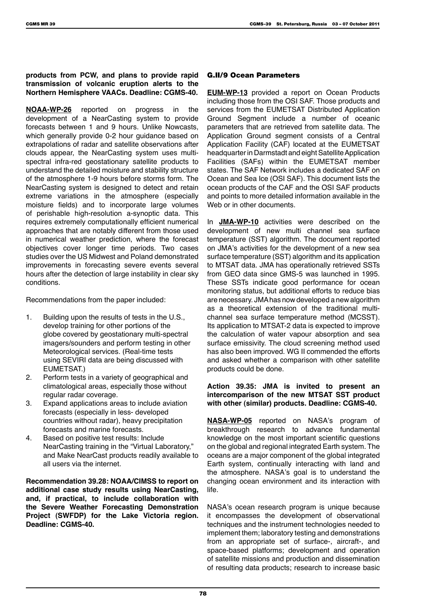**products from PCW, and plans to provide rapid transmission of volcanic eruption alerts to the Northern Hemisphere VAACs. Deadline: CGMS-40.**

**NOAA-WP-26** reported on progress in the development of a NearCasting system to provide forecasts between 1 and 9 hours. Unlike Nowcasts, which generally provide 0-2 hour guidance based on extrapolations of radar and satellite observations after clouds appear, the NearCasting system uses multispectral infra-red geostationary satellite products to understand the detailed moisture and stability structure of the atmosphere 1-9 hours before storms form. The NearCasting system is designed to detect and retain extreme variations in the atmosphere (especially moisture fields) and to incorporate large volumes of perishable high-resolution a-synoptic data. This requires extremely computationally efficient numerical approaches that are notably different from those used in numerical weather prediction, where the forecast objectives cover longer time periods. Two cases studies over the US Midwest and Poland demonstrated improvements in forecasting severe events several hours after the detection of large instability in clear sky conditions.

Recommendations from the paper included:

- 1. Building upon the results of tests in the U.S., develop training for other portions of the globe covered by geostationary multi-spectral imagers/sounders and perform testing in other Meteorological services. (Real-time tests using SEVIRI data are being discussed with EUMETSAT.)
- 2. Perform tests in a variety of geographical and climatological areas, especially those without regular radar coverage.
- 3. Expand applications areas to include aviation forecasts (especially in less- developed countries without radar), heavy precipitation forecasts and marine forecasts.
- 4. Based on positive test results: Include NearCasting training in the "Virtual Laboratory," and Make NearCast products readily available to all users via the internet.

**Recommendation 39.28: NOAA/CIMSS to report on additional case study results using NearCasting, and, if practical, to include collaboration with the Severe Weather Forecasting Demonstration Project (SWFDP) for the Lake Victoria region. Deadline: CGMS-40.**

#### G.II/9 Ocean Parameters

**EUM-WP-13** provided a report on Ocean Products including those from the OSI SAF. Those products and services from the EUMETSAT Distributed Application Ground Segment include a number of oceanic parameters that are retrieved from satellite data. The Application Ground segment consists of a Central Application Facility (CAF) located at the EUMETSAT headquarter in Darmstadt and eight Satellite Application Facilities (SAFs) within the EUMETSAT member states. The SAF Network includes a dedicated SAF on Ocean and Sea Ice (OSI SAF). This document lists the ocean products of the CAF and the OSI SAF products and points to more detailed information available in the Web or in other documents.

In **JMA-WP-10** activities were described on the development of new multi channel sea surface temperature (SST) algorithm. The document reported on JMA's activities for the development of a new sea surface temperature (SST) algorithm and its application to MTSAT data. JMA has operationally retrieved SSTs from GEO data since GMS-5 was launched in 1995. These SSTs indicate good performance for ocean monitoring status, but additional efforts to reduce bias are necessary. JMA has now developed a new algorithm as a theoretical extension of the traditional multichannel sea surface temperature method (MCSST). Its application to MTSAT-2 data is expected to improve the calculation of water vapour absorption and sea surface emissivity. The cloud screening method used has also been improved. WG II commended the efforts and asked whether a comparison with other satellite products could be done.

#### **Action 39.35: JMA is invited to present an intercomparison of the new MTSAT SST product with other (similar) products. Deadline: CGMS-40.**

**NASA-WP-05** reported on NASA's program of breakthrough research to advance fundamental knowledge on the most important scientific questions on the global and regional integrated Earth system. The oceans are a major component of the global integrated Earth system, continually interacting with land and the atmosphere. NASA's goal is to understand the changing ocean environment and its interaction with life.

NASA's ocean research program is unique because it encompasses the development of observational techniques and the instrument technologies needed to implement them; laboratory testing and demonstrations from an appropriate set of surface-, aircraft-, and space-based platforms; development and operation of satellite missions and production and dissemination of resulting data products; research to increase basic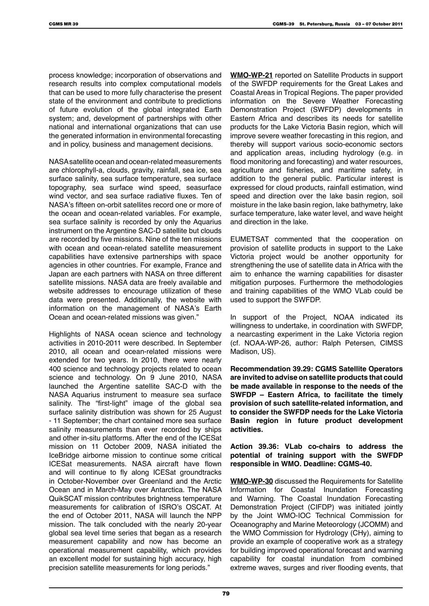process knowledge; incorporation of observations and research results into complex computational models that can be used to more fully characterise the present state of the environment and contribute to predictions of future evolution of the global integrated Earth system; and, development of partnerships with other national and international organizations that can use the generated information in environmental forecasting and in policy, business and management decisions.

NASA satellite ocean and ocean-related measurements are chlorophyll-a, clouds, gravity, rainfall, sea ice, sea surface salinity, sea surface temperature, sea surface topography, sea surface wind speed, seasurface wind vector, and sea surface radiative fluxes. Ten of NASA's fifteen on-orbit satellites record one or more of the ocean and ocean-related variables. For example, sea surface salinity is recorded by only the Aquarius instrument on the Argentine SAC-D satellite but clouds are recorded by five missions. Nine of the ten missions with ocean and ocean-related satellite measurement capabilities have extensive partnerships with space agencies in other countries. For example, France and Japan are each partners with NASA on three different satellite missions. NASA data are freely available and website addresses to encourage utilization of these data were presented. Additionally, the website with information on the management of NASA's Earth Ocean and ocean-related missions was given."

Highlights of NASA ocean science and technology activities in 2010-2011 were described. In September 2010, all ocean and ocean-related missions were extended for two years. In 2010, there were nearly 400 science and technology projects related to ocean science and technology. On 9 June 2010, NASA launched the Argentine satellite SAC-D with the NASA Aquarius instrument to measure sea surface salinity. The "first-light" image of the global sea surface salinity distribution was shown for 25 August - 11 September; the chart contained more sea surface salinity measurements than ever recorded by ships and other in-situ platforms. After the end of the ICESat mission on 11 October 2009, NASA initiated the IceBridge airborne mission to continue some critical ICESat measurements. NASA aircraft have flown and will continue to fly along ICESat groundtracks in October-November over Greenland and the Arctic Ocean and in March-May over Antarctica. The NASA QuikSCAT mission contributes brightness temperature measurements for calibration of ISRO's OSCAT. At the end of October 2011, NASA will launch the NPP mission. The talk concluded with the nearly 20-year global sea level time series that began as a research measurement capability and now has become an operational measurement capability, which provides an excellent model for sustaining high accuracy, high precision satellite measurements for long periods."

**WMO-WP-21** reported on Satellite Products in support of the SWFDP requirements for the Great Lakes and Coastal Areas in Tropical Regions. The paper provided information on the Severe Weather Forecasting Demonstration Project (SWFDP) developments in Eastern Africa and describes its needs for satellite products for the Lake Victoria Basin region, which will improve severe weather forecasting in this region, and thereby will support various socio-economic sectors and application areas, including hydrology (e.g. in flood monitoring and forecasting) and water resources, agriculture and fisheries, and maritime safety, in addition to the general public. Particular interest is expressed for cloud products, rainfall estimation, wind speed and direction over the lake basin region, soil moisture in the lake basin region, lake bathymetry, lake surface temperature, lake water level, and wave height and direction in the lake.

EUMETSAT commented that the cooperation on provision of satellite products in support to the Lake Victoria project would be another opportunity for strengthening the use of satellite data in Africa with the aim to enhance the warning capabilities for disaster mitigation purposes. Furthermore the methodologies and training capabilities of the WMO VLab could be used to support the SWFDP.

In support of the Project, NOAA indicated its willingness to undertake, in coordination with SWFDP, a nearcasting experiment in the Lake Victoria region (cf. NOAA-WP-26, author: Ralph Petersen, CIMSS Madison, US).

**Recommendation 39.29: CGMS Satellite Operators are invited to advise on satellite products that could be made available in response to the needs of the SWFDP – Eastern Africa, to facilitate the timely provision of such satellite-related information, and to consider the SWFDP needs for the Lake Victoria Basin region in future product development activities.**

**Action 39.36: VLab co-chairs to address the potential of training support with the SWFDP responsible in WMO. Deadline: CGMS-40.**

**WMO-WP-30** discussed the Requirements for Satellite Information for Coastal Inundation Forecasting and Warning. The Coastal Inundation Forecasting Demonstration Project (CIFDP) was initiated jointly by the Joint WMO-IOC Technical Commission for Oceanography and Marine Meteorology (JCOMM) and the WMO Commission for Hydrology (CHy), aiming to provide an example of cooperative work as a strategy for building improved operational forecast and warning capability for coastal inundation from combined extreme waves, surges and river flooding events, that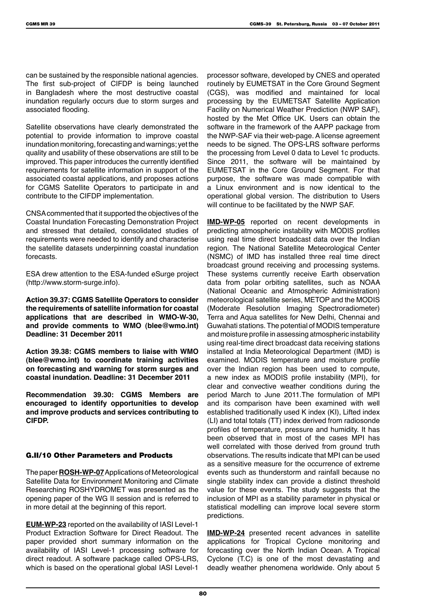can be sustained by the responsible national agencies. The first sub-project of CIFDP is being launched in Bangladesh where the most destructive coastal inundation regularly occurs due to storm surges and associated flooding.

Satellite observations have clearly demonstrated the potential to provide information to improve coastal inundation monitoring, forecasting and warnings; yet the quality and usability of these observations are still to be improved. This paper introduces the currently identified requirements for satellite information in support of the associated coastal applications, and proposes actions for CGMS Satellite Operators to participate in and contribute to the CIFDP implementation.

CNSA commented that it supported the objectives of the Coastal Inundation Forecasting Demonstration Project and stressed that detailed, consolidated studies of requirements were needed to identify and characterise the satellite datasets underpinning coastal inundation forecasts.

ESA drew attention to the ESA-funded eSurge project (http://www.storm-surge.info).

**Action 39.37: CGMS Satellite Operators to consider the requirements of satellite information for coastal applications that are described in WMO-W-30, and provide comments to WMO (blee@wmo.int) Deadline: 31 December 2011**

**Action 39.38: CGMS members to liaise with WMO (blee@wmo.int) to coordinate training activities on forecasting and warning for storm surges and coastal inundation. Deadline: 31 December 2011**

**Recommendation 39.30: CGMS Members are encouraged to identify opportunities to develop and improve products and services contributing to CIFDP.**

#### G.II/10 Other Parameters and Products

The paper **ROSH-WP-07** Applications of Meteorological Satellite Data for Environment Monitoring and Climate Researching ROSHYDROMET was presented as the opening paper of the WG II session and is referred to in more detail at the beginning of this report.

**EUM-WP-23** reported on the availability of IASI Level-1 Product Extraction Software for Direct Readout. The paper provided short summary information on the availability of IASI Level-1 processing software for direct readout. A software package called OPS-LRS, which is based on the operational global IASI Level-1

processor software, developed by CNES and operated routinely by EUMETSAT in the Core Ground Segment (CGS), was modified and maintained for local processing by the EUMETSAT Satellite Application Facility on Numerical Weather Prediction (NWP SAF), hosted by the Met Office UK. Users can obtain the software in the framework of the AAPP package from the NWP-SAF via their web-page. A license agreement needs to be signed. The OPS-LRS software performs the processing from Level 0 data to Level 1c products. Since 2011, the software will be maintained by EUMETSAT in the Core Ground Segment. For that purpose, the software was made compatible with a Linux environment and is now identical to the operational global version. The distribution to Users will continue to be facilitated by the NWP SAF.

**IMD-WP-05** reported on recent developments in predicting atmospheric instability with MODIS profiles using real time direct broadcast data over the Indian region. The National Satellite Meteorological Center (NSMC) of IMD has installed three real time direct broadcast ground receiving and processing systems. These systems currently receive Earth observation data from polar orbiting satellites, such as NOAA (National Oceanic and Atmospheric Administration) meteorological satellite series, METOP and the MODIS (Moderate Resolution Imaging Spectroradiometer) Terra and Aqua satellites for New Delhi, Chennai and Guwahati stations. The potential of MODIS temperature and moisture profile in assessing atmospheric instability using real-time direct broadcast data receiving stations installed at India Meteorological Department (IMD) is examined. MODIS temperature and moisture profile over the Indian region has been used to compute, a new index as MODIS profile instability (MPI), for clear and convective weather conditions during the period March to June 2011.The formulation of MPI and its comparison have been examined with well established traditionally used K index (KI), Lifted index (LI) and total totals (TT) index derived from radiosonde profiles of temperature, pressure and humidity. It has been observed that in most of the cases MPI has well correlated with those derived from ground truth observations. The results indicate that MPI can be used as a sensitive measure for the occurrence of extreme events such as thunderstorm and rainfall because no single stability index can provide a distinct threshold value for these events. The study suggests that the inclusion of MPI as a stability parameter in physical or statistical modelling can improve local severe storm predictions.

**IMD-WP-24** presented recent advances in satellite applications for Tropical Cyclone monitoring and forecasting over the North Indian Ocean. A Tropical Cyclone (T.C) is one of the most devastating and deadly weather phenomena worldwide. Only about 5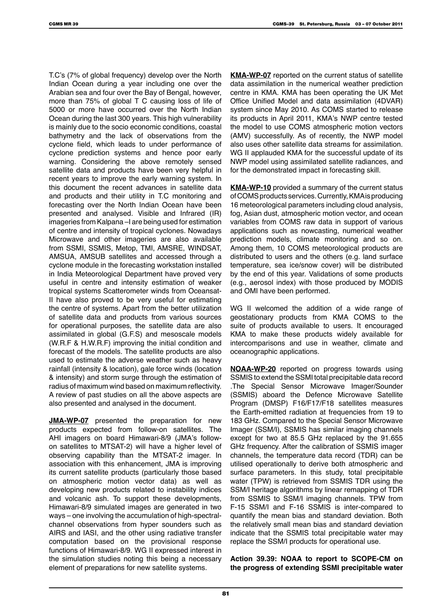T.C's (7% of global frequency) develop over the North Indian Ocean during a year including one over the Arabian sea and four over the Bay of Bengal, however, more than 75% of global T C causing loss of life of 5000 or more have occurred over the North Indian Ocean during the last 300 years. This high vulnerability is mainly due to the socio economic conditions, coastal bathymetry and the lack of observations from the cyclone field, which leads to under performance of cyclone prediction systems and hence poor early warning. Considering the above remotely sensed satellite data and products have been very helpful in recent years to improve the early warning system. In this document the recent advances in satellite data and products and their utility in T.C monitoring and forecasting over the North Indian Ocean have been presented and analysed. Visible and Infrared (IR) imageries from Kalpana –I are being used for estimation of centre and intensity of tropical cyclones. Nowadays Microwave and other imageries are also available from SSMI, SSMIS, Metop, TMI, AMSRE, WINDSAT, AMSUA, AMSUB satellites and accessed through a cyclone module in the forecasting workstation installed in India Meteorological Department have proved very useful in centre and intensity estimation of weaker tropical systems Scatterometer winds from Oceansat-II have also proved to be very useful for estimating the centre of systems. Apart from the better utilization of satellite data and products from various sources for operational purposes, the satellite data are also assimilated in global (G.F.S) and mesoscale models (W.R.F & H.W.R.F) improving the initial condition and forecast of the models. The satellite products are also used to estimate the adverse weather such as heavy rainfall (intensity & location), gale force winds (location & intensity) and storm surge through the estimation of radius of maximum wind based on maximum reflectivity. A review of past studies on all the above aspects are also presented and analysed in the document.

**JMA-WP-07** presented the preparation for new products expected from follow-on satellites. The AHI imagers on board Himawari-8/9 (JMA's followon satellites to MTSAT-2) will have a higher level of observing capability than the MTSAT-2 imager. In association with this enhancement, JMA is improving its current satellite products (particularly those based on atmospheric motion vector data) as well as developing new products related to instability indices and volcanic ash. To support these developments, Himawari-8/9 simulated images are generated in two ways – one involving the accumulation of high-spectralchannel observations from hyper sounders such as AIRS and IASI, and the other using radiative transfer computation based on the provisional response functions of Himawari-8/9. WG II expressed interest in the simulation studies noting this being a necessary element of preparations for new satellite systems.

**KMA-WP-07** reported on the current status of satellite data assimilation in the numerical weather prediction centre in KMA. KMA has been operating the UK Met Office Unified Model and data assimilation (4DVAR) system since May 2010. As COMS started to release its products in April 2011, KMA's NWP centre tested the model to use COMS atmospheric motion vectors (AMV) successfully. As of recently, the NWP model also uses other satellite data streams for assimilation. WG II applauded KMA for the successful update of its NWP model using assimilated satellite radiances, and for the demonstrated impact in forecasting skill.

**KMA-WP-10** provided a summary of the current status of COMS products services. Currently, KMA is producing 16 meteorological parameters including cloud analysis, fog, Asian dust, atmospheric motion vector, and ocean variables from COMS raw data in support of various applications such as nowcasting, numerical weather prediction models, climate monitoring and so on. Among them, 10 COMS meteorological products are distributed to users and the others (e.g. land surface temperature, sea ice/snow cover) will be distributed by the end of this year. Validations of some products (e.g., aerosol index) with those produced by MODIS and OMI have been performed.

WG II welcomed the addition of a wide range of geostationary products from KMA COMS to the suite of products available to users. It encouraged KMA to make these products widely available for intercomparisons and use in weather, climate and oceanographic applications.

**NOAA-WP-20** reported on progress towards using SSMIS to extend the SSMI total precipitable data record .The Special Sensor Microwave Imager/Sounder (SSMIS) aboard the Defence Microwave Satellite Program (DMSP) F16/F17/F18 satellites measures the Earth-emitted radiation at frequencies from 19 to 183 GHz. Compared to the Special Sensor Microwave Imager (SSM/I), SSMIS has similar imaging channels except for two at 85.5 GHz replaced by the 91.655 GHz frequency. After the calibration of SSMIS imager channels, the temperature data record (TDR) can be utilised operationally to derive both atmospheric and surface parameters. In this study, total precipitable water (TPW) is retrieved from SSMIS TDR using the SSM/I heritage algorithms by linear remapping of TDR from SSMIS to SSM/I imaging channels. TPW from F-15 SSM/I and F-16 SSMIS is inter-compared to quantify the mean bias and standard deviation. Both the relatively small mean bias and standard deviation indicate that the SSMIS total precipitable water may replace the SSM/I products for operational use.

**Action 39.39: NOAA to report to SCOPE-CM on the progress of extending SSMI precipitable water**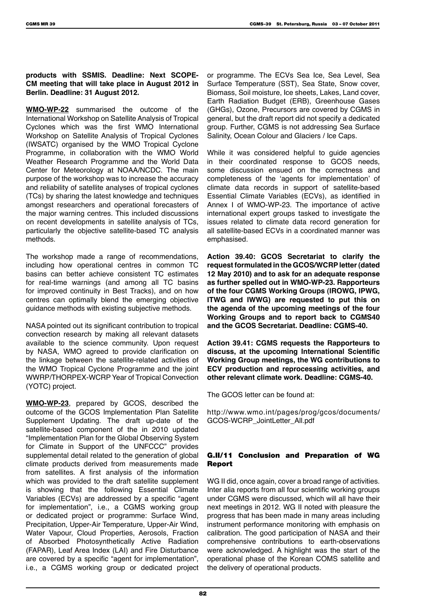#### **products with SSMIS. Deadline: Next SCOPE-CM meeting that will take place in August 2012 in Berlin. Deadline: 31 August 2012.**

**WMO-WP-22** summarised the outcome of the International Workshop on Satellite Analysis of Tropical Cyclones which was the first WMO International Workshop on Satellite Analysis of Tropical Cyclones (IWSATC) organised by the WMO Tropical Cyclone Programme, in collaboration with the WMO World Weather Research Programme and the World Data Center for Meteorology at NOAA/NCDC. The main purpose of the workshop was to increase the accuracy and reliability of satellite analyses of tropical cyclones (TCs) by sharing the latest knowledge and techniques amongst researchers and operational forecasters of the major warning centres. This included discussions on recent developments in satellite analysis of TCs, particularly the objective satellite-based TC analysis methods.

The workshop made a range of recommendations, including how operational centres in common TC basins can better achieve consistent TC estimates for real-time warnings (and among all TC basins for improved continuity in Best Tracks), and on how centres can optimally blend the emerging objective guidance methods with existing subjective methods.

NASA pointed out its significant contribution to tropical convection research by making all relevant datasets available to the science community. Upon request by NASA, WMO agreed to provide clarification on the linkage between the satellite-related activities of the WMO Tropical Cyclone Programme and the joint WWRP/THORPEX-WCRP Year of Tropical Convection (YOTC) project.

**WMO-WP-23**, prepared by GCOS, described the outcome of the GCOS Implementation Plan Satellite Supplement Updating. The draft up-date of the satellite-based component of the in 2010 updated "Implementation Plan for the Global Observing System for Climate in Support of the UNFCCC" provides supplemental detail related to the generation of global climate products derived from measurements made from satellites. A first analysis of the information which was provided to the draft satellite supplement is showing that the following Essential Climate Variables (ECVs) are addressed by a specific "agent for implementation", i.e., a CGMS working group or dedicated project or programme: Surface Wind, Precipitation, Upper-Air Temperature, Upper-Air Wind, Water Vapour, Cloud Properties, Aerosols, Fraction of Absorbed Photosynthetically Active Radiation (FAPAR), Leaf Area Index (LAI) and Fire Disturbance are covered by a specific "agent for implementation", i.e., a CGMS working group or dedicated project or programme. The ECVs Sea Ice, Sea Level, Sea Surface Temperature (SST), Sea State, Snow cover, Biomass, Soil moisture, Ice sheets, Lakes, Land cover, Earth Radiation Budget (ERB), Greenhouse Gases (GHGs), Ozone, Precursors are covered by CGMS in general, but the draft report did not specify a dedicated group. Further, CGMS is not addressing Sea Surface Salinity, Ocean Colour and Glaciers / Ice Caps.

While it was considered helpful to guide agencies in their coordinated response to GCOS needs, some discussion ensued on the correctness and completeness of the 'agents for implementation' of climate data records in support of satellite-based Essential Climate Variables (ECVs), as identified in Annex I of WMO-WP-23. The importance of active international expert groups tasked to investigate the issues related to climate data record generation for all satellite-based ECVs in a coordinated manner was emphasised.

**Action 39.40: GCOS Secretariat to clarify the request formulated in the GCOS/WCRP letter (dated 12 May 2010) and to ask for an adequate response as further spelled out in WMO-WP-23. Rapporteurs of the four CGMS Working Groups (IROWG, IPWG, ITWG and IWWG) are requested to put this on the agenda of the upcoming meetings of the four Working Groups and to report back to CGMS40 and the GCOS Secretariat. Deadline: CGMS-40.**

**Action 39.41: CGMS requests the Rapporteurs to discuss, at the upcoming International Scientific Working Group meetings, the WG contributions to ECV production and reprocessing activities, and other relevant climate work. Deadline: CGMS-40.**

The GCOS letter can be found at:

http://www.wmo.int/pages/prog/gcos/documents/ GCOS-WCRP\_JointLetter\_All.pdf

### G.II/11 Conclusion and Preparation of WG Report

WG II did, once again, cover a broad range of activities. Inter alia reports from all four scientific working groups under CGMS were discussed, which will all have their next meetings in 2012. WG II noted with pleasure the progress that has been made in many areas including instrument performance monitoring with emphasis on calibration. The good participation of NASA and their comprehensive contributions to earth-observations were acknowledged. A highlight was the start of the operational phase of the Korean COMS satellite and the delivery of operational products.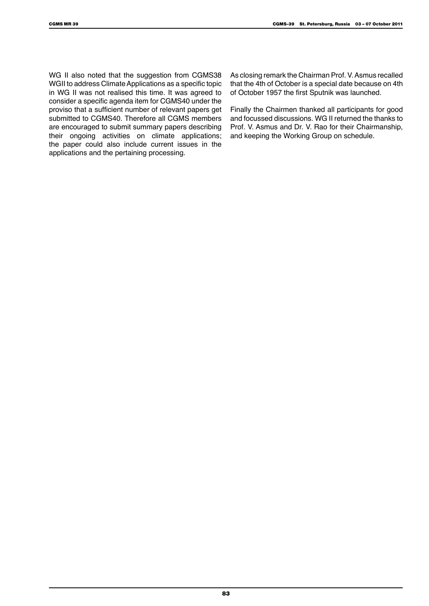WG II also noted that the suggestion from CGMS38 WGII to address Climate Applications as a specific topic in WG II was not realised this time. It was agreed to consider a specific agenda item for CGMS40 under the proviso that a sufficient number of relevant papers get submitted to CGMS40. Therefore all CGMS members are encouraged to submit summary papers describing their ongoing activities on climate applications; the paper could also include current issues in the applications and the pertaining processing.

As closing remark the Chairman Prof. V. Asmus recalled that the 4th of October is a special date because on 4th of October 1957 the first Sputnik was launched.

Finally the Chairmen thanked all participants for good and focussed discussions. WG II returned the thanks to Prof. V. Asmus and Dr. V. Rao for their Chairmanship, and keeping the Working Group on schedule.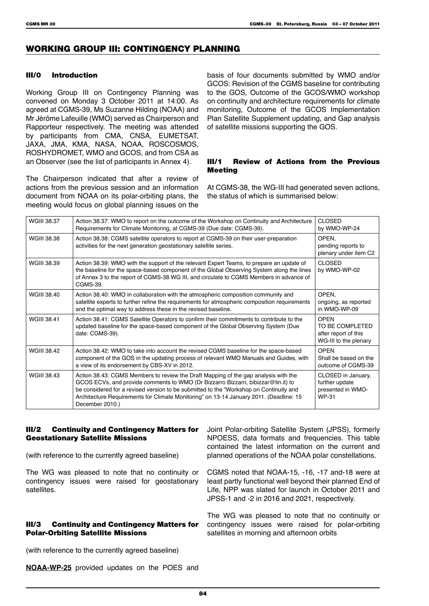### WORKING GROUP III: CONTINGENCY PLANNING

#### III/0 Introduction

Working Group III on Contingency Planning was convened on Monday 3 October 2011 at 14:00. As agreed at CGMS-39, Ms Suzanne Hilding (NOAA) and Mr Jérôme Lafeuille (WMO) served as Chairperson and Rapporteur respectively. The meeting was attended by participants from CMA, CNSA, EUMETSAT, JAXA, JMA, KMA, NASA, NOAA, ROSCOSMOS, ROSHYDROMET, WMO and GCOS, and from CSA as an Observer (see the list of participants in Annex 4).

The Chairperson indicated that after a review of actions from the previous session and an information document from NOAA on its polar-orbiting plans, the meeting would focus on global planning issues on the

basis of four documents submitted by WMO and/or GCOS: Revision of the CGMS baseline for contributing to the GOS, Outcome of the GCOS/WMO workshop on continuity and architecture requirements for climate monitoring, Outcome of the GCOS Implementation Plan Satellite Supplement updating, and Gap analysis of satellite missions supporting the GOS.

#### III/1 Review of Actions from the Previous Meeting

At CGMS-38, the WG-III had generated seven actions, the status of which is summarised below:

| <b>WGIII 38.37</b> | Action 38.37: WMO to report on the outcome of the Workshop on Continuity and Architecture<br>Requirements for Climate Monitoring, at CGMS-39 (Due date: CGMS-39).                                                                                                                                                                                                               | <b>CLOSED</b><br>by WMO-WP-24                                                   |
|--------------------|---------------------------------------------------------------------------------------------------------------------------------------------------------------------------------------------------------------------------------------------------------------------------------------------------------------------------------------------------------------------------------|---------------------------------------------------------------------------------|
| WGIII 38.38        | Action 38.38: CGMS satellite operators to report at CGMS-39 on their user-preparation<br>activities for the next generation geostationary satellite series.                                                                                                                                                                                                                     | OPEN,<br>pending reports to<br>plenary under item C2                            |
| WGIII 38.39        | Action 38.39: WMO with the support of the relevant Expert Teams, to prepare an update of<br>the baseline for the space-based component of the Global Observing System along the lines<br>of Annex 3 to the report of CGMS-38 WG III, and circulate to CGMS Members in advance of<br>CGMS-39.                                                                                    | <b>CLOSED</b><br>by WMO-WP-02                                                   |
| WGIII 38.40        | Action 38.40: WMO in collaboration with the atmospheric composition community and<br>satellite experts to further refine the requirements for atmospheric composition requirements<br>and the optimal way to address these in the revised baseline.                                                                                                                             | OPEN,<br>ongoing, as reported<br>in WMO-WP-09                                   |
| <b>WGIII 38.41</b> | Action 38.41: CGMS Satellite Operators to confirm their commitments to contribute to the<br>updated baseline for the space-based component of the Global Observing System (Due<br>date: CGMS-39).                                                                                                                                                                               | <b>OPEN</b><br>TO BE COMPLETED<br>after report of this<br>WG-III to the plenary |
| WGIII 38 42        | Action 38.42: WMO to take into account the revised CGMS baseline for the space-based<br>component of the GOS in the updating process of relevant WMO Manuals and Guides, with<br>a view of its endorsement by CBS-XV in 2012.                                                                                                                                                   | <b>OPEN</b><br>Shall be based on the<br>outcome of CGMS-39                      |
| <b>WGIII 38.43</b> | Action 38.43: CGMS Members to review the Draft Mapping of the gap analysis with the<br>GCOS ECVs, and provide comments to WMO (Dr Bizzarro Bizzarri, bibizzar@tin.it) to<br>be considered for a revised version to be submitted to the "Workshop on Continuity and<br>Architecture Requirements for Climate Monitoring" on 13-14 January 2011. (Deadline: 15<br>December 2010.) | CLOSED in January,<br>further update<br>presented in WMO-<br><b>WP-31</b>       |

#### III/2 Continuity and Contingency Matters for Geostationary Satellite Missions

(with reference to the currently agreed baseline)

The WG was pleased to note that no continuity or contingency issues were raised for geostationary satellites.

#### III/3 Continuity and Contingency Matters for Polar-Orbiting Satellite Missions

Joint Polar-orbiting Satellite System (JPSS), formerly NPOESS, data formats and frequencies. This table contained the latest information on the current and planned operations of the NOAA polar constellations.

CGMS noted that NOAA-15, -16, -17 and-18 were at least partly functional well beyond their planned End of Life, NPP was slated for launch in October 2011 and JPSS-1 and -2 in 2016 and 2021, respectively.

The WG was pleased to note that no continuity or contingency issues were raised for polar-orbiting satellites in morning and afternoon orbits

(with reference to the currently agreed baseline)

**NOAA-WP-25** provided updates on the POES and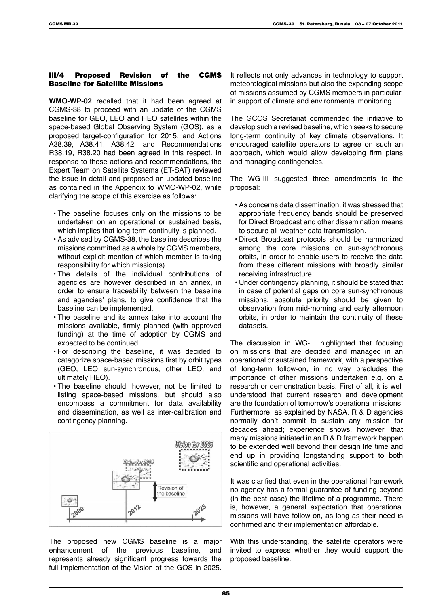#### III/4 Proposed Revision of the CGMS Baseline for Satellite Missions

**WMO-WP-02** recalled that it had been agreed at CGMS-38 to proceed with an update of the CGMS baseline for GEO, LEO and HEO satellites within the space-based Global Observing System (GOS), as a proposed target-configuration for 2015, and Actions A38.39, A38.41, A38.42, and Recommendations R38.19, R38.20 had been agreed in this respect. In response to these actions and recommendations, the Expert Team on Satellite Systems (ET-SAT) reviewed the issue in detail and proposed an updated baseline as contained in the Appendix to WMO-WP-02, while clarifying the scope of this exercise as follows:

- The baseline focuses only on the missions to be undertaken on an operational or sustained basis, which implies that long-term continuity is planned.
- As advised by CGMS-38, the baseline describes the missions committed as a whole by CGMS members, without explicit mention of which member is taking responsibility for which mission(s).
- The details of the individual contributions of agencies are however described in an annex, in order to ensure traceability between the baseline and agencies' plans, to give confidence that the baseline can be implemented.
- The baseline and its annex take into account the missions available, firmly planned (with approved funding) at the time of adoption by CGMS and expected to be continued.
- For describing the baseline, it was decided to categorize space-based missions first by orbit types (GEO, LEO sun-synchronous, other LEO, and ultimately HEO).
- The baseline should, however, not be limited to listing space-based missions, but should also encompass a commitment for data availability and dissemination, as well as inter-calibration and contingency planning.



The proposed new CGMS baseline is a major enhancement of the previous baseline, and represents already significant progress towards the full implementation of the Vision of the GOS in 2025.

It reflects not only advances in technology to support meteorological missions but also the expanding scope of missions assumed by CGMS members in particular, in support of climate and environmental monitoring.

The GCOS Secretariat commended the initiative to develop such a revised baseline, which seeks to secure long-term continuity of key climate observations. It encouraged satellite operators to agree on such an approach, which would allow developing firm plans and managing contingencies.

The WG-III suggested three amendments to the proposal:

- As concerns data dissemination, it was stressed that appropriate frequency bands should be preserved for Direct Broadcast and other dissemination means to secure all-weather data transmission.
- Direct Broadcast protocols should be harmonized among the core missions on sun-synchronous orbits, in order to enable users to receive the data from these different missions with broadly similar receiving infrastructure.
- Under contingency planning, it should be stated that in case of potential gaps on core sun-synchronous missions, absolute priority should be given to observation from mid-morning and early afternoon orbits, in order to maintain the continuity of these datasets.

The discussion in WG-III highlighted that focusing on missions that are decided and managed in an operational or sustained framework, with a perspective of long-term follow-on, in no way precludes the importance of other missions undertaken e.g. on a research or demonstration basis. First of all, it is well understood that current research and development are the foundation of tomorrow's operational missions. Furthermore, as explained by NASA, R & D agencies normally don't commit to sustain any mission for decades ahead; experience shows, however, that many missions initiated in an R & D framework happen to be extended well beyond their design life time and end up in providing longstanding support to both scientific and operational activities.

It was clarified that even in the operational framework no agency has a formal guarantee of funding beyond (in the best case) the lifetime of a programme. There is, however, a general expectation that operational missions will have follow-on, as long as their need is confirmed and their implementation affordable.

With this understanding, the satellite operators were invited to express whether they would support the proposed baseline.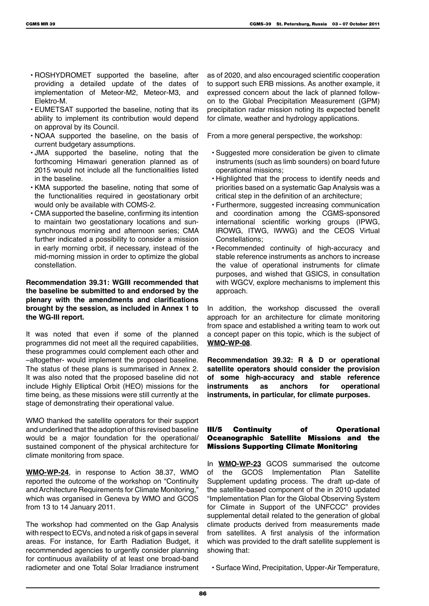- ROSHYDROMET supported the baseline, after providing a detailed update of the dates of implementation of Meteor-M2, Meteor-M3, and Elektro-M.
- EUMETSAT supported the baseline, noting that its ability to implement its contribution would depend on approval by its Council.
- NOAA supported the baseline, on the basis of current budgetary assumptions.
- JMA supported the baseline, noting that the forthcoming Himawari generation planned as of 2015 would not include all the functionalities listed in the baseline.
- KMA supported the baseline, noting that some of the functionalities required in geostationary orbit would only be available with COMS-2.
- CMA supported the baseline, confirming its intention to maintain two geostationary locations and sunsynchronous morning and afternoon series; CMA further indicated a possibility to consider a mission in early morning orbit, if necessary, instead of the mid-morning mission in order to optimize the global constellation.

**Recommendation 39.31: WGIII recommended that the baseline be submitted to and endorsed by the plenary with the amendments and clarifications brought by the session, as included in Annex 1 to the WG-III report.**

It was noted that even if some of the planned programmes did not meet all the required capabilities, these programmes could complement each other and –altogether- would implement the proposed baseline. The status of these plans is summarised in Annex 2. It was also noted that the proposed baseline did not include Highly Elliptical Orbit (HEO) missions for the time being, as these missions were still currently at the stage of demonstrating their operational value.

WMO thanked the satellite operators for their support and underlined that the adoption of this revised baseline would be a major foundation for the operational/ sustained component of the physical architecture for climate monitoring from space.

**WMO-WP-24**, in response to Action 38.37, WMO reported the outcome of the workshop on "Continuity and Architecture Requirements for Climate Monitoring," which was organised in Geneva by WMO and GCOS from 13 to 14 January 2011.

The workshop had commented on the Gap Analysis with respect to ECVs, and noted a risk of gaps in several areas. For instance, for Earth Radiation Budget, it recommended agencies to urgently consider planning for continuous availability of at least one broad-band radiometer and one Total Solar Irradiance instrument

as of 2020, and also encouraged scientific cooperation to support such ERB missions. As another example, it expressed concern about the lack of planned followon to the Global Precipitation Measurement (GPM) precipitation radar mission noting its expected benefit for climate, weather and hydrology applications.

From a more general perspective, the workshop:

- Suggested more consideration be given to climate instruments (such as limb sounders) on board future operational missions;
- Highlighted that the process to identify needs and priorities based on a systematic Gap Analysis was a critical step in the definition of an architecture;
- Furthermore, suggested increasing communication and coordination among the CGMS-sponsored international scientific working groups (IPWG, IROWG, ITWG, IWWG) and the CEOS Virtual Constellations;
- Recommended continuity of high-accuracy and stable reference instruments as anchors to increase the value of operational instruments for climate purposes, and wished that GSICS, in consultation with WGCV, explore mechanisms to implement this approach.

In addition, the workshop discussed the overall approach for an architecture for climate monitoring from space and established a writing team to work out a concept paper on this topic, which is the subject of **WMO-WP-08**.

**Recommendation 39.32: R & D or operational satellite operators should consider the provision of some high-accuracy and stable reference instruments as anchors for operational instruments, in particular, for climate purposes.**

#### III/5 Continuity of Operational Oceanographic Satellite Missions and the Missions Supporting Climate Monitoring

In **WMO-WP-23** GCOS summarised the outcome of the GCOS Implementation Plan Satellite Supplement updating process. The draft up-date of the satellite-based component of the in 2010 updated "Implementation Plan for the Global Observing System for Climate in Support of the UNFCCC" provides supplemental detail related to the generation of global climate products derived from measurements made from satellites. A first analysis of the information which was provided to the draft satellite supplement is showing that:

• Surface Wind, Precipitation, Upper-Air Temperature,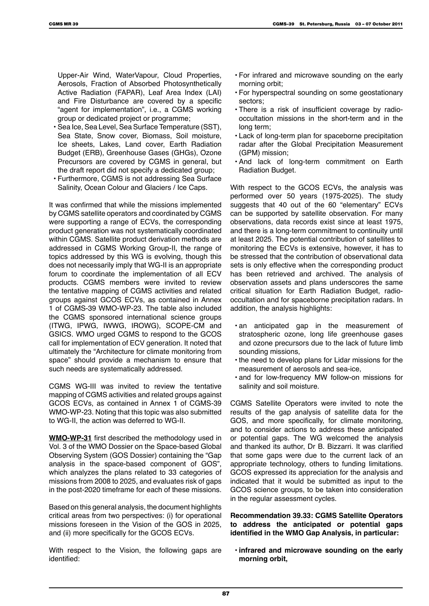Upper-Air Wind, WaterVapour, Cloud Properties, Aerosols, Fraction of Absorbed Photosynthetically Active Radiation (FAPAR), Leaf Area Index (LAI) and Fire Disturbance are covered by a specific "agent for implementation", i.e., a CGMS working group or dedicated project or programme;

- Sea Ice, Sea Level, Sea Surface Temperature (SST), Sea State, Snow cover, Biomass, Soil moisture, Ice sheets, Lakes, Land cover, Earth Radiation Budget (ERB), Greenhouse Gases (GHGs), Ozone Precursors are covered by CGMS in general, but the draft report did not specify a dedicated group;
- Furthermore, CGMS is not addressing Sea Surface Salinity, Ocean Colour and Glaciers / Ice Caps.

It was confirmed that while the missions implemented by CGMS satellite operators and coordinated by CGMS were supporting a range of ECVs, the corresponding product generation was not systematically coordinated within CGMS. Satellite product derivation methods are addressed in CGMS Working Group-II, the range of topics addressed by this WG is evolving, though this does not necessarily imply that WG-II is an appropriate forum to coordinate the implementation of all ECV products. CGMS members were invited to review the tentative mapping of CGMS activities and related groups against GCOS ECVs, as contained in Annex 1 of CGMS-39 WMO-WP-23. The table also included the CGMS sponsored international science groups (ITWG, IPWG, IWWG, IROWG), SCOPE-CM and GSICS. WMO urged CGMS to respond to the GCOS call for implementation of ECV generation. It noted that ultimately the "Architecture for climate monitoring from space" should provide a mechanism to ensure that such needs are systematically addressed.

CGMS WG-III was invited to review the tentative mapping of CGMS activities and related groups against GCOS ECVs, as contained in Annex 1 of CGMS-39 WMO-WP-23. Noting that this topic was also submitted to WG-II, the action was deferred to WG-II.

**WMO-WP-31** first described the methodology used in Vol. 3 of the WMO Dossier on the Space-based Global Observing System (GOS Dossier) containing the "Gap analysis in the space-based component of GOS", which analyzes the plans related to 33 categories of missions from 2008 to 2025, and evaluates risk of gaps in the post-2020 timeframe for each of these missions.

Based on this general analysis, the document highlights critical areas from two perspectives: (i) for operational missions foreseen in the Vision of the GOS in 2025, and (ii) more specifically for the GCOS ECVs.

With respect to the Vision, the following gaps are identified:

- For infrared and microwave sounding on the early morning orbit;
- For hyperspectral sounding on some geostationary sectors;
- There is a risk of insufficient coverage by radiooccultation missions in the short-term and in the long term;
- Lack of long-term plan for spaceborne precipitation radar after the Global Precipitation Measurement (GPM) mission;
- And lack of long-term commitment on Earth Radiation Budget.

With respect to the GCOS ECVs, the analysis was performed over 50 years (1975-2025). The study suggests that 40 out of the 60 "elementary" ECVs can be supported by satellite observation. For many observations, data records exist since at least 1975, and there is a long-term commitment to continuity until at least 2025. The potential contribution of satellites to monitoring the ECVs is extensive, however, it has to be stressed that the contribution of observational data sets is only effective when the corresponding product has been retrieved and archived. The analysis of observation assets and plans underscores the same critical situation for Earth Radiation Budget, radiooccultation and for spaceborne precipitation radars. In addition, the analysis highlights:

- an anticipated gap in the measurement of stratospheric ozone, long life greenhouse gases and ozone precursors due to the lack of future limb sounding missions,
- the need to develop plans for Lidar missions for the measurement of aerosols and sea-ice,
- and for low-frequency MW follow-on missions for salinity and soil moisture.

CGMS Satellite Operators were invited to note the results of the gap analysis of satellite data for the GOS, and more specifically, for climate monitoring, and to consider actions to address these anticipated or potential gaps. The WG welcomed the analysis and thanked its author, Dr B. Bizzarri. It was clarified that some gaps were due to the current lack of an appropriate technology, others to funding limitations. GCOS expressed its appreciation for the analysis and indicated that it would be submitted as input to the GCOS science groups, to be taken into consideration in the regular assessment cycles.

**Recommendation 39.33: CGMS Satellite Operators to address the anticipated or potential gaps identified in the WMO Gap Analysis, in particular:**

**• infrared and microwave sounding on the early morning orbit,**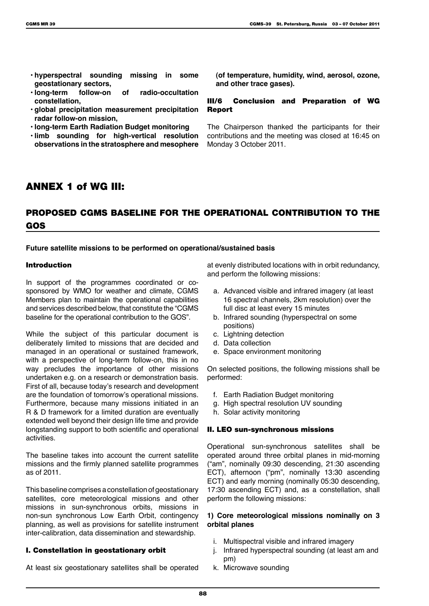- **• hyperspectral sounding missing in some geostationary sectors,**
- **• long-term follow-on of radio-occultation constellation,**
- **• global precipitation measurement precipitation radar follow-on mission,**
- **• long-term Earth Radiation Budget monitoring**
- **• limb sounding for high-vertical resolution observations in the stratosphere and mesophere**

**(of temperature, humidity, wind, aerosol, ozone, and other trace gases).**

### III/6 Conclusion and Preparation of WG Report

The Chairperson thanked the participants for their contributions and the meeting was closed at 16:45 on Monday 3 October 2011.

# ANNEX 1 of WG III:

# PROPOSED CGMS BASELINE FOR THE OPERATIONAL CONTRIBUTION TO THE GOS

**Future satellite missions to be performed on operational/sustained basis**

#### Introduction

In support of the programmes coordinated or cosponsored by WMO for weather and climate, CGMS Members plan to maintain the operational capabilities and services described below, that constitute the "CGMS baseline for the operational contribution to the GOS".

While the subject of this particular document is deliberately limited to missions that are decided and managed in an operational or sustained framework, with a perspective of long-term follow-on, this in no way precludes the importance of other missions undertaken e.g. on a research or demonstration basis. First of all, because today's research and development are the foundation of tomorrow's operational missions. Furthermore, because many missions initiated in an R & D framework for a limited duration are eventually extended well beyond their design life time and provide longstanding support to both scientific and operational activities.

The baseline takes into account the current satellite missions and the firmly planned satellite programmes as of 2011.

This baseline comprises a constellation of geostationary satellites, core meteorological missions and other missions in sun-synchronous orbits, missions in non-sun synchronous Low Earth Orbit, contingency planning, as well as provisions for satellite instrument inter-calibration, data dissemination and stewardship.

#### I. Constellation in geostationary orbit

At least six geostationary satellites shall be operated

at evenly distributed locations with in orbit redundancy, and perform the following missions:

- a. Advanced visible and infrared imagery (at least 16 spectral channels, 2km resolution) over the full disc at least every 15 minutes
- b. Infrared sounding (hyperspectral on some positions)
- c. Lightning detection
- d. Data collection
- e. Space environment monitoring

On selected positions, the following missions shall be performed:

- f. Earth Radiation Budget monitoring
- g. High spectral resolution UV sounding
- h. Solar activity monitoring

#### II. LEO sun-synchronous missions

Operational sun-synchronous satellites shall be operated around three orbital planes in mid-morning ("am", nominally 09:30 descending, 21:30 ascending ECT), afternoon ("pm", nominally 13:30 ascending ECT) and early morning (nominally 05:30 descending, 17:30 ascending ECT) and, as a constellation, shall perform the following missions:

#### **1) Core meteorological missions nominally on 3 orbital planes**

- i. Multispectral visible and infrared imagery
- j. Infrared hyperspectral sounding (at least am and pm)
- k. Microwave sounding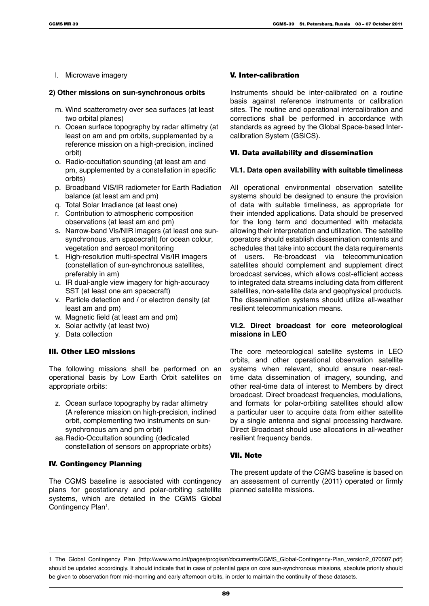l. Microwave imagery

#### **2) Other missions on sun-synchronous orbits**

- m. Wind scatterometry over sea surfaces (at least two orbital planes)
- n. Ocean surface topography by radar altimetry (at least on am and pm orbits, supplemented by a reference mission on a high-precision, inclined orbit)
- o. Radio-occultation sounding (at least am and pm, supplemented by a constellation in specific orbits)
- p. Broadband VIS/IR radiometer for Earth Radiation balance (at least am and pm)
- q. Total Solar Irradiance (at least one)
- r. Contribution to atmospheric composition observations (at least am and pm)
- s. Narrow-band Vis/NIR imagers (at least one sunsynchronous, am spacecraft) for ocean colour, vegetation and aerosol monitoring
- t. High-resolution multi-spectral Vis/IR imagers (constellation of sun-synchronous satellites, preferably in am)
- u. IR dual-angle view imagery for high-accuracy SST (at least one am spacecraft)
- v. Particle detection and / or electron density (at least am and pm)
- w. Magnetic field (at least am and pm)
- x. Solar activity (at least two)
- y. Data collection

#### III. Other LEO missions

The following missions shall be performed on an operational basis by Low Earth Orbit satellites on appropriate orbits:

- z. Ocean surface topography by radar altimetry (A reference mission on high-precision, inclined orbit, complementing two instruments on sunsynchronous am and pm orbit)
- aa.Radio-Occultation sounding (dedicated constellation of sensors on appropriate orbits)

#### IV. Contingency Planning

The CGMS baseline is associated with contingency plans for geostationary and polar-orbiting satellite systems, which are detailed in the CGMS Global Contingency Plan<sup>1</sup>.

#### V. Inter-calibration

Instruments should be inter-calibrated on a routine basis against reference instruments or calibration sites. The routine and operational intercalibration and corrections shall be performed in accordance with standards as agreed by the Global Space-based Intercalibration System (GSICS).

#### VI. Data availability and dissemination

#### **VI.1. Data open availability with suitable timeliness**

All operational environmental observation satellite systems should be designed to ensure the provision of data with suitable timeliness, as appropriate for their intended applications. Data should be preserved for the long term and documented with metadata allowing their interpretation and utilization. The satellite operators should establish dissemination contents and schedules that take into account the data requirements of users. Re-broadcast via telecommunication satellites should complement and supplement direct broadcast services, which allows cost-efficient access to integrated data streams including data from different satellites, non-satellite data and geophysical products. The dissemination systems should utilize all-weather resilient telecommunication means.

#### **VI.2. Direct broadcast for core meteorological missions in LEO**

The core meteorological satellite systems in LEO orbits, and other operational observation satellite systems when relevant, should ensure near-realtime data dissemination of imagery, sounding, and other real-time data of interest to Members by direct broadcast. Direct broadcast frequencies, modulations, and formats for polar-orbiting satellites should allow a particular user to acquire data from either satellite by a single antenna and signal processing hardware. Direct Broadcast should use allocations in all-weather resilient frequency bands.

#### VII. Note

The present update of the CGMS baseline is based on an assessment of currently (2011) operated or firmly planned satellite missions.

<sup>1</sup> The Global Contingency Plan (http://www.wmo.int/pages/prog/sat/documents/CGMS\_Global-Contingency-Plan\_version2\_070507.pdf) should be updated accordingly. It should indicate that in case of potential gaps on core sun-synchronous missions, absolute priority should be given to observation from mid-morning and early afternoon orbits, in order to maintain the continuity of these datasets.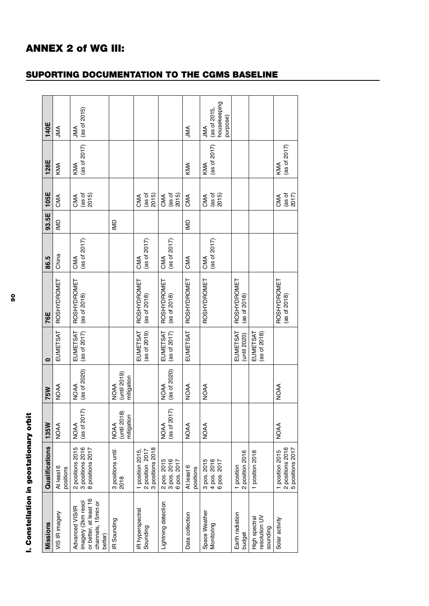| I. Constellation in geostationary orbit                                                          |                                                          |                                          |                                            |                          |                                    |                               |                         |                                                                     |                     |                                                        |
|--------------------------------------------------------------------------------------------------|----------------------------------------------------------|------------------------------------------|--------------------------------------------|--------------------------|------------------------------------|-------------------------------|-------------------------|---------------------------------------------------------------------|---------------------|--------------------------------------------------------|
| Missions                                                                                         | Qualifications                                           | 135W                                     | <b>75W</b>                                 | $\bullet$                | 76E                                | 86.5                          | 93.5E                   | 105E                                                                | 128E                | 140E                                                   |
| VIS IR imagery                                                                                   | positions<br>At least                                    | <b>NOAA</b>                              | <b>NOAA</b>                                | EUMETSAT                 | ROSHYDROMET                        | China                         | g                       | CMA                                                                 | KMA                 | <b>ANL</b>                                             |
| or better, at least 16<br>imagery (2km resol<br>channels, 15min or<br>Advanced VIS/IR<br>better) | 2 positions 2015<br>3 positions 2016<br>8 positions 2017 | ≂<br>(as of $201$<br>NOAA                | (as of 2020)<br><b>NOAA</b>                | EUMETSAT<br>(as of 2017) | <b>ROSHYDROMET</b><br>(as of 2018) | (as of $2017$ )<br>CMA        |                         | CMA<br>(as of<br>2015)                                              | (as of 2017)<br>KMA | (as of 2015)<br><b>ANL</b>                             |
| IR Sounding                                                                                      | 3 positions until<br>2018                                | (until 2018<br>mitigation<br><b>NOAA</b> | $(unit 2019)$<br>mitigation<br><b>NOAA</b> |                          |                                    |                               | $\subseteq$             |                                                                     |                     |                                                        |
| IR hyperspectral<br>Sounding                                                                     | 2 position 2017<br>3 positions 2018<br>1 position 2015,  |                                          |                                            | (as of 2019)<br>EUMETSAT | ROSHYDROMET<br>(as of 2018)        | (as of $2017$ )<br>CMA        |                         | (as of<br>2015)<br>CMA                                              |                     |                                                        |
| Lightning detection                                                                              | 2 pos. 2015<br>3 pos. 2016<br>6 pos. 2017                | (as of $2017$ )<br><b>NOAA</b>           | (as of 2020)<br><b>NOAA</b>                | EUMETSAT<br>(as of 2017) | ROSHYDROMET<br>(as of 2018)        | (as of $2017$ )<br>CMA        |                         | (as of<br>2015)<br>CMA                                              |                     |                                                        |
| Data collection                                                                                  | At least 6<br>positions                                  | <b>NOAA</b>                              | <b>NOAA</b>                                | EUMETSAT                 | ROSHYDROMET                        | CMA                           | $\overline{\mathsf{M}}$ | CMA                                                                 | KMA                 | JMA                                                    |
| Space Weather<br>Monitoring                                                                      | 3 pos. 2015<br>4 pos. 2016<br>6 pos. 2017                | <b>NOAA</b>                              | <b>NOAA</b>                                |                          | ROSHYDROMET                        | $(\text{as of } 2017)$<br>CMA |                         | $\frac{(as \space of)}{(2015)}$<br>CMA                              | (as of 2017)<br>KMA | housekeeping<br>(as of 2015,<br>purpose)<br><b>ANL</b> |
| Earth radiation<br>budget                                                                        | 1 position<br>2 position 2016                            |                                          |                                            | EUMETSAT<br>(until 2020) | ROSHYDROMET<br>(as of 2018)        |                               |                         |                                                                     |                     |                                                        |
| resolution UV<br>High spectral<br>sounding                                                       | position 2018                                            |                                          |                                            | EUMETSAT<br>(as of 2018) |                                    |                               |                         |                                                                     |                     |                                                        |
| Solar activity                                                                                   | 1 position 2015<br>2 positions 2016<br>5 positions 2017  | <b>NOAA</b>                              | <b>NOAA</b>                                |                          | ROSHYDROMET<br>(as of 2018)        |                               |                         | $\begin{array}{c} (as \text{ of } 2017) \\ 2017 \end{array}$<br>CMA | (as of 2017)<br>KMA |                                                        |

# SUPORTING DOCUMENTATION TO THE CGMS BASELINE

ANNEX 2 of WG III: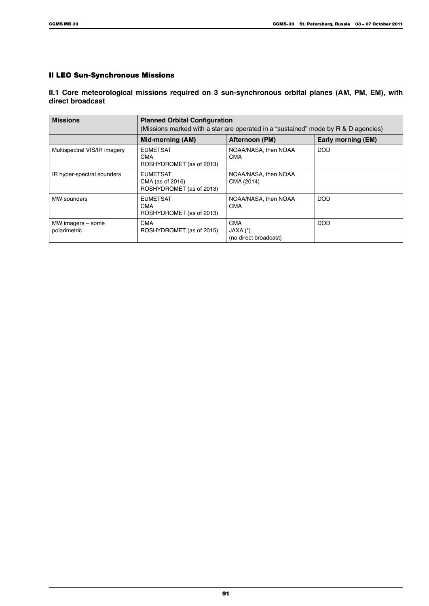### II LEO Sun-Synchronous Missions

**II.1 Core meteorological missions required on 3 sun-synchronous orbital planes (AM, PM, EM), with direct broadcast**

| <b>Missions</b>                   | <b>Planned Orbital Configuration</b><br>(Missions marked with a star are operated in a "sustained" mode by R & D agencies) |                                                 |                    |  |  |
|-----------------------------------|----------------------------------------------------------------------------------------------------------------------------|-------------------------------------------------|--------------------|--|--|
|                                   | Mid-morning (AM)                                                                                                           | Afternoon (PM)                                  | Early morning (EM) |  |  |
| Multispectral VIS/IR imagery      | <b>EUMETSAT</b><br><b>CMA</b><br>ROSHYDROMET (as of 2013)                                                                  | NOAA/NASA, then NOAA<br><b>CMA</b>              | <b>DOD</b>         |  |  |
| IR hyper-spectral sounders        | <b>EUMETSAT</b><br>CMA (as of 2016)<br>ROSHYDROMET (as of 2013)                                                            | NOAA/NASA, then NOAA<br>CMA (2014)              |                    |  |  |
| MW sounders                       | <b>EUMETSAT</b><br><b>CMA</b><br>ROSHYDROMET (as of 2013)                                                                  | NOAA/NASA, then NOAA<br><b>CMA</b>              | <b>DOD</b>         |  |  |
| MW imagers - some<br>polarimetric | <b>CMA</b><br>ROSHYDROMET (as of 2015)                                                                                     | <b>CMA</b><br>JAXA (*)<br>(no direct broadcast) | <b>DOD</b>         |  |  |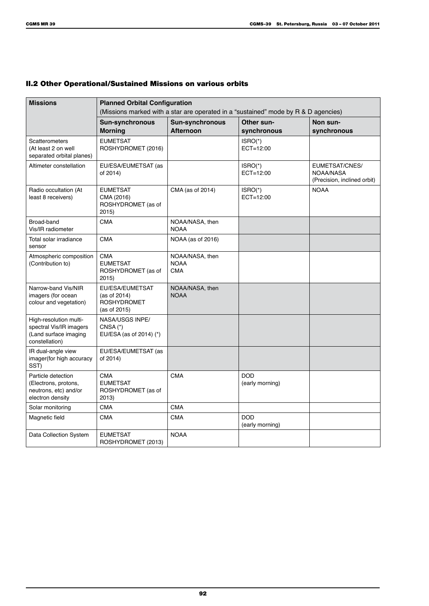### II.2 Other Operational/Sustained Missions on various orbits

| <b>Missions</b>                                                                              | <b>Planned Orbital Configuration</b>                                  |                                              |                                                                                    |                                                            |  |  |
|----------------------------------------------------------------------------------------------|-----------------------------------------------------------------------|----------------------------------------------|------------------------------------------------------------------------------------|------------------------------------------------------------|--|--|
|                                                                                              |                                                                       |                                              | (Missions marked with a star are operated in a "sustained" mode by R & D agencies) |                                                            |  |  |
|                                                                                              | <b>Sun-synchronous</b>                                                | <b>Sun-synchronous</b><br><b>Afternoon</b>   | Other sun-                                                                         | Non sun-                                                   |  |  |
| Scatterometers<br>(At least 2 on well<br>separated orbital planes)                           | <b>Morning</b><br><b>EUMETSAT</b><br>ROSHYDROMET (2016)               |                                              | synchronous<br>ISRO(*)<br>ECT=12:00                                                | synchronous                                                |  |  |
| Altimeter constellation                                                                      | EU/ESA/EUMETSAT (as<br>of 2014)                                       |                                              | ISRO(*)<br>ECT=12:00                                                               | EUMETSAT/CNES/<br>NOAA/NASA<br>(Precision, inclined orbit) |  |  |
| Radio occultation (At<br>least 8 receivers)                                                  | <b>EUMETSAT</b><br>CMA (2016)<br>ROSHYDROMET (as of<br>2015)          | CMA (as of 2014)                             | ISRO(*)<br>ECT=12:00                                                               | <b>NOAA</b>                                                |  |  |
| Broad-band<br>Vis/IR radiometer                                                              | <b>CMA</b>                                                            | NOAA/NASA, then<br><b>NOAA</b>               |                                                                                    |                                                            |  |  |
| Total solar irradiance<br>sensor                                                             | <b>CMA</b>                                                            | NOAA (as of 2016)                            |                                                                                    |                                                            |  |  |
| Atmospheric composition<br>(Contribution to)                                                 | <b>CMA</b><br><b>EUMETSAT</b><br>ROSHYDROMET (as of<br>2015           | NOAA/NASA, then<br><b>NOAA</b><br><b>CMA</b> |                                                                                    |                                                            |  |  |
| Narrow-band Vis/NIR<br>imagers (for ocean<br>colour and vegetation)                          | EU/ESA/EUMETSAT<br>(as of 2014)<br><b>ROSHYDROMET</b><br>(as of 2015) | NOAA/NASA, then<br><b>NOAA</b>               |                                                                                    |                                                            |  |  |
| High-resolution multi-<br>spectral Vis/IR imagers<br>(Land surface imaging<br>constellation) | NASA/USGS INPE/<br>$CNSA(*)$<br>EU/ESA (as of 2014) (*)               |                                              |                                                                                    |                                                            |  |  |
| IR dual-angle view<br>imager(for high accuracy<br>SST)                                       | EU/ESA/EUMETSAT (as<br>of 2014)                                       |                                              |                                                                                    |                                                            |  |  |
| Particle detection<br>(Electrons, protons,<br>neutrons, etc) and/or<br>electron density      | <b>CMA</b><br><b>EUMETSAT</b><br>ROSHYDROMET (as of<br>2013)          | <b>CMA</b>                                   | <b>DOD</b><br>(early morning)                                                      |                                                            |  |  |
| Solar monitoring                                                                             | <b>CMA</b>                                                            | <b>CMA</b>                                   |                                                                                    |                                                            |  |  |
| Magnetic field                                                                               | <b>CMA</b>                                                            | <b>CMA</b>                                   | <b>DOD</b><br>(early morning)                                                      |                                                            |  |  |
| Data Collection System                                                                       | <b>EUMETSAT</b><br>ROSHYDROMET (2013)                                 | <b>NOAA</b>                                  |                                                                                    |                                                            |  |  |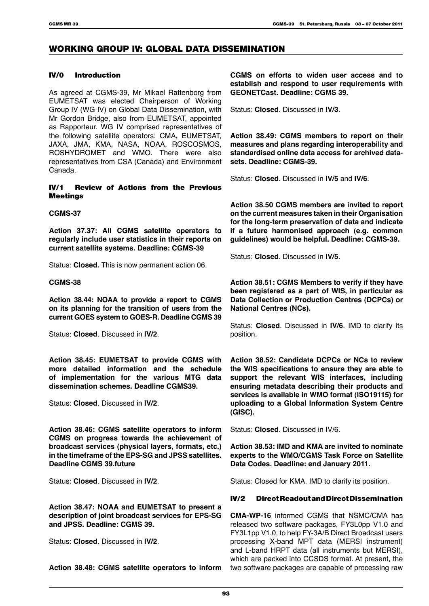### WORKING GROUP IV: GLOBAL DATA DISSEMINATION

#### IV/0 Introduction

As agreed at CGMS-39, Mr Mikael Rattenborg from EUMETSAT was elected Chairperson of Working Group IV (WG IV) on Global Data Dissemination, with Mr Gordon Bridge, also from EUMETSAT, appointed as Rapporteur. WG IV comprised representatives of the following satellite operators: CMA, EUMETSAT, JAXA, JMA, KMA, NASA, NOAA, ROSCOSMOS, ROSHYDROMET and WMO. There were also representatives from CSA (Canada) and Environment Canada.

#### IV/1 Review of Actions from the Previous Meetings

#### **CGMS-37**

**Action 37.37: All CGMS satellite operators to regularly include user statistics in their reports on current satellite systems. Deadline: CGMS-39**

Status: **Closed.** This is now permanent action 06.

#### **CGMS-38**

**Action 38.44: NOAA to provide a report to CGMS on its planning for the transition of users from the current GOES system to GOES-R. Deadline CGMS 39**

Status: **Closed**. Discussed in **IV/2**.

**Action 38.45: EUMETSAT to provide CGMS with more detailed information and the schedule of implementation for the various MTG data dissemination schemes. Deadline CGMS39.**

Status: **Closed**. Discussed in **IV/2**.

**Action 38.46: CGMS satellite operators to inform CGMS on progress towards the achievement of broadcast services (physical layers, formats, etc.) in the timeframe of the EPS-SG and JPSS satellites. Deadline CGMS 39.future** 

Status: **Closed**. Discussed in **IV/2**.

**Action 38.47: NOAA and EUMETSAT to present a description of joint broadcast services for EPS-SG and JPSS. Deadline: CGMS 39.**

Status: **Closed**. Discussed in **IV/2**.

**Action 38.48: CGMS satellite operators to inform** 

**CGMS on efforts to widen user access and to establish and respond to user requirements with GEONETCast. Deadline: CGMS 39.**

Status: **Closed**. Discussed in **IV/3**.

**Action 38.49: CGMS members to report on their measures and plans regarding interoperability and standardised online data access for archived datasets. Deadline: CGMS-39.**

Status: **Closed**. Discussed in **IV/5** and **IV/6**.

**Action 38.50 CGMS members are invited to report on the current measures taken in their Organisation for the long-term preservation of data and indicate if a future harmonised approach (e.g. common guidelines) would be helpful. Deadline: CGMS-39.**

Status: **Closed**. Discussed in **IV/5**.

**Action 38.51: CGMS Members to verify if they have been registered as a part of WIS, in particular as Data Collection or Production Centres (DCPCs) or National Centres (NCs).**

Status: **Closed**. Discussed in **IV/6**. IMD to clarify its position.

**Action 38.52: Candidate DCPCs or NCs to review the WIS specifications to ensure they are able to support the relevant WIS interfaces, including ensuring metadata describing their products and services is available in WMO format (ISO19115) for uploading to a Global Information System Centre (GISC).**

Status: **Closed**. Discussed in IV/6.

**Action 38.53: IMD and KMA are invited to nominate experts to the WMO/CGMS Task Force on Satellite Data Codes. Deadline: end January 2011.**

Status: Closed for KMA. IMD to clarify its position.

#### IV/2 Direct Readout and Direct Dissemination

**CMA-WP-16** informed CGMS that NSMC/CMA has released two software packages, FY3L0pp V1.0 and FY3L1pp V1.0, to help FY-3A/B Direct Broadcast users processing X-band MPT data (MERSI instrument) and L-band HRPT data (all instruments but MERSI), which are packed into CCSDS format. At present, the two software packages are capable of processing raw

93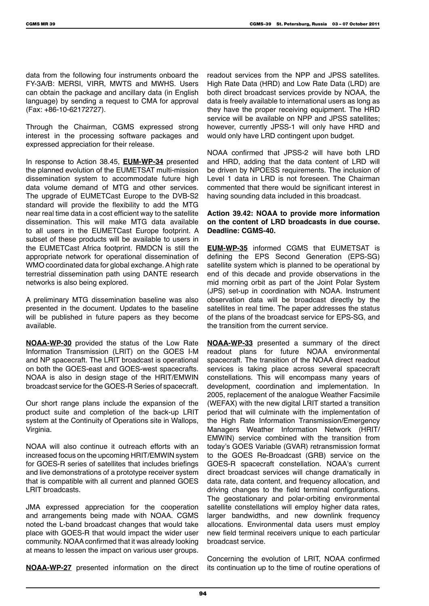data from the following four instruments onboard the FY-3A/B: MERSI, VIRR, MWTS and MWHS. Users can obtain the package and ancillary data (in English language) by sending a request to CMA for approval (Fax: +86-10-62172727).

Through the Chairman, CGMS expressed strong interest in the processing software packages and expressed appreciation for their release.

In response to Action 38.45, **EUM-WP-34** presented the planned evolution of the EUMETSAT multi-mission dissemination system to accommodate future high data volume demand of MTG and other services. The upgrade of EUMETCast Europe to the DVB-S2 standard will provide the flexibility to add the MTG near real time data in a cost efficient way to the satellite dissemination. This will make MTG data available to all users in the EUMETCast Europe footprint. A subset of these products will be available to users in the EUMETCast Africa footprint. RMDCN is still the appropriate network for operational dissemination of WMO coordinated data for global exchange. A high rate terrestrial dissemination path using DANTE research networks is also being explored.

A preliminary MTG dissemination baseline was also presented in the document. Updates to the baseline will be published in future papers as they become available.

**NOAA-WP-30** provided the status of the Low Rate Information Transmission (LRIT) on the GOES I-M and NP spacecraft. The LRIT broadcast is operational on both the GOES-east and GOES-west spacecrafts. NOAA is also in design stage of the HRIT/EMWIN broadcast service for the GOES-R Series of spacecraft.

Our short range plans include the expansion of the product suite and completion of the back-up LRIT system at the Continuity of Operations site in Wallops, Virginia.

NOAA will also continue it outreach efforts with an increased focus on the upcoming HRIT/EMWIN system for GOES-R series of satellites that includes briefings and live demonstrations of a prototype receiver system that is compatible with all current and planned GOES LRIT broadcasts.

JMA expressed appreciation for the cooperation and arrangements being made with NOAA. CGMS noted the L-band broadcast changes that would take place with GOES-R that would impact the wider user community. NOAA confirmed that it was already looking at means to lessen the impact on various user groups.

**NOAA-WP-27** presented information on the direct

readout services from the NPP and JPSS satellites. High Rate Data (HRD) and Low Rate Data (LRD) are both direct broadcast services provide by NOAA, the data is freely available to international users as long as they have the proper receiving equipment. The HRD service will be available on NPP and JPSS satellites; however, currently JPSS-1 will only have HRD and would only have LRD contingent upon budget.

NOAA confirmed that JPSS-2 will have both LRD and HRD, adding that the data content of LRD will be driven by NPOESS requirements. The inclusion of Level 1 data in LRD is not foreseen. The Chairman commented that there would be significant interest in having sounding data included in this broadcast.

#### **Action 39.42: NOAA to provide more information on the content of LRD broadcasts in due course. Deadline: CGMS-40.**

**EUM-WP-35** informed CGMS that EUMETSAT is defining the EPS Second Generation (EPS-SG) satellite system which is planned to be operational by end of this decade and provide observations in the mid morning orbit as part of the Joint Polar System (JPS) set-up in coordination with NOAA. Instrument observation data will be broadcast directly by the satellites in real time. The paper addresses the status of the plans of the broadcast service for EPS-SG, and the transition from the current service.

**NOAA-WP-33** presented a summary of the direct readout plans for future NOAA environmental spacecraft. The transition of the NOAA direct readout services is taking place across several spacecraft constellations. This will encompass many years of development, coordination and implementation. In 2005, replacement of the analogue Weather Facsimile (WEFAX) with the new digital LRIT started a transition period that will culminate with the implementation of the High Rate Information Transmission/Emergency Managers Weather Information Network (HRIT/ EMWIN) service combined with the transition from today's GOES Variable (GVAR) retransmission format to the GOES Re-Broadcast (GRB) service on the GOES-R spacecraft constellation. NOAA's current direct broadcast services will change dramatically in data rate, data content, and frequency allocation, and driving changes to the field terminal configurations. The geostationary and polar-orbiting environmental satellite constellations will employ higher data rates. larger bandwidths, and new downlink frequency allocations. Environmental data users must employ new field terminal receivers unique to each particular broadcast service.

Concerning the evolution of LRIT, NOAA confirmed its continuation up to the time of routine operations of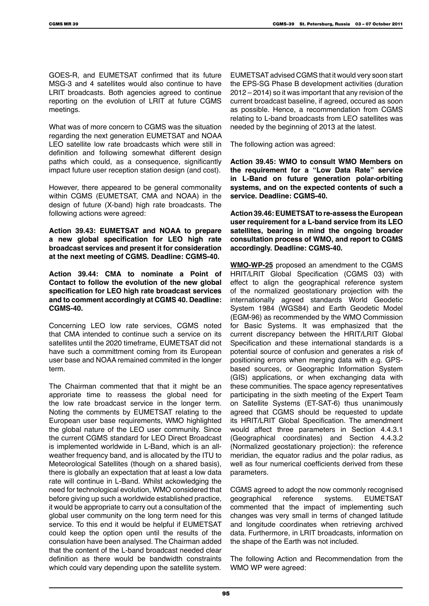GOES-R, and EUMETSAT confirmed that its future MSG-3 and 4 satellites would also continue to have LRIT broadcasts. Both agencies agreed to continue reporting on the evolution of LRIT at future CGMS meetings.

What was of more concern to CGMS was the situation regarding the next generation EUMETSAT and NOAA LEO satellite low rate broadcasts which were still in definition and following somewhat different design paths which could, as a consequence, significantly impact future user reception station design (and cost).

However, there appeared to be general commonality within CGMS (EUMETSAT, CMA and NOAA) in the design of future (X-band) high rate broadcasts. The following actions were agreed:

**Action 39.43: EUMETSAT and NOAA to prepare a new global specification for LEO high rate broadcast services and present it for consideration at the next meeting of CGMS. Deadline: CGMS-40.**

**Action 39.44: CMA to nominate a Point of Contact to follow the evolution of the new global specification for LEO high rate broadcast services and to comment accordingly at CGMS 40. Deadline: CGMS-40.**

Concerning LEO low rate services, CGMS noted that CMA intended to continue such a service on its satellites until the 2020 timeframe, EUMETSAT did not have such a committment coming from its European user base and NOAA remained commited in the longer term.

The Chairman commented that that it might be an approriate time to reassess the global need for the low rate broadcast service in the longer term. Noting the comments by EUMETSAT relating to the European user base requirements, WMO highlighted the global nature of the LEO user community. Since the current CGMS standard for LEO Direct Broadcast is implemented worldwide in L-Band, which is an allweather frequency band, and is allocated by the ITU to Meteorological Satellites (though on a shared basis), there is globally an expectation that at least a low data rate will continue in L-Band. Whilst ackowledging the need for technological evolution, WMO considered that before giving up such a worldwide established practice, it would be appropriate to carry out a consultation of the global user community on the long term need for this service. To this end it would be helpful if EUMETSAT could keep the option open until the results of the consulation have been analysed. The Chairman added that the content of the L-band broadcast needed clear definition as there would be bandwidth constraints which could vary depending upon the satellite system.

EUMETSAT advised CGMS that it would very soon start the EPS-SG Phase B development activities (duration 2012 – 2014) so it was important that any revision of the current broadcast baseline, if agreed, occured as soon as possible. Hence, a recommendation from CGMS relating to L-band broadcasts from LEO satellites was needed by the beginning of 2013 at the latest.

The following action was agreed:

**Action 39.45: WMO to consult WMO Members on the requirement for a "Low Data Rate" service in L-Band on future generation polar-orbiting systems, and on the expected contents of such a service. Deadline: CGMS-40.**

**Action 39.46: EUMETSAT to re-assess the European user requirement for a L-band service from its LEO satellites, bearing in mind the ongoing broader consultation process of WMO, and report to CGMS accordingly. Deadline: CGMS-40.**

**WMO-WP-25** proposed an amendment to the CGMS HRIT/LRIT Global Specification (CGMS 03) with effect to align the geographical reference system of the normalized geostationary projection with the internationally agreed standards World Geodetic System 1984 (WGS84) and Earth Geodetic Model (EGM-96) as recommended by the WMO Commission for Basic Systems. It was emphasized that the current discrepancy between the HRIT/LRIT Global Specification and these international standards is a potential source of confusion and generates a risk of positioning errors when merging data with e.g. GPSbased sources, or Geographic Information System (GIS) applications, or when exchanging data with these communities. The space agency representatives participating in the sixth meeting of the Expert Team on Satellite Systems (ET-SAT-6) thus unanimously agreed that CGMS should be requested to update its HRIT/LRIT Global Specification. The amendment would affect three parameters in Section 4.4.3.1 (Geographical coordinates) and Section 4.4.3.2 (Normalized geostationary projection): the reference meridian, the equator radius and the polar radius, as well as four numerical coefficients derived from these parameters.

CGMS agreed to adopt the now commonly recognised geographical reference systems. EUMETSAT commented that the impact of implementing such changes was very small in terms of changed latitude and longitude coordinates when retrieving archived data. Furthermore, in LRIT broadcasts, information on the shape of the Earth was not included.

The following Action and Recommendation from the WMO WP were agreed: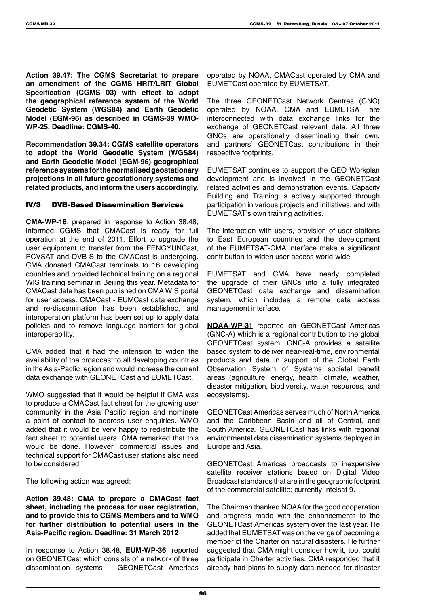**Action 39.47: The CGMS Secretariat to prepare an amendment of the CGMS HRIT/LRIT Global Specification (CGMS 03) with effect to adopt the geographical reference system of the World Geodetic System (WGS84) and Earth Geodetic Model (EGM-96) as described in CGMS-39 WMO-WP-25. Deadline: CGMS-40.**

**Recommendation 39.34: CGMS satellite operators to adopt the World Geodetic System (WGS84) and Earth Geodetic Model (EGM-96) geographical reference systems for the normalised geostationary projections in all future geostationary systems and related products, and inform the users accordingly.**

#### IV/3 DVB-Based Dissemination Services

**CMA-WP-18**, prepared in response to Action 38.48, informed CGMS that CMACast is ready for full operation at the end of 2011. Effort to upgrade the user equipment to transfer from the FENGYUNCast, PCVSAT and DVB-S to the CMACast is undergoing. CMA donated CMACast terminals to 16 developing countries and provided technical training on a regional WIS training seminar in Beijing this year. Metadata for CMACast data has been published on CMA WIS portal for user access. CMACast - EUMCast data exchange and re-dissemination has been established, and interoperation platform has been set up to apply data policies and to remove language barriers for global interoperability.

CMA added that it had the intension to widen the availability of the broadcast to all developing countries in the Asia-Pacfic region and would increase the current data exchange with GEONETCast and EUMETCast.

WMO suggested that it would be helpful if CMA was to produce a CMACast fact sheet for the growing user community in the Asia Pacific region and nominate a point of contact to address user enquiries. WMO added that it would be very happy to redistribute the fact sheet to potential users. CMA remarked that this would be done. However, commercial issues and technical support for CMACast user stations also need to be considered.

The following action was agreed:

**Action 39.48: CMA to prepare a CMACast fact sheet, including the process for user registration, and to provide this to CGMS Members and to WMO for further distribution to potential users in the Asia-Pacific region. Deadline: 31 March 2012**

In response to Action 38.48, **EUM-WP-36**, reported on GEONETCast which consists of a network of three dissemination systems - GEONETCast Americas

operated by NOAA, CMACast operated by CMA and EUMETCast operated by EUMETSAT.

The three GEONETCast Network Centres (GNC) operated by NOAA, CMA and EUMETSAT are interconnected with data exchange links for the exchange of GEONETCast relevant data. All three GNCs are operationally disseminating their own, and partners' GEONETCast contributions in their respective footprints.

EUMETSAT continues to support the GEO Workplan development and is involved in the GEONETCast related activities and demonstration events. Capacity Building and Training is actively supported through participation in various projects and initiatives, and with EUMETSAT's own training activities.

The interaction with users, provision of user stations to East European countries and the development of the EUMETSAT-CMA interface make a significant contribution to widen user access world-wide.

EUMETSAT and CMA have nearly completed the upgrade of their GNCs into a fully integrated GEONETCast data exchange and dissemination system, which includes a remote data access management interface.

**NOAA-WP-31** reported on GEONETCast Americas (GNC-A) which is a regional contribution to the global GEONETCast system. GNC-A provides a satellite based system to deliver near-real-time, environmental products and data in support of the Global Earth Observation System of Systems societal benefit areas (agriculture, energy, health, climate, weather, disaster mitigation, biodiversity, water resources, and ecosystems).

GEONETCast Americas serves much of North America and the Caribbean Basin and all of Central, and South America. GEONETCast has links with regional environmental data dissemination systems deployed in Europe and Asia.

GEONETCast Americas broadcasts to inexpensive satellite receiver stations based on Digital Video Broadcast standards that are in the geographic footprint of the commercial satellite; currently Intelsat 9.

The Chairman thanked NOAA for the good cooperation and progress made with the enhancements to the GEONETCast Americas system over the last year. He added that EUMETSAT was on the verge of becoming a member of the Charter on natural disasters. He further suggested that CMA might consider how it, too, could participate in Charter activities. CMA responded that it already had plans to supply data needed for disaster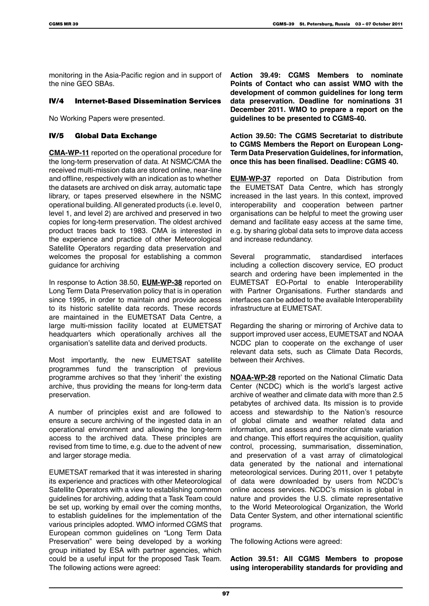monitoring in the Asia-Pacific region and in support of the nine GEO SBAs.

#### IV/4 Internet-Based Dissemination Services

No Working Papers were presented.

#### IV/5 Global Data Exchange

**CMA-WP-11** reported on the operational procedure for the long-term preservation of data. At NSMC/CMA the received multi-mission data are stored online, near-line and offline, respectively with an indication as to whether the datasets are archived on disk array, automatic tape library, or tapes preserved elsewhere in the NSMC operational building. All generated products (i.e. level 0, level 1, and level 2) are archived and preserved in two copies for long-term preservation. The oldest archived product traces back to 1983. CMA is interested in the experience and practice of other Meteorological Satellite Operators regarding data preservation and welcomes the proposal for establishing a common guidance for archiving

In response to Action 38.50, **EUM-WP-38** reported on Long Term Data Preservation policy that is in operation since 1995, in order to maintain and provide access to its historic satellite data records. These records are maintained in the EUMETSAT Data Centre, a large multi-mission facility located at EUMETSAT headquarters which operationally archives all the organisation's satellite data and derived products.

Most importantly, the new EUMETSAT satellite programmes fund the transcription of previous programme archives so that they 'inherit' the existing archive, thus providing the means for long-term data preservation.

A number of principles exist and are followed to ensure a secure archiving of the ingested data in an operational environment and allowing the long-term access to the archived data. These principles are revised from time to time, e.g. due to the advent of new and larger storage media.

EUMETSAT remarked that it was interested in sharing its experience and practices with other Meteorological Satellite Operators with a view to establishing common guidelines for archiving, adding that a Task Team could be set up, working by email over the coming months, to establish guidelines for the implementation of the various principles adopted. WMO informed CGMS that European common guidelines on "Long Term Data Preservation" were being developed by a working group initiated by ESA with partner agencies, which could be a useful input for the proposed Task Team. The following actions were agreed:

**Action 39.49: CGMS Members to nominate Points of Contact who can assist WMO with the development of common guidelines for long term data preservation. Deadline for nominations 31 December 2011. WMO to prepare a report on the guidelines to be presented to CGMS-40.** 

**Action 39.50: The CGMS Secretariat to distribute to CGMS Members the Report on European Long-Term Data Preservation Guidelines, for information, once this has been finalised. Deadline: CGMS 40.**

**EUM-WP-37** reported on Data Distribution from the EUMETSAT Data Centre, which has strongly increased in the last years. In this context, improved interoperability and cooperation between partner organisations can be helpful to meet the growing user demand and facilitate easy access at the same time, e.g. by sharing global data sets to improve data access and increase redundancy.

Several programmatic, standardised interfaces including a collection discovery service, EO product search and ordering have been implemented in the EUMETSAT EO-Portal to enable Interoperability with Partner Organisations. Further standards and interfaces can be added to the available Interoperability infrastructure at EUMETSAT.

Regarding the sharing or mirroring of Archive data to support improved user access, EUMETSAT and NOAA NCDC plan to cooperate on the exchange of user relevant data sets, such as Climate Data Records, between their Archives.

**NOAA-WP-28** reported on the National Climatic Data Center (NCDC) which is the world's largest active archive of weather and climate data with more than 2.5 petabytes of archived data. Its mission is to provide access and stewardship to the Nation's resource of global climate and weather related data and information, and assess and monitor climate variation and change. This effort requires the acquisition, quality control, processing, summarisation, dissemination, and preservation of a vast array of climatological data generated by the national and international meteorological services. During 2011, over 1 petabyte of data were downloaded by users from NCDC's online access services. NCDC's mission is global in nature and provides the U.S. climate representative to the World Meteorological Organization, the World Data Center System, and other international scientific programs.

The following Actions were agreed:

**Action 39.51: All CGMS Members to propose using interoperability standards for providing and**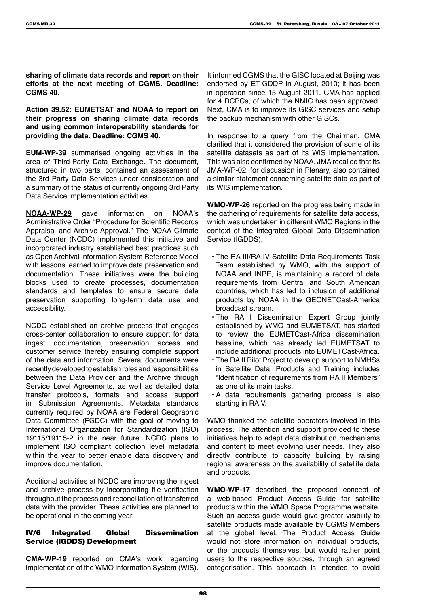**sharing of climate data records and report on their efforts at the next meeting of CGMS. Deadline: CGMS 40.**

**Action 39.52: EUMETSAT and NOAA to report on their progress on sharing climate data records and using common interoperability standards for providing the data. Deadline: CGMS 40.**

**EUM-WP-39** summarised ongoing activities in the area of Third-Party Data Exchange. The document, structured in two parts, contained an assessment of the 3rd Party Data Services under consideration and a summary of the status of currently ongoing 3rd Party Data Service implementation activities.

**NOAA-WP-29** gave information on NOAA's Administrative Order "Procedure for Scientific Records Appraisal and Archive Approval." The NOAA Climate Data Center (NCDC) implemented this initiative and incorporated industry established best practices such as Open Archival Information System Reference Model with lessons learned to improve data preservation and documentation. These initiatives were the building blocks used to create processes, documentation standards and templates to ensure secure data preservation supporting long-term data use and accessibility.

NCDC established an archive process that engages cross-center collaboration to ensure support for data ingest, documentation, preservation, access and customer service thereby ensuring complete support of the data and information. Several documents were recently developed to establish roles and responsibilities between the Data Provider and the Archive through Service Level Agreements, as well as detailed data transfer protocols, formats and access support in Submission Agreements. Metadata standards currently required by NOAA are Federal Geographic Data Committee (FGDC) with the goal of moving to International Organization for Standardization (ISO) 19115/19115-2 in the near future. NCDC plans to implement ISO compliant collection level metadata within the year to better enable data discovery and improve documentation.

Additional activities at NCDC are improving the ingest and archive process by incorporating file verification throughout the process and reconciliation of transferred data with the provider. These activities are planned to be operational in the coming year.

#### IV/6 Integrated Global Dissemination Service (IGDDS) Development

**CMA-WP-19** reported on CMA's work regarding implementation of the WMO Information System (WIS).

It informed CGMS that the GISC located at Beijing was endorsed by ET-GDDP in August, 2010; it has been in operation since 15 August 2011. CMA has applied for 4 DCPCs, of which the NMIC has been approved. Next, CMA is to improve its GISC services and setup the backup mechanism with other GISCs.

In response to a query from the Chairman, CMA clarified that it considered the provision of some of its satellite datasets as part of its WIS implementation. This was also confirmed by NOAA. JMA recalled that its JMA-WP-02, for discussion in Plenary, also contained a similar statement concerning satellite data as part of its WIS implementation.

**WMO-WP-26** reported on the progress being made in the gathering of requirements for satellite data access, which was undertaken in different WMO Regions in the context of the Integrated Global Data Dissemination Service (IGDDS).

- The RA III/RA IV Satellite Data Requirements Task Team established by WMO, with the support of NOAA and INPE, is maintaining a record of data requirements from Central and South American countries, which has led to inclusion of additional products by NOAA in the GEONETCast-America broadcast stream.
- The RA I Dissemination Expert Group jointly established by WMO and EUMETSAT, has started to review the EUMETCast-Africa dissemination baseline, which has already led EUMETSAT to include additional products into EUMETCast-Africa.
- The RA II Pilot Project to develop support to NMHSs in Satellite Data, Products and Training includes "Identification of requirements from RA II Members" as one of its main tasks.
- A data requirements gathering process is also starting in RA V.

WMO thanked the satellite operators involved in this process. The attention and support provided to these initiatives help to adapt data distribution mechanisms and content to meet evolving user needs. They also directly contribute to capacity building by raising regional awareness on the availability of satellite data and products.

**WMO-WP-17** described the proposed concept of a web-based Product Access Guide for satellite products within the WMO Space Programme website. Such an access guide would give greater visibility to satellite products made available by CGMS Members at the global level. The Product Access Guide would not store information on individual products, or the products themselves, but would rather point users to the respective sources, through an agreed categorisation. This approach is intended to avoid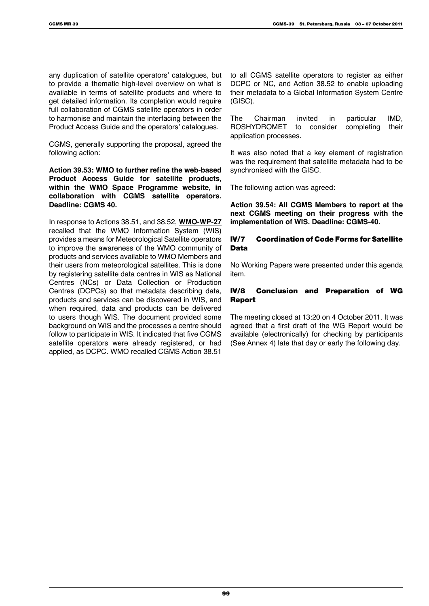any duplication of satellite operators' catalogues, but to provide a thematic high-level overview on what is available in terms of satellite products and where to get detailed information. Its completion would require full collaboration of CGMS satellite operators in order to harmonise and maintain the interfacing between the Product Access Guide and the operators' catalogues.

CGMS, generally supporting the proposal, agreed the following action:

**Action 39.53: WMO to further refine the web-based Product Access Guide for satellite products, within the WMO Space Programme website, in collaboration with CGMS satellite operators. Deadline: CGMS 40.**

In response to Actions 38.51, and 38.52, **WMO-WP-27** recalled that the WMO Information System (WIS) provides a means for Meteorological Satellite operators to improve the awareness of the WMO community of products and services available to WMO Members and their users from meteorological satellites. This is done by registering satellite data centres in WIS as National Centres (NCs) or Data Collection or Production Centres (DCPCs) so that metadata describing data, products and services can be discovered in WIS, and when required, data and products can be delivered to users though WIS. The document provided some background on WIS and the processes a centre should follow to participate in WIS. It indicated that five CGMS satellite operators were already registered, or had applied, as DCPC. WMO recalled CGMS Action 38.51

to all CGMS satellite operators to register as either DCPC or NC, and Action 38.52 to enable uploading their metadata to a Global Information System Centre (GISC).

The Chairman invited in particular IMD, ROSHYDROMET to consider completing their application processes.

It was also noted that a key element of registration was the requirement that satellite metadata had to be synchronised with the GISC.

The following action was agreed:

**Action 39.54: All CGMS Members to report at the next CGMS meeting on their progress with the implementation of WIS. Deadline: CGMS-40.**

#### IV/7 Coordination of Code Forms for Satellite Data

No Working Papers were presented under this agenda item.

#### IV/8 Conclusion and Preparation of WG **Report**

The meeting closed at 13:20 on 4 October 2011. It was agreed that a first draft of the WG Report would be available (electronically) for checking by participants (See Annex 4) late that day or early the following day.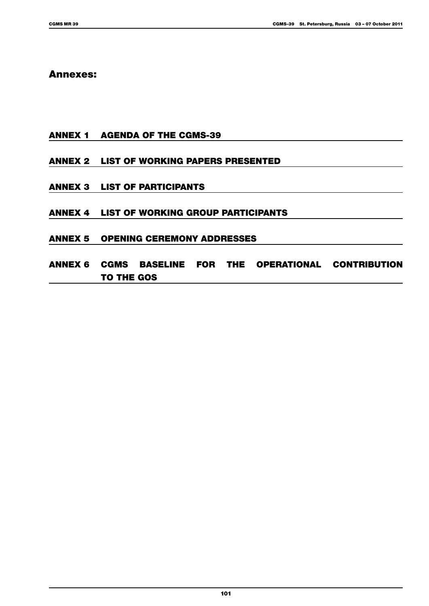### Annexes:

Annex 1 Agenda of the CGMS-39

### Annex 2 List of Working Papers Presented

- Annex 3 List of Participants
- Annex 4 List of Working Group Participants
- Annex 5 Opening Ceremony Addresses
- Annex 6 CGMS Baseline for the Operational Contribution to the GOS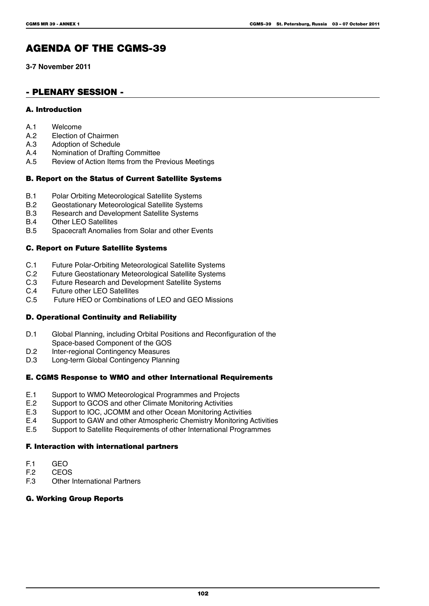# AGENDA OF THE CGMS-39

**3-7 November 2011**

### - Plenary Session -

#### A. Introduction

- A.1 Welcome
- A.2 Election of Chairmen<br>A.3 Adoption of Schedule
- A.3 Adoption of Schedule<br>A.4 Nomination of Drafting
- A.4 Nomination of Drafting Committee<br>A.5 Review of Action Items from the Pr
- Review of Action Items from the Previous Meetings

#### B. Report on the Status of Current Satellite Systems

- B.1 Polar Orbiting Meteorological Satellite Systems<br>B.2 Geostationary Meteorological Satellite Systems
- B.2 Geostationary Meteorological Satellite Systems<br>B.3 Research and Development Satellite Systems
- Research and Development Satellite Systems
- B.4 Other LEO Satellites<br>B.5 Spacecraft Anomalie
- Spacecraft Anomalies from Solar and other Events

#### C. Report on Future Satellite Systems

- C.1 Future Polar-Orbiting Meteorological Satellite Systems<br>C.2 Future Geostationary Meteorological Satellite Systems
- C.2 Future Geostationary Meteorological Satellite Systems<br>C.3 Future Research and Development Satellite Systems
- C.3 Future Research and Development Satellite Systems<br>C.4 Future other LEO Satellites
- C.4 Future other LEO Satellites<br>C.5 Future HEO or Combination
- Future HEO or Combinations of LEO and GEO Missions

#### D. Operational Continuity and Reliability

- D.1 Global Planning, including Orbital Positions and Reconfiguration of the Space-based Component of the GOS
- D.2 Inter-regional Contingency Measures<br>D.3 Iong-term Global Contingency Plann
- Long-term Global Contingency Planning

#### E. CGMS Response to WMO and other International Requirements

- E.1 Support to WMO Meteorological Programmes and Projects<br>E.2 Support to GCOS and other Climate Monitoring Activities
- Support to GCOS and other Climate Monitoring Activities
- E.3 Support to IOC, JCOMM and other Ocean Monitoring Activities<br>E.4 Support to GAW and other Atmospheric Chemistry Monitoring A
- E.4 Support to GAW and other Atmospheric Chemistry Monitoring Activities<br>E.5 Support to Satellite Requirements of other International Programmes
- Support to Satellite Requirements of other International Programmes

#### F. Interaction with international partners

- F.1 GEO<br>F.2 CEO
- F.2 CEOS<br>F.3 Other
- **Other International Partners**

#### G. Working Group Reports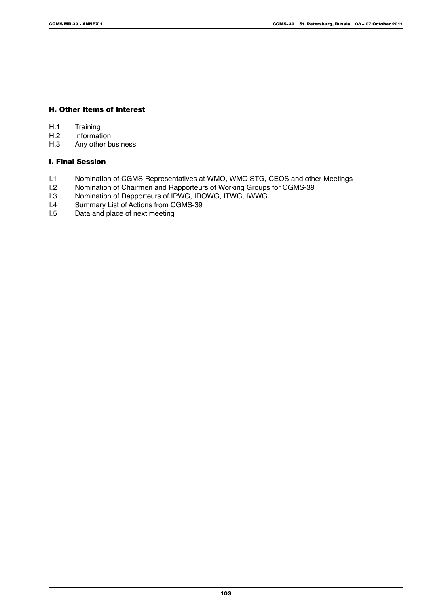#### H. Other Items of Interest

- H.1 Training<br>H.2 Informat
- H.2 Information<br>H.3 Any other bo
- Any other business

### I. Final Session

- I.1 Nomination of CGMS Representatives at WMO, WMO STG, CEOS and other Meetings<br>I.2 Nomination of Chairmen and Rapporteurs of Working Groups for CGMS-39
- I.2 Nomination of Chairmen and Rapporteurs of Working Groups for CGMS-39<br>I.3 Nomination of Rapporteurs of IPWG. IROWG. ITWG. IWWG
- I.3 Nomination of Rapporteurs of IPWG, IROWG, ITWG, IWWG<br>
I.4 Summary List of Actions from CGMS-39
- 1.4 Summary List of Actions from CGMS-39<br>1.5 Data and place of next meeting
- Data and place of next meeting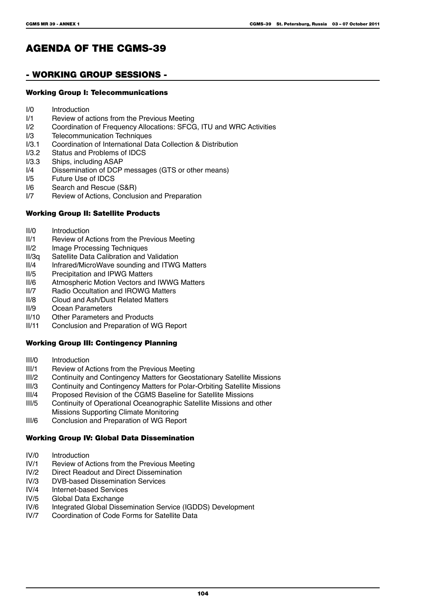# AGENDA OF THE CGMS-39

### - Working Group Sessions -

#### Working Group I: Telecommunications

- I/0 Introduction<br>I/1 Review of a
- Review of actions from the Previous Meeting
- I/2 Coordination of Frequency Allocations: SFCG, ITU and WRC Activities
- I/3 Telecommunication Techniques<br>I/3.1 Coordination of International Da
- I/3.1 Coordination of International Data Collection & Distribution<br>I/3.2 Status and Problems of IDCS
- I/3.2 Status and Problems of IDCS<br>I/3.3 Ships, including ASAP
- I/3.3 Ships, including ASAP<br>I/4 Dissemination of DCP
- I/4 Dissemination of DCP messages (GTS or other means)<br>I/5 Future Use of IDCS
- Future Use of IDCS
- I/6 Search and Rescue (S&R)<br>I/7 Review of Actions, Conclus
- Review of Actions, Conclusion and Preparation

#### Working Group II: Satellite Products

- II/0 Introduction<br>II/1 Review of A
- II/1 Review of Actions from the Previous Meeting<br>II/2 Image Processing Techniques
- II/2 Image Processing Techniques<br>II/3q Satellite Data Calibration and \
- II/3q Satellite Data Calibration and Validation
- II/4 Infrared/MicroWave sounding and ITWG Matters<br>II/5 Precipitation and IPWG Matters
- II/5 Precipitation and IPWG Matters<br>II/6 Atmospheric Motion Vectors and
- II/6 Atmospheric Motion Vectors and IWWG Matters<br>II/7 Radio Occultation and IROWG Matters
- II/7 Radio Occultation and IROWG Matters<br>II/8 Cloud and Ash/Dust Related Matters
- Cloud and Ash/Dust Related Matters
- II/9 Ocean Parameters
- II/10 Other Parameters and Products<br>II/11 Conclusion and Preparation of V
- Conclusion and Preparation of WG Report

#### Working Group III: Contingency Planning

- III/0 Introduction<br>III/1 Review of A
- Review of Actions from the Previous Meeting
- III/2 Continuity and Contingency Matters for Geostationary Satellite Missions<br>III/3 Continuity and Contingency Matters for Polar-Orbiting Satellite Missions
- III/3 Continuity and Contingency Matters for Polar-Orbiting Satellite Missions<br>III/4 Proposed Revision of the CGMS Baseline for Satellite Missions
- III/4 Proposed Revision of the CGMS Baseline for Satellite Missions<br>III/5 Continuity of Operational Oceanographic Satellite Missions and
- Continuity of Operational Oceanographic Satellite Missions and other Missions Supporting Climate Monitoring
- III/6 Conclusion and Preparation of WG Report

#### Working Group IV: Global Data Dissemination

- IV/0 Introduction<br>IV/1 Review of A
- IV/1 Review of Actions from the Previous Meeting<br>IV/2 Direct Readout and Direct Dissemination
- IV/2 Direct Readout and Direct Dissemination<br>IV/3 DVB-based Dissemination Services
- IV/3 DVB-based Dissemination Services<br>IV/4 Internet-based Services
- Internet-based Services
- IV/5 Global Data Exchange<br>IV/6 Integrated Global Disse
- IV/6 Integrated Global Dissemination Service (IGDDS) Development<br>IV/7 Coordination of Code Forms for Satellite Data
- Coordination of Code Forms for Satellite Data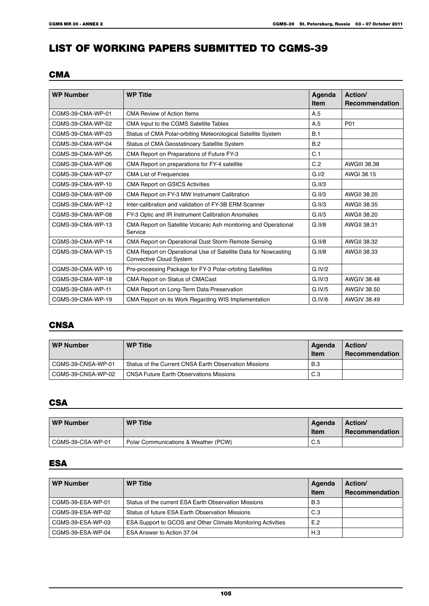# LIST OF WORKING PAPERS SUBMITTED TO CGMS-39

### **CMA**

| <b>WP Number</b>  | <b>WP Title</b>                                                                           | Agenda<br><b>Item</b> | Action/<br><b>Recommendation</b> |
|-------------------|-------------------------------------------------------------------------------------------|-----------------------|----------------------------------|
| CGMS-39-CMA-WP-01 | <b>CMA Review of Action Items</b>                                                         | A.5                   |                                  |
| CGMS-39-CMA-WP-02 | CMA Input to the CGMS Satellite Tables                                                    | A.5                   | P01                              |
| CGMS-39-CMA-WP-03 | Status of CMA Polar-orbiting Meteorological Satellite System                              | B.1                   |                                  |
| CGMS-39-CMA-WP-04 | Status of CMA Geostatinoary Satellite System                                              | B.2                   |                                  |
| CGMS-39-CMA-WP-05 | CMA Report on Preparations of Future FY-3                                                 | C.1                   |                                  |
| CGMS-39-CMA-WP-06 | CMA Report on preparations for FY-4 satellite                                             | C.2                   | <b>AWGIII 38.38</b>              |
| CGMS-39-CMA-WP-07 | <b>CMA List of Frequencies</b>                                                            | G.I/2                 | AWGI 38.15                       |
| CGMS-39-CMA-WP-10 | <b>CMA Report on GSICS Activities</b>                                                     | G.II/3                |                                  |
| CGMS-39-CMA-WP-09 | CMA Report on FY-3 MW Instrument Calibration                                              | G.II/3                | AWGII 38.20                      |
| CGMS-39-CMA-WP-12 | Inter-calibration and validation of FY-3B ERM Scanner                                     | G.II/3                | <b>AWGII 38.35</b>               |
| CGMS-39-CMA-WP-08 | FY-3 Optic and IR Instrument Calibration Anomalies                                        | G.II/3                | AWGII 38.20                      |
| CGMS-39-CMA-WP-13 | CMA Report on Satellite Volcanic Ash monitoring and Operational<br>Service                | G.II/8                | <b>AWGII 38.31</b>               |
| CGMS-39-CMA-WP-14 | CMA Report on Operational Dust Storm Remote Sensing                                       | G.II/8                | <b>AWGII 38.32</b>               |
| CGMS-39-CMA-WP-15 | CMA Report on Operational Use of Satellite Data for Nowcasting<br>Convective Cloud System | G.II/8                | <b>AWGII 38.33</b>               |
| CGMS-39-CMA-WP-16 | Pre-processing Package for FY-3 Polar-orbiting Satellites                                 | G.IV/2                |                                  |
| CGMS-39-CMA-WP-18 | CMA Report on Status of CMACast                                                           | G.IV/3                | <b>AWGIV 38.48</b>               |
| CGMS-39-CMA-WP-11 | CMA Report on Long-Term Data Preservation                                                 | G.IV/5                | <b>AWGIV 38.50</b>               |
| CGMS-39-CMA-WP-19 | CMA Report on its Work Regarding WIS Implementation                                       | G.IV/6                | <b>AWGIV 38.49</b>               |

### **CNSA**

| <b>WP Number</b>   | <b>WP Title</b>                                       | Agenda<br><b>Item</b> | Action/<br>Recommendation |
|--------------------|-------------------------------------------------------|-----------------------|---------------------------|
| CGMS-39-CNSA-WP-01 | Status of the Current CNSA Earth Observation Missions | B.3                   |                           |
| CGMS-39-CNSA-WP-02 | <b>CNSA Future Earth Observations Missions</b>        | C.3                   |                           |

### **CSA**

| <b>WP Number</b>  | <b>WP Title</b>                      | Agenda<br><b>Item</b> | <b>Action</b><br>Recommendation |
|-------------------|--------------------------------------|-----------------------|---------------------------------|
| CGMS-39-CSA-WP-01 | Polar Communications & Weather (PCW) | C.5                   |                                 |

### **ESA**

| <b>WP Number</b>  | <b>WP Title</b>                                             | Agenda<br>Item | Action/<br>Recommendation |
|-------------------|-------------------------------------------------------------|----------------|---------------------------|
| CGMS-39-ESA-WP-01 | Status of the current ESA Earth Observation Missions        | B.3            |                           |
| CGMS-39-ESA-WP-02 | Status of future ESA Earth Observation Missions             | C.3            |                           |
| CGMS-39-ESA-WP-03 | ESA Support to GCOS and Other Climate Monitoring Activities | E.2            |                           |
| CGMS-39-ESA-WP-04 | ESA Answer to Action 37.04                                  | H.3            |                           |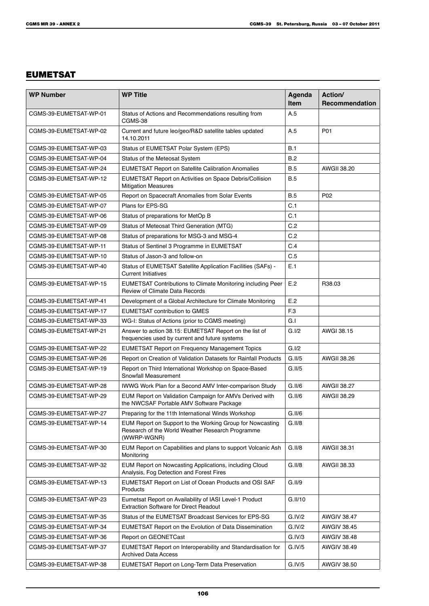## EUMETSAT

| <b>WP Number</b>       | <b>WP Title</b>                                                                                                              | Agenda<br><b>Item</b> | Action/<br>Recommendation |
|------------------------|------------------------------------------------------------------------------------------------------------------------------|-----------------------|---------------------------|
| CGMS-39-EUMETSAT-WP-01 | Status of Actions and Recommendations resulting from<br>CGMS-38                                                              | A.5                   |                           |
| CGMS-39-EUMETSAT-WP-02 | Current and future leo/geo/R&D satellite tables updated<br>14.10.2011                                                        | A.5                   | P01                       |
| CGMS-39-EUMETSAT-WP-03 | Status of EUMETSAT Polar System (EPS)                                                                                        | B.1                   |                           |
| CGMS-39-EUMETSAT-WP-04 | Status of the Meteosat System                                                                                                | B.2                   |                           |
| CGMS-39-EUMETSAT-WP-24 | <b>EUMETSAT Report on Satellite Calibration Anomalies</b>                                                                    | <b>B.5</b>            | <b>AWGII 38.20</b>        |
| CGMS-39-EUMETSAT-WP-12 | EUMETSAT Report on Activities on Space Debris/Collision<br><b>Mitigation Measures</b>                                        | B.5                   |                           |
| CGMS-39-EUMETSAT-WP-05 | Report on Spacecraft Anomalies from Solar Events                                                                             | B.5                   | P <sub>02</sub>           |
| CGMS-39-EUMETSAT-WP-07 | Plans for EPS-SG                                                                                                             | C.1                   |                           |
| CGMS-39-EUMETSAT-WP-06 | Status of preparations for MetOp B                                                                                           | C.1                   |                           |
| CGMS-39-EUMETSAT-WP-09 | Status of Meteosat Third Generation (MTG)                                                                                    | C.2                   |                           |
| CGMS-39-EUMETSAT-WP-08 | Status of preparations for MSG-3 and MSG-4                                                                                   | C.2                   |                           |
| CGMS-39-EUMETSAT-WP-11 | Status of Sentinel 3 Programme in EUMETSAT                                                                                   | C.4                   |                           |
| CGMS-39-EUMETSAT-WP-10 | Status of Jason-3 and follow-on                                                                                              | C.5                   |                           |
| CGMS-39-EUMETSAT-WP-40 | Status of EUMETSAT Satellite Application Facilities (SAFs) -<br><b>Current Initiatives</b>                                   | E.1                   |                           |
| CGMS-39-EUMETSAT-WP-15 | <b>EUMETSAT Contributions to Climate Monitoring including Peer</b><br>Review of Climate Data Records                         | E.2                   | R38.03                    |
| CGMS-39-EUMETSAT-WP-41 | Development of a Global Architecture for Climate Monitoring                                                                  | E.2                   |                           |
| CGMS-39-EUMETSAT-WP-17 | <b>EUMETSAT contribution to GMES</b>                                                                                         | F <sub>3</sub>        |                           |
| CGMS-39-EUMETSAT-WP-33 | WG-I: Status of Actions (prior to CGMS meeting)                                                                              | G.l                   |                           |
| CGMS-39-EUMETSAT-WP-21 | Answer to action 38.15: EUMETSAT Report on the list of<br>frequencies used by current and future systems                     | G.I/2                 | AWGI 38.15                |
| CGMS-39-EUMETSAT-WP-22 | <b>EUMETSAT Report on Frequency Management Topics</b>                                                                        | G.I/2                 |                           |
| CGMS-39-EUMETSAT-WP-26 | Report on Creation of Validation Datasets for Rainfall Products                                                              | G.II/5                | <b>AWGII 38.26</b>        |
| CGMS-39-EUMETSAT-WP-19 | Report on Third International Workshop on Space-Based<br>Snowfall Measurement                                                | G.II/5                |                           |
| CGMS-39-EUMETSAT-WP-28 | IWWG Work Plan for a Second AMV Inter-comparison Study                                                                       | G.II/6                | <b>AWGII 38.27</b>        |
| CGMS-39-EUMETSAT-WP-29 | EUM Report on Validation Campaign for AMVs Derived with<br>the NWCSAF Portable AMV Software Package                          | G.II/6                | <b>AWGII 38.29</b>        |
| CGMS-39-EUMETSAT-WP-27 | Preparing for the 11th International Winds Workshop                                                                          | G.II/6                |                           |
| CGMS-39-EUMETSAT-WP-14 | EUM Report on Support to the Working Group for Nowcasting<br>Research of the World Weather Research Programme<br>(WWRP-WGNR) | G.II/8                |                           |
| CGMS-39-EUMETSAT-WP-30 | EUM Report on Capabilities and plans to support Volcanic Ash<br>Monitoring                                                   | G.II/8                | AWGII 38.31               |
| CGMS-39-EUMETSAT-WP-32 | EUM Report on Nowcasting Applications, including Cloud<br>Analysis, Fog Detection and Forest Fires                           | G.II/8                | <b>AWGII 38.33</b>        |
| CGMS-39-EUMETSAT-WP-13 | EUMETSAT Report on List of Ocean Products and OSI SAF<br>Products                                                            | G.II/9                |                           |
| CGMS-39-EUMETSAT-WP-23 | Eumetsat Report on Availability of IASI Level-1 Product<br><b>Extraction Software for Direct Readout</b>                     | G.II/10               |                           |
| CGMS-39-EUMETSAT-WP-35 | Status of the EUMETSAT Broadcast Services for EPS-SG                                                                         | G.IV/2                | <b>AWGIV 38.47</b>        |
| CGMS-39-EUMETSAT-WP-34 | EUMETSAT Report on the Evolution of Data Dissemination                                                                       | G.IV/2                | <b>AWGIV 38.45</b>        |
| CGMS-39-EUMETSAT WP-36 | Report on GEONETCast                                                                                                         | G.IV/3                | AWGIV 38.48               |
| CGMS-39-EUMETSAT WP-37 | EUMETSAT Report on Interoperability and Standardisation for<br><b>Archived Data Access</b>                                   | G.IV/5                | <b>AWGIV 38.49</b>        |
| CGMS-39-EUMETSAT-WP-38 | <b>EUMETSAT Report on Long-Term Data Preservation</b>                                                                        | G.IV/5                | <b>AWGIV 38.50</b>        |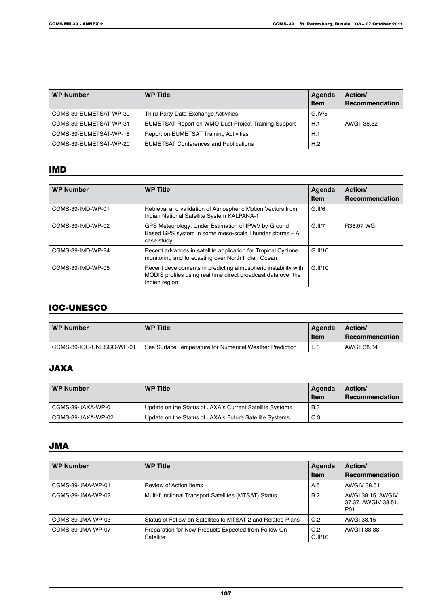| <b>WP Number</b>       | <b>WP Title</b>                                      | Agenda<br><b>Item</b> | Action/<br><b>Recommendation</b> |
|------------------------|------------------------------------------------------|-----------------------|----------------------------------|
| CGMS-39-EUMETSAT-WP-39 | Third Party Data Exchange Activities                 | G. IV/5               |                                  |
| CGMS-39-EUMETSAT-WP-31 | EUMETSAT Report on WMO Dust Project Training Support | H.1                   | AWGII 38.32                      |
| CGMS-39-EUMETSAT-WP-18 | Report on EUMETSAT Training Activities               | H.1                   |                                  |
| CGMS-39-EUMETSAT-WP-20 | <b>EUMETSAT Conferences and Publications</b>         | H.2                   |                                  |

# IMD

| <b>WP Number</b>  | <b>WP Title</b>                                                                                                                                  | Agenda<br><b>Item</b> | Action/<br>Recommendation |
|-------------------|--------------------------------------------------------------------------------------------------------------------------------------------------|-----------------------|---------------------------|
| CGMS-39-IMD-WP-01 | Retrieval and validation of Atmospheric Motion Vectors from<br>Indian National Satellite System KALPANA-1                                        | G.II/6                |                           |
| CGMS-39-IMD-WP-02 | GPS Meteorology: Under Estimation of IPWV by Ground<br>Based GPS system in some meso-scale Thunder storms - A<br>case study                      | $G$ II/7              | R38.07 WGI                |
| CGMS-39-IMD-WP-24 | Recent advances in satellite application for Tropical Cyclone<br>monitoring and forecasting over North Indian Ocean                              | G.II/10               |                           |
| CGMS-39-IMD-WP-05 | Recent developments in predicting atmospheric instability with<br>MODIS profiles using real time direct broadcast data over the<br>Indian region | G.II/10               |                           |

# IOC-UNESCO

| <b>WP Number</b>         | <b>WP Title</b>                                          | Agenda<br><b>Item</b> | <b>Action</b><br>Recommendation |
|--------------------------|----------------------------------------------------------|-----------------------|---------------------------------|
| CGMS-39-IOC-UNESCO-WP-01 | Sea Surface Temperature for Numerical Weather Prediction | E.3                   | AWGII 38.34                     |

# JAXA

| <b>WP Number</b>   | <b>WP Title</b>                                          | Agenda<br><b>Item</b> | Action/<br><b>Recommendation</b> |
|--------------------|----------------------------------------------------------|-----------------------|----------------------------------|
| CGMS-39-JAXA-WP-01 | Update on the Status of JAXA's Current Satellite Systems | <b>B.3</b>            |                                  |
| CGMS-39-JAXA-WP-02 | Update on the Status of JAXA's Future Satellite Systems  | C.3                   |                                  |

# JMA

| <b>WP Number</b>  | <b>WP Title</b>                                                   | Agenda<br><b>Item</b> | Action/<br>Recommendation                                   |
|-------------------|-------------------------------------------------------------------|-----------------------|-------------------------------------------------------------|
| CGMS-39-JMA-WP-01 | Review of Action Items                                            | A.5                   | <b>AWGIV 38.51</b>                                          |
| CGMS-39-JMA-WP-02 | Multi-functional Transport Satellites (MTSAT) Status              | B.2                   | AWGI 38.15, AWGIV<br>37.37, AWGIV 38.51,<br>P <sub>01</sub> |
| CGMS-39-JMA-WP-03 | Status of Follow-on Satellites to MTSAT-2 and Related Plans       | C.2                   | AWGI 38.15                                                  |
| CGMS-39-JMA-WP-07 | Preparation for New Products Expected from Follow-On<br>Satellite | C.2<br>G.II/10        | AWGIII 38.38                                                |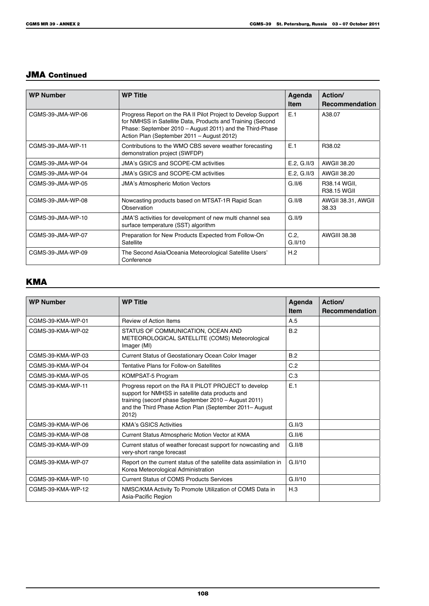# JMA Continued

| <b>WP Number</b>  | <b>WP Title</b>                                                                                                                                                                                                                       | Agenda<br><b>Item</b> | Action/<br><b>Recommendation</b>   |
|-------------------|---------------------------------------------------------------------------------------------------------------------------------------------------------------------------------------------------------------------------------------|-----------------------|------------------------------------|
| CGMS-39-JMA-WP-06 | Progress Report on the RA II Pilot Project to Develop Support<br>for NMHSS in Satellite Data, Products and Training (Second<br>Phase: September 2010 - August 2011) and the Third-Phase<br>Action Plan (September 2011 - August 2012) | E.1                   | A38.07                             |
| CGMS-39-JMA-WP-11 | Contributions to the WMO CBS severe weather forecasting<br>demonstration project (SWFDP)                                                                                                                                              | E.1                   | R38.02                             |
| CGMS-39-JMA-WP-04 | JMA's GSICS and SCOPE-CM activities                                                                                                                                                                                                   | E.2, G.11/3           | AWGII 38.20                        |
| CGMS-39-JMA-WP-04 | JMA's GSICS and SCOPE-CM activities                                                                                                                                                                                                   | E.2, G.11/3           | AWGII 38.20                        |
| CGMS-39-JMA-WP-05 | <b>JMA's Atmospheric Motion Vectors</b>                                                                                                                                                                                               | G.II/6                | R38.14 WGII,<br><b>R38.15 WGII</b> |
| CGMS-39-JMA-WP-08 | Nowcasting products based on MTSAT-1R Rapid Scan<br>Observation                                                                                                                                                                       | G.II/8                | AWGII 38.31, AWGII<br>38.33        |
| CGMS-39-JMA-WP-10 | JMA'S activities for development of new multi channel sea<br>surface temperature (SST) algorithm                                                                                                                                      | G.II/9                |                                    |
| CGMS-39-JMA-WP-07 | Preparation for New Products Expected from Follow-On<br>Satellite                                                                                                                                                                     | C.2<br>G.II/10        | <b>AWGIII 38.38</b>                |
| CGMS-39-JMA-WP-09 | The Second Asia/Oceania Meteorological Satellite Users'<br>Conference                                                                                                                                                                 | H.2                   |                                    |

# **KMA**

| <b>WP Number</b>  | <b>WP Title</b>                                                                                                                                                                                                                      | Agenda<br><b>Item</b> | Action/<br><b>Recommendation</b> |
|-------------------|--------------------------------------------------------------------------------------------------------------------------------------------------------------------------------------------------------------------------------------|-----------------------|----------------------------------|
| CGMS-39-KMA-WP-01 | <b>Review of Action Items</b>                                                                                                                                                                                                        | A.5                   |                                  |
| CGMS-39-KMA-WP-02 | STATUS OF COMMUNICATION, OCEAN AND<br>METEOROLOGICAL SATELLITE (COMS) Meteorological<br>Imager (MI)                                                                                                                                  | B.2                   |                                  |
| CGMS-39-KMA-WP-03 | Current Status of Geostationary Ocean Color Imager                                                                                                                                                                                   | B.2                   |                                  |
| CGMS-39-KMA-WP-04 | Tentative Plans for Follow-on Satellites                                                                                                                                                                                             | C.2                   |                                  |
| CGMS-39-KMA-WP-05 | KOMPSAT-5 Program                                                                                                                                                                                                                    | C.3                   |                                  |
| CGMS-39-KMA-WP-11 | Progress report on the RA II PILOT PROJECT to develop<br>support for NMHSS in satellite data products and<br>training (seconf phase September 2010 - August 2011)<br>and the Third Phase Action Plan (September 2011– August<br>2012 | E.1                   |                                  |
| CGMS-39-KMA-WP-06 | <b>KMA's GSICS Activities</b>                                                                                                                                                                                                        | G.II/3                |                                  |
| CGMS-39-KMA-WP-08 | Current Status Atmospheric Motion Vector at KMA                                                                                                                                                                                      | G.II/6                |                                  |
| CGMS-39-KMA-WP-09 | Current status of weather forecast support for nowcasting and<br>very-short range forecast                                                                                                                                           | G.II/8                |                                  |
| CGMS-39-KMA-WP-07 | Report on the current status of the satellite data assimilation in<br>Korea Meteorological Administration                                                                                                                            | G.II/10               |                                  |
| CGMS-39-KMA-WP-10 | <b>Current Status of COMS Products Services</b>                                                                                                                                                                                      | G.II/10               |                                  |
| CGMS-39-KMA-WP-12 | NMSC/KMA Activity To Promote Utilization of COMS Data in<br>Asia-Pacific Region                                                                                                                                                      | H.3                   |                                  |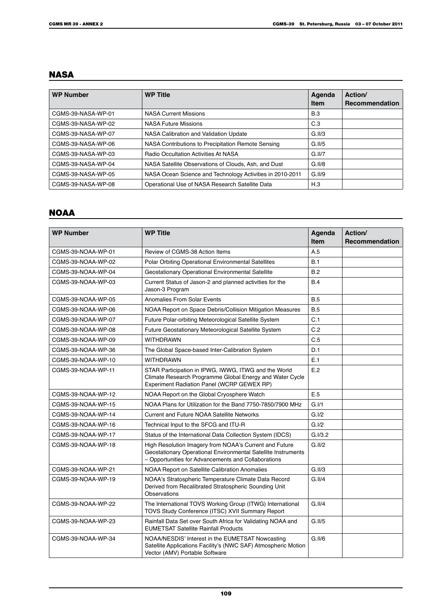# **NASA**

| <b>WP Number</b>   | <b>WP Title</b>                                           | Agenda<br><b>Item</b> | Action/<br><b>Recommendation</b> |
|--------------------|-----------------------------------------------------------|-----------------------|----------------------------------|
| CGMS-39-NASA-WP-01 | <b>NASA Current Missions</b>                              | <b>B.3</b>            |                                  |
| CGMS-39-NASA-WP-02 | <b>NASA Future Missions</b>                               | C.3                   |                                  |
| CGMS-39-NASA-WP-07 | NASA Calibration and Validation Update                    | G.II/3                |                                  |
| CGMS-39-NASA-WP-06 | NASA Contributions to Precipitation Remote Sensing        | G.II/5                |                                  |
| CGMS-39-NASA-WP-03 | <b>Radio Occultation Activities At NASA</b>               | G.II/7                |                                  |
| CGMS-39-NASA-WP-04 | NASA Satellite Observations of Clouds, Ash, and Dust      | G.II/8                |                                  |
| CGMS-39-NASA-WP-05 | NASA Ocean Science and Technology Activities in 2010-2011 | G.II/9                |                                  |
| CGMS-39-NASA-WP-08 | Operational Use of NASA Research Satellite Data           | H.3                   |                                  |

# NOAA

| <b>WP Number</b>   | <b>WP Title</b>                                                                                                                                                                | Agenda<br><b>Item</b> | Action/<br><b>Recommendation</b> |
|--------------------|--------------------------------------------------------------------------------------------------------------------------------------------------------------------------------|-----------------------|----------------------------------|
| CGMS-39-NOAA-WP-01 | Review of CGMS-38 Action Items                                                                                                                                                 | A.5                   |                                  |
| CGMS-39-NOAA-WP-02 | Polar Orbiting Operational Environmental Satellites                                                                                                                            | B.1                   |                                  |
| CGMS-39-NOAA-WP-04 | Geostationary Operational Environmental Satellite                                                                                                                              | B.2                   |                                  |
| CGMS-39-NOAA-WP-03 | Current Status of Jason-2 and planned activities for the<br>Jason-3 Program                                                                                                    | B.4                   |                                  |
| CGMS-39-NOAA-WP-05 | Anomalies From Solar Events                                                                                                                                                    | B.5                   |                                  |
| CGMS-39-NOAA-WP-06 | NOAA Report on Space Debris/Collision Mitigation Measures                                                                                                                      | <b>B.5</b>            |                                  |
| CGMS-39-NOAA-WP-07 | Future Polar-orbiting Meteorological Satellite System                                                                                                                          | C.1                   |                                  |
| CGMS-39-NOAA-WP-08 | Future Geostationary Meteorological Satellite System                                                                                                                           | C.2                   |                                  |
| CGMS-39-NOAA-WP-09 | <b>WITHDRAWN</b>                                                                                                                                                               | C.5                   |                                  |
| CGMS-39-NOAA-WP-36 | The Global Space-based Inter-Calibration System                                                                                                                                | D.1                   |                                  |
| CGMS-39-NOAA-WP-10 | <b>WITHDRAWN</b>                                                                                                                                                               | E.1                   |                                  |
| CGMS-39-NOAA-WP-11 | STAR Participation in IPWG, IWWG, ITWG and the World<br>Climate Research Programme Global Energy and Water Cycle<br>Experiment Radiation Panel (WCRP GEWEX RP)                 | E.2                   |                                  |
| CGMS-39-NOAA-WP-12 | NOAA Report on the Global Cryosphere Watch                                                                                                                                     | E.5                   |                                  |
| CGMS-39-NOAA-WP-15 | NOAA Plans for Utilization for the Band 7750-7850/7900 MHz                                                                                                                     | G.I/1                 |                                  |
| CGMS-39-NOAA-WP-14 | <b>Current and Future NOAA Satellite Networks</b>                                                                                                                              | G.I/2                 |                                  |
| CGMS-39-NOAA-WP-16 | Technical Input to the SFCG and ITU-R                                                                                                                                          | G.I/2                 |                                  |
| CGMS-39-NOAA-WP-17 | Status of the International Data Collection System (IDCS)                                                                                                                      | G.I/3.2               |                                  |
| CGMS-39-NOAA-WP-18 | High Resolution Imagery from NOAA's Current and Future<br>Geostationary Operational Environmental Satellite Instruments<br>- Opportunities for Advancements and Collaborations | G.II/2                |                                  |
| CGMS-39-NOAA-WP-21 | NOAA Report on Satellite Calibration Anomalies                                                                                                                                 | G.II/3                |                                  |
| CGMS-39-NOAA-WP-19 | NOAA's Stratospheric Temperature Climate Data Record<br>Derived from Recalibrated Stratospheric Sounding Unit<br>Observations                                                  | G.II/4                |                                  |
| CGMS-39-NOAA-WP-22 | The International TOVS Working Group (ITWG) International<br>TOVS Study Conference (ITSC) XVII Summary Report                                                                  | G.II/4                |                                  |
| CGMS-39-NOAA-WP-23 | Rainfall Data Set over South Africa for Validating NOAA and<br><b>EUMETSAT Satellite Rainfall Products</b>                                                                     | G.II/5                |                                  |
| CGMS-39-NOAA-WP-34 | NOAA/NESDIS' Interest in the EUMETSAT Nowcasting<br>Satellite Applications Facility's (NWC SAF) Atmospheric Motion<br>Vector (AMV) Portable Software                           | G.II/6                |                                  |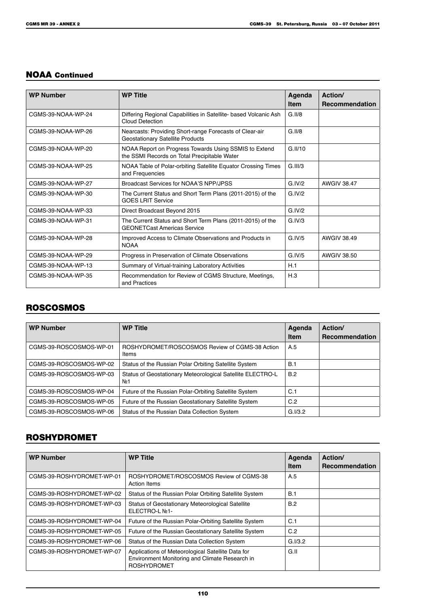### NOAA Continued

| <b>WP Number</b>   | <b>WP Title</b>                                                                                       | Agenda<br><b>Item</b> | Action/<br><b>Recommendation</b> |
|--------------------|-------------------------------------------------------------------------------------------------------|-----------------------|----------------------------------|
| CGMS-39-NOAA-WP-24 | Differing Regional Capabilities in Satellite- based Volcanic Ash<br>Cloud Detection                   | G.II/8                |                                  |
| CGMS-39-NOAA-WP-26 | Nearcasts: Providing Short-range Forecasts of Clear-air<br><b>Geostationary Satellite Products</b>    | G.II/8                |                                  |
| CGMS-39-NOAA-WP-20 | NOAA Report on Progress Towards Using SSMIS to Extend<br>the SSMI Records on Total Precipitable Water | G.II/10               |                                  |
| CGMS-39-NOAA-WP-25 | NOAA Table of Polar-orbiting Satellite Equator Crossing Times<br>and Frequencies                      | G.III/3               |                                  |
| CGMS-39-NOAA-WP-27 | Broadcast Services for NOAA'S NPP/JPSS                                                                | G IV/2                | <b>AWGIV 38 47</b>               |
| CGMS-39-NOAA-WP-30 | The Current Status and Short Term Plans (2011-2015) of the<br><b>GOES LRIT Service</b>                | G.IV/2                |                                  |
| CGMS-39-NOAA-WP-33 | Direct Broadcast Beyond 2015                                                                          | G.IV/2                |                                  |
| CGMS-39-NOAA-WP-31 | The Current Status and Short Term Plans (2011-2015) of the<br><b>GEONETCast Americas Service</b>      | G.IV/3                |                                  |
| CGMS-39-NOAA-WP-28 | Improved Access to Climate Observations and Products in<br><b>NOAA</b>                                | G IV/5                | <b>AWGIV 38 49</b>               |
| CGMS-39-NOAA-WP-29 | Progress in Preservation of Climate Observations                                                      | G.IV/5                | AWGIV 38.50                      |
| CGMS-39-NOAA-WP-13 | Summary of Virtual-training Laboratory Activities                                                     | H.1                   |                                  |
| CGMS-39-NOAA-WP-35 | Recommendation for Review of CGMS Structure, Meetings,<br>and Practices                               | H.3                   |                                  |

# ROSCOSMOS

| <b>WP Number</b>        | <b>WP Title</b>                                                               | Agenda<br><b>Item</b> | Action/<br>Recommendation |
|-------------------------|-------------------------------------------------------------------------------|-----------------------|---------------------------|
| CGMS-39-ROSCOSMOS-WP-01 | ROSHYDROMET/ROSCOSMOS Review of CGMS-38 Action<br>Items                       | A.5                   |                           |
| CGMS-39-ROSCOSMOS-WP-02 | Status of the Russian Polar Orbiting Satellite System                         | <b>B.1</b>            |                           |
| CGMS-39-ROSCOSMOS-WP-03 | Status of Geostationary Meteorological Satellite ELECTRO-L<br>No <sub>1</sub> | B.2                   |                           |
| CGMS-39-ROSCOSMOS-WP-04 | Future of the Russian Polar-Orbiting Satellite System                         | C.1                   |                           |
| CGMS-39-ROSCOSMOS-WP-05 | Future of the Russian Geostationary Satellite System                          | C.2                   |                           |
| CGMS-39-ROSCOSMOS-WP-06 | Status of the Russian Data Collection System                                  | G.I/3.2               |                           |

# ROSHYDROMET

| <b>WP Number</b>          | <b>WP Title</b>                                                                                                           | Agenda<br><b>Item</b> | Action/<br><b>Recommendation</b> |
|---------------------------|---------------------------------------------------------------------------------------------------------------------------|-----------------------|----------------------------------|
| CGMS-39-ROSHYDROMET-WP-01 | ROSHYDROMET/ROSCOSMOS Review of CGMS-38<br><b>Action Items</b>                                                            | A.5                   |                                  |
| CGMS-39-ROSHYDROMET-WP-02 | Status of the Russian Polar Orbiting Satellite System                                                                     | B.1                   |                                  |
| CGMS-39-ROSHYDROMET-WP-03 | Status of Geostationary Meteorological Satellite<br>ELECTRO-L No1-                                                        | B.2                   |                                  |
| CGMS-39-ROSHYDROMET-WP-04 | Future of the Russian Polar-Orbiting Satellite System                                                                     | C.1                   |                                  |
| CGMS-39-ROSHYDROMET-WP-05 | Future of the Russian Geostationary Satellite System                                                                      | C.2                   |                                  |
| CGMS-39-ROSHYDROMET-WP-06 | Status of the Russian Data Collection System                                                                              | G.I/3.2               |                                  |
| CGMS-39-ROSHYDROMET-WP-07 | Applications of Meteorological Satellite Data for<br>Environment Monitoring and Climate Research in<br><b>ROSHYDROMET</b> | G.II                  |                                  |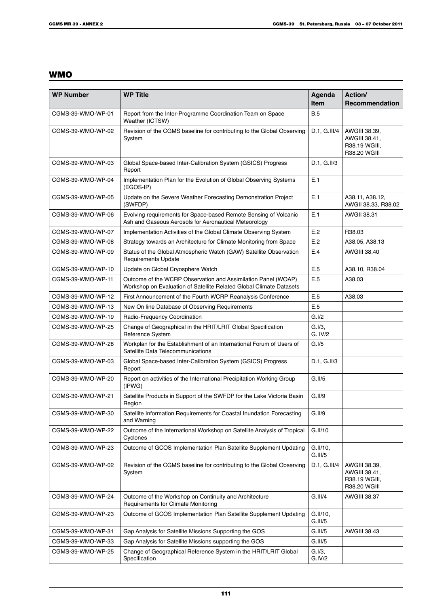# **WMO**

| <b>WP Number</b>  | <b>WP Title</b>                                                                                                                      | Agenda<br><b>Item</b> | Action/<br><b>Recommendation</b>                                |
|-------------------|--------------------------------------------------------------------------------------------------------------------------------------|-----------------------|-----------------------------------------------------------------|
| CGMS-39-WMO-WP-01 | Report from the Inter-Programme Coordination Team on Space<br>Weather (ICTSW)                                                        | <b>B.5</b>            |                                                                 |
| CGMS-39-WMO-WP-02 | Revision of the CGMS baseline for contributing to the Global Observing<br>System                                                     | D.1, G.III/4          | AWGIII 38.39,<br>AWGIII 38.41,<br>R38.19 WGIII,<br>R38.20 WGIII |
| CGMS-39-WMO-WP-03 | Global Space-based Inter-Calibration System (GSICS) Progress<br>Report                                                               | $D.1, G.$ II/3        |                                                                 |
| CGMS-39-WMO-WP-04 | Implementation Plan for the Evolution of Global Observing Systems<br>(EGOS-IP)                                                       | E.1                   |                                                                 |
| CGMS-39-WMO-WP-05 | Update on the Severe Weather Forecasting Demonstration Project<br>(SWFDP)                                                            | E.1                   | A38.11, A38.12,<br>AWGII 38.33, R38.02                          |
| CGMS-39-WMO-WP-06 | Evolving requirements for Space-based Remote Sensing of Volcanic<br>Ash and Gaseous Aerosols for Aeronautical Meteorology            | E.1                   | AWGII 38.31                                                     |
| CGMS-39-WMO-WP-07 | Implementation Activities of the Global Climate Observing System                                                                     | E.2                   | R38.03                                                          |
| CGMS-39-WMO-WP-08 | Strategy towards an Architecture for Climate Monitoring from Space                                                                   | E.2                   | A38.05, A38.13                                                  |
| CGMS-39-WMO-WP-09 | Status of the Global Atmospheric Watch (GAW) Satellite Observation<br><b>Requirements Update</b>                                     | E.4                   | <b>AWGIII 38.40</b>                                             |
| CGMS-39-WMO-WP-10 | Update on Global Cryosphere Watch                                                                                                    | E.5                   | A38.10, R38.04                                                  |
| CGMS-39-WMO-WP-11 | Outcome of the WCRP Observation and Assimilation Panel (WOAP)<br>Workshop on Evaluation of Satellite Related Global Climate Datasets | E.5                   | A38.03                                                          |
| CGMS-39-WMO-WP-12 | First Announcement of the Fourth WCRP Reanalysis Conference                                                                          | E.5                   | A38.03                                                          |
| CGMS-39-WMO-WP-13 | New On line Database of Observing Requirements                                                                                       | E.5                   |                                                                 |
| CGMS-39-WMO-WP-19 | Radio-Frequency Coordination                                                                                                         | G.I/2                 |                                                                 |
| CGMS-39-WMO-WP-25 | Change of Geographical in the HRIT/LRIT Global Specification<br>Reference System                                                     | $G.I/3$ ,<br>G. IV/2  |                                                                 |
| CGMS-39-WMO-WP-28 | Workplan for the Establishment of an International Forum of Users of<br>Satellite Data Telecommunications                            | G.I/5                 |                                                                 |
| CGMS-39-WMO-WP-03 | Global Space-based Inter-Calibration System (GSICS) Progress<br>Report                                                               | D.1, G.II/3           |                                                                 |
| CGMS-39-WMO-WP-20 | Report on activities of the International Precipitation Working Group<br>(IPWG)                                                      | G.II/5                |                                                                 |
| CGMS-39-WMO-WP-21 | Satellite Products in Support of the SWFDP for the Lake Victoria Basin<br>Region                                                     | G.II/9                |                                                                 |
| CGMS-39-WMO-WP-30 | Satellite Information Requirements for Coastal Inundation Forecasting<br>and Warning                                                 | G.II/9                |                                                                 |
| CGMS-39-WMO-WP-22 | Outcome of the International Workshop on Satellite Analysis of Tropical<br>Cyclones                                                  | G.II/10               |                                                                 |
| CGMS-39-WMO-WP-23 | Outcome of GCOS Implementation Plan Satellite Supplement Updating                                                                    | G.II/10,<br>G.III/5   |                                                                 |
| CGMS-39-WMO-WP-02 | Revision of the CGMS baseline for contributing to the Global Observing<br>System                                                     | D.1, G.III/4          | AWGIII 38.39,<br>AWGIII 38.41,<br>R38.19 WGIII,<br>R38.20 WGIII |
| CGMS-39-WMO-WP-24 | Outcome of the Workshop on Continuity and Architecture<br>Requirements for Climate Monitoring                                        | G.III/4               | <b>AWGIII 38.37</b>                                             |
| CGMS-39-WMO-WP-23 | Outcome of GCOS Implementation Plan Satellite Supplement Updating                                                                    | G.II/10,<br>G.III/5   |                                                                 |
| CGMS-39-WMO-WP-31 | Gap Analysis for Satellite Missions Supporting the GOS                                                                               | G.III/5               | <b>AWGIII 38.43</b>                                             |
| CGMS-39-WMO-WP-33 | Gap Analysis for Satellite Missions supporting the GOS                                                                               | G.III/5               |                                                                 |
| CGMS-39-WMO-WP-25 | Change of Geographical Reference System in the HRIT/LRIT Global<br>Specification                                                     | G.I/3,<br>G.IV/2      |                                                                 |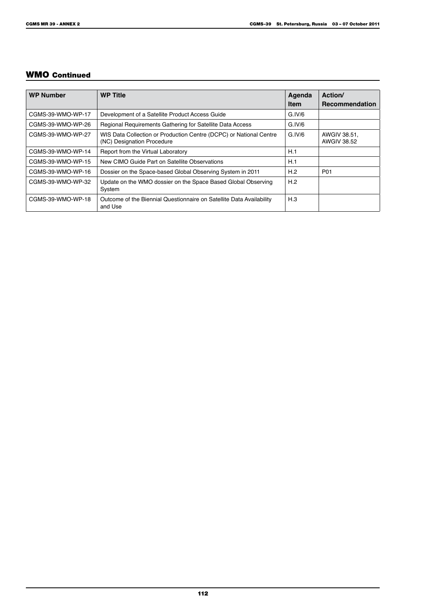# WMO Continued

| <b>WP Number</b>  | <b>WP Title</b>                                                                                  | Agenda<br><b>Item</b> | Action/<br><b>Recommendation</b>   |
|-------------------|--------------------------------------------------------------------------------------------------|-----------------------|------------------------------------|
| CGMS-39-WMO-WP-17 | Development of a Satellite Product Access Guide                                                  | G.IV/6                |                                    |
| CGMS-39-WMO-WP-26 | Regional Requirements Gathering for Satellite Data Access                                        | G.IV/6                |                                    |
| CGMS-39-WMO-WP-27 | WIS Data Collection or Production Centre (DCPC) or National Centre<br>(NC) Designation Procedure | G.IV/6                | AWGIV 38.51,<br><b>AWGIV 38.52</b> |
| CGMS-39-WMO-WP-14 | Report from the Virtual Laboratory                                                               | H.1                   |                                    |
| CGMS-39-WMO-WP-15 | New CIMO Guide Part on Satellite Observations                                                    | H.1                   |                                    |
| CGMS-39-WMO-WP-16 | Dossier on the Space-based Global Observing System in 2011                                       | H.2                   | P01                                |
| CGMS-39-WMO-WP-32 | Update on the WMO dossier on the Space Based Global Observing<br>System                          | H.2                   |                                    |
| CGMS-39-WMO-WP-18 | Outcome of the Biennial Questionnaire on Satellite Data Availability<br>and Use                  | H.3                   |                                    |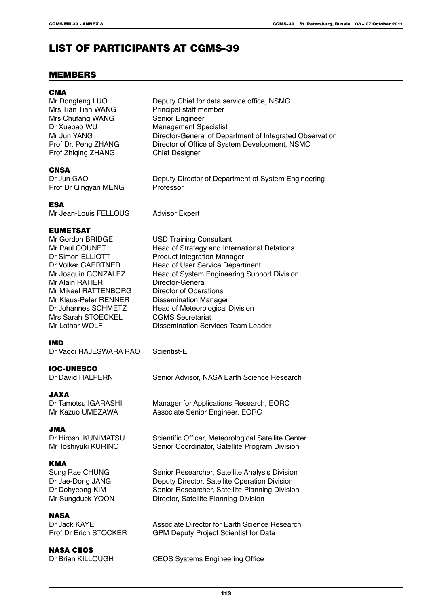# LIST OF PARTICIPANTS AT CGMS-39

# MEMBERS

| <b>CMA</b><br>Mr Dongfeng LUO<br>Mrs Tian Tian WANG<br>Mrs Chufang WANG<br>Dr Xuebao WU<br>Mr Jun YANG<br>Prof Dr. Peng ZHANG<br>Prof Zhiqing ZHANG                                                                                                       | Deputy Chief for data service office, NSMC<br>Principal staff member<br>Senior Engineer<br><b>Management Specialist</b><br>Director-General of Department of Integrated Observation<br>Director of Office of System Development, NSMC<br><b>Chief Designer</b>                                                                                                                                         |
|-----------------------------------------------------------------------------------------------------------------------------------------------------------------------------------------------------------------------------------------------------------|--------------------------------------------------------------------------------------------------------------------------------------------------------------------------------------------------------------------------------------------------------------------------------------------------------------------------------------------------------------------------------------------------------|
| <b>CNSA</b><br>Dr Jun GAO<br>Prof Dr Qingyan MENG                                                                                                                                                                                                         | Deputy Director of Department of System Engineering<br>Professor                                                                                                                                                                                                                                                                                                                                       |
| <b>ESA</b><br>Mr Jean-Louis FELLOUS                                                                                                                                                                                                                       | <b>Advisor Expert</b>                                                                                                                                                                                                                                                                                                                                                                                  |
| <b>EUMETSAT</b><br>Mr Gordon BRIDGE<br>Mr Paul COUNET<br>Dr Simon ELLIOTT<br>Dr Volker GAERTNER<br>Mr Joaquin GONZALEZ<br>Mr Alain RATIER<br>Mr Mikael RATTENBORG<br>Mr Klaus-Peter RENNER<br>Dr Johannes SCHMETZ<br>Mrs Sarah STOECKEL<br>Mr Lothar WOLF | <b>USD Training Consultant</b><br>Head of Strategy and International Relations<br><b>Product Integration Manager</b><br>Head of User Service Department<br>Head of System Engineering Support Division<br>Director-General<br><b>Director of Operations</b><br><b>Dissemination Manager</b><br>Head of Meteorological Division<br><b>CGMS Secretariat</b><br><b>Dissemination Services Team Leader</b> |
| IMD<br>Dr Vaddi RAJESWARA RAO                                                                                                                                                                                                                             | Scientist-E                                                                                                                                                                                                                                                                                                                                                                                            |
| <b>IOC-UNESCO</b><br>Dr David HALPERN                                                                                                                                                                                                                     | Senior Advisor, NASA Earth Science Research                                                                                                                                                                                                                                                                                                                                                            |
| JAXA<br>Dr Tamotsu IGARASHI<br>Mr Kazuo UMEZAWA                                                                                                                                                                                                           | Manager for Applications Research, EORC<br>Associate Senior Engineer, EORC                                                                                                                                                                                                                                                                                                                             |
| <b>JMA</b><br>Dr Hiroshi KUNIMATSU<br>Mr Toshiyuki KURINO                                                                                                                                                                                                 | Scientific Officer, Meteorological Satellite Center<br>Senior Coordinator, Satellite Program Division                                                                                                                                                                                                                                                                                                  |
| <b>KMA</b><br>Sung Rae CHUNG<br>Dr Jae-Dong JANG<br>Dr Dohyeong KIM<br>Mr Sungduck YOON                                                                                                                                                                   | Senior Researcher, Satellite Analysis Division<br>Deputy Director, Satellite Operation Division<br>Senior Researcher, Satellite Planning Division<br>Director, Satellite Planning Division                                                                                                                                                                                                             |
| <b>NASA</b><br>Dr Jack KAYE<br>Prof Dr Erich STOCKER                                                                                                                                                                                                      | Associate Director for Earth Science Research<br><b>GPM Deputy Project Scientist for Data</b>                                                                                                                                                                                                                                                                                                          |
| <b>NASA CEOS</b><br>Dr Brian KILLOUGH                                                                                                                                                                                                                     | <b>CEOS Systems Engineering Office</b>                                                                                                                                                                                                                                                                                                                                                                 |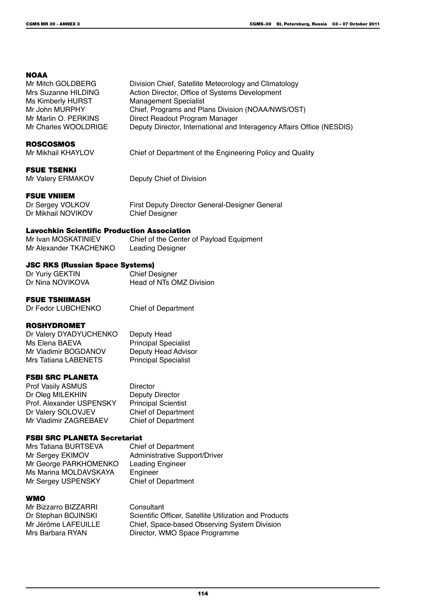#### **NOAA**

| Mr Mitch GOLDBERG    | Division Chief, Satellite Meteorology and Climatology                  |
|----------------------|------------------------------------------------------------------------|
| Mrs Suzanne HILDING  | Action Director, Office of Systems Development                         |
| Ms Kimberly HURST    | <b>Management Specialist</b>                                           |
| Mr John MURPHY       | Chief, Programs and Plans Division (NOAA/NWS/OST)                      |
| Mr Marlin O. PERKINS | Direct Readout Program Manager                                         |
| Mr Charles WOOLDRIGE | Deputy Director, International and Interagency Affairs Office (NESDIS) |

#### ROSCOSMOS

Mr Mikhail KHAYLOV Chief of Department of the Engineering Policy and Quality

#### FSUE TSENKI

Mr Valery ERMAKOV Deputy Chief of Division

#### FSUE VNIIEM

Dr Sergey VOLKOV First Deputy Director General-Designer General Dr Mikhail NOVIKOV Chief Designer

#### Lavochkin Scientific Production Association

Mr Ivan MOSKATINIEV Chief of the Center of Payload Equipment Mr Alexander TKACHENKO Leading Designer

#### JSC RKS (Russian Space Systems)

Dr Yuriy GEKTIN Chief Designer<br>
Dr Nina NOVIKOVA Head of NTs OI Head of NTs OMZ Division

#### FSUE TSNIIMASH

Dr Fedor LUBCHENKO Chief of Department

Principal Specialist<br>Deputy Head Advisor

#### ROSHYDROMET

Dr Valery DYADYUCHENKO Deputy Head<br>
Ms Elena BAEVA Principal Spe Mr Vladimir BOGDANOV Deputy Head Advis<br>
Mrs Tatiana LABENETS Principal Specialist **Mrs Tatiana LABENETS** 

#### FSBI SRC PLANETA

Prof Vasily ASMUS<br>
Director
Dr Oleg MILEKHIN
Deputy Director Dr Oleg MILEKHIN Prof. Alexander USPENSKY Principal Scientist Dr Valery SOLOVJEV Chief of Department<br>
Mr Vladimir ZAGREBAEV Chief of Department Mr Vladimir ZAGREBAEV

#### FSBI SRC PLANETA Secretariat

Mrs Tatiana BURTSEVA Chief of Department<br>Mr Sergey EKIMOV Administrative Suppo Mr George PARKHOMENKO Leading Engineer Ms Marina MOLDAVSKAYA Engineer Mr Sergey USPENSKY Chief of Department

Administrative Support/Driver

#### WMO

Mr Bizzarro BIZZARRI Consultant<br>Dr Stephan BOJINSKI Scientific C

Dr Stephan BOJINSKI Scientific Officer, Satellite Utilization and Products<br>
Mr Jérôme LAFEUILLE Chief, Space-based Observing System Division Mr Jérôme LAFEUILLE Chief, Space-based Observing System Division<br>Mrs Barbara RYAN Director, WMO Space Programme Director, WMO Space Programme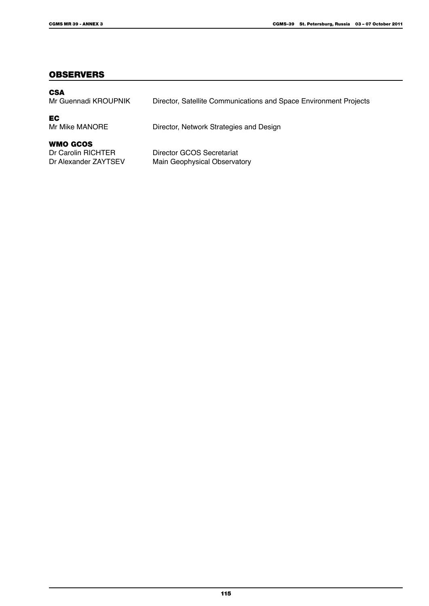#### **OBSERVERS**

| <b>CSA</b><br>Mr Guennadi KROUPNIK                     | Director, Satellite Communications and Space Environment Projects |
|--------------------------------------------------------|-------------------------------------------------------------------|
| EC<br>Mr Mike MANORE                                   | Director, Network Strategies and Design                           |
| WMO GCOS<br>Dr Carolin RICHTER<br>Dr Alexander ZAYTSEV | Director GCOS Secretariat<br>Main Geophysical Observatory         |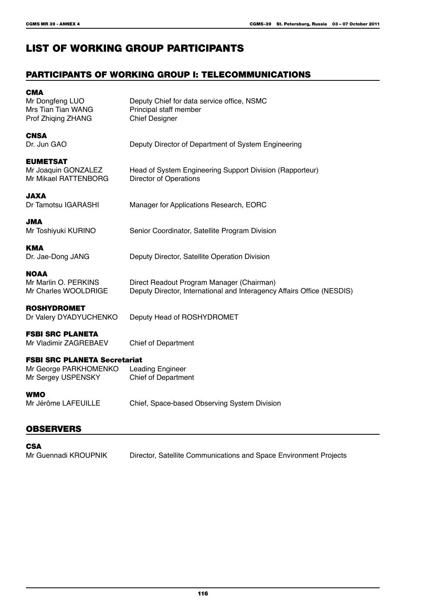# LIST OF WORKING GROUP PARTICIPANTS

# PARTICIPANTS OF WORKING GROUP I: TELECOMMUNICATIONS

| <b>CMA</b><br>Mr Dongfeng LUO<br>Mrs Tian Tian WANG<br>Prof Zhiqing ZHANG          | Deputy Chief for data service office, NSMC<br>Principal staff member<br><b>Chief Designer</b>                       |
|------------------------------------------------------------------------------------|---------------------------------------------------------------------------------------------------------------------|
| <b>CNSA</b><br>Dr. Jun GAO                                                         | Deputy Director of Department of System Engineering                                                                 |
| <b>EUMETSAT</b><br>Mr Joaquin GONZALEZ<br>Mr Mikael RATTENBORG                     | Head of System Engineering Support Division (Rapporteur)<br><b>Director of Operations</b>                           |
| <b>JAXA</b><br>Dr Tamotsu IGARASHI                                                 | Manager for Applications Research, EORC                                                                             |
| AML<br>Mr Toshiyuki KURINO                                                         | Senior Coordinator, Satellite Program Division                                                                      |
| <b>KMA</b><br>Dr. Jae-Dong JANG                                                    | Deputy Director, Satellite Operation Division                                                                       |
| <b>NOAA</b><br>Mr Marlin O. PERKINS<br>Mr Charles WOOLDRIGE                        | Direct Readout Program Manager (Chairman)<br>Deputy Director, International and Interagency Affairs Office (NESDIS) |
| <b>ROSHYDROMET</b><br>Dr Valery DYADYUCHENKO                                       | Deputy Head of ROSHYDROMET                                                                                          |
| <b>FSBI SRC PLANETA</b><br>Mr Vladimir ZAGREBAEV                                   | <b>Chief of Department</b>                                                                                          |
| <b>FSBI SRC PLANETA Secretariat</b><br>Mr George PARKHOMENKO<br>Mr Sergey USPENSKY | <b>Leading Engineer</b><br><b>Chief of Department</b>                                                               |
| <b>WMO</b><br>Mr Jérôme LAFEUILLE                                                  | Chief, Space-based Observing System Division                                                                        |
|                                                                                    |                                                                                                                     |

# **OBSERVERS**

| <b>CSA</b>           |                                                                   |
|----------------------|-------------------------------------------------------------------|
| Mr Guennadi KROUPNIK | Director, Satellite Communications and Space Environment Projects |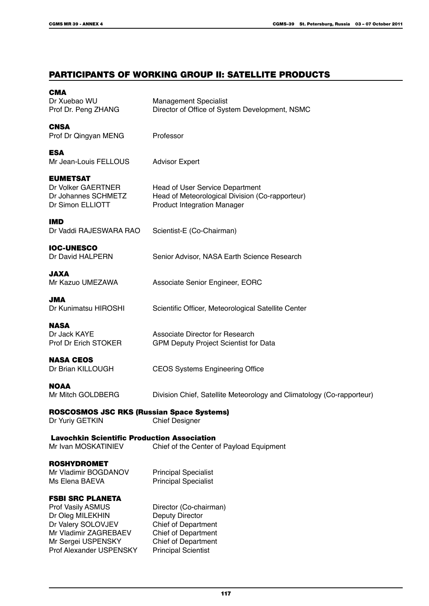# PARTICIPANTS OF WORKING GROUP II: SATELLITE PRODUCTS

| CMA<br>Dr Xuebao WU                                  | <b>Management Specialist</b>                                          |
|------------------------------------------------------|-----------------------------------------------------------------------|
| Prof Dr. Peng ZHANG                                  | Director of Office of System Development, NSMC                        |
| <b>CNSA</b>                                          |                                                                       |
| Prof Dr Qingyan MENG                                 | Professor                                                             |
| <b>ESA</b>                                           |                                                                       |
| Mr Jean-Louis FELLOUS                                | <b>Advisor Expert</b>                                                 |
| <b>EUMETSAT</b>                                      |                                                                       |
| Dr Volker GAERTNER                                   | Head of User Service Department                                       |
| Dr Johannes SCHMETZ                                  | Head of Meteorological Division (Co-rapporteur)                       |
| Dr Simon ELLIOTT                                     | <b>Product Integration Manager</b>                                    |
| IMD                                                  |                                                                       |
| Dr Vaddi RAJESWARA RAO                               | Scientist-E (Co-Chairman)                                             |
| <b>IOC-UNESCO</b>                                    |                                                                       |
| Dr David HALPERN                                     | Senior Advisor, NASA Earth Science Research                           |
| JAXA                                                 |                                                                       |
| Mr Kazuo UMEZAWA                                     | Associate Senior Engineer, EORC                                       |
| <b>JMA</b>                                           |                                                                       |
| Dr Kunimatsu HIROSHI                                 | Scientific Officer, Meteorological Satellite Center                   |
| <b>NASA</b>                                          |                                                                       |
| Dr Jack KAYE                                         | Associate Director for Research                                       |
| Prof Dr Erich STOKER                                 | <b>GPM Deputy Project Scientist for Data</b>                          |
| <b>NASA CEOS</b>                                     |                                                                       |
| Dr Brian KILLOUGH                                    | <b>CEOS Systems Engineering Office</b>                                |
| <b>NOAA</b>                                          |                                                                       |
| Mr Mitch GOLDBERG                                    | Division Chief, Satellite Meteorology and Climatology (Co-rapporteur) |
| ROSCOSMOS JSC RKS (Russian Space Systems)            |                                                                       |
| Dr Yuriy GETKIN                                      | <b>Chief Designer</b>                                                 |
| <b>Lavochkin Scientific Production Association</b>   |                                                                       |
| Mr Ivan MOSKATINIEV                                  | Chief of the Center of Payload Equipment                              |
| <b>ROSHYDROMET</b>                                   |                                                                       |
| Mr Vladimir BOGDANOV                                 | <b>Principal Specialist</b>                                           |
| Ms Elena BAEVA                                       | <b>Principal Specialist</b>                                           |
| <b>FSBI SRC PLANETA</b>                              |                                                                       |
| <b>Prof Vasily ASMUS</b>                             | Director (Co-chairman)                                                |
| Dr Oleg MILEKHIN                                     | <b>Deputy Director</b>                                                |
| Dr Valery SOLOVJEV                                   | <b>Chief of Department</b>                                            |
| Mr Vladimir ZAGREBAEV                                | <b>Chief of Department</b>                                            |
| Mr Sergei USPENSKY<br><b>Prof Alexander USPENSKY</b> | <b>Chief of Department</b><br><b>Principal Scientist</b>              |
|                                                      |                                                                       |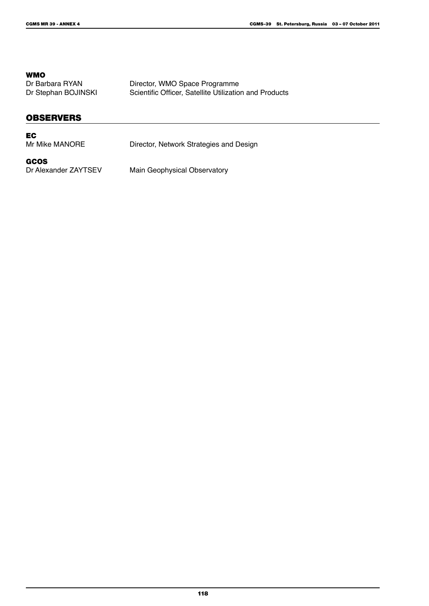**WMO**<br>Dr Barbara RYAN

Dr Barbara RYAN Director, WMO Space Programme<br>
Dr Stephan BOJINSKI Scientific Officer, Satellite Utilizatio Scientific Officer, Satellite Utilization and Products

#### **OBSERVERS**

#### EC

Mr Mike MANORE Director, Network Strategies and Design

GCOS<br>Dr Alexander ZAYTSEV

Main Geophysical Observatory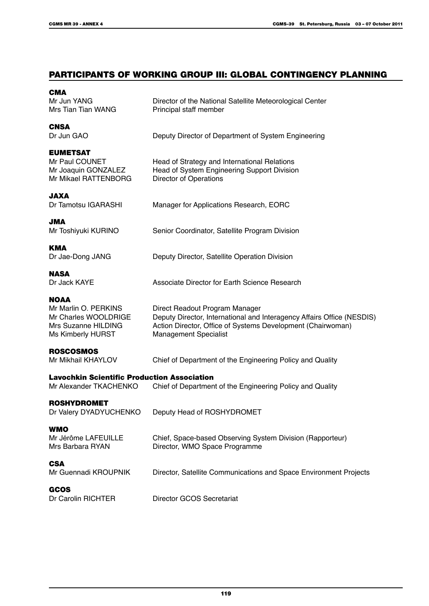# PARTICIPANTS OF WORKING GROUP III: GLOBAL CONTINGENCY PLANNING

| Director of the National Satellite Meteorological Center<br>Principal staff member                                                                                                                      |
|---------------------------------------------------------------------------------------------------------------------------------------------------------------------------------------------------------|
| Deputy Director of Department of System Engineering                                                                                                                                                     |
| Head of Strategy and International Relations<br>Head of System Engineering Support Division<br><b>Director of Operations</b>                                                                            |
| Manager for Applications Research, EORC                                                                                                                                                                 |
| Senior Coordinator, Satellite Program Division                                                                                                                                                          |
| Deputy Director, Satellite Operation Division                                                                                                                                                           |
| Associate Director for Earth Science Research                                                                                                                                                           |
| Direct Readout Program Manager<br>Deputy Director, International and Interagency Affairs Office (NESDIS)<br>Action Director, Office of Systems Development (Chairwoman)<br><b>Management Specialist</b> |
| Chief of Department of the Engineering Policy and Quality                                                                                                                                               |
| <b>Lavochkin Scientific Production Association</b><br>Chief of Department of the Engineering Policy and Quality                                                                                         |
| Dr Valery DYADYUCHENKO Deputy Head of ROSHYDROMET                                                                                                                                                       |
| Chief, Space-based Observing System Division (Rapporteur)<br>Director, WMO Space Programme                                                                                                              |
| Director, Satellite Communications and Space Environment Projects                                                                                                                                       |
| Director GCOS Secretariat                                                                                                                                                                               |
|                                                                                                                                                                                                         |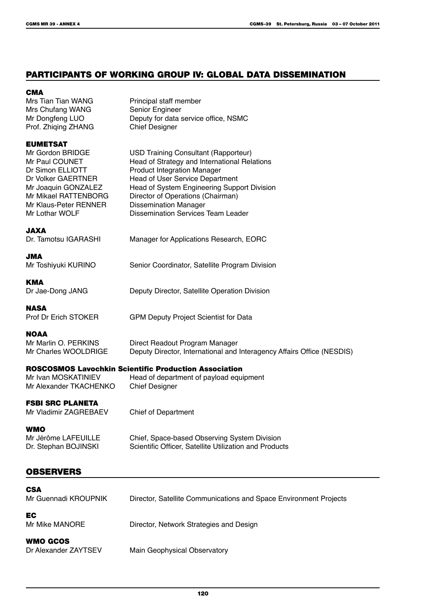### PARTICIPANTS OF WORKING GROUP IV: GLOBAL DATA DISSEMINATION

#### **CMA**

Mrs Tian Tian WANG<br>
Mrs Chufang WANG<br>
Mrs Chufang WANG<br>
Partner Senior Engineer Mrs Chufang WANG Prof. Zhiqing ZHANG Chief Designer

Mr Dongfeng LUO Deputy for data service office, NSMC

Head of User Service Department

Dissemination Services Team Leader

#### EUMETSAT

Mr Gordon BRIDGE USD Training Consultant (Rapporteur)<br>Mr Paul COUNET Head of Strategy and International Rel Mr Paul COUNET<br>
Dr Simon ELLIOTT
Dr Simon ELLIOTT
Head of Strategy and International Relations Dr Simon ELLIOTT Product Integration Manager<br>
Dr Volker GAERTNER Head of User Service Depart Mr Joaquin GONZALEZ Head of System Engineering Support Division<br>Mr Mikael RATTENBORG Director of Operations (Chairman) Mr Mikael RATTENBORG Director of Operations (Chairman)<br>Mr Klaus-Peter RENNER Dissemination Manager Mr Klaus-Peter RENNER Dissemination Manager<br>Mr Lothar WOLF Dissemination Services

JAXA Dr. Tamotsu IGARASHI Manager for Applications Research, EORC

JMA Mr Toshiyuki KURINO Senior Coordinator, Satellite Program Division

**KMA** Dr Jae-Dong JANG Deputy Director, Satellite Operation Division

**NASA** 

Prof Dr Erich STOKER GPM Deputy Project Scientist for Data

#### **NOAA**

Mr Marlin O. PERKINS<br>
Mr Charles WOOL DRIGE<br>
Deputy Director, International and Deputy Director, International and Interagency Affairs Office (NESDIS)

#### ROSCOSMOS Lavochkin Scientific Production Association

Mr Alexander TKACHENKO Chief Designer

Mr Ivan MOSKATINIEV Head of department of payload equipment

# FSBI SRC PLANETA

Mr Vladimir ZAGREBAEV Chief of Department

WMO Mr Jérôme LAFEUILLE Chief, Space-based Observing System Division<br>Dr. Stephan BOJINSKI Scientific Officer. Satellite Utilization and Produc

# Scientific Officer, Satellite Utilization and Products

# OBSERVERS

| <b>CSA</b>           |                                                                   |
|----------------------|-------------------------------------------------------------------|
| Mr Guennadi KROUPNIK | Director, Satellite Communications and Space Environment Projects |
| EC                   |                                                                   |
| Mr Mike MANORE       | Director, Network Strategies and Design                           |
| WMO GCOS             |                                                                   |
| Dr Alexander ZAYTSEV | Main Geophysical Observatory                                      |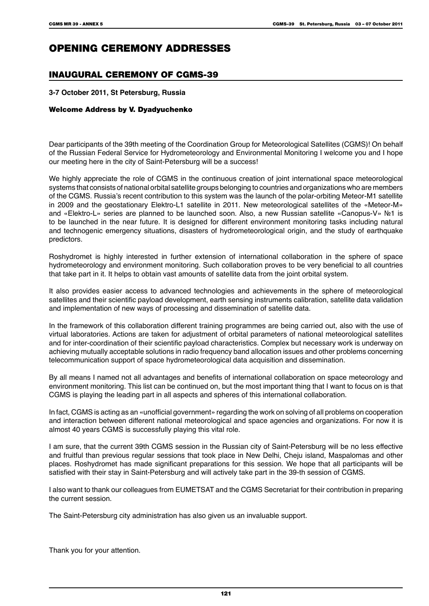# OPENING CEREMONY ADDRESSES

# Inaugural Ceremony of CGMS-39

#### **3-7 October 2011, St Petersburg, Russia**

#### Welcome Address by V. Dyadyuchenko

Dear participants of the 39th meeting of the Coordination Group for Meteorological Satellites (CGMS)! On behalf of the Russian Federal Service for Hydrometeorology and Environmental Monitoring I welcome you and I hope our meeting here in the city of Saint-Petersburg will be a success!

We highly appreciate the role of CGMS in the continuous creation of joint international space meteorological systems that consists of national orbital satellite groups belonging to countries and organizations who are members of the CGMS. Russia's recent contribution to this system was the launch of the polar-orbiting Meteor-M1 satellite in 2009 and the geostationary Elektro-L1 satellite in 2011. New meteorological satellites of the «Meteor-M» and «Elektro-L» series are planned to be launched soon. Also, a new Russian satellite «Canopus-V» №1 is to be launched in the near future. It is designed for different environment monitoring tasks including natural and technogenic emergency situations, disasters of hydrometeorological origin, and the study of earthquake predictors.

Roshydromet is highly interested in further extension of international collaboration in the sphere of space hydrometeorology and environment monitoring. Such collaboration proves to be very beneficial to all countries that take part in it. It helps to obtain vast amounts of satellite data from the joint orbital system.

It also provides easier access to advanced technologies and achievements in the sphere of meteorological satellites and their scientific payload development, earth sensing instruments calibration, satellite data validation and implementation of new ways of processing and dissemination of satellite data.

In the framework of this collaboration different training programmes are being carried out, also with the use of virtual laboratories. Actions are taken for adjustment of orbital parameters of national meteorological satellites and for inter-coordination of their scientific payload characteristics. Complex but necessary work is underway on achieving mutually acceptable solutions in radio frequency band allocation issues and other problems concerning telecommunication support of space hydrometeorological data acquisition and dissemination.

By all means I named not all advantages and benefits of international collaboration on space meteorology and environment monitoring. This list can be continued on, but the most important thing that I want to focus on is that CGMS is playing the leading part in all aspects and spheres of this international collaboration.

In fact, CGMS is acting as an «unofficial government» regarding the work on solving of all problems on cooperation and interaction between different national meteorological and space agencies and organizations. For now it is almost 40 years CGMS is successfully playing this vital role.

I am sure, that the current 39th CGMS session in the Russian city of Saint-Petersburg will be no less effective and fruitful than previous regular sessions that took place in New Delhi, Cheju island, Maspalomas and other places. Roshydromet has made significant preparations for this session. We hope that all participants will be satisfied with their stay in Saint-Petersburg and will actively take part in the 39-th session of CGMS.

I also want to thank our colleagues from EUMETSAT and the CGMS Secretariat for their contribution in preparing the current session.

The Saint-Petersburg city administration has also given us an invaluable support.

Thank you for your attention.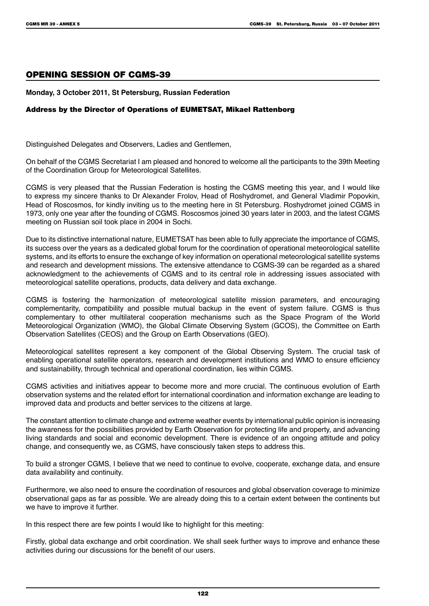#### Opening Session of CGMS-39

#### **Monday, 3 October 2011, St Petersburg, Russian Federation**

#### Address by the Director of Operations of EUMETSAT, Mikael Rattenborg

Distinguished Delegates and Observers, Ladies and Gentlemen,

On behalf of the CGMS Secretariat I am pleased and honored to welcome all the participants to the 39th Meeting of the Coordination Group for Meteorological Satellites.

CGMS is very pleased that the Russian Federation is hosting the CGMS meeting this year, and I would like to express my sincere thanks to Dr Alexander Frolov, Head of Roshydromet, and General Vladimir Popovkin, Head of Roscosmos, for kindly inviting us to the meeting here in St Petersburg. Roshydromet joined CGMS in 1973, only one year after the founding of CGMS. Roscosmos joined 30 years later in 2003, and the latest CGMS meeting on Russian soil took place in 2004 in Sochi.

Due to its distinctive international nature, EUMETSAT has been able to fully appreciate the importance of CGMS, its success over the years as a dedicated global forum for the coordination of operational meteorological satellite systems, and its efforts to ensure the exchange of key information on operational meteorological satellite systems and research and development missions. The extensive attendance to CGMS-39 can be regarded as a shared acknowledgment to the achievements of CGMS and to its central role in addressing issues associated with meteorological satellite operations, products, data delivery and data exchange.

CGMS is fostering the harmonization of meteorological satellite mission parameters, and encouraging complementarity, compatibility and possible mutual backup in the event of system failure. CGMS is thus complementary to other multilateral cooperation mechanisms such as the Space Program of the World Meteorological Organization (WMO), the Global Climate Observing System (GCOS), the Committee on Earth Observation Satellites (CEOS) and the Group on Earth Observations (GEO).

Meteorological satellites represent a key component of the Global Observing System. The crucial task of enabling operational satellite operators, research and development institutions and WMO to ensure efficiency and sustainability, through technical and operational coordination, lies within CGMS.

CGMS activities and initiatives appear to become more and more crucial. The continuous evolution of Earth observation systems and the related effort for international coordination and information exchange are leading to improved data and products and better services to the citizens at large.

The constant attention to climate change and extreme weather events by international public opinion is increasing the awareness for the possibilities provided by Earth Observation for protecting life and property, and advancing living standards and social and economic development. There is evidence of an ongoing attitude and policy change, and consequently we, as CGMS, have consciously taken steps to address this.

To build a stronger CGMS, I believe that we need to continue to evolve, cooperate, exchange data, and ensure data availability and continuity.

Furthermore, we also need to ensure the coordination of resources and global observation coverage to minimize observational gaps as far as possible. We are already doing this to a certain extent between the continents but we have to improve it further.

In this respect there are few points I would like to highlight for this meeting:

Firstly, global data exchange and orbit coordination. We shall seek further ways to improve and enhance these activities during our discussions for the benefit of our users.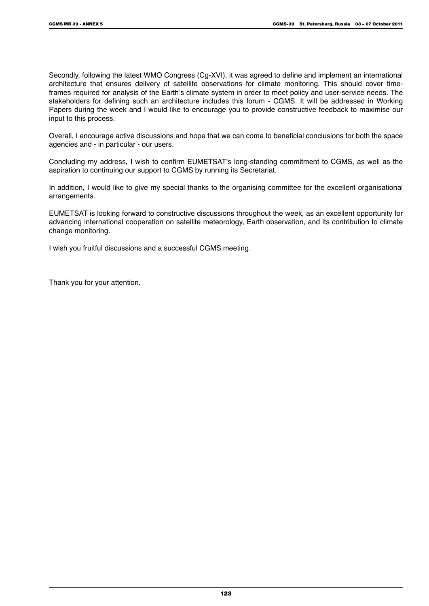Secondly, following the latest WMO Congress (Cg-XVI), it was agreed to define and implement an international architecture that ensures delivery of satellite observations for climate monitoring. This should cover timeframes required for analysis of the Earth's climate system in order to meet policy and user-service needs. The stakeholders for defining such an architecture includes this forum - CGMS. It will be addressed in Working Papers during the week and I would like to encourage you to provide constructive feedback to maximise our input to this process.

Overall, I encourage active discussions and hope that we can come to beneficial conclusions for both the space agencies and - in particular - our users.

Concluding my address, I wish to confirm EUMETSAT's long-standing commitment to CGMS, as well as the aspiration to continuing our support to CGMS by running its Secretariat.

In addition, I would like to give my special thanks to the organising committee for the excellent organisational arrangements.

EUMETSAT is looking forward to constructive discussions throughout the week, as an excellent opportunity for advancing international cooperation on satellite meteorology, Earth observation, and its contribution to climate change monitoring.

I wish you fruitful discussions and a successful CGMS meeting.

Thank you for your attention.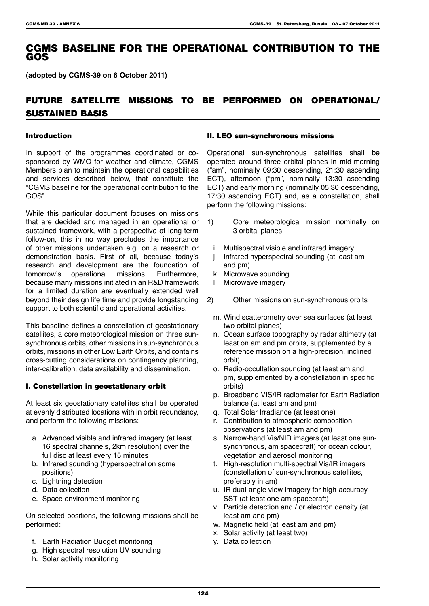# CGMS BASELINE FOR THE OPERATIONAL CONTRIBUTION TO THE GOS

**(adopted by CGMS-39 on 6 October 2011)**

# Future satellite missions to be performed on operational/ sustained basis

#### Introduction

In support of the programmes coordinated or cosponsored by WMO for weather and climate, CGMS Members plan to maintain the operational capabilities and services described below, that constitute the "CGMS baseline for the operational contribution to the GOS".

While this particular document focuses on missions that are decided and managed in an operational or sustained framework, with a perspective of long-term follow-on, this in no way precludes the importance of other missions undertaken e.g. on a research or demonstration basis. First of all, because today's research and development are the foundation of tomorrow's operational missions. Furthermore, because many missions initiated in an R&D framework for a limited duration are eventually extended well beyond their design life time and provide longstanding support to both scientific and operational activities.

This baseline defines a constellation of geostationary satellites, a core meteorological mission on three sunsynchronous orbits, other missions in sun-synchronous orbits, missions in other Low Earth Orbits, and contains cross-cutting considerations on contingency planning, inter-calibration, data availability and dissemination.

#### I. Constellation in geostationary orbit

At least six geostationary satellites shall be operated at evenly distributed locations with in orbit redundancy, and perform the following missions:

- a. Advanced visible and infrared imagery (at least 16 spectral channels, 2km resolution) over the full disc at least every 15 minutes
- b. Infrared sounding (hyperspectral on some positions)
- c. Lightning detection
- d. Data collection
- e. Space environment monitoring

On selected positions, the following missions shall be performed:

- f. Earth Radiation Budget monitoring
- g. High spectral resolution UV sounding
- h. Solar activity monitoring

#### II. LEO sun-synchronous missions

Operational sun-synchronous satellites shall be operated around three orbital planes in mid-morning ("am", nominally 09:30 descending, 21:30 ascending ECT), afternoon ("pm", nominally 13:30 ascending ECT) and early morning (nominally 05:30 descending, 17:30 ascending ECT) and, as a constellation, shall perform the following missions:

- 1) Core meteorological mission nominally on 3 orbital planes
	- i. Multispectral visible and infrared imagery
	- j. Infrared hyperspectral sounding (at least am and pm)
	- k. Microwave sounding
	- l. Microwave imagery
- 2) Other missions on sun-synchronous orbits
	- m. Wind scatterometry over sea surfaces (at least two orbital planes)
	- n. Ocean surface topography by radar altimetry (at least on am and pm orbits, supplemented by a reference mission on a high-precision, inclined orbit)
	- o. Radio-occultation sounding (at least am and pm, supplemented by a constellation in specific orbits)
	- p. Broadband VIS/IR radiometer for Earth Radiation balance (at least am and pm)
	- q. Total Solar Irradiance (at least one)
	- r. Contribution to atmospheric composition observations (at least am and pm)
	- s. Narrow-band Vis/NIR imagers (at least one sunsynchronous, am spacecraft) for ocean colour, vegetation and aerosol monitoring
	- t. High-resolution multi-spectral Vis/IR imagers (constellation of sun-synchronous satellites, preferably in am)
	- u. IR dual-angle view imagery for high-accuracy SST (at least one am spacecraft)
	- v. Particle detection and / or electron density (at least am and pm)
- w. Magnetic field (at least am and pm)
- x. Solar activity (at least two)
- y. Data collection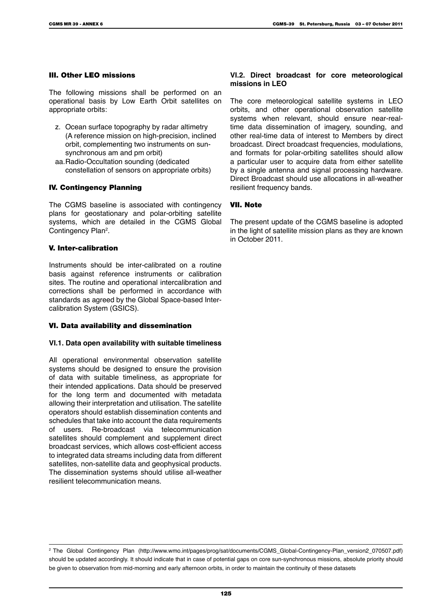#### III. Other LEO missions

The following missions shall be performed on an operational basis by Low Earth Orbit satellites on appropriate orbits:

- z. Ocean surface topography by radar altimetry (A reference mission on high-precision, inclined orbit, complementing two instruments on sunsynchronous am and pm orbit)
- aa.Radio-Occultation sounding (dedicated constellation of sensors on appropriate orbits)

#### IV. Contingency Planning

The CGMS baseline is associated with contingency plans for geostationary and polar-orbiting satellite systems, which are detailed in the CGMS Global Contingency Plan<sup>2</sup>.

#### V. Inter-calibration

Instruments should be inter-calibrated on a routine basis against reference instruments or calibration sites. The routine and operational intercalibration and corrections shall be performed in accordance with standards as agreed by the Global Space-based Intercalibration System (GSICS).

#### VI. Data availability and dissemination

#### **VI.1. Data open availability with suitable timeliness**

All operational environmental observation satellite systems should be designed to ensure the provision of data with suitable timeliness, as appropriate for their intended applications. Data should be preserved for the long term and documented with metadata allowing their interpretation and utilisation. The satellite operators should establish dissemination contents and schedules that take into account the data requirements of users. Re-broadcast via telecommunication satellites should complement and supplement direct broadcast services, which allows cost-efficient access to integrated data streams including data from different satellites, non-satellite data and geophysical products. The dissemination systems should utilise all-weather resilient telecommunication means.

#### **VI.2. Direct broadcast for core meteorological missions in LEO**

The core meteorological satellite systems in LEO orbits, and other operational observation satellite systems when relevant, should ensure near-realtime data dissemination of imagery, sounding, and other real-time data of interest to Members by direct broadcast. Direct broadcast frequencies, modulations, and formats for polar-orbiting satellites should allow a particular user to acquire data from either satellite by a single antenna and signal processing hardware. Direct Broadcast should use allocations in all-weather resilient frequency bands.

#### VII. Note

The present update of the CGMS baseline is adopted in the light of satellite mission plans as they are known in October 2011.

<sup>2</sup> The Global Contingency Plan (http://www.wmo.int/pages/prog/sat/documents/CGMS\_Global-Contingency-Plan\_version2\_070507.pdf) should be updated accordingly. It should indicate that in case of potential gaps on core sun-synchronous missions, absolute priority should be given to observation from mid-morning and early afternoon orbits, in order to maintain the continuity of these datasets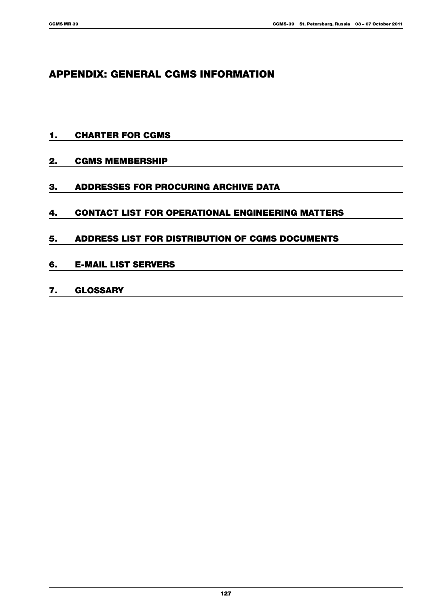# APPENDIX: GENERAL CGMS INFORMATION

- 1. Charter for CGMS
- 2. CGMS Membership
- 3. Addresses for Procuring Archive Data
- 4. Contact List for Operational Engineering Matters
- 5. Address List for Distribution of CGMS Documents
- 6. E-mail List Servers
- 7. Glossary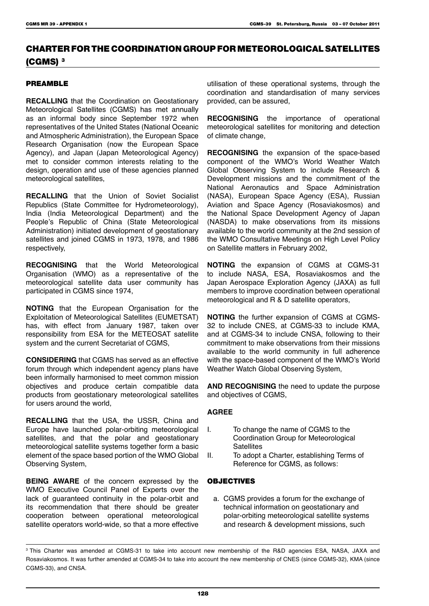# CHARTER FOR THE COORDINATION GROUP FOR METEOROLOGICAL SATELLITES (CGMS) 3

#### PREAMBLE

**RECALLING** that the Coordination on Geostationary Meteorological Satellites (CGMS) has met annually as an informal body since September 1972 when representatives of the United States (National Oceanic and Atmospheric Administration), the European Space Research Organisation (now the European Space Agency), and Japan (Japan Meteorological Agency) met to consider common interests relating to the design, operation and use of these agencies planned meteorological satellites,

**RECALLING** that the Union of Soviet Socialist Republics (State Committee for Hydrometeorology), India (India Meteorological Department) and the People's Republic of China (State Meteorological Administration) initiated development of geostationary satellites and joined CGMS in 1973, 1978, and 1986 respectively,

**RECOGNISING** that the World Meteorological Organisation (WMO) as a representative of the meteorological satellite data user community has participated in CGMS since 1974,

**NOTING** that the European Organisation for the Exploitation of Meteorological Satellites (EUMETSAT) has, with effect from January 1987, taken over responsibility from ESA for the METEOSAT satellite system and the current Secretariat of CGMS,

**CONSIDERING** that CGMS has served as an effective forum through which independent agency plans have been informally harmonised to meet common mission objectives and produce certain compatible data products from geostationary meteorological satellites for users around the world,

**RECALLING** that the USA, the USSR, China and Europe have launched polar-orbiting meteorological satellites, and that the polar and geostationary meteorological satellite systems together form a basic element of the space based portion of the WMO Global Observing System,

**BEING AWARE** of the concern expressed by the WMO Executive Council Panel of Experts over the lack of guaranteed continuity in the polar-orbit and its recommendation that there should be greater cooperation between operational meteorological satellite operators world-wide, so that a more effective

utilisation of these operational systems, through the coordination and standardisation of many services provided, can be assured,

**RECOGNISING** the importance of operational meteorological satellites for monitoring and detection of climate change,

**RECOGNISING** the expansion of the space-based component of the WMO's World Weather Watch Global Observing System to include Research & Development missions and the commitment of the National Aeronautics and Space Administration (NASA), European Space Agency (ESA), Russian Aviation and Space Agency (Rosaviakosmos) and the National Space Development Agency of Japan (NASDA) to make observations from its missions available to the world community at the 2nd session of the WMO Consultative Meetings on High Level Policy on Satellite matters in February 2002,

**NOTING** the expansion of CGMS at CGMS-31 to include NASA, ESA, Rosaviakosmos and the Japan Aerospace Exploration Agency (JAXA) as full members to improve coordination between operational meteorological and R & D satellite operators,

**NOTING** the further expansion of CGMS at CGMS-32 to include CNES, at CGMS-33 to include KMA, and at CGMS-34 to include CNSA, following to their commitment to make observations from their missions available to the world community in full adherence with the space-based component of the WMO's World Weather Watch Global Observing System,

**AND RECOGNISING** the need to update the purpose and objectives of CGMS,

#### **AGREE**

- I. To change the name of CGMS to the Coordination Group for Meteorological **Satellites**
- II. To adopt a Charter, establishing Terms of Reference for CGMS, as follows:

#### **OBJECTIVES**

a. CGMS provides a forum for the exchange of technical information on geostationary and polar-orbiting meteorological satellite systems and research & development missions, such

<sup>3</sup> This Charter was amended at CGMS-31 to take into account new membership of the R&D agencies ESA, NASA, JAXA and Rosaviakosmos. It was further amended at CGMS-34 to take into account the new membership of CNES (since CGMS-32), KMA (since CGMS-33), and CNSA.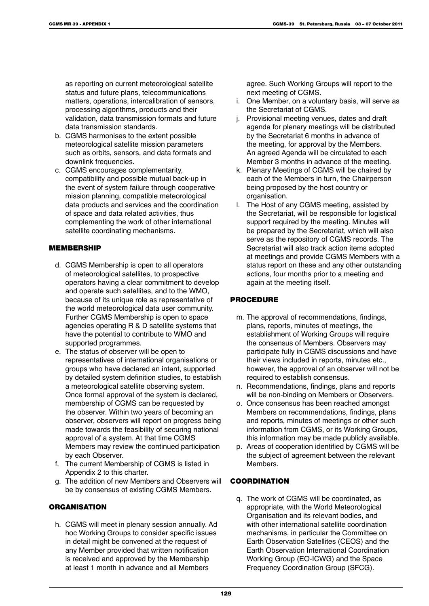as reporting on current meteorological satellite status and future plans, telecommunications matters, operations, intercalibration of sensors, processing algorithms, products and their validation, data transmission formats and future data transmission standards.

- b. CGMS harmonises to the extent possible meteorological satellite mission parameters such as orbits, sensors, and data formats and downlink frequencies.
- c. CGMS encourages complementarity, compatibility and possible mutual back-up in the event of system failure through cooperative mission planning, compatible meteorological data products and services and the coordination of space and data related activities, thus complementing the work of other international satellite coordinating mechanisms.

#### MEMBERSHIP

- d. CGMS Membership is open to all operators of meteorological satellites, to prospective operators having a clear commitment to develop and operate such satellites, and to the WMO, because of its unique role as representative of the world meteorological data user community. Further CGMS Membership is open to space agencies operating R & D satellite systems that have the potential to contribute to WMO and supported programmes.
- e. The status of observer will be open to representatives of international organisations or groups who have declared an intent, supported by detailed system definition studies, to establish a meteorological satellite observing system. Once formal approval of the system is declared, membership of CGMS can be requested by the observer. Within two years of becoming an observer, observers will report on progress being made towards the feasibility of securing national approval of a system. At that time CGMS Members may review the continued participation by each Observer.
- f. The current Membership of CGMS is listed in Appendix 2 to this charter.
- g. The addition of new Members and Observers will be by consensus of existing CGMS Members.

#### **ORGANISATION**

h. CGMS will meet in plenary session annually. Ad hoc Working Groups to consider specific issues in detail might be convened at the request of any Member provided that written notification is received and approved by the Membership at least 1 month in advance and all Members

agree. Such Working Groups will report to the next meeting of CGMS.

- i. One Member, on a voluntary basis, will serve as the Secretariat of CGMS.
- j. Provisional meeting venues, dates and draft agenda for plenary meetings will be distributed by the Secretariat 6 months in advance of the meeting, for approval by the Members. An agreed Agenda will be circulated to each Member 3 months in advance of the meeting.
- k. Plenary Meetings of CGMS will be chaired by each of the Members in turn, the Chairperson being proposed by the host country or organisation.
- l. The Host of any CGMS meeting, assisted by the Secretariat, will be responsible for logistical support required by the meeting. Minutes will be prepared by the Secretariat, which will also serve as the repository of CGMS records. The Secretariat will also track action items adopted at meetings and provide CGMS Members with a status report on these and any other outstanding actions, four months prior to a meeting and again at the meeting itself.

#### PROCEDURE

- m. The approval of recommendations, findings, plans, reports, minutes of meetings, the establishment of Working Groups will require the consensus of Members. Observers may participate fully in CGMS discussions and have their views included in reports, minutes etc., however, the approval of an observer will not be required to establish consensus.
- n. Recommendations, findings, plans and reports will be non-binding on Members or Observers.
- o. Once consensus has been reached amongst Members on recommendations, findings, plans and reports, minutes of meetings or other such information from CGMS, or its Working Groups, this information may be made publicly available.
- p. Areas of cooperation identified by CGMS will be the subject of agreement between the relevant Members.

#### **COORDINATION**

q. The work of CGMS will be coordinated, as appropriate, with the World Meteorological Organisation and its relevant bodies, and with other international satellite coordination mechanisms, in particular the Committee on Earth Observation Satellites (CEOS) and the Earth Observation International Coordination Working Group (EO-ICWG) and the Space Frequency Coordination Group (SFCG).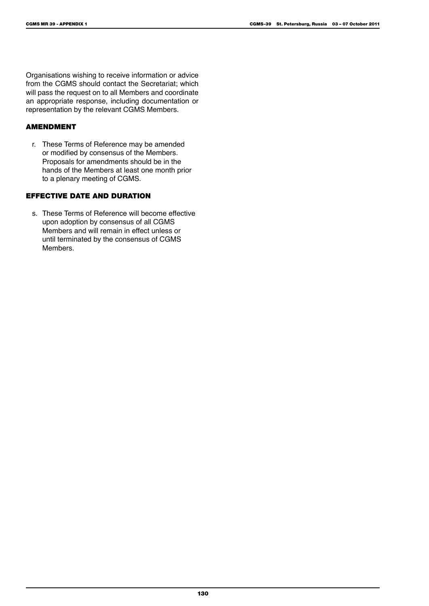Organisations wishing to receive information or advice from the CGMS should contact the Secretariat; which will pass the request on to all Members and coordinate an appropriate response, including documentation or representation by the relevant CGMS Members.

#### AMENDMENT

r. These Terms of Reference may be amended or modified by consensus of the Members. Proposals for amendments should be in the hands of the Members at least one month prior to a plenary meeting of CGMS.

#### EFFECTIVE DATE AND DURATION

s. These Terms of Reference will become effective upon adoption by consensus of all CGMS Members and will remain in effect unless or until terminated by the consensus of CGMS Members.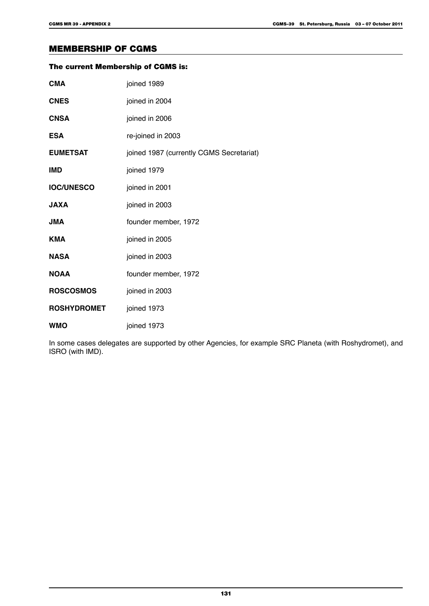# MEMBERSHIP OF CGMS

| The current Membership of CGMS is: |                                          |  |
|------------------------------------|------------------------------------------|--|
| <b>CMA</b>                         | joined 1989                              |  |
| <b>CNES</b>                        | joined in 2004                           |  |
| <b>CNSA</b>                        | joined in 2006                           |  |
| <b>ESA</b>                         | re-joined in 2003                        |  |
| <b>EUMETSAT</b>                    | joined 1987 (currently CGMS Secretariat) |  |
| IMD                                | joined 1979                              |  |
| <b>IOC/UNESCO</b>                  | joined in 2001                           |  |
| <b>JAXA</b>                        | joined in 2003                           |  |
| <b>AML</b>                         | founder member, 1972                     |  |
| <b>KMA</b>                         | joined in 2005                           |  |
| <b>NASA</b>                        | joined in 2003                           |  |
| <b>NOAA</b>                        | founder member, 1972                     |  |
| <b>ROSCOSMOS</b>                   | joined in 2003                           |  |
| <b>ROSHYDROMET</b>                 | joined 1973                              |  |
| WMO                                | joined 1973                              |  |

In some cases delegates are supported by other Agencies, for example SRC Planeta (with Roshydromet), and ISRO (with IMD).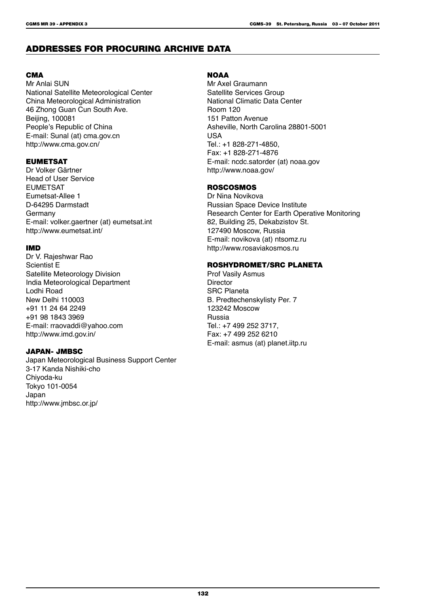# ADDRESSES FOR PROCURING ARCHIVE DATA

#### **CMA**

Mr Anlai SUN National Satellite Meteorological Center China Meteorological Administration 46 Zhong Guan Cun South Ave. Beijing, 100081 People's Republic of China E-mail: Sunal (at) cma.gov.cn http://www.cma.gov.cn/

#### EUMETSAT

Dr Volker Gärtner Head of User Service EUMETSAT Eumetsat-Allee 1 D-64295 Darmstadt Germany E-mail: volker.gaertner (at) eumetsat.int http://www.eumetsat.int/

#### IMD

Dr V. Rajeshwar Rao Scientist E Satellite Meteorology Division India Meteorological Department Lodhi Road New Delhi 110003 +91 11 24 64 2249 +91 98 1843 3969 E-mail: rraovaddi@yahoo.com http://www.imd.gov.in/

#### JAPAN- JMBSC

Japan Meteorological Business Support Center 3-17 Kanda Nishiki-cho Chiyoda-ku Tokyo 101-0054 Japan http://www.jmbsc.or.jp/

#### **NOAA**

Mr Axel Graumann Satellite Services Group National Climatic Data Center Room 120 151 Patton Avenue Asheville, North Carolina 28801-5001 USA Tel.: +1 828-271-4850, Fax: +1 828-271-4876 E-mail: ncdc.satorder (at) noaa.gov http://www.noaa.gov/

#### ROSCOSMOS

Dr Nina Novikova Russian Space Device Institute Research Center for Earth Operative Monitoring 82, Building 25, Dekabzistov St. 127490 Moscow, Russia E-mail: novikova (at) ntsomz.ru http://www.rosaviakosmos.ru

#### ROSHYDROMET/SRC PLANETA

Prof Vasily Asmus **Director** SRC Planeta B. Predtechenskylisty Per. 7 123242 Moscow Russia Tel.: +7 499 252 3717, Fax: +7 499 252 6210 E-mail: asmus (at) planet.iitp.ru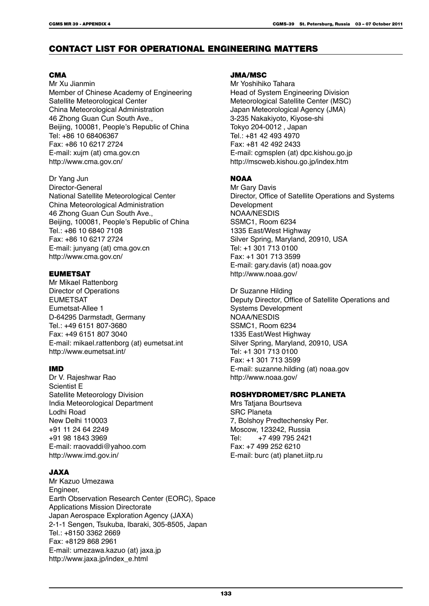# CONTACT LIST FOR OPERATIONAL ENGINEERING MATTERS

#### **CMA**

Mr Xu Jianmin Member of Chinese Academy of Engineering Satellite Meteorological Center China Meteorological Administration 46 Zhong Guan Cun South Ave., Beijing, 100081, People's Republic of China Tel: +86 10 68406367 Fax: +86 10 6217 2724 E-mail: xujm (at) cma.gov.cn http://www.cma.gov.cn/

Dr Yang Jun Director-General National Satellite Meteorological Center China Meteorological Administration 46 Zhong Guan Cun South Ave., Beijing, 100081, People's Republic of China Tel.: +86 10 6840 7108 Fax: +86 10 6217 2724 E-mail: junyang (at) cma.gov.cn http://www.cma.gov.cn/

#### EUMETSAT

Mr Mikael Rattenborg Director of Operations EUMETSAT Eumetsat-Allee 1 D-64295 Darmstadt, Germany Tel.: +49 6151 807-3680 Fax: +49 6151 807 3040 E-mail: mikael.rattenborg (at) eumetsat.int http://www.eumetsat.int/

#### IMD

Dr V. Rajeshwar Rao Scientist E Satellite Meteorology Division India Meteorological Department Lodhi Road New Delhi 110003 +91 11 24 64 2249 +91 98 1843 3969 E-mail: rraovaddi@yahoo.com http://www.imd.gov.in/

#### JAXA

Mr Kazuo Umezawa Engineer, Earth Observation Research Center (EORC), Space Applications Mission Directorate Japan Aerospace Exploration Agency (JAXA) 2-1-1 Sengen, Tsukuba, Ibaraki, 305-8505, Japan Tel.: +8150 3362 2669 Fax: +8129 868 2961 E-mail: umezawa.kazuo (at) jaxa.jp http://www.jaxa.jp/index\_e.html

#### JMA/MSC

Mr Yoshihiko Tahara Head of System Engineering Division Meteorological Satellite Center (MSC) Japan Meteorological Agency (JMA) 3-235 Nakakiyoto, Kiyose-shi Tokyo 204-0012 , Japan Tel.: +81 42 493 4970 Fax: +81 42 492 2433 E-mail: cgmsplen (at) dpc.kishou.go.jp http://mscweb.kishou.go.jp/index.htm

# **NOAA**

Mr Gary Davis Director, Office of Satellite Operations and Systems Development NOAA/NESDIS SSMC1, Room 6234 1335 East/West Highway Silver Spring, Maryland, 20910, USA Tel: +1 301 713 0100 Fax: +1 301 713 3599 E-mail: gary.davis (at) noaa.gov http://www.noaa.gov/

Dr Suzanne Hilding Deputy Director, Office of Satellite Operations and Systems Development NOAA/NESDIS SSMC1, Room 6234 1335 East/West Highway Silver Spring, Maryland, 20910, USA Tel: +1 301 713 0100 Fax: +1 301 713 3599 E-mail: suzanne.hilding (at) noaa.gov http://www.noaa.gov/

#### ROSHYDROMET/SRC PLANETA

Mrs Tatiana Bourtseva SRC Planeta 7, Bolshoy Predtechensky Per. Moscow, 123242, Russia<br>Tel: +7 499 795 2421 +7 499 795 2421 Fax: +7 499 252 6210 E-mail: burc (at) planet.iitp.ru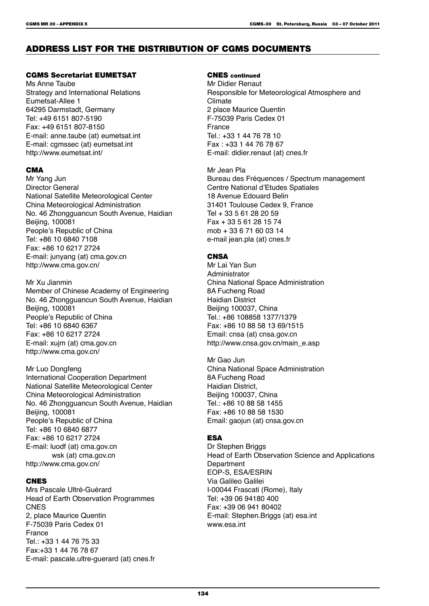# ADDRESS LIST FOR THE DISTRIBUTION OF CGMS DOCUMENTS

#### CGMS Secretariat EUMETSAT

Ms Anne Taube Strategy and International Relations Eumetsat-Allee 1 64295 Darmstadt, Germany Tel: +49 6151 807-5190 Fax: +49 6151 807-8150 E-mail: anne.taube (at) eumetsat.int E-mail: cgmssec (at) eumetsat.int http://www.eumetsat.int/

#### **CMA**

Mr Yang Jun Director General National Satellite Meteorological Center China Meteorological Administration No. 46 Zhongguancun South Avenue, Haidian Beijing, 100081 People's Republic of China Tel: +86 10 6840 7108 Fax: +86 10 6217 2724 E-mail: junyang (at) cma.gov.cn http://www.cma.gov.cn/

Mr Xu Jianmin Member of Chinese Academy of Engineering No. 46 Zhongguancun South Avenue, Haidian Beijing, 100081 People's Republic of China Tel: +86 10 6840 6367 Fax: +86 10 6217 2724 E-mail: xujm (at) cma.gov.cn http://www.cma.gov.cn/

Mr Luo Dongfeng International Cooperation Department National Satellite Meteorological Center China Meteorological Administration No. 46 Zhongguancun South Avenue, Haidian Beijing, 100081 People's Republic of China Tel: +86 10 6840 6877 Fax: +86 10 6217 2724 E-mail: luodf (at) cma.gov.cn wsk (at) cma.gov.cn http://www.cma.gov.cn/

#### **CNES**

Mrs Pascale Ultré-Guérard Head of Earth Observation Programmes **CNES** 2, place Maurice Quentin F-75039 Paris Cedex 01 France Tel.: +33 1 44 76 75 33 Fax:+33 1 44 76 78 67 E-mail: pascale.ultre-guerard (at) cnes.fr

### CNES continued

Mr Didier Renaut Responsible for Meteorological Atmosphere and Climate 2 place Maurice Quentin F-75039 Paris Cedex 01 France Tel.: +33 1 44 76 78 10 Fax : +33 1 44 76 78 67 E-mail: didier.renaut (at) cnes.fr

Mr Jean Pla Bureau des Fréquences / Spectrum management Centre National d'Etudes Spatiales 18 Avenue Edouard Belin 31401 Toulouse Cedex 9, France Tel + 33 5 61 28 20 59 Fax + 33 5 61 28 15 74 mob + 33 6 71 60 03 14 e-mail jean.pla (at) cnes.fr

#### **CNSA**

Mr Lai Yan Sun Administrator China National Space Administration 8A Fucheng Road Haidian District Beijing 100037, China Tel.: +86 108858 1377/1379 Fax: +86 10 88 58 13 69/1515 Email: cnsa (at) cnsa.gov.cn http://www.cnsa.gov.cn/main\_e.asp

Mr Gao Jun China National Space Administration 8A Fucheng Road Haidian District, Beijing 100037, China Tel.: +86 10 88 58 1455 Fax: +86 10 88 58 1530 Email: gaojun (at) cnsa.gov.cn

#### **ESA**

Dr Stephen Briggs Head of Earth Observation Science and Applications **Department** EOP-S, ESA/ESRIN Via Galileo Galilei I-00044 Frascati (Rome), Italy Tel: +39 06 94180 400 Fax: +39 06 941 80402 E-mail: Stephen.Briggs (at) esa.int www.esa.int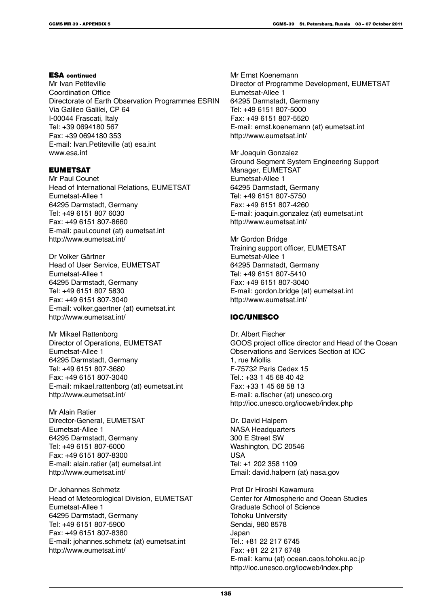#### ESA continued

Mr Ivan Petiteville Coordination Office Directorate of Earth Observation Programmes ESRIN Via Galileo Galilei, CP 64 I-00044 Frascati, Italy Tel: +39 0694180 567 Fax: +39 0694180 353 E-mail: Ivan.Petiteville (at) esa.int www.esa.int

#### EUMETSAT

Mr Paul Counet Head of International Relations, EUMETSAT Eumetsat-Allee 1 64295 Darmstadt, Germany Tel: +49 6151 807 6030 Fax: +49 6151 807-8660 E-mail: paul.counet (at) eumetsat.int http://www.eumetsat.int/

Dr Volker Gärtner Head of User Service, EUMETSAT Eumetsat-Allee 1 64295 Darmstadt, Germany Tel: +49 6151 807 5830 Fax: +49 6151 807-3040 E-mail: volker.gaertner (at) eumetsat.int http://www.eumetsat.int/

Mr Mikael Rattenborg Director of Operations, EUMETSAT Eumetsat-Allee 1 64295 Darmstadt, Germany Tel: +49 6151 807-3680 Fax: +49 6151 807-3040 E-mail: mikael.rattenborg (at) eumetsat.int http://www.eumetsat.int/

Mr Alain Ratier Director-General, EUMETSAT Eumetsat-Allee 1 64295 Darmstadt, Germany Tel: +49 6151 807-6000 Fax: +49 6151 807-8300 E-mail: alain.ratier (at) eumetsat.int http://www.eumetsat.int/

Dr Johannes Schmetz Head of Meteorological Division, EUMETSAT Eumetsat-Allee 1 64295 Darmstadt, Germany Tel: +49 6151 807-5900 Fax: +49 6151 807-8380 E-mail: johannes.schmetz (at) eumetsat.int http://www.eumetsat.int/

Mr Ernst Koenemann Director of Programme Development, EUMETSAT Eumetsat-Allee 1 64295 Darmstadt, Germany Tel: +49 6151 807-5000 Fax: +49 6151 807-5520 E-mail: ernst.koenemann (at) eumetsat.int http://www.eumetsat.int/

Mr Joaquin Gonzalez Ground Segment System Engineering Support Manager, EUMETSAT Eumetsat-Allee 1 64295 Darmstadt, Germany Tel: +49 6151 807-5750 Fax: +49 6151 807-4260 E-mail: joaquin.gonzalez (at) eumetsat.int http://www.eumetsat.int/

Mr Gordon Bridge Training support officer, EUMETSAT Eumetsat-Allee 1 64295 Darmstadt, Germany Tel: +49 6151 807-5410 Fax: +49 6151 807-3040 E-mail: gordon.bridge (at) eumetsat.int http://www.eumetsat.int/

#### IOC/UNESCO

Dr. Albert Fischer GOOS project office director and Head of the Ocean Observations and Services Section at IOC 1, rue Miollis F-75732 Paris Cedex 15 Tel.: +33 1 45 68 40 42 Fax: +33 1 45 68 58 13 E-mail: a.fischer (at) unesco.org http://ioc.unesco.org/iocweb/index.php

Dr. David Halpern NASA Headquarters 300 E Street SW Washington, DC 20546 USA Tel: +1 202 358 1109 Email: david.halpern (at) nasa.gov

Prof Dr Hiroshi Kawamura Center for Atmospheric and Ocean Studies Graduate School of Science Tohoku University Sendai, 980 8578 Japan Tel.: +81 22 217 6745 Fax: +81 22 217 6748 E-mail: kamu (at) ocean.caos.tohoku.ac.jp http://ioc.unesco.org/iocweb/index.php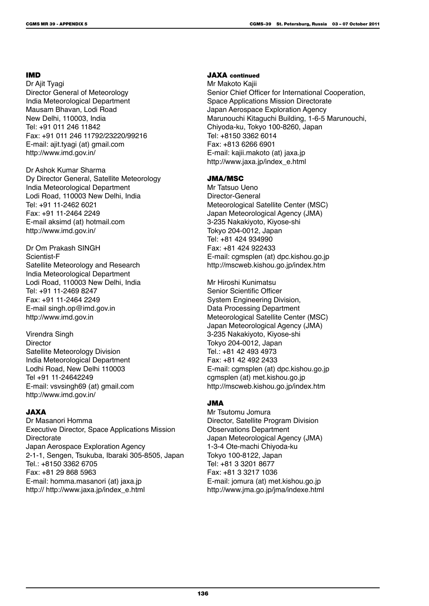#### IMD

Dr Ajit Tyagi Director General of Meteorology India Meteorological Department Mausam Bhavan, Lodi Road New Delhi, 110003, India Tel: +91 011 246 11842 Fax: +91 011 246 11792/23220/99216 E-mail: ajit.tyagi (at) gmail.com http://www.imd.gov.in/

Dr Ashok Kumar Sharma Dy Director General, Satellite Meteorology India Meteorological Department Lodi Road, 110003 New Delhi, India Tel: +91 11-2462 6021 Fax: +91 11-2464 2249 E-mail aksimd (at) hotmail.com http://www.imd.gov.in/

Dr Om Prakash SINGH Scientist-F Satellite Meteorology and Research India Meteorological Department Lodi Road, 110003 New Delhi, India Tel: +91 11-2469 8247 Fax: +91 11-2464 2249 E-mail singh.op@imd.gov.in http://www.imd.gov.in

Virendra Singh **Director** Satellite Meteorology Division India Meteorological Department Lodhi Road, New Delhi 110003 Tel +91 11-24642249 E-mail: vsvsingh69 (at) gmail.com http://www.imd.gov.in/

#### JAXA

Dr Masanori Homma Executive Director, Space Applications Mission **Directorate** Japan Aerospace Exploration Agency 2-1-1, Sengen, Tsukuba, Ibaraki 305-8505, Japan Tel.: +8150 3362 6705 Fax: +81 29 868 5963 E-mail: homma.masanori (at) jaxa.jp http:// http://www.jaxa.jp/index\_e.html

#### JAXA continued

Mr Makoto Kajii Senior Chief Officer for International Cooperation, Space Applications Mission Directorate Japan Aerospace Exploration Agency Marunouchi Kitaguchi Building, 1-6-5 Marunouchi, Chiyoda-ku, Tokyo 100-8260, Japan Tel: +8150 3362 6014 Fax: +813 6266 6901 E-mail: kajii.makoto (at) jaxa.jp http://www.jaxa.jp/index\_e.html

#### JMA/MSC

Mr Tatsuo Ueno Director-General Meteorological Satellite Center (MSC) Japan Meteorological Agency (JMA) 3-235 Nakakiyoto, Kiyose-shi Tokyo 204-0012, Japan Tel: +81 424 934990 Fax: +81 424 922433 E-mail: cgmsplen (at) dpc.kishou.go.jp http://mscweb.kishou.go.jp/index.htm

Mr Hiroshi Kunimatsu Senior Scientific Officer System Engineering Division, Data Processing Department Meteorological Satellite Center (MSC) Japan Meteorological Agency (JMA) 3-235 Nakakiyoto, Kiyose-shi Tokyo 204-0012, Japan Tel.: +81 42 493 4973 Fax: +81 42 492 2433 E-mail: cgmsplen (at) dpc.kishou.go.jp cgmsplen (at) met.kishou.go.jp http://mscweb.kishou.go.jp/index.htm

#### JMA

Mr Tsutomu Jomura Director, Satellite Program Division Observations Department Japan Meteorological Agency (JMA) 1-3-4 Ote-machi Chiyoda-ku Tokyo 100-8122, Japan Tel: +81 3 3201 8677 Fax: +81 3 3217 1036 E-mail: jomura (at) met.kishou.go.jp http://www.jma.go.jp/jma/indexe.html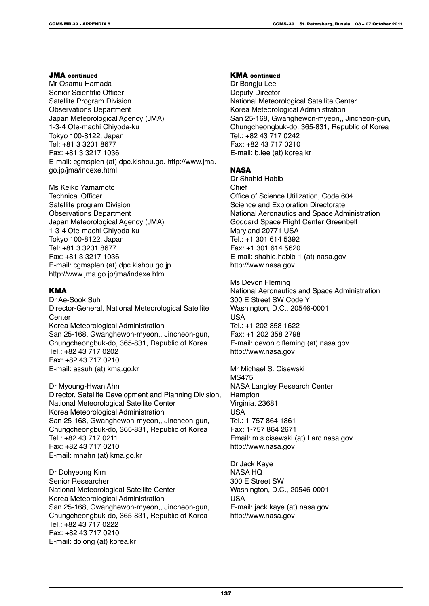#### JMA continued

Mr Osamu Hamada Senior Scientific Officer Satellite Program Division Observations Department Japan Meteorological Agency (JMA) 1-3-4 Ote-machi Chiyoda-ku Tokyo 100-8122, Japan Tel: +81 3 3201 8677 Fax: +81 3 3217 1036 E-mail: cgmsplen (at) dpc.kishou.go. http://www.jma. go.jp/jma/indexe.html

Ms Keiko Yamamoto Technical Officer Satellite program Division Observations Department Japan Meteorological Agency (JMA) 1-3-4 Ote-machi Chiyoda-ku Tokyo 100-8122, Japan Tel: +81 3 3201 8677 Fax: +81 3 3217 1036 E-mail: cgmsplen (at) dpc.kishou.go.jp http://www.jma.go.jp/jma/indexe.html

#### **KMA**

Dr Ae-Sook Suh Director-General, National Meteorological Satellite **Center** Korea Meteorological Administration San 25-168, Gwanghewon-myeon,, Jincheon-gun, Chungcheongbuk-do, 365-831, Republic of Korea Tel.: +82 43 717 0202 Fax: +82 43 717 0210 E-mail: assuh (at) kma.go.kr

Dr Myoung-Hwan Ahn Director, Satellite Development and Planning Division, National Meteorological Satellite Center Korea Meteorological Administration San 25-168, Gwanghewon-myeon,, Jincheon-gun, Chungcheongbuk-do, 365-831, Republic of Korea Tel.: +82 43 717 0211 Fax: +82 43 717 0210 E-mail: mhahn (at) kma.go.kr

Dr Dohyeong Kim Senior Researcher National Meteorological Satellite Center Korea Meteorological Administration San 25-168, Gwanghewon-myeon,, Jincheon-gun, Chungcheongbuk-do, 365-831, Republic of Korea Tel.: +82 43 717 0222 Fax: +82 43 717 0210 E-mail: dolong (at) korea.kr

#### KMA continued

Dr Bongju Lee Deputy Director National Meteorological Satellite Center Korea Meteorological Administration San 25-168, Gwanghewon-myeon,, Jincheon-gun, Chungcheongbuk-do, 365-831, Republic of Korea Tel.: +82 43 717 0242 Fax: +82 43 717 0210 E-mail: b.lee (at) korea.kr

#### **NASA**

Dr Shahid Habib Chief Office of Science Utilization, Code 604 Science and Exploration Directorate National Aeronautics and Space Administration Goddard Space Flight Center Greenbelt Maryland 20771 USA Tel.: +1 301 614 5392 Fax: +1 301 614 5620 E-mail: shahid.habib-1 (at) nasa.gov http://www.nasa.gov

Ms Devon Fleming National Aeronautics and Space Administration 300 E Street SW Code Y Washington, D.C., 20546-0001 USA Tel.: +1 202 358 1622 Fax: +1 202 358 2798 E-mail: devon.c.fleming (at) nasa.gov http://www.nasa.gov

Mr Michael S. Cisewski MS475 NASA Langley Research Center Hampton Virginia, 23681 USA Tel.: 1-757 864 1861 Fax: 1-757 864 2671 Email: m.s.cisewski (at) Larc.nasa.gov http://www.nasa.gov

Dr Jack Kaye NASA HQ 300 E Street SW Washington, D.C., 20546-0001 USA E-mail: jack.kaye (at) nasa.gov http://www.nasa.gov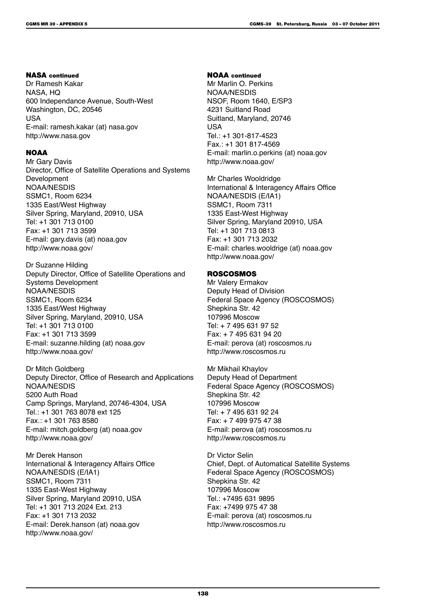#### NASA continued

Dr Ramesh Kakar NASA, HQ 600 Independance Avenue, South-West Washington, DC, 20546 USA E-mail: ramesh.kakar (at) nasa.gov http://www.nasa.gov

#### **NOAA**

Mr Gary Davis Director, Office of Satellite Operations and Systems Development NOAA/NESDIS SSMC1, Room 6234 1335 East/West Highway Silver Spring, Maryland, 20910, USA Tel: +1 301 713 0100 Fax: +1 301 713 3599 E-mail: gary.davis (at) noaa.gov http://www.noaa.gov/

Dr Suzanne Hilding Deputy Director, Office of Satellite Operations and Systems Development NOAA/NESDIS SSMC1, Room 6234 1335 East/West Highway Silver Spring, Maryland, 20910, USA Tel: +1 301 713 0100 Fax: +1 301 713 3599 E-mail: suzanne.hilding (at) noaa.gov http://www.noaa.gov/

Dr Mitch Goldberg Deputy Director, Office of Research and Applications NOAA/NESDIS 5200 Auth Road Camp Springs, Maryland, 20746-4304, USA Tel.: +1 301 763 8078 ext 125 Fax.: +1 301 763 8580 E-mail: mitch.goldberg (at) noaa.gov http://www.noaa.gov/

Mr Derek Hanson International & Interagency Affairs Office NOAA/NESDIS (E/IA1) SSMC1, Room 7311 1335 East-West Highway Silver Spring, Maryland 20910, USA Tel: +1 301 713 2024 Ext. 213 Fax: +1 301 713 2032 E-mail: Derek.hanson (at) noaa.gov http://www.noaa.gov/

#### NOAA continued

Mr Marlin O. Perkins NOAA/NESDIS NSOF, Room 1640, E/SP3 4231 Suitland Road Suitland, Maryland, 20746 USA Tel.: +1 301-817-4523 Fax.: +1 301 817-4569 E-mail: marlin.o.perkins (at) noaa.gov http://www.noaa.gov/

Mr Charles Wooldridge International & Interagency Affairs Office NOAA/NESDIS (E/IA1) SSMC1, Room 7311 1335 East-West Highway Silver Spring, Maryland 20910, USA Tel: +1 301 713 0813 Fax: +1 301 713 2032 E-mail: charles.wooldrige (at) noaa.gov http://www.noaa.gov/

#### ROSCOSMOS

Mr Valery Ermakov Deputy Head of Division Federal Space Agency (ROSCOSMOS) Shepkina Str. 42 107996 Moscow Tel: + 7 495 631 97 52 Fax: + 7 495 631 94 20 E-mail: perova (at) roscosmos.ru http://www.roscosmos.ru

Mr Mikhail Khaylov Deputy Head of Department Federal Space Agency (ROSCOSMOS) Shepkina Str. 42 107996 Moscow Tel: + 7 495 631 92 24 Fax: + 7 499 975 47 38 E-mail: perova (at) roscosmos.ru http://www.roscosmos.ru

Dr Victor Selin Chief, Dept. of Automatical Satellite Systems Federal Space Agency (ROSCOSMOS) Shepkina Str. 42 107996 Moscow Tel.: +7495 631 9895 Fax: +7499 975 47 38 E-mail: perova (at) roscosmos.ru http://www.roscosmos.ru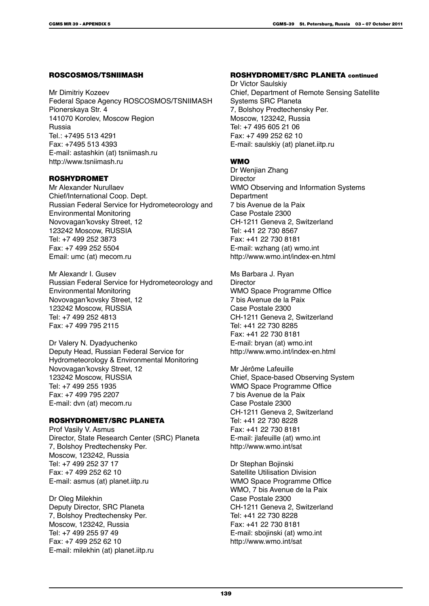#### ROSCOSMOS/TSNIIMASH

Mr Dimitriy Kozeev Federal Space Agency ROSCOSMOS/TSNIIMASH Pionerskaya Str. 4 141070 Korolev, Moscow Region Russia Tel.: +7495 513 4291 Fax: +7495 513 4393 E-mail: astashkin (at) tsniimash.ru http://www.tsniimash.ru

#### ROSHYDROMET

Mr Alexander Nurullaev Chief/International Coop. Dept. Russian Federal Service for Hydrometeorology and Environmental Monitoring Novovagan'kovsky Street, 12 123242 Moscow, RUSSIA Tel: +7 499 252 3873 Fax: +7 499 252 5504 Email: umc (at) mecom.ru

Mr Alexandr I. Gusev Russian Federal Service for Hydrometeorology and Environmental Monitoring Novovagan'kovsky Street, 12 123242 Moscow, RUSSIA Tel: +7 499 252 4813 Fax: +7 499 795 2115

Dr Valery N. Dyadyuchenko Deputy Head, Russian Federal Service for Hydrometeorology & Environmental Monitoring Novovagan'kovsky Street, 12 123242 Moscow, RUSSIA Tel: +7 499 255 1935 Fax: +7 499 795 2207 E-mail: dvn (at) mecom.ru

#### ROSHYDROMET/SRC PLANETA

Prof Vasily V. Asmus Director, State Research Center (SRC) Planeta 7, Bolshoy Predtechensky Per. Moscow, 123242, Russia Tel: +7 499 252 37 17 Fax: +7 499 252 62 10 E-mail: asmus (at) planet.iitp.ru

Dr Oleg Milekhin Deputy Director, SRC Planeta 7, Bolshoy Predtechensky Per. Moscow, 123242, Russia Tel: +7 499 255 97 49 Fax: +7 499 252 62 10 E-mail: milekhin (at) planet.iitp.ru

#### ROSHYDROMET/SRC PLANETA continued

Dr Victor Saulskiy Chief, Department of Remote Sensing Satellite Systems SRC Planeta 7, Bolshoy Predtechensky Per. Moscow, 123242, Russia Tel: +7 495 605 21 06 Fax: +7 499 252 62 10 E-mail: saulskiy (at) planet.iitp.ru

#### WMO

Dr Wenjian Zhang **Director** WMO Observing and Information Systems **Department** 7 bis Avenue de la Paix Case Postale 2300 CH-1211 Geneva 2, Switzerland Tel: +41 22 730 8567 Fax: +41 22 730 8181 E-mail: wzhang (at) wmo.int http://www.wmo.int/index-en.html

Ms Barbara J. Ryan **Director** WMO Space Programme Office 7 bis Avenue de la Paix Case Postale 2300 CH-1211 Geneva 2, Switzerland Tel: +41 22 730 8285 Fax: +41 22 730 8181 E-mail: bryan (at) wmo.int http://www.wmo.int/index-en.html

Mr Jérôme Lafeuille Chief, Space-based Observing System WMO Space Programme Office 7 bis Avenue de la Paix Case Postale 2300 CH-1211 Geneva 2, Switzerland Tel: +41 22 730 8228 Fax: +41 22 730 8181 E-mail: jlafeuille (at) wmo.int http://www.wmo.int/sat

Dr Stephan Bojinski Satellite Utilisation Division WMO Space Programme Office WMO, 7 bis Avenue de la Paix Case Postale 2300 CH-1211 Geneva 2, Switzerland Tel: +41 22 730 8228 Fax: +41 22 730 8181 E-mail: sbojinski (at) wmo.int http://www.wmo.int/sat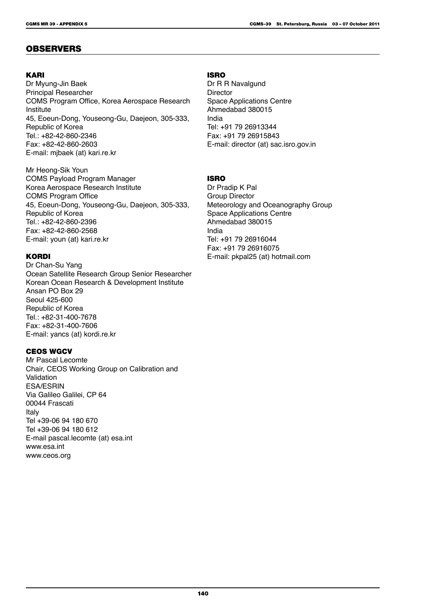### OBSERVERS

#### KARI

Dr Myung-Jin Baek Principal Researcher COMS Program Office, Korea Aerospace Research **Institute** 45, Eoeun-Dong, Youseong-Gu, Daejeon, 305-333, Republic of Korea Tel.: +82-42-860-2346 Fax: +82-42-860-2603 E-mail: mjbaek (at) kari.re.kr

Mr Heong-Sik Youn COMS Payload Program Manager Korea Aerospace Research Institute COMS Program Office 45, Eoeun-Dong, Youseong-Gu, Daejeon, 305-333, Republic of Korea Tel.: +82-42-860-2396 Fax: +82-42-860-2568 E-mail: youn (at) kari.re.kr

#### KORDI

Dr Chan-Su Yang Ocean Satellite Research Group Senior Researcher Korean Ocean Research & Development Institute Ansan PO Box 29 Seoul 425-600 Republic of Korea Tel.: +82-31-400-7678 Fax: +82-31-400-7606 E-mail: yancs (at) kordi.re.kr

#### CEOS WGCV

Mr Pascal Lecomte Chair, CEOS Working Group on Calibration and Validation ESA/ESRIN Via Galileo Galilei, CP 64 00044 Frascati Italy Tel +39-06 94 180 670 Tel +39-06 94 180 612 E-mail pascal.lecomte (at) esa.int www.esa.int www.ceos.org

#### ISRO

Dr R R Navalgund **Director** Space Applications Centre Ahmedabad 380015 India Tel: +91 79 26913344 Fax: +91 79 26915843 E-mail: director (at) sac.isro.gov.in

#### ISRO

Dr Pradip K Pal Group Director Meteorology and Oceanography Group Space Applications Centre Ahmedabad 380015 India Tel: +91 79 26916044 Fax: +91 79 26916075 E-mail: pkpal25 (at) hotmail.com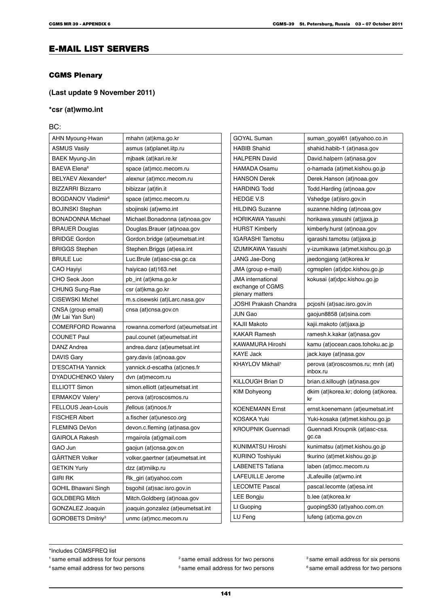# E-MAIL LIST SERVERS

#### CGMS Plenary

#### **(Last update 9 November 2011)**

#### **\*csr (at)wmo.int**

BC:

| AHN Myoung-Hwan                        | mhahn (at)kma.go.kr                | <b>GOYAL</b>         |
|----------------------------------------|------------------------------------|----------------------|
| <b>ASMUS Vasily</b>                    | asmus (at)planet.iitp.ru           | <b>HABIB S</b>       |
| BAEK Myung-Jin                         | mjbaek (at)kari.re.kr              | <b>HALPER</b>        |
| BAEVA Elena <sup>6</sup>               | space (at)mcc.mecom.ru             | HAMAD/               |
| BELYAEV Alexander <sup>4</sup>         | alexnur (at)mcc.mecom.ru           | <b>HANSON</b>        |
| BIZZARRI Bizzarro                      | bibizzar (at)tin.it                | HARDIN               |
| BOGDANOV Vladimir <sup>6</sup>         | space (at)mcc.mecom.ru             | <b>HEDGE</b>         |
| BOJINSKI Stephan                       | sbojinski (at)wmo.int              | <b>HILDING</b>       |
| <b>BONADONNA Michael</b>               | Michael.Bonadonna (at)noaa.gov     | HORIKA               |
| <b>BRAUER Douglas</b>                  | Douglas.Brauer (at)noaa.gov        | <b>HURST</b>         |
| <b>BRIDGE Gordon</b>                   | Gordon.bridge (at)eumetsat.int     | <b>IGARAS</b>        |
| <b>BRIGGS Stephen</b>                  | Stephen. Briggs (at)esa. int       | <b>IZUMIKA</b>       |
| <b>BRULE Luc</b>                       | Luc.Brule (at)asc-csa.gc.ca        | <b>JANG Ja</b>       |
| CAO Hayiyi                             | haiyicao (at)163.net               | JMA (gro             |
| CHO Seok Joon                          | pb_int (at)kma.go.kr               | <b>JMA</b> inte      |
| CHUNG Sung-Rae                         | csr (at)kma.go.kr                  | exchang              |
| <b>CISEWSKI Michel</b>                 | m.s.cisewski (at)Larc.nasa.gov     | plenary r<br>JOSHI P |
| CNSA (group email)<br>(Mr Lai Yan Sun) | cnsa (at)cnsa.gov.cn               | JUN Gad              |
| <b>COMERFORD Rowanna</b>               | rowanna.comerford (at)eumetsat.int | KAJII Ma             |
| <b>COUNET Paul</b>                     | paul.counet (at)eumetsat.int       | <b>KAKARI</b>        |
| DANZ Andrea                            | andrea.danz (at)eumetsat.int       | KAWAMI               |
| DAVIS Gary                             | gary davis (at) noaa gov           | KAYE Ja              |
| D'ESCATHA Yannick                      | yannick.d-escatha (at)cnes.fr      | KHAYLO               |
| DYADUCHENKO Valery                     | dvn (at)mecom.ru                   |                      |
| <b>ELLIOTT Simon</b>                   | simon.elliott (at)eumetsat.int     | <b>KILLOU</b>        |
| ERMAKOV Valery <sup>1</sup>            | perova (at)roscosmos.ru            | KIM Doh              |
| FELLOUS Jean-Louis                     | <i>ifellous (at)noos.fr</i>        | <b>KOENEN</b>        |
| <b>FISCHER Albert</b>                  | a fischer (at)unesco.org           | <b>KOSAKA</b>        |
| <b>FLEMING DeVon</b>                   | devon.c.fleming (at)nasa.gov       | <b>KROUPI</b>        |
| <b>GAIROLA Rakesh</b>                  | rmgairola (at)gmail.com            |                      |
| GAO Jun                                | gaojun (at)cnsa gov.cn             | <b>KUNIMA</b>        |
| GÄRTNER Volker                         | volker.gaertner (at)eumetsat.int   | kurino               |
| <b>GETKIN Yuriy</b>                    | dzz (at)rniikp.ru                  | LABENE               |
| <b>GIRI RK</b>                         | Rk_giri (at)yahoo.com              | <b>LAFEUIL</b>       |
| GOHIL Bhawani Singh                    | bsgohil (at)sac.isro.gov.in        | <b>LECOM1</b>        |
| <b>GOLDBERG Mitch</b>                  | Mitch.Goldberg (at)noaa.gov        | <b>LEE Bon</b>       |
| GONZALEZ Joaquin                       | joaquin.gonzalez (at)eumetsat.int  | LI Guopi             |
| GOROBETS Dmitriy <sup>3</sup>          | unmc (at)mcc.mecom.ru              | LU Feng              |

| <b>GOYAL Suman</b>                                              | suman_goyal61 (at)yahoo.co.in                 |
|-----------------------------------------------------------------|-----------------------------------------------|
| <b>HABIB Shahid</b>                                             | shahid.habib-1 (at)nasa.gov                   |
| <b>HALPERN David</b>                                            | David.halpern (at)nasa.gov                    |
| HAMADA Osamu                                                    | o-hamada (at)met kishou go jp                 |
| <b>HANSON Derek</b>                                             | Derek.Hanson (at)noaa.gov                     |
| <b>HARDING Todd</b>                                             | Todd.Harding (at)noaa.gov                     |
| <b>HEDGE V.S</b>                                                | Vshedge (at)isro.gov.in                       |
| <b>HILDING Suzanne</b>                                          | suzanne.hilding (at)noaa.gov                  |
| HORIKAWA Yasushi                                                | horikawa.yasushi (at)jaxa.jp                  |
| <b>HURST Kimberly</b>                                           | kimberly.hurst (at)noaa.gov                   |
| <b>IGARASHI Tamotsu</b>                                         | igarashi tamotsu (at)jaxa jp                  |
| IZUMIKAWA Yasushi                                               | y-izumikawa (at)met.kishou.go.jp              |
| JANG Jae-Dong                                                   | jaedongjang (at)korea.kr                      |
| JMA (group e-mail)                                              | cgmsplen (at)dpc.kishou.go.jp                 |
| <b>JMA</b> international<br>exchange of CGMS<br>plenary matters | kokusai (at)dpc.kishou.go.jp                  |
| JOSHI Prakash Chandra                                           | pcjoshi (at)sac.isro.gov.in                   |
| JUN Gao                                                         | gaojun8858 (at)sina.com                       |
| KAJII Makoto                                                    | kajii.makoto (at)jaxa.jp                      |
| <b>KAKAR Ramesh</b>                                             | ramesh.k.kakar (at)nasa.gov                   |
| KAWAMURA Hiroshi                                                | kamu (at)ocean.caos.tohoku.ac.jp              |
| <b>KAYE Jack</b>                                                | jack.kaye (at)nasa.gov                        |
| KHAYLOV Mikhail <sup>1</sup>                                    | perova (at)roscosmos.ru; mnh (at)<br>inbox.ru |
| KILLOUGH Brian D                                                | brian.d.killough (at)nasa.gov                 |
| <b>KIM Dohyeong</b>                                             | dkim (at)korea.kr; dolong (at)korea.<br>kr    |
| <b>KOENEMANN Ernst</b>                                          | ernst.koenemann (at)eumetsat.int              |
| <b>KOSAKA Yuki</b>                                              | Yuki-kosaka (at)met kishou go jp              |
| <b>KROUPNIK Guennadi</b>                                        | Guennadi.Kroupnik (at)asc-csa.<br>gc.ca       |
| <b>KUNIMATSU Hiroshi</b>                                        | kunimatsu (at)met.kishou.go.jp                |
| KURINO Toshiyuki                                                | tkurino (at)met.kishou.go.jp                  |
| <b>LABENETS Tatiana</b>                                         | laben (at)mcc.mecom.ru                        |
| LAFEUILLE Jerome                                                | JLafeuille (at)wmo.int                        |
| <b>LECOMTE Pascal</b>                                           | pascal.lecomte (at)esa.int                    |
| <b>LEE Bongju</b>                                               | b.lee (at)korea.kr                            |
| LI Guoping                                                      | guoping530 (at)yahoo.com.cn                   |
| LU Feng                                                         | lufeng (at)cma.gov.cn                         |

\*Includes CGMSFREQ list

<sup>1</sup> same email address for four persons <sup>2</sup> same email address for two persons <sup>3</sup> same email address for six persons <sup>4</sup> same email address for two persons <sup>5</sup> same email address for two persons <sup>6</sup> same email address for two persons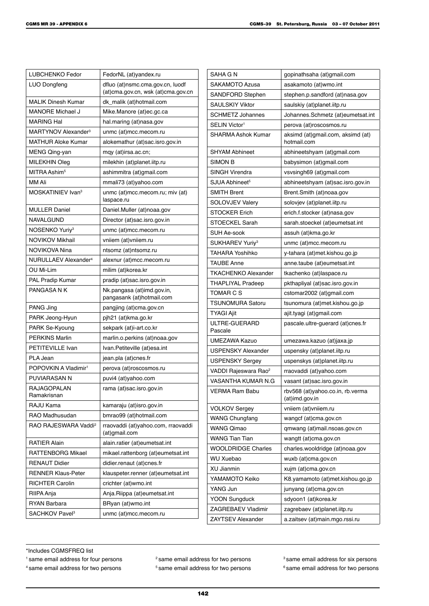| LUBCHENKO Fedor                  | FedorNL (at)yandex.ru                                                  |
|----------------------------------|------------------------------------------------------------------------|
| LUO Dongfeng                     | dfluo (at)nsmc.cma.gov.cn, luodf<br>(at)cma.gov.cn, wsk (at)cma.gov.cn |
| <b>MALIK Dinesh Kumar</b>        | dk_malik (at)hotmail.com                                               |
| MANORE Michael J                 | Mike.Manore (at)ec.gc.ca                                               |
| <b>MARING Hal</b>                | hal.maring (at)nasa.gov                                                |
| MARTYNOV Alexander <sup>3</sup>  | unmc (at)mcc.mecom.ru                                                  |
| <b>MATHUR Aloke Kumar</b>        | alokemathur (at)sac.isro.gov.in                                        |
| MENG Qing-yan                    | mqy (at)irsa.ac.cn;                                                    |
| <b>MILEKHIN Oleg</b>             | milekhin (at)planet.iitp.ru                                            |
| MITRA Ashim <sup>5</sup>         | ashimmitra (at)gmail.com                                               |
| MM Ali                           | mmali73 (at)yahoo.com                                                  |
| MOSKATINIEV Ivan <sup>3</sup>    | unmc (at)mcc.mecom.ru; miv (at)<br>laspace.ru                          |
| <b>MULLER Daniel</b>             | Daniel.Muller (at)noaa.gov                                             |
| NAVALGUND                        | Director (at)sac.isro.gov.in                                           |
| NOSENKO Yuriy <sup>3</sup>       | unmc (at)mcc.mecom.ru                                                  |
| <b>NOVIKOV Mikhail</b>           | vniiem (at)vniiem.ru                                                   |
| NOVIKOVA Nina                    | ntsomz (at)ntsomz.ru                                                   |
| NURULLAEV Alexander <sup>4</sup> | alexnur (at)mcc.mecom.ru                                               |
| OU Mi-Lim                        | milim (at)korea.kr                                                     |
| <b>PAL Pradip Kumar</b>          | pradip (at)sac.isro.gov.in                                             |
| PANGASA N K                      | Nk.pangasa (at)imd.gov.in,<br>pangasank (at)hotmail.com                |
| PANG Jing                        | pangjing (at)cma.gov.cn                                                |
| PARK Jeong-Hyun                  | pjh21 (at)kma.go.kr                                                    |
| PARK Se-Kyoung                   | sekpark (at)i-art.co.kr                                                |
| <b>PERKINS Marlin</b>            | marlin.o.perkins (at)noaa.gov                                          |
| PETITEVILLE Ivan                 | Ivan.Petiteville (at)esa.int                                           |
| PLA Jean                         | jean pla (at)cnes fr                                                   |
| POPOVKIN A Vladimir <sup>1</sup> | perova (at)roscosmos.ru                                                |
| <b>PUVIARASAN N</b>              | puvi4 (at)yahoo.com                                                    |
| RAJAGOPALAN<br>Ramakrisnan       | rama (at)sac.isro.gov.in                                               |
| RAJU Kama                        | kamaraju (at)isro.gov.in                                               |
| RAO Madhusudan                   | bmrao99 (at)hotmail.com                                                |
| RAO RAJESWARA Vaddi <sup>2</sup> | rraovaddi (at)yahoo.com, rraovaddi<br>(at)gmail.com                    |
| <b>RATIER Alain</b>              | alain.ratier (at)eumetsat.int                                          |
| RATTENBORG Mikael                | mikael.rattenborg (at)eumetsat.int                                     |
| <b>RENAUT Didier</b>             | didier.renaut (at)cnes.fr                                              |
| <b>RENNER Klaus-Peter</b>        | klauspeter.renner (at)eumetsat.int                                     |
| <b>RICHTER Carolin</b>           | crichter (at)wmo.int                                                   |
| RIIPA Anja                       | Anja.Riippa (at)eumetsat.int                                           |
| <b>RYAN Barbara</b>              | BRyan (at)wmo.int                                                      |
| SACHKOV Pavel <sup>3</sup>       | unmc (at)mcc.mecom.ru                                                  |
|                                  |                                                                        |

| SAHA G N                         | gopinathsaha (at)gmail.com                         |
|----------------------------------|----------------------------------------------------|
| SAKAMOTO Azusa                   | asakamoto (at)wmo.int                              |
| SANDFORD Stephen                 | stephen.p.sandford (at)nasa.gov                    |
| <b>SAULSKIY Viktor</b>           | saulskiy (at)planet.iitp.ru                        |
| <b>SCHMETZ Johannes</b>          | Johannes.Schmetz (at)eumetsat.int                  |
| SELIN Victor <sup>1</sup>        | perova (at)roscosmos.ru                            |
| SHARMA Ashok Kumar               | aksimd (at)gmail.com, aksimd (at)<br>hotmail.com   |
| <b>SHYAM Abhineet</b>            | abhineetshyam (at)gmail.com                        |
| SIMON B                          | babysimon (at)gmail.com                            |
| SINGH Virendra                   | vsvsingh69 (at)gmail.com                           |
| SJUA Abhineet <sup>5</sup>       | abhineetshyam (at)sac.isro.gov.in                  |
| <b>SMITH Brent</b>               | Brent.Smith (at)noaa.gov                           |
| <b>SOLOVJEV Valery</b>           | solovjev (at)planet.iitp.ru                        |
| <b>STOCKER Erich</b>             | erich.f.stocker (at)nasa.gov                       |
| <b>STOECKEL Sarah</b>            | sarah.stoeckel (at)eumetsat.int                    |
| SUH Ae-sook                      | assuh (at)kma.go.kr                                |
| SUKHAREV Yuriy <sup>3</sup>      | unmc (at)mcc.mecom.ru                              |
| TAHARA Yoshihko                  | y-tahara (at)met.kishou.go.jp                      |
| <b>TAUBE Anne</b>                | anne.taube (at)eumetsat.int                        |
| <b>TKACHENKO Alexander</b>       | tkachenko (at)laspace.ru                           |
| <b>THAPLIYAL Pradeep</b>         | pkthapliyal (at)sac.isro.gov.in                    |
| TOMAR C S                        | cstomar2002 (at)gmail.com                          |
| <b>TSUNOMURA Satoru</b>          | tsunomura (at)met kishou go jp                     |
| <b>TYAGI Ajit</b>                | ajit.tyagi (at)gmail.com                           |
| ULTRE-GUERARD<br>Pascale         | pascale ultre-guerard (at)cnes fr                  |
| UMEZAWA Kazuo                    | umezawa.kazuo (at)jaxa.jp                          |
| <b>USPENSKY Alexander</b>        | uspensky (at)planet.iitp.ru                        |
| <b>USPENSKY Sergey</b>           | uspenskys (at)planet.iitp.ru                       |
| VADDI Rajeswara Rao <sup>2</sup> | rraovaddi (at)yahoo.com                            |
| VASANTHA KUMAR N.G               | vasant (at)sac.isro.gov.in                         |
| VERMA Ram Babu                   | rbv568 (at)yahoo.co.in, rb.verma<br>(at)imd.gov.in |
| <b>VOLKOV Sergey</b>             | vniiem (at) vniiem.ru                              |
| <b>WANG Chungfang</b>            | wangcf (at)cma.gov.cn                              |
| WANG Qimao                       | qmwang (at)mail.nsoas.gov.cn                       |
| WANG Tian Tian                   | wangtt (at)cma.gov.cn                              |
| <b>WOOLDRIDGE Charles</b>        | charles wooldridge (at)noaa.gov                    |
| <b>WU Xuebao</b>                 | wuxb (at)cma.gov.cn                                |
| <b>XU Jianmin</b>                | xujm (at)cma.gov.cn                                |
| YAMAMOTO Keiko                   | K8.yamamoto (at)met kishou.go.jp                   |
| YANG Jun                         | junyang (at)cma.gov.cn                             |
| <b>YOON Sungduck</b>             | sdyoon1 (at)korea.kr                               |
| ZAGREBAEV Vladimir               | zagrebaev (at)planet.iitp.ru                       |
| <b>ZAYTSEV Alexander</b>         | a.zaitsev (at)main.mgo.rssi.ru                     |
|                                  |                                                    |

\*Includes CGMSFREQ list

<sup>1</sup> same email address for four persons <sup>2</sup> same email address for two persons <sup>3</sup> same email address for six persons <sup>4</sup> same email address for two persons <sup>5</sup> same email address for two persons <sup>6</sup> same email address for two persons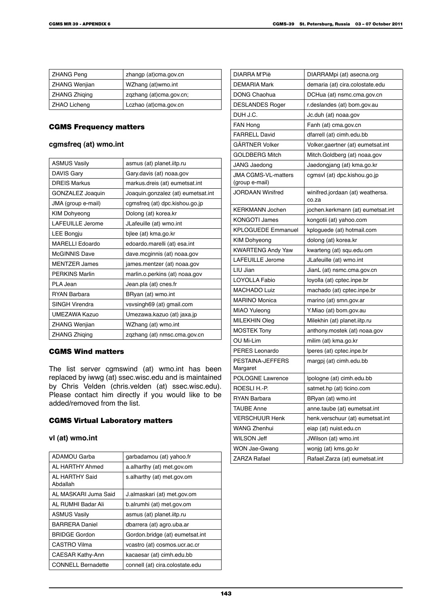| <b>ZHANG Peng</b>    | zhangp (at)cma.gov.cn   |
|----------------------|-------------------------|
| <b>ZHANG Wenjian</b> | WZhang (at)wmo.int      |
| <b>ZHANG Zhiging</b> | zgzhang (at)cma.gov.cn; |
| <b>ZHAO Licheng</b>  | Lczhao (at)cma.gov.cn   |

### CGMS Frequency matters

## **cgmsfreq (at) wmo.int**

| <b>ASMUS Vasily</b>   | asmus (at) planet iitp.ru          |
|-----------------------|------------------------------------|
| <b>DAVIS Gary</b>     | Gary davis (at) noaa gov           |
| DREIS Markus          | markus.dreis (at) eumetsat.int     |
| GONZALEZ Joaquin      | Joaquin.gonzalez (at) eumetsat.int |
| JMA (group e-mail)    | cgmsfreg (at) dpc.kishou.go.jp     |
| <b>KIM Dohyeong</b>   | Dolong (at) korea.kr               |
| LAFEUILLE Jerome      | JLafeuille (at) wmo.int            |
| <b>LEE Bongju</b>     | bjlee (at) kma.go.kr               |
| MARELLI Edoardo       | edoardo.marelli (at) esa.int       |
| <b>McGINNIS Dave</b>  | dave.mcginnis (at) noaa.gov        |
| <b>MENTZER James</b>  | james mentzer (at) noaa gov        |
| <b>PFRKINS Marlin</b> | marlin.o.perkins (at) noaa.gov     |
| PLA Jean              | Jean.pla (at) cnes.fr              |
| <b>RYAN Barbara</b>   | BRyan (at) wmo.int                 |
| <b>SINGH Virendra</b> | vsvsingh69 (at) gmail.com          |
| UMEZAWA Kazuo         | Umezawa kazuo (at) jaxa jp         |
| ZHANG Wenjian         | WZhang (at) wmo.int                |
| <b>ZHANG Zhiging</b>  | zgzhang (at) nmsc.cma.gov.cn       |

# CGMS Wind matters

The list server cgmswind (at) wmo.int has been replaced by iwwg (at) ssec.wisc.edu and is maintained by Chris Velden (chris.velden (at) ssec.wisc.edu). Please contact him directly if you would like to be added/removed from the list.

## CGMS Virtual Laboratory matters

### **vl (at) wmo.int**

| <b>ADAMOU Garba</b>        | garbadamou (at) yahoo.fr        |
|----------------------------|---------------------------------|
| AL HARTHY Ahmed            | a alharthy (at) met gov om      |
| AL HARTHY Said<br>Abdallah | s.alharthy (at) met.gov.om      |
| AL MASKARI Juma Said       | J.almaskari (at) met.gov.om     |
| AL RUMHI Badar Ali         | b.alrumhi (at) met.gov.om       |
| <b>ASMUS Vasily</b>        | asmus (at) planet.iitp.ru       |
| <b>BARRERA Daniel</b>      | dbarrera (at) agro.uba.ar       |
| <b>BRIDGE Gordon</b>       | Gordon.bridge (at) eumetsat.int |
| CASTRO Vilma               | vcastro (at) cosmos ucr.ac.cr   |
| <b>CAESAR Kathy-Ann</b>    | kacaesar (at) cimh.edu.bb       |
| <b>CONNELL Bernadette</b>  | connell (at) cira.colostate.edu |

| DIARRA M'Piè                                 | DIARRAMpi (at) asecna.org                 |
|----------------------------------------------|-------------------------------------------|
| <b>DEMARIA Mark</b>                          | demaria (at) cira.colostate.edu           |
| DONG Chaohua                                 | DCHua (at) nsmc.cma.gov.cn                |
| <b>DESLANDES Roger</b>                       | r.deslandes (at) bom.gov.au               |
| DUH J.C.                                     | Jc.duh (at) noaa.gov                      |
| FAN Hong                                     | Fanh (at) cma.gov.cn                      |
| <b>FARRELL David</b>                         | dfarrell (at) cimh.edu.bb                 |
| GÄRTNER Volker                               | Volker.gaertner (at) eumetsat.int         |
| <b>GOLDBERG Mitch</b>                        | Mitch.Goldberg (at) noaa.gov              |
| JANG Jaedong                                 | Jaedongjang (at) kma.go.kr                |
| <b>JMA CGMS-VL-matters</b><br>(group e-mail) | cgmsvl (at) dpc.kishou.go.jp              |
| JORDAAN Winifred                             | winifred.jordaan (at) weathersa.<br>co.za |
| <b>KERKMANN Jochen</b>                       | jochen kerkmann (at) eumetsat int         |
| <b>KONGOTI James</b>                         | kongotii (at) yahoo.com                   |
| <b>KPLOGUEDE Emmanuel</b>                    | kploguede (at) hotmail.com                |
| <b>KIM Dohyeong</b>                          | dolong (at) korea.kr                      |
| <b>KWARTENG Andy Yaw</b>                     | kwarteng (at) squ.edu.om                  |
| <b>LAFEUILLE Jerome</b>                      | JLafeuille (at) wmo.int                   |
| LIU Jian                                     | JianL (at) nsmc.cma.gov.cn                |
| LOYOLLA Fabio                                | loyolla (at) cptec.inpe.br                |
| MACHADO Luiz                                 | machado (at) cptec.inpe.br                |
| <b>MARINO Monica</b>                         | marino (at) smn.gov.ar                    |
| MIAO Yuleong                                 | Y.Miao (at) bom.gov.au                    |
| MILEKHIN Oleg                                | Milekhin (at) planet.iitp.ru              |
| <b>MOSTEK Tony</b>                           | anthony.mostek (at) noaa.gov              |
| OU Mi-Lim                                    | milim (at) kma.go.kr                      |
| PERES Leonardo                               | lperes (at) cptec.inpe.br                 |
| PESTAINA-JEFFERS<br>Margaret                 | margpj (at) cimh.edu.bb                   |
| <b>POLOGNE Lawrence</b>                      | Ipologne (at) cimh.edu.bb                 |
| ROESLI H. P.                                 | satmet.hp (at) ticino.com                 |
| RYAN Barbara                                 | BRyan (at) wmo.int                        |
| <b>TAUBE Anne</b>                            | anne taube (at) eumetsat.int              |
| <b>VERSCHUUR Henk</b>                        | henk.verschuur (at) eumetsat.int          |
| WANG Zhenhui                                 | eiap (at) nuist edu cn                    |
| WILSON Jeff                                  | JWilson (at) wmo.int                      |
| WON Jae-Gwang                                | wonjg (at) kms.go.kr                      |
| <b>ZARZA Rafael</b>                          | Rafael.Zarza (at) eumetsat.int            |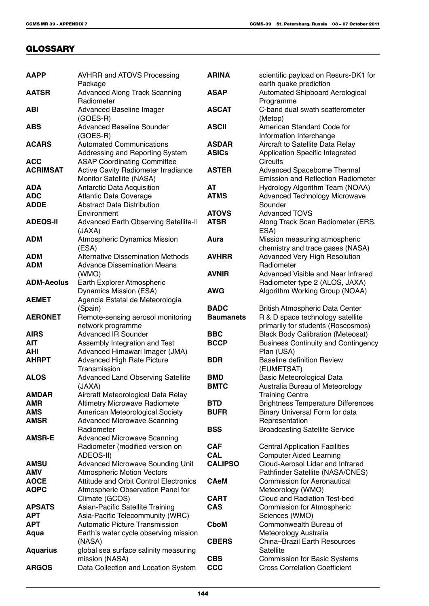# **GLOSSARY**

| <b>AAPP</b>       | <b>AVHRR and ATOVS Processing</b><br>Package     | <b>ARINA</b>     | scientific payload on Resurs-DK1 for<br>earth quake prediction |
|-------------------|--------------------------------------------------|------------------|----------------------------------------------------------------|
| <b>AATSR</b>      | <b>Advanced Along Track Scanning</b>             | <b>ASAP</b>      | Automated Shipboard Aerological                                |
|                   | Radiometer                                       |                  | Programme                                                      |
| ABI               | <b>Advanced Baseline Imager</b>                  | <b>ASCAT</b>     | C-band dual swath scatterometer                                |
|                   | $(GOES-R)$                                       |                  | (Metop)                                                        |
| <b>ABS</b>        | <b>Advanced Baseline Sounder</b>                 | <b>ASCII</b>     | American Standard Code for                                     |
|                   | (GOES-R)                                         |                  | Information Interchange                                        |
| <b>ACARS</b>      | <b>Automated Communications</b>                  | <b>ASDAR</b>     | Aircraft to Satellite Data Relay                               |
|                   | Addressing and Reporting System                  | <b>ASICs</b>     | Application Specific Integrated                                |
| <b>ACC</b>        | <b>ASAP Coordinating Committee</b>               |                  | <b>Circuits</b>                                                |
| <b>ACRIMSAT</b>   | Active Cavity Radiometer Irradiance              | <b>ASTER</b>     | Advanced Spaceborne Thermal                                    |
|                   | Monitor Satellite (NASA)                         |                  | <b>Emission and Reflection Radiometer</b>                      |
| ADA               | Antarctic Data Acquisition                       | AT               | Hydrology Algorithm Team (NOAA)                                |
| <b>ADC</b>        | <b>Atlantic Data Coverage</b>                    | <b>ATMS</b>      | <b>Advanced Technology Microwave</b>                           |
| <b>ADDE</b>       | <b>Abstract Data Distribution</b><br>Environment | <b>ATOVS</b>     | Sounder<br><b>Advanced TOVS</b>                                |
| <b>ADEOS-II</b>   | Advanced Earth Observing Satellite-II            | <b>ATSR</b>      | Along Track Scan Radiometer (ERS,                              |
|                   | (JAXA)                                           |                  | ESA)                                                           |
| ADM               | <b>Atmospheric Dynamics Mission</b>              | Aura             | Mission measuring atmospheric                                  |
|                   | (ESA)                                            |                  | chemistry and trace gases (NASA)                               |
| <b>ADM</b>        | <b>Alternative Dissemination Methods</b>         | <b>AVHRR</b>     | <b>Advanced Very High Resolution</b>                           |
| <b>ADM</b>        | <b>Advance Dissemination Means</b>               |                  | Radiometer                                                     |
|                   | (WMO)                                            | <b>AVNIR</b>     | Advanced Visible and Near Infrared                             |
| <b>ADM-Aeolus</b> | Earth Explorer Atmospheric                       |                  | Radiometer type 2 (ALOS, JAXA)                                 |
|                   | Dynamics Mission (ESA)                           | <b>AWG</b>       | Algorithm Working Group (NOAA)                                 |
| <b>AEMET</b>      | Agencia Estatal de Meteorologia                  |                  |                                                                |
|                   | (Spain)                                          | <b>BADC</b>      | <b>British Atmospheric Data Center</b>                         |
| <b>AERONET</b>    | Remote-sensing aerosol monitoring                | <b>Baumanets</b> | R & D space technology satellite                               |
|                   | network programme                                |                  | primarily for students (Roscosmos)                             |
| <b>AIRS</b>       | <b>Advanced IR Sounder</b>                       | <b>BBC</b>       | <b>Black Body Calibration (Meteosat)</b>                       |
| <b>AIT</b>        | Assembly Integration and Test                    | <b>BCCP</b>      | <b>Business Continuity and Contingency</b>                     |
| <b>AHI</b>        | Advanced Himawari Imager (JMA)                   |                  | Plan (USA)                                                     |
| <b>AHRPT</b>      | <b>Advanced High Rate Picture</b>                | <b>BDR</b>       | <b>Baseline definition Review</b>                              |
| <b>ALOS</b>       | Transmission                                     | <b>BMD</b>       | (EUMETSAT)<br>Basic Meteorological Data                        |
|                   | Advanced Land Observing Satellite<br>(JAXA)      | <b>BMTC</b>      | Australia Bureau of Meteorology                                |
| AMDAR             | Aircraft Meteorological Data Relay               |                  | <b>Training Centre</b>                                         |
| <b>AMR</b>        | <b>Altimetry Microwave Radiomete</b>             | <b>BTD</b>       | <b>Brightness Temperature Differences</b>                      |
| <b>AMS</b>        | American Meteorological Society                  | <b>BUFR</b>      | Binary Universal Form for data                                 |
| <b>AMSR</b>       | <b>Advanced Microwave Scanning</b>               |                  | Representation                                                 |
|                   | Radiometer                                       | <b>BSS</b>       | <b>Broadcasting Satellite Service</b>                          |
| <b>AMSR-E</b>     | <b>Advanced Microwave Scanning</b>               |                  |                                                                |
|                   | Radiometer (modified version on                  | <b>CAF</b>       | <b>Central Application Facilities</b>                          |
|                   | ADEOS-II)                                        | <b>CAL</b>       | <b>Computer Aided Learning</b>                                 |
| <b>AMSU</b>       | <b>Advanced Microwave Sounding Unit</b>          | <b>CALIPSO</b>   | Cloud-Aerosol Lidar and Infrared                               |
| <b>AMV</b>        | <b>Atmospheric Motion Vectors</b>                |                  | Pathfinder Satellite (NASA/CNES)                               |
| <b>AOCE</b>       | <b>Attitude and Orbit Control Electronics</b>    | <b>CAeM</b>      | <b>Commission for Aeronautical</b>                             |
| <b>AOPC</b>       | Atmospheric Observation Panel for                |                  | Meteorology (WMO)                                              |
|                   | Climate (GCOS)                                   | <b>CART</b>      | Cloud and Radiation Test-bed                                   |
| <b>APSATS</b>     | Asian-Pacific Satellite Training                 | <b>CAS</b>       | <b>Commission for Atmospheric</b>                              |
| <b>APT</b>        | Asia-Pacific Telecommunity (WRC)                 |                  | Sciences (WMO)                                                 |
| <b>APT</b>        | <b>Automatic Picture Transmission</b>            | <b>CboM</b>      | Commonwealth Bureau of                                         |
| Aqua              | Earth's water cycle observing mission<br>(NASA)  | <b>CBERS</b>     | Meteorology Australia<br><b>China-Brazil Earth Resources</b>   |
| <b>Aquarius</b>   | global sea surface salinity measuring            |                  | Satellite                                                      |
|                   | mission (NASA)                                   | <b>CBS</b>       | <b>Commission for Basic Systems</b>                            |
| <b>ARGOS</b>      | Data Collection and Location System              | <b>CCC</b>       | <b>Cross Correlation Coefficient</b>                           |
|                   |                                                  |                  |                                                                |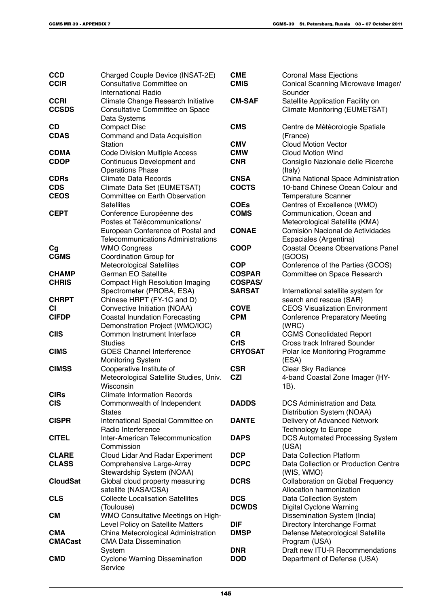| <b>CCD</b><br><b>CCIR</b> | Charged Couple Device (INSAT-2E)<br>Consultative Committee on<br><b>International Radio</b> | <b>CME</b><br><b>CMIS</b> | <b>Coronal Mass Ejections</b><br>Conical Scanning Microwave Imager/<br>Sounder |
|---------------------------|---------------------------------------------------------------------------------------------|---------------------------|--------------------------------------------------------------------------------|
| <b>CCRI</b>               | Climate Change Research Initiative                                                          | <b>CM-SAF</b>             | Satellite Application Facility on                                              |
| <b>CCSDS</b>              | Consultative Committee on Space<br>Data Systems                                             |                           | <b>Climate Monitoring (EUMETSAT)</b>                                           |
| CD                        | <b>Compact Disc</b>                                                                         | <b>CMS</b>                | Centre de Météorologie Spatiale                                                |
| <b>CDAS</b>               | Command and Data Acquisition                                                                |                           | (France)                                                                       |
|                           | <b>Station</b>                                                                              | <b>CMV</b>                | <b>Cloud Motion Vector</b>                                                     |
| <b>CDMA</b>               | <b>Code Division Multiple Access</b>                                                        | <b>CMW</b>                | <b>Cloud Motion Wind</b>                                                       |
| <b>CDOP</b>               | Continuous Development and<br><b>Operations Phase</b>                                       | <b>CNR</b>                | Consiglio Nazionale delle Ricerche<br>(Italy)                                  |
| <b>CDRs</b>               | <b>Climate Data Records</b>                                                                 | <b>CNSA</b>               | China National Space Administration                                            |
| <b>CDS</b>                | Climate Data Set (EUMETSAT)                                                                 | <b>COCTS</b>              | 10-band Chinese Ocean Colour and                                               |
| <b>CEOS</b>               | Committee on Earth Observation                                                              |                           | Temperature Scanner                                                            |
|                           | <b>Satellites</b>                                                                           | <b>COEs</b>               | Centres of Excellence (WMO)                                                    |
| <b>CEPT</b>               | Conference Européenne des                                                                   | <b>COMS</b>               | Communication, Ocean and                                                       |
|                           | Postes et Télécommunications/                                                               |                           | Meteorological Satellite (KMA)                                                 |
|                           | European Conference of Postal and                                                           | <b>CONAE</b>              | Comisión Nacional de Actividades                                               |
|                           | <b>Telecommunications Administrations</b>                                                   |                           | Espaciales (Argentina)                                                         |
| Cg                        | <b>WMO Congress</b>                                                                         | <b>COOP</b>               | <b>Coastal Oceans Observations Panel</b>                                       |
| <b>CGMS</b>               | Coordination Group for                                                                      |                           | (GOOS)                                                                         |
|                           | <b>Meteorological Satellites</b>                                                            | <b>COP</b>                | Conference of the Parties (GCOS)                                               |
| <b>CHAMP</b>              | German EO Satellite                                                                         | <b>COSPAR</b>             | Committee on Space Research                                                    |
| <b>CHRIS</b>              | <b>Compact High Resolution Imaging</b>                                                      | <b>COSPAS/</b>            |                                                                                |
|                           | Spectrometer (PROBA, ESA)                                                                   | <b>SARSAT</b>             | International satellite system for                                             |
| <b>CHRPT</b>              | Chinese HRPT (FY-1C and D)                                                                  |                           | search and rescue (SAR)                                                        |
| <b>CI</b>                 | Convective Initiation (NOAA)                                                                | <b>COVE</b>               | <b>CEOS Visualization Environment</b>                                          |
| <b>CIFDP</b>              | <b>Coastal Inundation Forecasting</b>                                                       | <b>CPM</b>                | <b>Conference Preparatory Meeting</b>                                          |
|                           | Demonstration Project (WMO/IOC)                                                             |                           | (WRC)                                                                          |
| <b>CIIS</b>               | Common Instrument Interface                                                                 | <b>CR</b>                 | <b>CGMS Consolidated Report</b>                                                |
|                           | <b>Studies</b>                                                                              | <b>CrIS</b>               | <b>Cross track Infrared Sounder</b>                                            |
| <b>CIMS</b>               | <b>GOES Channel Interference</b>                                                            | <b>CRYOSAT</b>            | Polar Ice Monitoring Programme                                                 |
|                           | <b>Monitoring System</b>                                                                    |                           | (ESA)                                                                          |
| <b>CIMSS</b>              | Cooperative Institute of                                                                    | <b>CSR</b>                | Clear Sky Radiance                                                             |
|                           | Meteorological Satellite Studies, Univ.                                                     | <b>CZI</b>                | 4-band Coastal Zone Imager (HY-                                                |
|                           | Wisconsin                                                                                   |                           | 1B).                                                                           |
| <b>CIRs</b>               | <b>Climate Information Records</b>                                                          |                           |                                                                                |
| <b>CIS</b>                | Commonwealth of Independent                                                                 | <b>DADDS</b>              | DCS Administration and Data                                                    |
|                           | <b>States</b>                                                                               |                           | Distribution System (NOAA)                                                     |
| <b>CISPR</b>              | International Special Committee on                                                          | <b>DANTE</b>              | Delivery of Advanced Network                                                   |
|                           | Radio Interference                                                                          |                           | <b>Technology to Europe</b>                                                    |
| <b>CITEL</b>              | Inter-American Telecommunication                                                            | <b>DAPS</b>               | <b>DCS Automated Processing System</b>                                         |
|                           | Commission                                                                                  |                           | (USA)                                                                          |
| <b>CLARE</b>              | Cloud Lidar And Radar Experiment                                                            | <b>DCP</b>                | <b>Data Collection Platform</b>                                                |
| <b>CLASS</b>              | Comprehensive Large-Array                                                                   | <b>DCPC</b>               | Data Collection or Production Centre                                           |
|                           | Stewardship System (NOAA)                                                                   |                           | (WIS, WMO)                                                                     |
| <b>CloudSat</b>           | Global cloud property measuring                                                             | <b>DCRS</b>               | <b>Collaboration on Global Frequency</b>                                       |
|                           | satellite (NASA/CSA)                                                                        |                           | Allocation harmonization                                                       |
| <b>CLS</b>                | <b>Collecte Localisation Satellites</b>                                                     | <b>DCS</b>                | Data Collection System                                                         |
|                           | (Toulouse)                                                                                  | <b>DCWDS</b>              | <b>Digital Cyclone Warning</b>                                                 |
| <b>CM</b>                 | WMO Consultative Meetings on High-                                                          |                           | Dissemination System (India)                                                   |
|                           | Level Policy on Satellite Matters                                                           | <b>DIF</b>                | Directory Interchange Format                                                   |
| <b>CMA</b>                | China Meteorological Administration                                                         | <b>DMSP</b>               | Defense Meteorological Satellite                                               |
| <b>CMACast</b>            | <b>CMA Data Dissemination</b>                                                               |                           | Program (USA)                                                                  |
|                           | System                                                                                      | <b>DNR</b>                | Draft new ITU-R Recommendations                                                |
| <b>CMD</b>                | <b>Cyclone Warning Dissemination</b>                                                        | <b>DOD</b>                | Department of Defense (USA)                                                    |
|                           | Service                                                                                     |                           |                                                                                |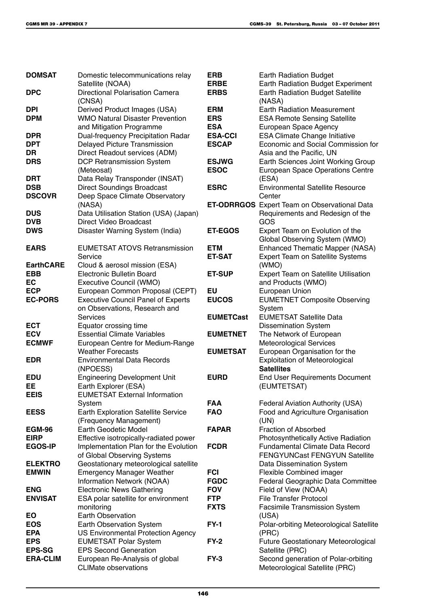| <b>DOMSAT</b>            | Domestic telecommunications relay                                   | <b>ERB</b>                  | <b>Earth Radiation Budget</b>                                 |
|--------------------------|---------------------------------------------------------------------|-----------------------------|---------------------------------------------------------------|
|                          | Satellite (NOAA)                                                    | <b>ERBE</b>                 | <b>Earth Radiation Budget Experiment</b>                      |
| <b>DPC</b>               | Directional Polarisation Camera                                     | <b>ERBS</b>                 | <b>Earth Radiation Budget Satellite</b>                       |
|                          | (CNSA)                                                              |                             | (NASA)                                                        |
| <b>DPI</b>               | Derived Product Images (USA)                                        | <b>ERM</b>                  | <b>Earth Radiation Measurement</b>                            |
| <b>DPM</b>               | <b>WMO Natural Disaster Prevention</b>                              | <b>ERS</b>                  | <b>ESA Remote Sensing Satellite</b>                           |
|                          | and Mitigation Programme                                            | <b>ESA</b>                  | European Space Agency                                         |
| <b>DPR</b>               | Dual-frequency Precipitation Radar                                  | <b>ESA-CCI</b>              | <b>ESA Climate Change Initiative</b>                          |
| <b>DPT</b>               | Delayed Picture Transmission                                        | <b>ESCAP</b>                | Economic and Social Commission for                            |
| DR                       | Direct Readout services (ADM)                                       |                             | Asia and the Pacific, UN                                      |
| <b>DRS</b>               | DCP Retransmission System                                           | <b>ESJWG</b><br><b>ESOC</b> | Earth Sciences Joint Working Group                            |
|                          | (Meteosat)                                                          |                             | European Space Operations Centre                              |
| <b>DRT</b><br><b>DSB</b> | Data Relay Transponder (INSAT)<br><b>Direct Soundings Broadcast</b> | <b>ESRC</b>                 | (ESA)<br><b>Environmental Satellite Resource</b>              |
| <b>DSCOVR</b>            | Deep Space Climate Observatory                                      |                             | Center                                                        |
|                          | (NASA)                                                              |                             | <b>ET-ODRRGOS</b> Expert Team on Observational Data           |
| <b>DUS</b>               | Data Utilisation Station (USA) (Japan)                              |                             | Requirements and Redesign of the                              |
| <b>DVB</b>               | <b>Direct Video Broadcast</b>                                       |                             | GOS                                                           |
| <b>DWS</b>               | Disaster Warning System (India)                                     | <b>ET-EGOS</b>              | Expert Team on Evolution of the                               |
|                          |                                                                     |                             | Global Observing System (WMO)                                 |
| <b>EARS</b>              | <b>EUMETSAT ATOVS Retransmission</b>                                | <b>ETM</b>                  | <b>Enhanced Thematic Mapper (NASA)</b>                        |
|                          | Service                                                             | <b>ET-SAT</b>               | <b>Expert Team on Satellite Systems</b>                       |
| <b>EarthCARE</b>         | Cloud & aerosol mission (ESA)                                       |                             | (WMO)                                                         |
| <b>EBB</b>               | <b>Electronic Bulletin Board</b>                                    | <b>ET-SUP</b>               | Expert Team on Satellite Utilisation                          |
| EC                       | Executive Council (WMO)                                             |                             | and Products (WMO)                                            |
| <b>ECP</b>               | European Common Proposal (CEPT)                                     | EU                          | European Union                                                |
| <b>EC-PORS</b>           | <b>Executive Council Panel of Experts</b>                           | <b>EUCOS</b>                | <b>EUMETNET Composite Observing</b>                           |
|                          | on Observations, Research and                                       |                             | System                                                        |
|                          | Services                                                            | <b>EUMETCast</b>            | <b>EUMETSAT Satellite Data</b>                                |
| <b>ECT</b>               | Equator crossing time                                               |                             | <b>Dissemination System</b>                                   |
| <b>ECV</b>               | <b>Essential Climate Variables</b>                                  | <b>EUMETNET</b>             | The Network of European                                       |
| <b>ECMWF</b>             | European Centre for Medium-Range                                    |                             | <b>Meteorological Services</b>                                |
|                          | <b>Weather Forecasts</b>                                            | <b>EUMETSAT</b>             | European Organisation for the                                 |
| <b>EDR</b>               | <b>Environmental Data Records</b>                                   |                             | <b>Exploitation of Meteorological</b>                         |
|                          | (NPOESS)                                                            |                             | <b>Satellites</b>                                             |
| <b>EDU</b>               | <b>Engineering Development Unit</b>                                 | <b>EURD</b>                 | <b>End User Requirements Document</b>                         |
| EE                       | Earth Explorer (ESA)                                                |                             | (EUMTETSAT)                                                   |
| <b>EEIS</b>              | <b>EUMETSAT External Information</b>                                |                             |                                                               |
|                          | System                                                              | <b>FAA</b>                  | Federal Aviation Authority (USA)                              |
| <b>EESS</b>              | <b>Earth Exploration Satellite Service</b>                          | <b>FAO</b>                  | Food and Agriculture Organisation                             |
|                          | (Frequency Management)                                              |                             | (UN)                                                          |
| <b>EGM-96</b>            | Earth Geodetic Model                                                | <b>FAPAR</b>                | <b>Fraction of Absorbed</b>                                   |
| <b>EIRP</b>              | Effective isotropically-radiated power                              |                             | Photosynthetically Active Radiation                           |
| <b>EGOS-IP</b>           | Implementation Plan for the Evolution                               | <b>FCDR</b>                 | <b>Fundamental Climate Data Record</b>                        |
|                          | of Global Observing Systems                                         |                             | FENGYUNCast FENGYUN Satellite                                 |
| <b>ELEKTRO</b>           | Geostationary meteorological satellite                              |                             | Data Dissemination System                                     |
| <b>EMWIN</b>             | <b>Emergency Manager Weather</b><br>Information Network (NOAA)      | <b>FCI</b><br><b>FGDC</b>   | Flexible Combined imager<br>Federal Geographic Data Committee |
| <b>ENG</b>               | <b>Electronic News Gathering</b>                                    | <b>FOV</b>                  | Field of View (NOAA)                                          |
| <b>ENVISAT</b>           | ESA polar satellite for environment                                 | <b>FTP</b>                  | <b>File Transfer Protocol</b>                                 |
|                          | monitoring                                                          | <b>FXTS</b>                 | <b>Facsimile Transmission System</b>                          |
| EO                       | <b>Earth Observation</b>                                            |                             | (USA)                                                         |
| <b>EOS</b>               | Earth Observation System                                            | <b>FY-1</b>                 | Polar-orbiting Meteorological Satellite                       |
| <b>EPA</b>               | US Environmental Protection Agency                                  |                             | (PRC)                                                         |
| <b>EPS</b>               | <b>EUMETSAT Polar System</b>                                        | $FY-2$                      | <b>Future Geostationary Meteorological</b>                    |
| <b>EPS-SG</b>            | <b>EPS Second Generation</b>                                        |                             | Satellite (PRC)                                               |
| <b>ERA-CLIM</b>          | European Re-Analysis of global                                      | $FY-3$                      | Second generation of Polar-orbiting                           |
|                          | <b>CLIMate observations</b>                                         |                             | Meteorological Satellite (PRC)                                |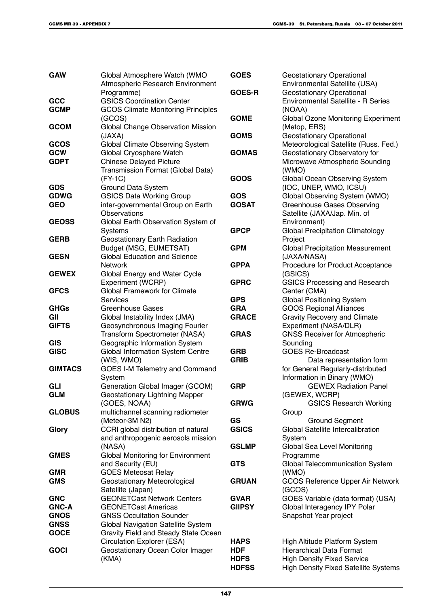| <b>GAW</b>     | Global Atmosphere Watch (WMO<br>Atmospheric Research Environment          | <b>GOES</b>               | <b>Geostationary Operational</b><br>Environmental Satellite (USA) |
|----------------|---------------------------------------------------------------------------|---------------------------|-------------------------------------------------------------------|
|                | Programme)                                                                | <b>GOES-R</b>             | <b>Geostationary Operational</b>                                  |
| GCC            | <b>GSICS Coordination Center</b>                                          |                           | <b>Environmental Satellite - R Series</b>                         |
| <b>GCMP</b>    | <b>GCOS Climate Monitoring Principles</b>                                 |                           | (NOAA)                                                            |
|                | (GCOS)                                                                    | <b>GOME</b>               | Global Ozone Monitoring Experiment                                |
| <b>GCOM</b>    | Global Change Observation Mission                                         |                           | (Metop, ERS)                                                      |
|                | (JAXA)                                                                    | <b>GOMS</b>               | <b>Geostationary Operational</b>                                  |
| GCOS           | Global Climate Observing System                                           |                           | Meteorological Satellite (Russ. Fed.)                             |
| <b>GCW</b>     | Global Cryosphere Watch                                                   | <b>GOMAS</b>              | Geostationary Observatory for                                     |
| <b>GDPT</b>    | <b>Chinese Delayed Picture</b><br>Transmission Format (Global Data)       |                           | Microwave Atmospheric Sounding<br>(WMO)                           |
|                | $(FY-1C)$                                                                 | GOOS                      | Global Ocean Observing System                                     |
| <b>GDS</b>     | Ground Data System                                                        |                           | (IOC, UNEP, WMO, ICSU)                                            |
| <b>GDWG</b>    | <b>GSICS Data Working Group</b>                                           | <b>GOS</b>                | Global Observing System (WMO)                                     |
| <b>GEO</b>     | inter-governmental Group on Earth                                         | <b>GOSAT</b>              | <b>Greenhouse Gases Observing</b>                                 |
|                | <b>Observations</b>                                                       |                           | Satellite (JAXA/Jap. Min. of                                      |
| <b>GEOSS</b>   | Global Earth Observation System of                                        |                           | Environment)                                                      |
|                | Systems                                                                   | <b>GPCP</b>               | <b>Global Precipitation Climatology</b>                           |
| <b>GERB</b>    | Geostationary Earth Radiation                                             |                           | Project                                                           |
|                | Budget (MSG, EUMETSAT)                                                    | <b>GPM</b>                | <b>Global Precipitation Measurement</b>                           |
| <b>GESN</b>    | <b>Global Education and Science</b><br><b>Network</b>                     | <b>GPPA</b>               | (JAXA/NASA)<br>Procedure for Product Acceptance                   |
| <b>GEWEX</b>   | Global Energy and Water Cycle                                             |                           | (GSICS)                                                           |
|                | Experiment (WCRP)                                                         | <b>GPRC</b>               | <b>GSICS Processing and Research</b>                              |
| <b>GFCS</b>    | <b>Global Framework for Climate</b>                                       |                           | Center (CMA)                                                      |
|                | <b>Services</b>                                                           | <b>GPS</b>                | <b>Global Positioning System</b>                                  |
| <b>GHGs</b>    | <b>Greenhouse Gases</b>                                                   | <b>GRA</b>                | <b>GOOS Regional Alliances</b>                                    |
| GII            | Global Instability Index (JMA)                                            | <b>GRACE</b>              | <b>Gravity Recovery and Climate</b>                               |
| <b>GIFTS</b>   | Geosynchronous Imaging Fourier                                            |                           | Experiment (NASA/DLR)                                             |
|                | Transform Spectrometer (NASA)                                             | <b>GRAS</b>               | <b>GNSS Receiver for Atmospheric</b>                              |
| <b>GIS</b>     | Geographic Information System                                             |                           | Sounding                                                          |
| <b>GISC</b>    | Global Information System Centre<br>(WIS, WMO)                            | <b>GRB</b><br><b>GRIB</b> | <b>GOES Re-Broadcast</b><br>Data representation form              |
| <b>GIMTACS</b> | <b>GOES I-M Telemetry and Command</b>                                     |                           | for General Regularly-distributed                                 |
|                | System                                                                    |                           | Information in Binary (WMO)                                       |
| <b>GLI</b>     | Generation Global Imager (GCOM)                                           | <b>GRP</b>                | <b>GEWEX Radiation Panel</b>                                      |
| <b>GLM</b>     | Geostationary Lightning Mapper                                            |                           | (GEWEX, WCRP)                                                     |
|                | (GOES, NOAA)                                                              | <b>GRWG</b>               | <b>GSICS Research Working</b>                                     |
| <b>GLOBUS</b>  | multichannel scanning radiometer                                          |                           | Group                                                             |
|                | (Meteor-3M N2)                                                            | GS                        | <b>Ground Segment</b>                                             |
| Glory          | CCRI global distribution of natural                                       | <b>GSICS</b>              | Global Satellite Intercalibration                                 |
|                | and anthropogenic aerosols mission<br>(NASA)                              | <b>GSLMP</b>              | System<br>Global Sea Level Monitoring                             |
| <b>GMES</b>    | <b>Global Monitoring for Environment</b>                                  |                           | Programme                                                         |
|                | and Security (EU)                                                         | <b>GTS</b>                | Global Telecommunication System                                   |
| <b>GMR</b>     | <b>GOES Meteosat Relay</b>                                                |                           | (WMO)                                                             |
| <b>GMS</b>     | Geostationary Meteorological                                              | <b>GRUAN</b>              | <b>GCOS Reference Upper Air Network</b>                           |
|                | Satellite (Japan)                                                         |                           | (GCOS)                                                            |
| <b>GNC</b>     | <b>GEONETCast Network Centers</b>                                         | <b>GVAR</b>               | GOES Variable (data format) (USA)                                 |
| <b>GNC-A</b>   | <b>GEONETCast Americas</b>                                                | <b>GIIPSY</b>             | Global Interagency IPY Polar                                      |
| <b>GNOS</b>    | <b>GNSS Occultation Sounder</b>                                           |                           | Snapshot Year project                                             |
| <b>GNSS</b>    | Global Navigation Satellite System                                        |                           |                                                                   |
| <b>GOCE</b>    | Gravity Field and Steady State Ocean<br><b>Circulation Explorer (ESA)</b> | <b>HAPS</b>               | High Altitude Platform System                                     |
| <b>GOCI</b>    | Geostationary Ocean Color Imager                                          | <b>HDF</b>                | <b>Hierarchical Data Format</b>                                   |
|                | (KMA)                                                                     | <b>HDFS</b>               | <b>High Density Fixed Service</b>                                 |
|                |                                                                           | <b>HDFSS</b>              | <b>High Density Fixed Satellite Systems</b>                       |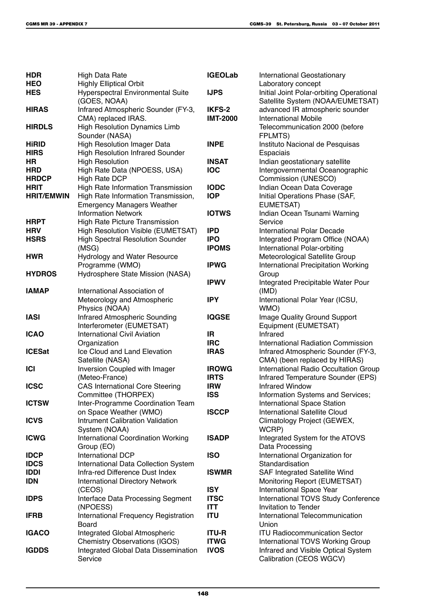| <b>HDR</b>        | <b>High Data Rate</b>                                    | <b>IGEOLab</b>  | International Geostationary                                                  |
|-------------------|----------------------------------------------------------|-----------------|------------------------------------------------------------------------------|
| <b>HEO</b>        | <b>Highly Elliptical Orbit</b>                           |                 | Laboratory concept                                                           |
| <b>HES</b>        | <b>Hyperspectral Environmental Suite</b><br>(GOES, NOAA) | <b>IJPS</b>     | Initial Joint Polar-orbiting Operational<br>Satellite System (NOAA/EUMETSAT) |
| <b>HIRAS</b>      | Infrared Atmospheric Sounder (FY-3,                      | IKFS-2          | advanced IR atmospheric sounder                                              |
|                   | CMA) replaced IRAS.                                      | <b>IMT-2000</b> | <b>International Mobile</b>                                                  |
| <b>HIRDLS</b>     | <b>High Resolution Dynamics Limb</b>                     |                 | Telecommunication 2000 (before                                               |
|                   | Sounder (NASA)                                           |                 | FPLMTS)                                                                      |
| <b>HiRID</b>      | <b>High Resolution Imager Data</b>                       | <b>INPE</b>     | Instituto Nacional de Pesquisas                                              |
| <b>HIRS</b>       | <b>High Resolution Infrared Sounder</b>                  |                 | Espaciais                                                                    |
| HR                | <b>High Resolution</b>                                   | <b>INSAT</b>    | Indian geostationary satellite                                               |
| <b>HRD</b>        | High Rate Data (NPOESS, USA)                             | <b>IOC</b>      | Intergovernmental Oceanographic                                              |
| <b>HRDCP</b>      | High Rate DCP                                            |                 | Commission (UNESCO)                                                          |
| <b>HRIT</b>       | High Rate Information Transmission                       | <b>IODC</b>     | Indian Ocean Data Coverage                                                   |
| <b>HRIT/EMWIN</b> | High Rate Information Transmission,                      | <b>IOP</b>      | Initial Operations Phase (SAF,                                               |
|                   | <b>Emergency Managers Weather</b>                        |                 | EUMETSAT)                                                                    |
|                   | <b>Information Network</b>                               | <b>IOTWS</b>    | Indian Ocean Tsunami Warning                                                 |
| <b>HRPT</b>       | <b>High Rate Picture Transmission</b>                    |                 | Service                                                                      |
| <b>HRV</b>        | High Resolution Visible (EUMETSAT)                       | <b>IPD</b>      | <b>International Polar Decade</b>                                            |
| <b>HSRS</b>       | <b>High Spectral Resolution Sounder</b>                  | <b>IPO</b>      | Integrated Program Office (NOAA)                                             |
|                   | (MSG)                                                    | <b>IPOMS</b>    | International Polar-orbiting                                                 |
| <b>HWR</b>        | <b>Hydrology and Water Resource</b>                      |                 | Meteorological Satellite Group                                               |
|                   | Programme (WMO)                                          | <b>IPWG</b>     | <b>International Precipitation Working</b>                                   |
| <b>HYDROS</b>     | Hydrosphere State Mission (NASA)                         |                 | Group                                                                        |
| <b>IAMAP</b>      | International Association of                             | <b>IPWV</b>     | Integrated Precipitable Water Pour<br>(IMD)                                  |
|                   | Meteorology and Atmospheric                              | <b>IPY</b>      | International Polar Year (ICSU,                                              |
|                   | Physics (NOAA)                                           |                 | WMO)                                                                         |
| <b>IASI</b>       | Infrared Atmospheric Sounding                            | <b>IQGSE</b>    | Image Quality Ground Support                                                 |
|                   | Interferometer (EUMETSAT)                                |                 | Equipment (EUMETSAT)                                                         |
| <b>ICAO</b>       | <b>International Civil Aviation</b>                      | IR.             | Infrared                                                                     |
|                   | Organization                                             | <b>IRC</b>      | <b>International Radiation Commission</b>                                    |
| <b>ICESat</b>     | Ice Cloud and Land Elevation                             | <b>IRAS</b>     | Infrared Atmospheric Sounder (FY-3,                                          |
|                   | Satellite (NASA)                                         |                 | CMA) (been replaced by HIRAS)                                                |
| <b>ICI</b>        | Inversion Coupled with Imager                            | <b>IROWG</b>    | International Radio Occultation Group                                        |
|                   | (Meteo-France)                                           | <b>IRTS</b>     | Infrared Temperature Sounder (EPS)                                           |
| <b>ICSC</b>       | <b>CAS International Core Steering</b>                   | <b>IRW</b>      | <b>Infrared Window</b>                                                       |
|                   | Committee (THORPEX)                                      | <b>ISS</b>      | Information Systems and Services;                                            |
| <b>ICTSW</b>      | Inter-Programme Coordination Team                        |                 | International Space Station                                                  |
|                   | on Space Weather (WMO)                                   | <b>ISCCP</b>    | <b>International Satellite Cloud</b>                                         |
| <b>ICVS</b>       | Intrument Calibration Validation                         |                 | Climatology Project (GEWEX,                                                  |
|                   | System (NOAA)                                            |                 | WCRP)                                                                        |
| <b>ICWG</b>       | <b>International Coordination Working</b>                | <b>ISADP</b>    | Integrated System for the ATOVS                                              |
| <b>IDCP</b>       | Group (EO)<br>International DCP                          | <b>ISO</b>      | Data Processing<br>International Organization for                            |
| <b>IDCS</b>       | International Data Collection System                     |                 | Standardisation                                                              |
| <b>IDDI</b>       | Infra-red Difference Dust Index                          | <b>ISWMR</b>    | SAF Integrated Satellite Wind                                                |
| <b>IDN</b>        | <b>International Directory Network</b>                   |                 | Monitoring Report (EUMETSAT)                                                 |
|                   | (CEOS)                                                   | <b>ISY</b>      | International Space Year                                                     |
| <b>IDPS</b>       | Interface Data Processing Segment                        | <b>ITSC</b>     | International TOVS Study Conference                                          |
|                   | (NPOESS)                                                 | <b>ITT</b>      | <b>Invitation to Tender</b>                                                  |
| <b>IFRB</b>       | International Frequency Registration                     | <b>ITU</b>      | International Telecommunication                                              |
|                   | Board                                                    |                 | Union                                                                        |
| <b>IGACO</b>      | Integrated Global Atmospheric                            | <b>ITU-R</b>    | <b>ITU Radiocommunication Sector</b>                                         |
|                   | <b>Chemistry Observations (IGOS)</b>                     | <b>ITWG</b>     | International TOVS Working Group                                             |
| <b>IGDDS</b>      | Integrated Global Data Dissemination                     | <b>IVOS</b>     | Infrared and Visible Optical System                                          |
|                   | Service                                                  |                 | Calibration (CEOS WGCV)                                                      |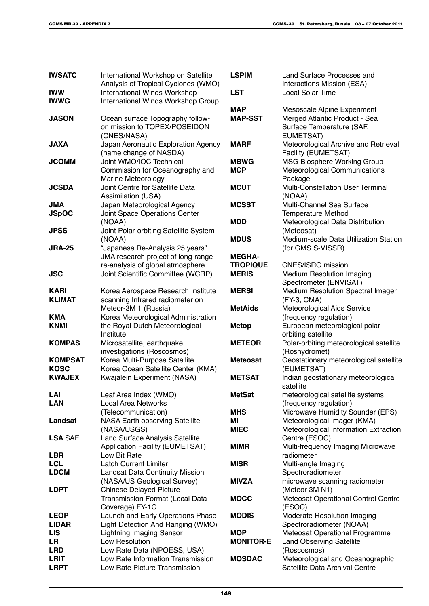| <b>IWSATC</b>             | International Workshop on Satellite<br>Analysis of Tropical Cyclones (WMO)      | <b>LSPIM</b>     | Land Surface Processes and<br>Interactions Mission (ESA)                |
|---------------------------|---------------------------------------------------------------------------------|------------------|-------------------------------------------------------------------------|
| <b>IWW</b>                | <b>International Winds Workshop</b>                                             | <b>LST</b>       | <b>Local Solar Time</b>                                                 |
| <b>IWWG</b>               | International Winds Workshop Group                                              |                  |                                                                         |
|                           |                                                                                 | <b>MAP</b>       | Mesoscale Alpine Experiment                                             |
| <b>JASON</b>              | Ocean surface Topography follow-<br>on mission to TOPEX/POSEIDON<br>(CNES/NASA) | <b>MAP-SST</b>   | Merged Atlantic Product - Sea<br>Surface Temperature (SAF,<br>EUMETSAT) |
| <b>JAXA</b>               | Japan Aeronautic Exploration Agency<br>(name change of NASDA)                   | <b>MARF</b>      | Meteorological Archive and Retrieval<br>Facility (EUMETSAT)             |
| <b>JCOMM</b>              | Joint WMO/IOC Technical                                                         | <b>MBWG</b>      | <b>MSG Biosphere Working Group</b>                                      |
|                           | Commission for Oceanography and<br>Marine Meteorology                           | <b>MCP</b>       | Meteorological Communications<br>Package                                |
| <b>JCSDA</b>              | Joint Centre for Satellite Data<br>Assimilation (USA)                           | <b>MCUT</b>      | Multi-Constellation User Terminal<br>(NOAA)                             |
| JMA                       | Japan Meteorological Agency                                                     | <b>MCSST</b>     | Multi-Channel Sea Surface                                               |
| <b>JSpOC</b>              | Joint Space Operations Center                                                   |                  | <b>Temperature Method</b>                                               |
|                           | (NOAA)                                                                          | <b>MDD</b>       | Meteorological Data Distribution                                        |
| <b>JPSS</b>               | Joint Polar-orbiting Satellite System                                           |                  | (Meteosat)                                                              |
|                           | (NOAA)                                                                          | <b>MDUS</b>      | Medium-scale Data Utilization Station                                   |
| <b>JRA-25</b>             | "Japanese Re-Analysis 25 years"                                                 |                  | (for GMS S-VISSR)                                                       |
|                           | JMA research project of long-range                                              | <b>MEGHA-</b>    |                                                                         |
|                           | re-analysis of global atmosphere                                                | <b>TROPIQUE</b>  | CNES/ISRO mission                                                       |
| <b>JSC</b>                | Joint Scientific Committee (WCRP)                                               | <b>MERIS</b>     | <b>Medium Resolution Imaging</b><br>Spectrometer (ENVISAT)              |
| <b>KARI</b>               | Korea Aerospace Research Institute                                              | <b>MERSI</b>     | Medium Resolution Spectral Imager                                       |
| <b>KLIMAT</b>             | scanning Infrared radiometer on                                                 |                  | (FY-3, CMA)                                                             |
|                           | Meteor-3M 1 (Russia)                                                            | <b>MetAids</b>   | Meteorological Aids Service                                             |
| <b>KMA</b>                | Korea Meteorological Administration                                             |                  | (frequency regulation)                                                  |
| <b>KNMI</b>               | the Royal Dutch Meteorological<br>Institute                                     | <b>Metop</b>     | European meteorological polar-<br>orbiting satellite                    |
| <b>KOMPAS</b>             | Microsatellite, earthquake                                                      | <b>METEOR</b>    | Polar-orbiting meteorological satellite                                 |
|                           | investigations (Roscosmos)                                                      |                  | (Roshydromet)                                                           |
| <b>KOMPSAT</b>            | Korea Multi-Purpose Satellite                                                   | <b>Meteosat</b>  | Geostationary meteorological satellite                                  |
| <b>KOSC</b>               | Korea Ocean Satellite Center (KMA)                                              |                  | (EUMETSAT)                                                              |
| <b>KWAJEX</b>             | Kwajalein Experiment (NASA)                                                     | <b>METSAT</b>    | Indian geostationary meteorological<br>satellite                        |
| LAI                       | Leaf Area Index (WMO)                                                           | <b>MetSat</b>    | meteorological satellite systems                                        |
| <b>LAN</b>                | <b>Local Area Networks</b>                                                      |                  | (frequency regulation)                                                  |
|                           | (Telecommunication)                                                             | <b>MHS</b>       | Microwave Humidity Sounder (EPS)                                        |
| Landsat                   | NASA Earth observing Satellite                                                  | MI               | Meteorological Imager (KMA)                                             |
|                           | (NASA/USGS)                                                                     | <b>MIEC</b>      | Meteorological Information Extraction                                   |
| <b>LSA SAF</b>            | Land Surface Analysis Satellite                                                 |                  | Centre (ESOC)                                                           |
|                           | Application Facility (EUMETSAT)                                                 | <b>MIMR</b>      | Multi-frequency Imaging Microwave                                       |
| <b>LBR</b>                | Low Bit Rate                                                                    |                  | radiometer                                                              |
| <b>LCL</b><br><b>LDCM</b> | <b>Latch Current Limiter</b>                                                    | <b>MISR</b>      | Multi-angle Imaging                                                     |
|                           | <b>Landsat Data Continuity Mission</b><br>(NASA/US Geological Survey)           | <b>MIVZA</b>     | Spectroradiometer<br>microwave scanning radiometer                      |
| <b>LDPT</b>               | <b>Chinese Delayed Picture</b>                                                  |                  | (Meteor 3M N1)                                                          |
|                           | Transmission Format (Local Data<br>Coverage) FY-1C                              | <b>MOCC</b>      | Meteosat Operational Control Centre<br>(ESOC)                           |
| <b>LEOP</b>               | Launch and Early Operations Phase                                               | <b>MODIS</b>     | Moderate Resolution Imaging                                             |
| <b>LIDAR</b>              | Light Detection And Ranging (WMO)                                               |                  | Spectroradiometer (NOAA)                                                |
| <b>LIS</b>                | <b>Lightning Imaging Sensor</b>                                                 | <b>MOP</b>       | Meteosat Operational Programme                                          |
| LR                        | Low Resolution                                                                  | <b>MONITOR-E</b> | <b>Land Observing Satellite</b>                                         |
| <b>LRD</b>                | Low Rate Data (NPOESS, USA)                                                     |                  | (Roscosmos)                                                             |
| <b>LRIT</b>               | Low Rate Information Transmission                                               | <b>MOSDAC</b>    | Meteorological and Oceanographic                                        |
| <b>LRPT</b>               | Low Rate Picture Transmission                                                   |                  | Satellite Data Archival Centre                                          |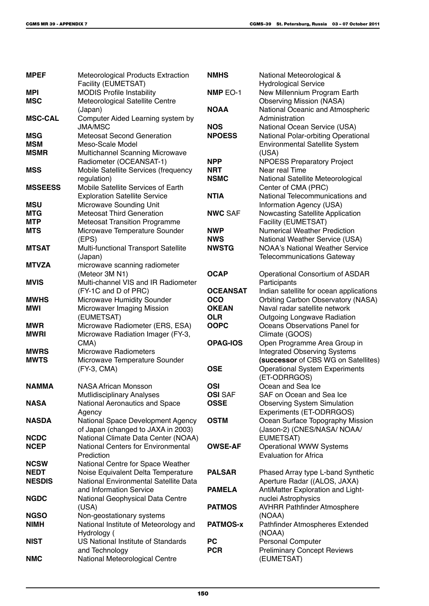| <b>MPEF</b>    | <b>Meteorological Products Extraction</b><br>Facility (EUMETSAT) | <b>NMHS</b>     | National Meteorological &<br><b>Hydrological Service</b> |
|----------------|------------------------------------------------------------------|-----------------|----------------------------------------------------------|
| <b>MPI</b>     | <b>MODIS Profile Instability</b>                                 | NMP EO-1        | New Millennium Program Earth                             |
| <b>MSC</b>     | Meteorological Satellite Centre                                  |                 | <b>Observing Mission (NASA)</b>                          |
|                | (Japan)                                                          | <b>NOAA</b>     | National Oceanic and Atmospheric                         |
| <b>MSC-CAL</b> | Computer Aided Learning system by                                |                 | Administration                                           |
|                | JMA/MSC                                                          | <b>NOS</b>      | National Ocean Service (USA)                             |
| <b>MSG</b>     | <b>Meteosat Second Generation</b>                                | <b>NPOESS</b>   | National Polar-orbiting Operational                      |
| <b>MSM</b>     | Meso-Scale Model                                                 |                 | <b>Environmental Satellite System</b>                    |
| <b>MSMR</b>    | Multichannel Scanning Microwave                                  |                 | (USA)                                                    |
|                | Radiometer (OCEANSAT-1)                                          | <b>NPP</b>      |                                                          |
| <b>MSS</b>     | Mobile Satellite Services (frequency                             | <b>NRT</b>      | <b>NPOESS Preparatory Project</b><br>Near real Time      |
|                |                                                                  | <b>NSMC</b>     |                                                          |
| <b>MSSEESS</b> | regulation)<br>Mobile Satellite Services of Earth                |                 | National Satellite Meteorological                        |
|                |                                                                  |                 | Center of CMA (PRC)                                      |
|                | <b>Exploration Satellite Service</b>                             | <b>NTIA</b>     | National Telecommunications and                          |
| <b>MSU</b>     | Microwave Sounding Unit                                          |                 | Information Agency (USA)                                 |
| <b>MTG</b>     | <b>Meteosat Third Generation</b>                                 | <b>NWC SAF</b>  | Nowcasting Satellite Application                         |
| <b>MTP</b>     | <b>Meteosat Transition Programme</b>                             |                 | Facility (EUMETSAT)                                      |
| <b>MTS</b>     | Microwave Temperature Sounder                                    | <b>NWP</b>      | <b>Numerical Weather Prediction</b>                      |
|                | (EPS)                                                            | <b>NWS</b>      | National Weather Service (USA)                           |
| <b>MTSAT</b>   | Multi-functional Transport Satellite                             | <b>NWSTG</b>    | <b>NOAA's National Weather Service</b>                   |
|                | (Japan)                                                          |                 | <b>Telecommunications Gateway</b>                        |
| <b>MTVZA</b>   | microwave scanning radiometer                                    |                 |                                                          |
|                | (Meteor 3M N1)                                                   | <b>OCAP</b>     | Operational Consortium of ASDAR                          |
| <b>MVIS</b>    | Multi-channel VIS and IR Radiometer                              |                 | Participants                                             |
|                | (FY-1C and D of PRC)                                             | <b>OCEANSAT</b> | Indian satellite for ocean applications                  |
| <b>MWHS</b>    | Microwave Humidity Sounder                                       | <b>OCO</b>      | <b>Orbiting Carbon Observatory (NASA)</b>                |
| <b>MWI</b>     | Microwaver Imaging Mission                                       | <b>OKEAN</b>    | Naval radar satellite network                            |
|                | (EUMETSAT)                                                       | <b>OLR</b>      | <b>Outgoing Longwave Radiation</b>                       |
| <b>MWR</b>     | Microwave Radiometer (ERS, ESA)                                  | <b>OOPC</b>     | Oceans Observations Panel for                            |
| <b>MWRI</b>    | Microwave Radiation Imager (FY-3,                                |                 | Climate (GOOS)                                           |
|                | CMA)                                                             | <b>OPAG-IOS</b> | Open Programme Area Group in                             |
| <b>MWRS</b>    | <b>Microwave Radiometers</b>                                     |                 | <b>Integrated Observing Systems</b>                      |
| <b>MWTS</b>    | Microwave Temperature Sounder                                    |                 | (successor of CBS WG on Satellites)                      |
|                | (FY-3, CMA)                                                      | <b>OSE</b>      | <b>Operational System Experiments</b>                    |
|                |                                                                  |                 | (ET-ODRRGOS)                                             |
| <b>NAMMA</b>   | <b>NASA African Monsson</b>                                      | OSI             | Ocean and Sea Ice                                        |
|                | Mutlidisciplinary Analyses                                       | <b>OSI</b> SAF  | SAF on Ocean and Sea Ice                                 |
| <b>NASA</b>    | National Aeronautics and Space                                   | <b>OSSE</b>     | <b>Observing System Simulation</b>                       |
|                | Agency                                                           |                 | Experiments (ET-ODRRGOS)                                 |
| <b>NASDA</b>   | National Space Development Agency                                | <b>OSTM</b>     | Ocean Surface Topography Mission                         |
|                | of Japan (changed to JAXA in 2003)                               |                 | (Jason-2) (CNES/NASA/ NOAA/                              |
| <b>NCDC</b>    | National Climate Data Center (NOAA)                              |                 | EUMETSAT)                                                |
| <b>NCEP</b>    | <b>National Centers for Environmental</b>                        | <b>OWSE-AF</b>  | <b>Operational WWW Systems</b>                           |
|                | Prediction                                                       |                 | <b>Evaluation for Africa</b>                             |
| <b>NCSW</b>    | National Centre for Space Weather                                |                 |                                                          |
| <b>NEDT</b>    | Noise Equivalent Delta Temperature                               | <b>PALSAR</b>   | Phased Array type L-band Synthetic                       |
| <b>NESDIS</b>  | National Environmental Satellite Data                            |                 | Aperture Radar ((ALOS, JAXA)                             |
|                | and Information Service                                          | <b>PAMELA</b>   | AntiMatter Exploration and Light-                        |
| <b>NGDC</b>    | National Geophysical Data Centre                                 |                 | nuclei Astrophysics                                      |
|                | (USA)                                                            | <b>PATMOS</b>   | <b>AVHRR Pathfinder Atmosphere</b>                       |
| <b>NGSO</b>    | Non-geostationary systems                                        |                 | (NOAA)                                                   |
| <b>NIMH</b>    | National Institute of Meteorology and                            | <b>PATMOS-x</b> | Pathfinder Atmospheres Extended                          |
|                | Hydrology (                                                      |                 | (NOAA)                                                   |
| <b>NIST</b>    | US National Institute of Standards                               | <b>PC</b>       | Personal Computer                                        |
|                | and Technology                                                   | <b>PCR</b>      | <b>Preliminary Concept Reviews</b>                       |
| <b>NMC</b>     | National Meteorological Centre                                   |                 | (EUMETSAT)                                               |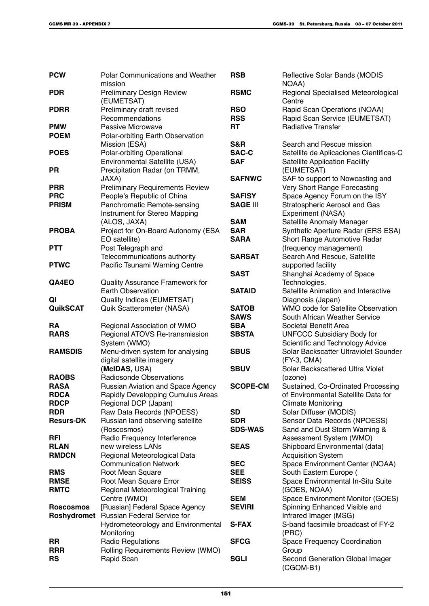| <b>PCW</b>       | <b>Polar Communications and Weather</b><br>mission | <b>RSB</b>               | Reflective Solar Bands (MODIS<br>NOAA)                        |
|------------------|----------------------------------------------------|--------------------------|---------------------------------------------------------------|
| <b>PDR</b>       | <b>Preliminary Design Review</b><br>(EUMETSAT)     | <b>RSMC</b>              | Regional Specialised Meteorological<br>Centre                 |
| <b>PDRR</b>      | Preliminary draft revised<br>Recommendations       | <b>RSO</b><br><b>RSS</b> | Rapid Scan Operations (NOAA)<br>Rapid Scan Service (EUMETSAT) |
| <b>PMW</b>       | Passive Microwave                                  | RT                       | <b>Radiative Transfer</b>                                     |
| <b>POEM</b>      | Polar-orbiting Earth Observation                   |                          |                                                               |
|                  | Mission (ESA)                                      | S&R                      | Search and Rescue mission                                     |
|                  |                                                    |                          |                                                               |
| <b>POES</b>      | Polar-orbiting Operational                         | <b>SAC-C</b>             | Satellite de Aplicaciones Cientificas-C                       |
|                  | Environmental Satellite (USA)                      | <b>SAF</b>               | <b>Satellite Application Facility</b>                         |
| PR               | Precipitation Radar (on TRMM,                      |                          | (EUMETSAT)                                                    |
|                  | JAXA)                                              | <b>SAFNWC</b>            | SAF to support to Nowcasting and                              |
| <b>PRR</b>       | <b>Preliminary Requirements Review</b>             |                          | Very Short Range Forecasting                                  |
| <b>PRC</b>       | People's Republic of China                         | <b>SAFISY</b>            | Space Agency Forum on the ISY                                 |
| <b>PRISM</b>     | Panchromatic Remote-sensing                        | <b>SAGE III</b>          | <b>Stratospheric Aerosol and Gas</b>                          |
|                  | Instrument for Stereo Mapping                      |                          | Experiment (NASA)                                             |
|                  | (ALOS, JAXA)                                       | <b>SAM</b>               | Satellite Anomaly Manager                                     |
| <b>PROBA</b>     | Project for On-Board Autonomy (ESA                 | <b>SAR</b>               | Synthetic Aperture Radar (ERS ESA)                            |
|                  | EO satellite)                                      | <b>SARA</b>              | Short Range Automotive Radar                                  |
| <b>PTT</b>       | Post Telegraph and                                 |                          |                                                               |
|                  |                                                    |                          | (frequency management)                                        |
|                  | Telecommunications authority                       | <b>SARSAT</b>            | Search And Rescue, Satellite                                  |
| <b>PTWC</b>      | Pacific Tsunami Warning Centre                     |                          | supported facility                                            |
|                  |                                                    | <b>SAST</b>              | Shanghai Academy of Space                                     |
| QA4EO            | Quality Assurance Framework for                    |                          | Technologies.                                                 |
|                  | <b>Earth Observation</b>                           | <b>SATAID</b>            | Satellite Animation and Interactive                           |
| QI               | Quality Indices (EUMETSAT)                         |                          | Diagnosis (Japan)                                             |
| <b>QuikSCAT</b>  | Quik Scatterometer (NASA)                          | <b>SATOB</b>             | WMO code for Satellite Observation                            |
|                  |                                                    | <b>SAWS</b>              | South African Weather Service                                 |
| RA               | Regional Association of WMO                        | <b>SBA</b>               | Societal Benefit Area                                         |
| <b>RARS</b>      | Regional ATOVS Re-transmission                     | <b>SBSTA</b>             | <b>UNFCCC Subsidiary Body for</b>                             |
|                  | System (WMO)                                       |                          | Scientific and Technology Advice                              |
| <b>RAMSDIS</b>   | Menu-driven system for analysing                   | <b>SBUS</b>              | Solar Backscatter Ultraviolet Sounder                         |
|                  | digital satellite imagery                          |                          | (FY-3, CMA)                                                   |
|                  | (MCIDAS, USA)                                      | <b>SBUV</b>              | Solar Backscattered Ultra Violet                              |
| <b>RAOBS</b>     | Radiosonde Observations                            |                          |                                                               |
| <b>RASA</b>      |                                                    | <b>SCOPE-CM</b>          | (ozone)                                                       |
|                  | Russian Aviation and Space Agency                  |                          | Sustained, Co-Ordinated Processing                            |
| RDCA             | Rapidly Developping Cumulus Areas                  |                          | of Environmental Satellite Data for                           |
| <b>RDCP</b>      | Regional DCP (Japan)                               |                          | <b>Climate Monitoring</b>                                     |
| <b>RDR</b>       | Raw Data Records (NPOESS)                          | <b>SD</b>                | Solar Diffuser (MODIS)                                        |
| <b>Resurs-DK</b> | Russian land observing satellite                   | <b>SDR</b>               | Sensor Data Records (NPOESS)                                  |
|                  | (Roscosmos)                                        | <b>SDS-WAS</b>           | Sand and Dust Storm Warning &                                 |
| RFI              | Radio Frequency Interference                       |                          | Assessment System (WMO)                                       |
| <b>RLAN</b>      | new wireless LANs                                  | <b>SEAS</b>              | Shipboard Environmental (data)                                |
| <b>RMDCN</b>     | Regional Meteorological Data                       |                          | <b>Acquisition System</b>                                     |
|                  | <b>Communication Network</b>                       | <b>SEC</b>               | Space Environment Center (NOAA)                               |
| <b>RMS</b>       | Root Mean Square                                   | <b>SEE</b>               | South Eastern Europe (                                        |
| <b>RMSE</b>      | Root Mean Square Error                             | <b>SEISS</b>             | Space Environmental In-Situ Suite                             |
| <b>RMTC</b>      | Regional Meteorological Training                   |                          | (GOES, NOAA)                                                  |
|                  | Centre (WMO)                                       | <b>SEM</b>               | Space Environment Monitor (GOES)                              |
| <b>Roscosmos</b> | [Russian] Federal Space Agency                     | <b>SEVIRI</b>            | Spinning Enhanced Visible and                                 |
| Roshydromet      | Russian Federal Service for                        |                          | Infrared Imager (MSG)                                         |
|                  |                                                    | <b>S-FAX</b>             | S-band facsimile broadcast of FY-2                            |
|                  | Hydrometeorology and Environmental                 |                          |                                                               |
|                  | Monitoring                                         |                          | (PRC)                                                         |
| <b>RR</b>        | Radio Regulations                                  | <b>SFCG</b>              | <b>Space Frequency Coordination</b>                           |
| <b>RRR</b>       | Rolling Requirements Review (WMO)                  |                          | Group                                                         |
| <b>RS</b>        | Rapid Scan                                         | <b>SGLI</b>              | Second Generation Global Imager<br>(CGOM-B1)                  |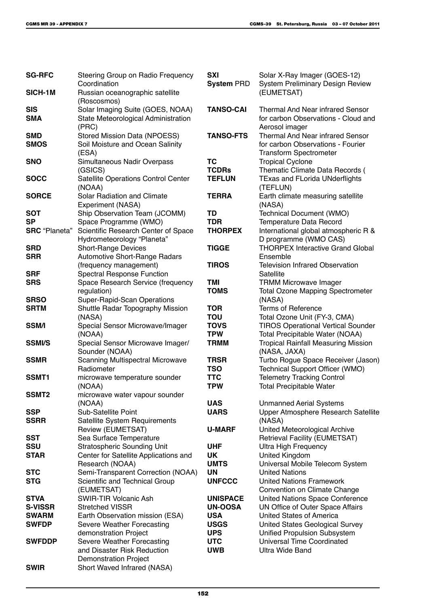| <b>SG-RFC</b>        | Steering Group on Radio Frequency<br>Coordination               | <b>SXI</b>                | Solar X-Ray Imager (GOES-12)                                          |
|----------------------|-----------------------------------------------------------------|---------------------------|-----------------------------------------------------------------------|
| SICH-1M              |                                                                 | <b>System PRD</b>         | System Preliminary Design Review<br>(EUMETSAT)                        |
|                      | Russian oceanographic satellite<br>(Roscosmos)                  |                           |                                                                       |
| <b>SIS</b>           | Solar Imaging Suite (GOES, NOAA)                                | <b>TANSO-CAI</b>          | <b>Thermal And Near infrared Sensor</b>                               |
| <b>SMA</b>           | State Meteorological Administration                             |                           | for carbon Observations - Cloud and                                   |
|                      | (PRC)                                                           |                           | Aerosol imager                                                        |
| <b>SMD</b>           | Stored Mission Data (NPOESS)                                    | <b>TANSO-FTS</b>          | <b>Thermal And Near infrared Sensor</b>                               |
| <b>SMOS</b>          | Soil Moisture and Ocean Salinity<br>(ESA)                       |                           | for carbon Observations - Fourier<br><b>Transform Spectrometer</b>    |
| <b>SNO</b>           | Simultaneous Nadir Overpass<br>(GSICS)                          | <b>TC</b><br><b>TCDRs</b> | <b>Tropical Cyclone</b><br>Thematic Climate Data Records (            |
| <b>SOCC</b>          | Satellite Operations Control Center                             | <b>TEFLUN</b>             | <b>TExas and FLorida UNderflights</b>                                 |
|                      | (NOAA)                                                          |                           | (TEFLUN)                                                              |
| <b>SORCE</b>         | Solar Radiation and Climate                                     | <b>TERRA</b>              | Earth climate measuring satellite                                     |
|                      | Experiment (NASA)                                               |                           | (NASA)                                                                |
| <b>SOT</b>           | Ship Observation Team (JCOMM)                                   | TD                        | Technical Document (WMO)                                              |
| <b>SP</b>            | Space Programme (WMO)                                           | <b>TDR</b>                | Temperature Data Record                                               |
| <b>SRC</b> "Planeta" | Scientific Research Center of Space                             | <b>THORPEX</b>            | International global atmospheric R &                                  |
|                      | Hydrometeorology "Planeta"                                      |                           | D programme (WMO CAS)                                                 |
| <b>SRD</b>           | <b>Short-Range Devices</b>                                      | <b>TIGGE</b>              | <b>THORPEX Interactive Grand Global</b>                               |
| <b>SRR</b>           | Automotive Short-Range Radars                                   |                           | Ensemble                                                              |
|                      | (frequency management)                                          | <b>TIROS</b>              | <b>Television Infrared Observation</b>                                |
| <b>SRF</b>           | <b>Spectral Response Function</b>                               |                           | Satellite                                                             |
| <b>SRS</b>           | Space Research Service (frequency                               | TMI                       | <b>TRMM Microwave Imager</b>                                          |
| <b>SRSO</b>          | regulation)                                                     | <b>TOMS</b>               | <b>Total Ozone Mapping Spectrometer</b><br>(NASA)                     |
| <b>SRTM</b>          | Super-Rapid-Scan Operations<br>Shuttle Radar Topography Mission | <b>TOR</b>                | <b>Terms of Reference</b>                                             |
|                      | (NASA)                                                          | <b>TOU</b>                | Total Ozone Unit (FY-3, CMA)                                          |
| <b>SSM/I</b>         | Special Sensor Microwave/Imager                                 | <b>TOVS</b>               | <b>TIROS Operational Vertical Sounder</b>                             |
|                      | (NOAA)                                                          | <b>TPW</b>                | Total Precipitable Water (NOAA)                                       |
| <b>SSMI/S</b>        | Special Sensor Microwave Imager/                                | <b>TRMM</b>               | <b>Tropical Rainfall Measuring Mission</b>                            |
|                      | Sounder (NOAA)                                                  |                           | (NASA, JAXA)                                                          |
| <b>SSMR</b>          | <b>Scanning Multispectral Microwave</b>                         | <b>TRSR</b>               | Turbo Rogue Space Receiver (Jason)                                    |
|                      | Radiometer                                                      | <b>TSO</b>                | Technical Support Officer (WMO)                                       |
| SSMT1                | microwave temperature sounder                                   | <b>TTC</b>                | <b>Telemetry Tracking Control</b>                                     |
|                      | (NOAA)                                                          | <b>TPW</b>                | <b>Total Precipitable Water</b>                                       |
| SSMT <sub>2</sub>    | microwave water vapour sounder                                  |                           |                                                                       |
|                      | (NOAA)                                                          | <b>UAS</b>                | <b>Unmanned Aerial Systems</b>                                        |
| <b>SSP</b>           | Sub-Satellite Point                                             | <b>UARS</b>               | Upper Atmosphere Research Satellite                                   |
| <b>SSRR</b>          | Satellite System Requirements                                   |                           | (NASA)                                                                |
| <b>SST</b>           | Review (EUMETSAT)<br>Sea Surface Temperature                    | <b>U-MARF</b>             | United Meteorological Archive<br><b>Retrieval Facility (EUMETSAT)</b> |
| <b>SSU</b>           | <b>Stratospheric Sounding Unit</b>                              | <b>UHF</b>                | <b>Ultra High Frequency</b>                                           |
| <b>STAR</b>          | Center for Satellite Applications and                           | UK                        | United Kingdom                                                        |
|                      | Research (NOAA)                                                 | <b>UMTS</b>               | Universal Mobile Telecom System                                       |
| <b>STC</b>           | Semi-Transparent Correction (NOAA)                              | <b>UN</b>                 | <b>United Nations</b>                                                 |
| <b>STG</b>           | Scientific and Technical Group                                  | <b>UNFCCC</b>             | <b>United Nations Framework</b>                                       |
|                      | (EUMETSAT)                                                      |                           | Convention on Climate Change                                          |
| <b>STVA</b>          | SWIR-TIR Volcanic Ash                                           | <b>UNISPACE</b>           | United Nations Space Conference                                       |
| <b>S-VISSR</b>       | <b>Stretched VISSR</b>                                          | <b>UN-OOSA</b>            | UN Office of Outer Space Affairs                                      |
| <b>SWARM</b>         | Earth Observation mission (ESA)                                 | <b>USA</b>                | United States of America                                              |
| <b>SWFDP</b>         | Severe Weather Forecasting                                      | <b>USGS</b>               | United States Geological Survey                                       |
|                      | demonstration Project                                           | <b>UPS</b>                | <b>Unified Propulsion Subsystem</b>                                   |
| <b>SWFDDP</b>        | Severe Weather Forecasting                                      | <b>UTC</b>                | <b>Universal Time Coordinated</b>                                     |
|                      | and Disaster Risk Reduction                                     | <b>UWB</b>                | Ultra Wide Band                                                       |
| <b>SWIR</b>          | <b>Demonstration Project</b><br>Short Waved Infrared (NASA)     |                           |                                                                       |
|                      |                                                                 |                           |                                                                       |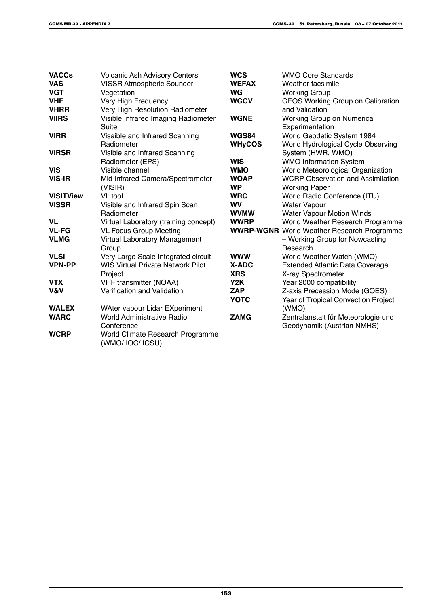| <b>VACCs</b><br><b>VAS</b> | <b>Volcanic Ash Advisory Centers</b><br><b>VISSR Atmospheric Sounder</b> | <b>WCS</b><br><b>WEFAX</b> | <b>WMO Core Standards</b><br>Weather facsimile    |
|----------------------------|--------------------------------------------------------------------------|----------------------------|---------------------------------------------------|
| <b>VGT</b>                 | Vegetation                                                               | WG                         | <b>Working Group</b>                              |
| <b>VHF</b>                 | Very High Frequency                                                      | <b>WGCV</b>                | CEOS Working Group on Calibration                 |
| <b>VHRR</b>                | Very High Resolution Radiometer                                          |                            | and Validation                                    |
| <b>VIIRS</b>               | Visible Infrared Imaging Radiometer                                      | <b>WGNE</b>                | Working Group on Numerical                        |
|                            | Suite                                                                    |                            | Experimentation                                   |
| <b>VIRR</b>                | Visaible and Infrared Scanning                                           | WGS84                      | World Geodetic System 1984                        |
|                            | Radiometer                                                               | <b>WHyCOS</b>              | World Hydrological Cycle Observing                |
| <b>VIRSR</b>               | Visible and Infrared Scanning                                            |                            | System (HWR, WMO)                                 |
|                            | Radiometer (EPS)                                                         | <b>WIS</b>                 | <b>WMO Information System</b>                     |
| <b>VIS</b>                 | Visible channel                                                          | <b>WMO</b>                 | World Meteorological Organization                 |
| <b>VIS-IR</b>              | Mid-infrared Camera/Spectrometer                                         | <b>WOAP</b>                | <b>WCRP Observation and Assimilation</b>          |
|                            | (VISIR)                                                                  | <b>WP</b>                  | <b>Working Paper</b>                              |
| <b>VISITView</b>           | VL tool                                                                  | <b>WRC</b>                 | World Radio Conference (ITU)                      |
| <b>VISSR</b>               | Visible and Infrared Spin Scan                                           | <b>WV</b>                  | <b>Water Vapour</b>                               |
|                            | Radiometer                                                               | <b>WVMW</b>                | Water Vapour Motion Winds                         |
| <b>VL</b>                  | Virtual Laboratory (training concept)                                    | <b>WWRP</b>                | World Weather Research Programme                  |
| <b>VL-FG</b>               | <b>VL Focus Group Meeting</b>                                            |                            | <b>WWRP-WGNR</b> World Weather Research Programme |
| <b>VLMG</b>                | Virtual Laboratory Management<br>Group                                   |                            | - Working Group for Nowcasting<br>Research        |
| <b>VLSI</b>                | Very Large Scale Integrated circuit                                      | <b>WWW</b>                 | World Weather Watch (WMO)                         |
| <b>VPN-PP</b>              | <b>WIS Virtual Private Network Pilot</b>                                 | X-ADC                      | <b>Extended Atlantic Data Coverage</b>            |
|                            | Project                                                                  | <b>XRS</b>                 | X-ray Spectrometer                                |
| <b>VTX</b>                 | <b>VHF transmitter (NOAA)</b>                                            | Y2K                        | Year 2000 compatibility                           |
| V&V                        | Verification and Validation                                              | <b>ZAP</b>                 | Z-axis Precession Mode (GOES)                     |
|                            |                                                                          | <b>YOTC</b>                | Year of Tropical Convection Project               |
| <b>WALEX</b>               | WAter vapour Lidar EXperiment                                            |                            | (WMO)                                             |
| <b>WARC</b>                | World Administrative Radio                                               | <b>ZAMG</b>                | Zentralanstalt für Meteorologie und               |
|                            | Conference                                                               |                            | Geodynamik (Austrian NMHS)                        |
| <b>WCRP</b>                | World Climate Research Programme<br>(WMO/ IOC/ ICSU)                     |                            |                                                   |